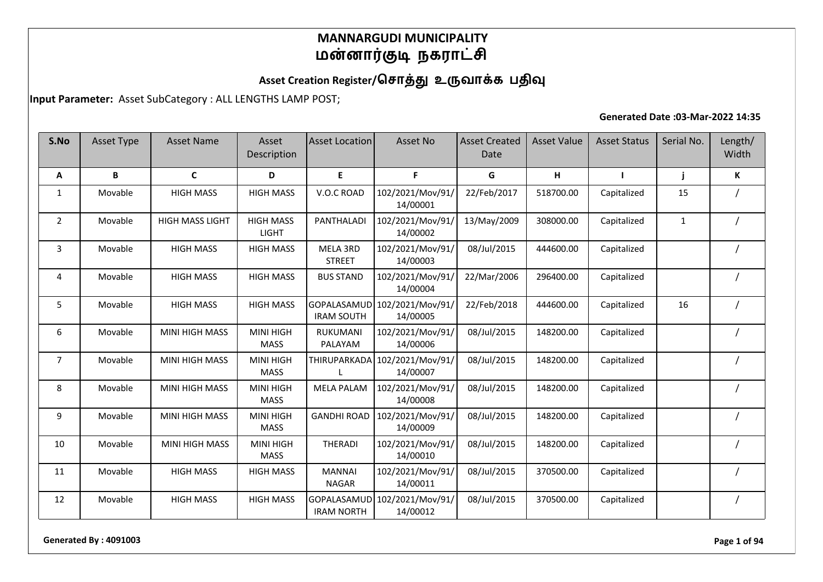# Asset Creation Register/சொத்து உருவாக்க பதிவு

**Input Parameter:** Asset SubCategory : ALL LENGTHS LAMP POST;

#### **Generated Date :03-Mar-2022 14:35**

| S.No           | Asset Type | <b>Asset Name</b>      | Asset<br>Description             | Asset Location                   | Asset No                     | <b>Asset Created</b><br>Date | <b>Asset Value</b> | <b>Asset Status</b> | Serial No.   | Length/<br>Width |
|----------------|------------|------------------------|----------------------------------|----------------------------------|------------------------------|------------------------------|--------------------|---------------------|--------------|------------------|
| A              | B          | C                      | D                                | E                                | F.                           | G                            | н                  | п                   | j            | K                |
| 1              | Movable    | <b>HIGH MASS</b>       | <b>HIGH MASS</b>                 | V.O.C ROAD                       | 102/2021/Mov/91/<br>14/00001 | 22/Feb/2017                  | 518700.00          | Capitalized         | 15           |                  |
| $\overline{2}$ | Movable    | <b>HIGH MASS LIGHT</b> | <b>HIGH MASS</b><br><b>LIGHT</b> | PANTHALADI                       | 102/2021/Mov/91/<br>14/00002 | 13/May/2009                  | 308000.00          | Capitalized         | $\mathbf{1}$ |                  |
| 3              | Movable    | <b>HIGH MASS</b>       | <b>HIGH MASS</b>                 | MELA 3RD<br><b>STREET</b>        | 102/2021/Mov/91/<br>14/00003 | 08/Jul/2015                  | 444600.00          | Capitalized         |              |                  |
| 4              | Movable    | <b>HIGH MASS</b>       | <b>HIGH MASS</b>                 | <b>BUS STAND</b>                 | 102/2021/Mov/91/<br>14/00004 | 22/Mar/2006                  | 296400.00          | Capitalized         |              |                  |
| 5              | Movable    | <b>HIGH MASS</b>       | <b>HIGH MASS</b>                 | GOPALASAMUD<br><b>IRAM SOUTH</b> | 102/2021/Mov/91/<br>14/00005 | 22/Feb/2018                  | 444600.00          | Capitalized         | 16           |                  |
| 6              | Movable    | <b>MINI HIGH MASS</b>  | <b>MINI HIGH</b><br><b>MASS</b>  | RUKUMANI<br>PALAYAM              | 102/2021/Mov/91/<br>14/00006 | 08/Jul/2015                  | 148200.00          | Capitalized         |              |                  |
| $\overline{7}$ | Movable    | <b>MINI HIGH MASS</b>  | <b>MINI HIGH</b><br><b>MASS</b>  | THIRUPARKADA                     | 102/2021/Mov/91/<br>14/00007 | 08/Jul/2015                  | 148200.00          | Capitalized         |              |                  |
| 8              | Movable    | <b>MINI HIGH MASS</b>  | <b>MINI HIGH</b><br><b>MASS</b>  | <b>MELA PALAM</b>                | 102/2021/Mov/91/<br>14/00008 | 08/Jul/2015                  | 148200.00          | Capitalized         |              |                  |
| 9              | Movable    | MINI HIGH MASS         | <b>MINI HIGH</b><br><b>MASS</b>  | <b>GANDHI ROAD</b>               | 102/2021/Mov/91/<br>14/00009 | 08/Jul/2015                  | 148200.00          | Capitalized         |              |                  |
| 10             | Movable    | <b>MINI HIGH MASS</b>  | <b>MINI HIGH</b><br><b>MASS</b>  | <b>THERADI</b>                   | 102/2021/Mov/91/<br>14/00010 | 08/Jul/2015                  | 148200.00          | Capitalized         |              |                  |
| 11             | Movable    | <b>HIGH MASS</b>       | <b>HIGH MASS</b>                 | <b>MANNAI</b><br><b>NAGAR</b>    | 102/2021/Mov/91/<br>14/00011 | 08/Jul/2015                  | 370500.00          | Capitalized         |              |                  |
| 12             | Movable    | <b>HIGH MASS</b>       | <b>HIGH MASS</b>                 | GOPALASAMUD<br><b>IRAM NORTH</b> | 102/2021/Mov/91/<br>14/00012 | 08/Jul/2015                  | 370500.00          | Capitalized         |              |                  |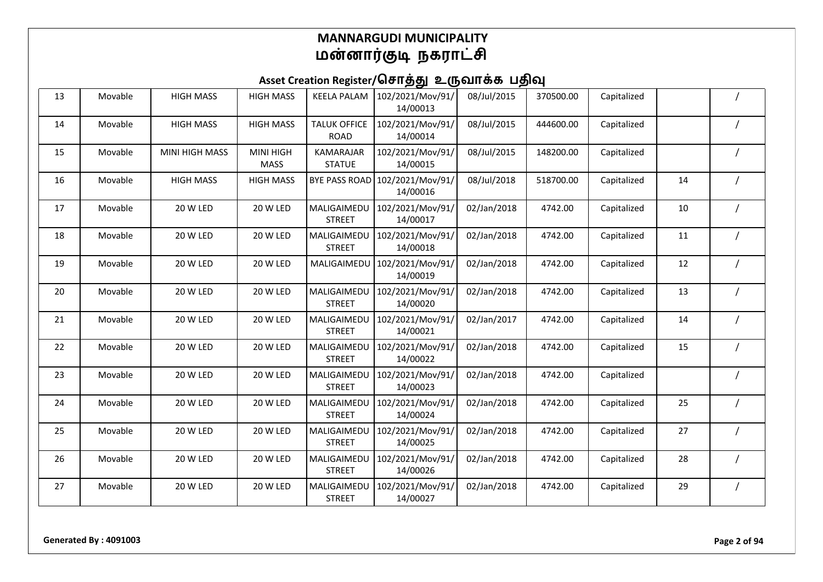| 13 | Movable | <b>HIGH MASS</b> | <b>HIGH MASS</b>                | <b>KEELA PALAM</b>                 | 102/2021/Mov/91/<br>14/00013 | 08/Jul/2015 | 370500.00 | Capitalized |    |  |
|----|---------|------------------|---------------------------------|------------------------------------|------------------------------|-------------|-----------|-------------|----|--|
| 14 | Movable | <b>HIGH MASS</b> | <b>HIGH MASS</b>                | <b>TALUK OFFICE</b><br><b>ROAD</b> | 102/2021/Mov/91/<br>14/00014 | 08/Jul/2015 | 444600.00 | Capitalized |    |  |
| 15 | Movable | MINI HIGH MASS   | <b>MINI HIGH</b><br><b>MASS</b> | <b>KAMARAJAR</b><br><b>STATUE</b>  | 102/2021/Mov/91/<br>14/00015 | 08/Jul/2015 | 148200.00 | Capitalized |    |  |
| 16 | Movable | <b>HIGH MASS</b> | <b>HIGH MASS</b>                | <b>BYE PASS ROAD</b>               | 102/2021/Mov/91/<br>14/00016 | 08/Jul/2018 | 518700.00 | Capitalized | 14 |  |
| 17 | Movable | 20 W LED         | 20 W LED                        | MALIGAIMEDU<br><b>STREET</b>       | 102/2021/Mov/91/<br>14/00017 | 02/Jan/2018 | 4742.00   | Capitalized | 10 |  |
| 18 | Movable | 20 W LED         | 20 W LED                        | MALIGAIMEDU<br><b>STREET</b>       | 102/2021/Mov/91/<br>14/00018 | 02/Jan/2018 | 4742.00   | Capitalized | 11 |  |
| 19 | Movable | 20 W LED         | 20 W LED                        | MALIGAIMEDU                        | 102/2021/Mov/91/<br>14/00019 | 02/Jan/2018 | 4742.00   | Capitalized | 12 |  |
| 20 | Movable | 20 W LED         | 20 W LED                        | MALIGAIMEDU<br><b>STREET</b>       | 102/2021/Mov/91/<br>14/00020 | 02/Jan/2018 | 4742.00   | Capitalized | 13 |  |
| 21 | Movable | 20 W LED         | 20 W LED                        | MALIGAIMEDU<br><b>STREET</b>       | 102/2021/Mov/91/<br>14/00021 | 02/Jan/2017 | 4742.00   | Capitalized | 14 |  |
| 22 | Movable | 20 W LED         | 20 W LED                        | MALIGAIMEDU<br><b>STREET</b>       | 102/2021/Mov/91/<br>14/00022 | 02/Jan/2018 | 4742.00   | Capitalized | 15 |  |
| 23 | Movable | 20 W LED         | 20 W LED                        | MALIGAIMEDU<br><b>STREET</b>       | 102/2021/Mov/91/<br>14/00023 | 02/Jan/2018 | 4742.00   | Capitalized |    |  |
| 24 | Movable | 20 W LED         | 20 W LED                        | MALIGAIMEDU<br><b>STREET</b>       | 102/2021/Mov/91/<br>14/00024 | 02/Jan/2018 | 4742.00   | Capitalized | 25 |  |
| 25 | Movable | 20 W LED         | 20 W LED                        | MALIGAIMEDU<br><b>STREET</b>       | 102/2021/Mov/91/<br>14/00025 | 02/Jan/2018 | 4742.00   | Capitalized | 27 |  |
| 26 | Movable | 20 W LED         | 20 W LED                        | MALIGAIMEDU<br><b>STREET</b>       | 102/2021/Mov/91/<br>14/00026 | 02/Jan/2018 | 4742.00   | Capitalized | 28 |  |
| 27 | Movable | 20 W LED         | 20 W LED                        | MALIGAIMEDU<br><b>STREET</b>       | 102/2021/Mov/91/<br>14/00027 | 02/Jan/2018 | 4742.00   | Capitalized | 29 |  |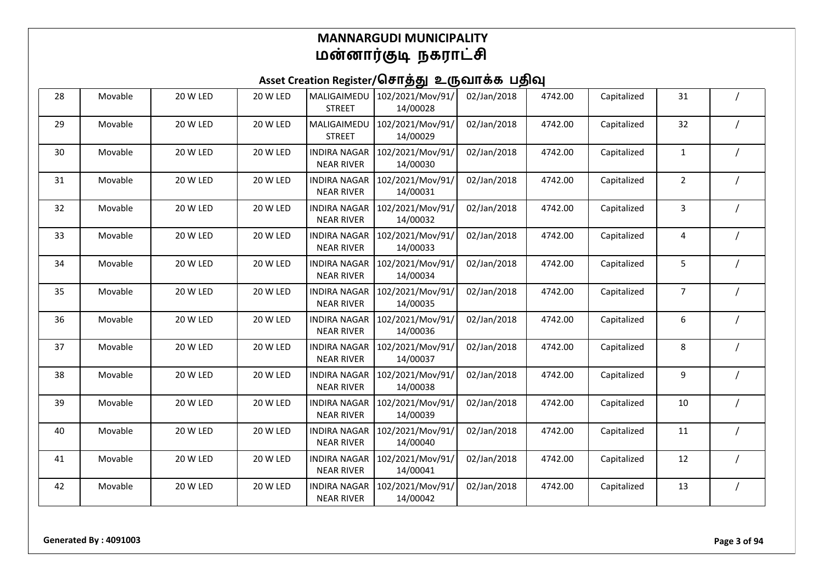| 28 | Movable | 20 W LED | 20 W LED | MALIGAIMEDU<br><b>STREET</b>             | 102/2021/Mov/91/<br>14/00028 | 02/Jan/2018 | 4742.00 | Capitalized | 31             |  |
|----|---------|----------|----------|------------------------------------------|------------------------------|-------------|---------|-------------|----------------|--|
| 29 | Movable | 20 W LED | 20 W LED | MALIGAIMEDU<br><b>STREET</b>             | 102/2021/Mov/91/<br>14/00029 | 02/Jan/2018 | 4742.00 | Capitalized | 32             |  |
| 30 | Movable | 20 W LED | 20 W LED | <b>INDIRA NAGAR</b><br><b>NEAR RIVER</b> | 102/2021/Mov/91/<br>14/00030 | 02/Jan/2018 | 4742.00 | Capitalized | $\mathbf{1}$   |  |
| 31 | Movable | 20 W LED | 20 W LED | <b>INDIRA NAGAR</b><br><b>NEAR RIVER</b> | 102/2021/Mov/91/<br>14/00031 | 02/Jan/2018 | 4742.00 | Capitalized | $\overline{2}$ |  |
| 32 | Movable | 20 W LED | 20 W LED | <b>INDIRA NAGAR</b><br><b>NEAR RIVER</b> | 102/2021/Mov/91/<br>14/00032 | 02/Jan/2018 | 4742.00 | Capitalized | 3              |  |
| 33 | Movable | 20 W LED | 20 W LED | <b>INDIRA NAGAR</b><br><b>NEAR RIVER</b> | 102/2021/Mov/91/<br>14/00033 | 02/Jan/2018 | 4742.00 | Capitalized | 4              |  |
| 34 | Movable | 20 W LED | 20 W LED | <b>INDIRA NAGAR</b><br><b>NEAR RIVER</b> | 102/2021/Mov/91/<br>14/00034 | 02/Jan/2018 | 4742.00 | Capitalized | 5              |  |
| 35 | Movable | 20 W LED | 20 W LED | <b>INDIRA NAGAR</b><br><b>NEAR RIVER</b> | 102/2021/Mov/91/<br>14/00035 | 02/Jan/2018 | 4742.00 | Capitalized | $\overline{7}$ |  |
| 36 | Movable | 20 W LED | 20 W LED | <b>INDIRA NAGAR</b><br><b>NEAR RIVER</b> | 102/2021/Mov/91/<br>14/00036 | 02/Jan/2018 | 4742.00 | Capitalized | 6              |  |
| 37 | Movable | 20 W LED | 20 W LED | <b>INDIRA NAGAR</b><br><b>NEAR RIVER</b> | 102/2021/Mov/91/<br>14/00037 | 02/Jan/2018 | 4742.00 | Capitalized | 8              |  |
| 38 | Movable | 20 W LED | 20 W LED | <b>INDIRA NAGAR</b><br><b>NEAR RIVER</b> | 102/2021/Mov/91/<br>14/00038 | 02/Jan/2018 | 4742.00 | Capitalized | 9              |  |
| 39 | Movable | 20 W LED | 20 W LED | <b>INDIRA NAGAR</b><br><b>NEAR RIVER</b> | 102/2021/Mov/91/<br>14/00039 | 02/Jan/2018 | 4742.00 | Capitalized | 10             |  |
| 40 | Movable | 20 W LED | 20 W LED | <b>INDIRA NAGAR</b><br><b>NEAR RIVER</b> | 102/2021/Mov/91/<br>14/00040 | 02/Jan/2018 | 4742.00 | Capitalized | $11\,$         |  |
| 41 | Movable | 20 W LED | 20 W LED | <b>INDIRA NAGAR</b><br><b>NEAR RIVER</b> | 102/2021/Mov/91/<br>14/00041 | 02/Jan/2018 | 4742.00 | Capitalized | 12             |  |
| 42 | Movable | 20 W LED | 20 W LED | <b>INDIRA NAGAR</b><br><b>NEAR RIVER</b> | 102/2021/Mov/91/<br>14/00042 | 02/Jan/2018 | 4742.00 | Capitalized | 13             |  |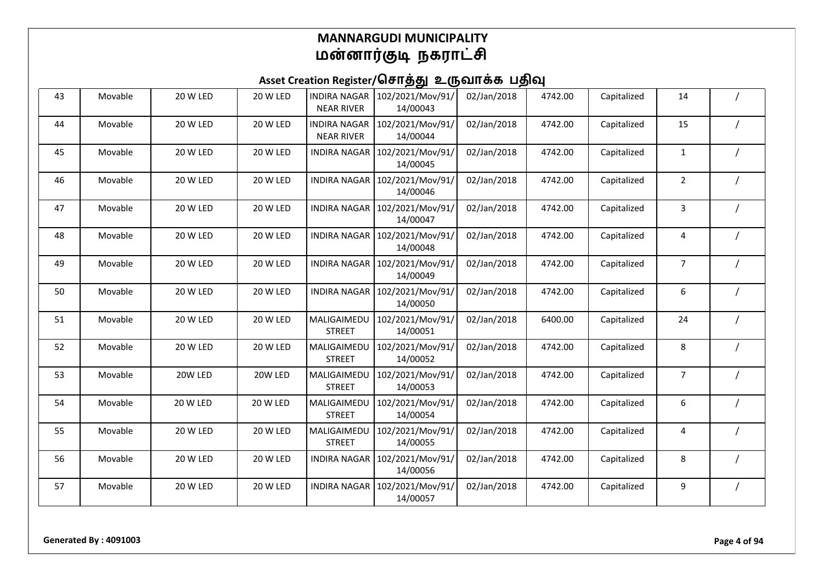| 43 | Movable | 20 W LED | 20 W LED | <b>INDIRA NAGAR</b><br><b>NEAR RIVER</b> | 102/2021/Mov/91/<br>14/00043 | 02/Jan/2018 | 4742.00 | Capitalized | 14             |  |
|----|---------|----------|----------|------------------------------------------|------------------------------|-------------|---------|-------------|----------------|--|
| 44 | Movable | 20 W LED | 20 W LED | <b>INDIRA NAGAR</b><br><b>NEAR RIVER</b> | 102/2021/Mov/91/<br>14/00044 | 02/Jan/2018 | 4742.00 | Capitalized | 15             |  |
| 45 | Movable | 20 W LED | 20 W LED | <b>INDIRA NAGAR</b>                      | 102/2021/Mov/91/<br>14/00045 | 02/Jan/2018 | 4742.00 | Capitalized | $\mathbf{1}$   |  |
| 46 | Movable | 20 W LED | 20 W LED | <b>INDIRA NAGAR</b>                      | 102/2021/Mov/91/<br>14/00046 | 02/Jan/2018 | 4742.00 | Capitalized | $\overline{2}$ |  |
| 47 | Movable | 20 W LED | 20 W LED | <b>INDIRA NAGAR</b>                      | 102/2021/Mov/91/<br>14/00047 | 02/Jan/2018 | 4742.00 | Capitalized | 3              |  |
| 48 | Movable | 20 W LED | 20 W LED | <b>INDIRA NAGAR</b>                      | 102/2021/Mov/91/<br>14/00048 | 02/Jan/2018 | 4742.00 | Capitalized | 4              |  |
| 49 | Movable | 20 W LED | 20 W LED | <b>INDIRA NAGAR</b>                      | 102/2021/Mov/91/<br>14/00049 | 02/Jan/2018 | 4742.00 | Capitalized | $\overline{7}$ |  |
| 50 | Movable | 20 W LED | 20 W LED | <b>INDIRA NAGAR</b>                      | 102/2021/Mov/91/<br>14/00050 | 02/Jan/2018 | 4742.00 | Capitalized | 6              |  |
| 51 | Movable | 20 W LED | 20 W LED | MALIGAIMEDU<br><b>STREET</b>             | 102/2021/Mov/91/<br>14/00051 | 02/Jan/2018 | 6400.00 | Capitalized | 24             |  |
| 52 | Movable | 20 W LED | 20 W LED | MALIGAIMEDU<br><b>STREET</b>             | 102/2021/Mov/91/<br>14/00052 | 02/Jan/2018 | 4742.00 | Capitalized | 8              |  |
| 53 | Movable | 20W LED  | 20W LED  | MALIGAIMEDU<br><b>STREET</b>             | 102/2021/Mov/91/<br>14/00053 | 02/Jan/2018 | 4742.00 | Capitalized | $\overline{7}$ |  |
| 54 | Movable | 20 W LED | 20 W LED | MALIGAIMEDU<br><b>STREET</b>             | 102/2021/Mov/91/<br>14/00054 | 02/Jan/2018 | 4742.00 | Capitalized | 6              |  |
| 55 | Movable | 20 W LED | 20 W LED | MALIGAIMEDU<br><b>STREET</b>             | 102/2021/Mov/91/<br>14/00055 | 02/Jan/2018 | 4742.00 | Capitalized | 4              |  |
| 56 | Movable | 20 W LED | 20 W LED | <b>INDIRA NAGAR</b>                      | 102/2021/Mov/91/<br>14/00056 | 02/Jan/2018 | 4742.00 | Capitalized | 8              |  |
| 57 | Movable | 20 W LED | 20 W LED | <b>INDIRA NAGAR</b>                      | 102/2021/Mov/91/<br>14/00057 | 02/Jan/2018 | 4742.00 | Capitalized | 9              |  |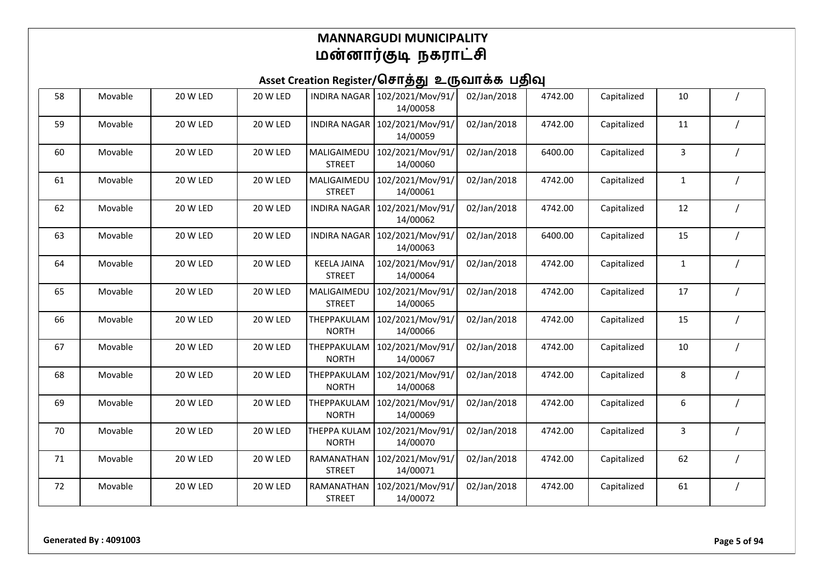| 58 | Movable | 20 W LED | 20 W LED | <b>INDIRA NAGAR</b>                 | 102/2021/Mov/91/<br>14/00058 | 02/Jan/2018 | 4742.00 | Capitalized | 10           |  |
|----|---------|----------|----------|-------------------------------------|------------------------------|-------------|---------|-------------|--------------|--|
| 59 | Movable | 20 W LED | 20 W LED | <b>INDIRA NAGAR</b>                 | 102/2021/Mov/91/<br>14/00059 | 02/Jan/2018 | 4742.00 | Capitalized | 11           |  |
| 60 | Movable | 20 W LED | 20 W LED | MALIGAIMEDU<br><b>STREET</b>        | 102/2021/Mov/91/<br>14/00060 | 02/Jan/2018 | 6400.00 | Capitalized | 3            |  |
| 61 | Movable | 20 W LED | 20 W LED | MALIGAIMEDU<br><b>STREET</b>        | 102/2021/Mov/91/<br>14/00061 | 02/Jan/2018 | 4742.00 | Capitalized | $\mathbf{1}$ |  |
| 62 | Movable | 20 W LED | 20 W LED | <b>INDIRA NAGAR</b>                 | 102/2021/Mov/91/<br>14/00062 | 02/Jan/2018 | 4742.00 | Capitalized | 12           |  |
| 63 | Movable | 20 W LED | 20 W LED | <b>INDIRA NAGAR</b>                 | 102/2021/Mov/91/<br>14/00063 | 02/Jan/2018 | 6400.00 | Capitalized | 15           |  |
| 64 | Movable | 20 W LED | 20 W LED | <b>KEELA JAINA</b><br><b>STREET</b> | 102/2021/Mov/91/<br>14/00064 | 02/Jan/2018 | 4742.00 | Capitalized | $\mathbf{1}$ |  |
| 65 | Movable | 20 W LED | 20 W LED | MALIGAIMEDU<br><b>STREET</b>        | 102/2021/Mov/91/<br>14/00065 | 02/Jan/2018 | 4742.00 | Capitalized | 17           |  |
| 66 | Movable | 20 W LED | 20 W LED | THEPPAKULAM<br><b>NORTH</b>         | 102/2021/Mov/91/<br>14/00066 | 02/Jan/2018 | 4742.00 | Capitalized | 15           |  |
| 67 | Movable | 20 W LED | 20 W LED | THEPPAKULAM<br><b>NORTH</b>         | 102/2021/Mov/91/<br>14/00067 | 02/Jan/2018 | 4742.00 | Capitalized | 10           |  |
| 68 | Movable | 20 W LED | 20 W LED | THEPPAKULAM<br><b>NORTH</b>         | 102/2021/Mov/91/<br>14/00068 | 02/Jan/2018 | 4742.00 | Capitalized | 8            |  |
| 69 | Movable | 20 W LED | 20 W LED | THEPPAKULAM<br><b>NORTH</b>         | 102/2021/Mov/91/<br>14/00069 | 02/Jan/2018 | 4742.00 | Capitalized | 6            |  |
| 70 | Movable | 20 W LED | 20 W LED | <b>THEPPA KULAM</b><br><b>NORTH</b> | 102/2021/Mov/91/<br>14/00070 | 02/Jan/2018 | 4742.00 | Capitalized | 3            |  |
| 71 | Movable | 20 W LED | 20 W LED | <b>RAMANATHAN</b><br><b>STREET</b>  | 102/2021/Mov/91/<br>14/00071 | 02/Jan/2018 | 4742.00 | Capitalized | 62           |  |
| 72 | Movable | 20 W LED | 20 W LED | RAMANATHAN<br><b>STREET</b>         | 102/2021/Mov/91/<br>14/00072 | 02/Jan/2018 | 4742.00 | Capitalized | 61           |  |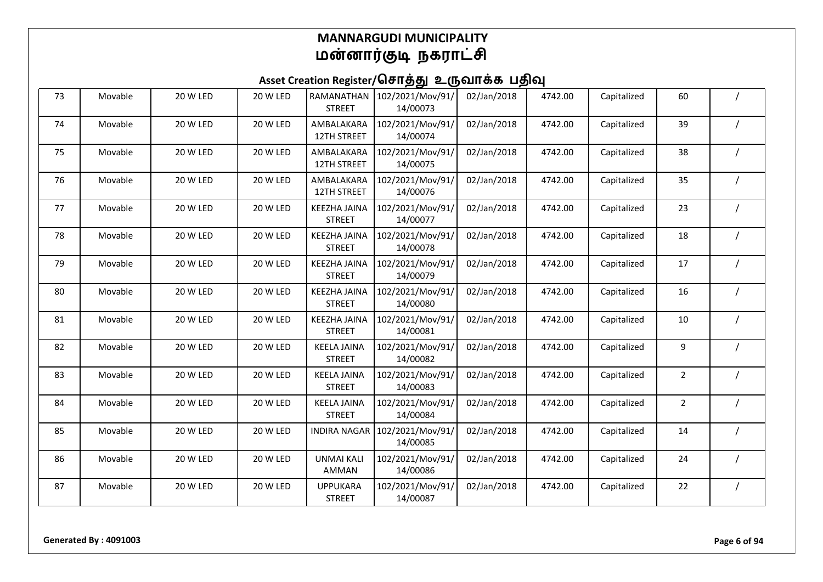| 73 | Movable | 20 W LED | 20 W LED | RAMANATHAN<br><b>STREET</b>          | 102/2021/Mov/91/<br>14/00073 | 02/Jan/2018 | 4742.00 | Capitalized | 60             |  |
|----|---------|----------|----------|--------------------------------------|------------------------------|-------------|---------|-------------|----------------|--|
| 74 | Movable | 20 W LED | 20 W LED | AMBALAKARA<br>12TH STREET            | 102/2021/Mov/91/<br>14/00074 | 02/Jan/2018 | 4742.00 | Capitalized | 39             |  |
| 75 | Movable | 20 W LED | 20 W LED | AMBALAKARA<br>12TH STREET            | 102/2021/Mov/91/<br>14/00075 | 02/Jan/2018 | 4742.00 | Capitalized | 38             |  |
| 76 | Movable | 20 W LED | 20 W LED | AMBALAKARA<br>12TH STREET            | 102/2021/Mov/91/<br>14/00076 | 02/Jan/2018 | 4742.00 | Capitalized | 35             |  |
| 77 | Movable | 20 W LED | 20 W LED | <b>KEEZHA JAINA</b><br><b>STREET</b> | 102/2021/Mov/91/<br>14/00077 | 02/Jan/2018 | 4742.00 | Capitalized | 23             |  |
| 78 | Movable | 20 W LED | 20 W LED | <b>KEEZHA JAINA</b><br><b>STREET</b> | 102/2021/Mov/91/<br>14/00078 | 02/Jan/2018 | 4742.00 | Capitalized | 18             |  |
| 79 | Movable | 20 W LED | 20 W LED | <b>KEEZHA JAINA</b><br><b>STREET</b> | 102/2021/Mov/91/<br>14/00079 | 02/Jan/2018 | 4742.00 | Capitalized | 17             |  |
| 80 | Movable | 20 W LED | 20 W LED | <b>KEEZHA JAINA</b><br><b>STREET</b> | 102/2021/Mov/91/<br>14/00080 | 02/Jan/2018 | 4742.00 | Capitalized | 16             |  |
| 81 | Movable | 20 W LED | 20 W LED | <b>KEEZHA JAINA</b><br><b>STREET</b> | 102/2021/Mov/91/<br>14/00081 | 02/Jan/2018 | 4742.00 | Capitalized | 10             |  |
| 82 | Movable | 20 W LED | 20 W LED | <b>KEELA JAINA</b><br><b>STREET</b>  | 102/2021/Mov/91/<br>14/00082 | 02/Jan/2018 | 4742.00 | Capitalized | 9              |  |
| 83 | Movable | 20 W LED | 20 W LED | <b>KEELA JAINA</b><br><b>STREET</b>  | 102/2021/Mov/91/<br>14/00083 | 02/Jan/2018 | 4742.00 | Capitalized | $\overline{2}$ |  |
| 84 | Movable | 20 W LED | 20 W LED | <b>KEELA JAINA</b><br><b>STREET</b>  | 102/2021/Mov/91/<br>14/00084 | 02/Jan/2018 | 4742.00 | Capitalized | $\overline{2}$ |  |
| 85 | Movable | 20 W LED | 20 W LED | <b>INDIRA NAGAR</b>                  | 102/2021/Mov/91/<br>14/00085 | 02/Jan/2018 | 4742.00 | Capitalized | 14             |  |
| 86 | Movable | 20 W LED | 20 W LED | <b>UNMAI KALI</b><br>AMMAN           | 102/2021/Mov/91/<br>14/00086 | 02/Jan/2018 | 4742.00 | Capitalized | 24             |  |
| 87 | Movable | 20 W LED | 20 W LED | <b>UPPUKARA</b><br><b>STREET</b>     | 102/2021/Mov/91/<br>14/00087 | 02/Jan/2018 | 4742.00 | Capitalized | 22             |  |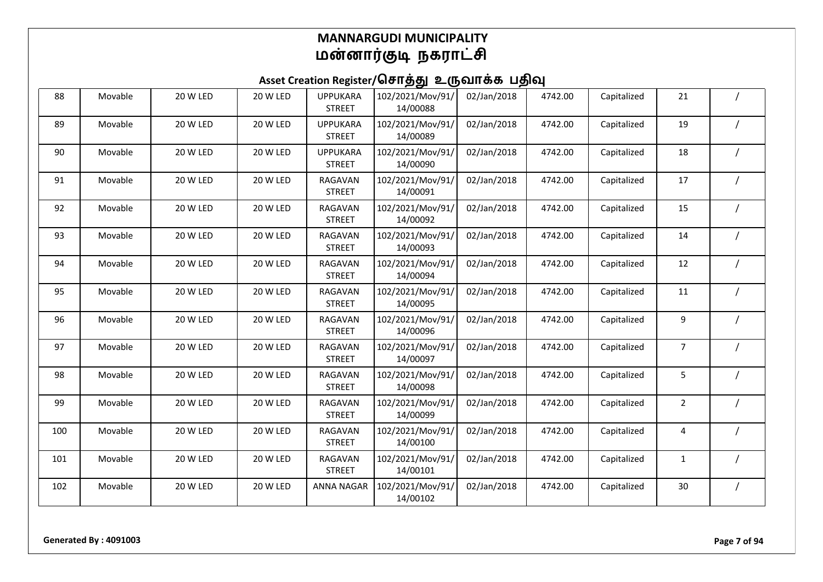| 88  | Movable | 20 W LED | 20 W LED | <b>UPPUKARA</b><br><b>STREET</b> | 102/2021/Mov/91/<br>14/00088 | 02/Jan/2018 | 4742.00 | Capitalized | 21             |  |
|-----|---------|----------|----------|----------------------------------|------------------------------|-------------|---------|-------------|----------------|--|
| 89  | Movable | 20 W LED | 20 W LED | <b>UPPUKARA</b><br><b>STREET</b> | 102/2021/Mov/91/<br>14/00089 | 02/Jan/2018 | 4742.00 | Capitalized | 19             |  |
| 90  | Movable | 20 W LED | 20 W LED | <b>UPPUKARA</b><br><b>STREET</b> | 102/2021/Mov/91/<br>14/00090 | 02/Jan/2018 | 4742.00 | Capitalized | 18             |  |
| 91  | Movable | 20 W LED | 20 W LED | RAGAVAN<br><b>STREET</b>         | 102/2021/Mov/91/<br>14/00091 | 02/Jan/2018 | 4742.00 | Capitalized | 17             |  |
| 92  | Movable | 20 W LED | 20 W LED | RAGAVAN<br><b>STREET</b>         | 102/2021/Mov/91/<br>14/00092 | 02/Jan/2018 | 4742.00 | Capitalized | 15             |  |
| 93  | Movable | 20 W LED | 20 W LED | RAGAVAN<br><b>STREET</b>         | 102/2021/Mov/91/<br>14/00093 | 02/Jan/2018 | 4742.00 | Capitalized | 14             |  |
| 94  | Movable | 20 W LED | 20 W LED | RAGAVAN<br><b>STREET</b>         | 102/2021/Mov/91/<br>14/00094 | 02/Jan/2018 | 4742.00 | Capitalized | 12             |  |
| 95  | Movable | 20 W LED | 20 W LED | RAGAVAN<br><b>STREET</b>         | 102/2021/Mov/91/<br>14/00095 | 02/Jan/2018 | 4742.00 | Capitalized | 11             |  |
| 96  | Movable | 20 W LED | 20 W LED | RAGAVAN<br><b>STREET</b>         | 102/2021/Mov/91/<br>14/00096 | 02/Jan/2018 | 4742.00 | Capitalized | 9              |  |
| 97  | Movable | 20 W LED | 20 W LED | RAGAVAN<br><b>STREET</b>         | 102/2021/Mov/91/<br>14/00097 | 02/Jan/2018 | 4742.00 | Capitalized | 7              |  |
| 98  | Movable | 20 W LED | 20 W LED | RAGAVAN<br><b>STREET</b>         | 102/2021/Mov/91/<br>14/00098 | 02/Jan/2018 | 4742.00 | Capitalized | 5              |  |
| 99  | Movable | 20 W LED | 20 W LED | RAGAVAN<br><b>STREET</b>         | 102/2021/Mov/91/<br>14/00099 | 02/Jan/2018 | 4742.00 | Capitalized | $\overline{2}$ |  |
| 100 | Movable | 20 W LED | 20 W LED | RAGAVAN<br><b>STREET</b>         | 102/2021/Mov/91/<br>14/00100 | 02/Jan/2018 | 4742.00 | Capitalized | 4              |  |
| 101 | Movable | 20 W LED | 20 W LED | RAGAVAN<br><b>STREET</b>         | 102/2021/Mov/91/<br>14/00101 | 02/Jan/2018 | 4742.00 | Capitalized | 1              |  |
| 102 | Movable | 20 W LED | 20 W LED | <b>ANNA NAGAR</b>                | 102/2021/Mov/91/<br>14/00102 | 02/Jan/2018 | 4742.00 | Capitalized | 30             |  |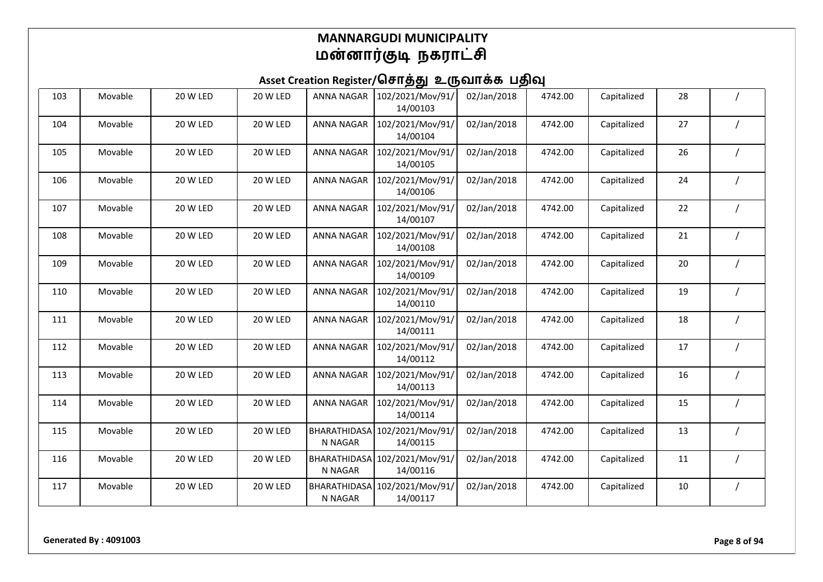| 103 | Movable | 20 W LED | 20 W LED        | <b>ANNA NAGAR</b>              | 102/2021/Mov/91/<br>14/00103 | 02/Jan/2018 | 4742.00 | Capitalized | 28 |  |
|-----|---------|----------|-----------------|--------------------------------|------------------------------|-------------|---------|-------------|----|--|
| 104 | Movable | 20 W LED | 20 W LED        | <b>ANNA NAGAR</b>              | 102/2021/Mov/91/<br>14/00104 | 02/Jan/2018 | 4742.00 | Capitalized | 27 |  |
| 105 | Movable | 20 W LED | 20 W LED        | <b>ANNA NAGAR</b>              | 102/2021/Mov/91/<br>14/00105 | 02/Jan/2018 | 4742.00 | Capitalized | 26 |  |
| 106 | Movable | 20 W LED | 20 W LED        | <b>ANNA NAGAR</b>              | 102/2021/Mov/91/<br>14/00106 | 02/Jan/2018 | 4742.00 | Capitalized | 24 |  |
| 107 | Movable | 20 W LED | 20 W LED        | <b>ANNA NAGAR</b>              | 102/2021/Mov/91/<br>14/00107 | 02/Jan/2018 | 4742.00 | Capitalized | 22 |  |
| 108 | Movable | 20 W LED | 20 W LED        | <b>ANNA NAGAR</b>              | 102/2021/Mov/91/<br>14/00108 | 02/Jan/2018 | 4742.00 | Capitalized | 21 |  |
| 109 | Movable | 20 W LED | 20 W LED        | <b>ANNA NAGAR</b>              | 102/2021/Mov/91/<br>14/00109 | 02/Jan/2018 | 4742.00 | Capitalized | 20 |  |
| 110 | Movable | 20 W LED | 20 W LED        | <b>ANNA NAGAR</b>              | 102/2021/Mov/91/<br>14/00110 | 02/Jan/2018 | 4742.00 | Capitalized | 19 |  |
| 111 | Movable | 20 W LED | 20 W LED        | <b>ANNA NAGAR</b>              | 102/2021/Mov/91/<br>14/00111 | 02/Jan/2018 | 4742.00 | Capitalized | 18 |  |
| 112 | Movable | 20 W LED | 20 W LED        | <b>ANNA NAGAR</b>              | 102/2021/Mov/91/<br>14/00112 | 02/Jan/2018 | 4742.00 | Capitalized | 17 |  |
| 113 | Movable | 20 W LED | 20 W LED        | <b>ANNA NAGAR</b>              | 102/2021/Mov/91/<br>14/00113 | 02/Jan/2018 | 4742.00 | Capitalized | 16 |  |
| 114 | Movable | 20 W LED | 20 W LED        | <b>ANNA NAGAR</b>              | 102/2021/Mov/91/<br>14/00114 | 02/Jan/2018 | 4742.00 | Capitalized | 15 |  |
| 115 | Movable | 20 W LED | 20 W LED        | BHARATHIDASA<br>N NAGAR        | 102/2021/Mov/91/<br>14/00115 | 02/Jan/2018 | 4742.00 | Capitalized | 13 |  |
| 116 | Movable | 20 W LED | <b>20 W LED</b> | <b>BHARATHIDASA</b><br>N NAGAR | 102/2021/Mov/91/<br>14/00116 | 02/Jan/2018 | 4742.00 | Capitalized | 11 |  |
| 117 | Movable | 20 W LED | 20 W LED        | BHARATHIDASA<br>N NAGAR        | 102/2021/Mov/91/<br>14/00117 | 02/Jan/2018 | 4742.00 | Capitalized | 10 |  |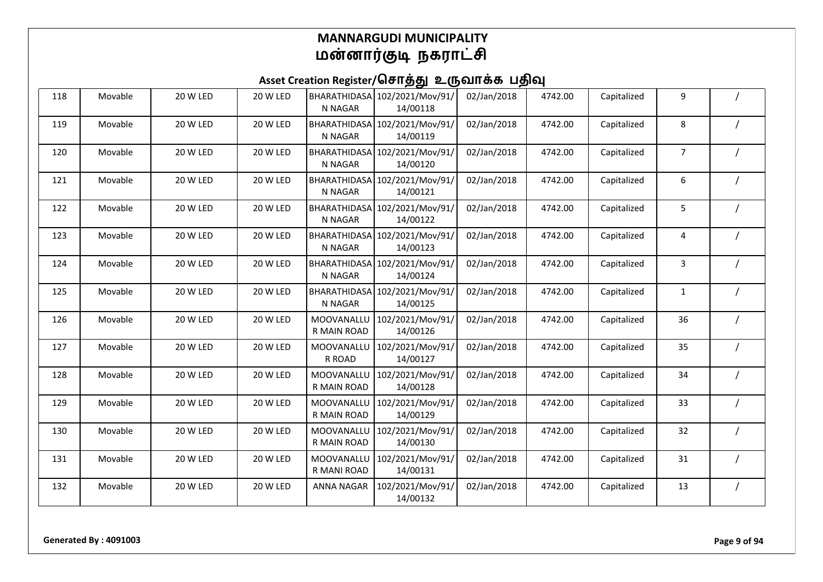| 118 | Movable | 20 W LED        | 20 W LED | BHARATHIDASA<br>N NAGAR        | 102/2021/Mov/91/<br>14/00118 | 02/Jan/2018 | 4742.00 | Capitalized | 9            |  |
|-----|---------|-----------------|----------|--------------------------------|------------------------------|-------------|---------|-------------|--------------|--|
| 119 | Movable | 20 W LED        | 20 W LED | BHARATHIDASA<br>N NAGAR        | 102/2021/Mov/91/<br>14/00119 | 02/Jan/2018 | 4742.00 | Capitalized | 8            |  |
| 120 | Movable | 20 W LED        | 20 W LED | BHARATHIDASA<br>N NAGAR        | 102/2021/Mov/91/<br>14/00120 | 02/Jan/2018 | 4742.00 | Capitalized | 7            |  |
| 121 | Movable | <b>20 W LED</b> | 20 W LED | <b>BHARATHIDASA</b><br>N NAGAR | 102/2021/Mov/91/<br>14/00121 | 02/Jan/2018 | 4742.00 | Capitalized | 6            |  |
| 122 | Movable | 20 W LED        | 20 W LED | BHARATHIDASA<br>N NAGAR        | 102/2021/Mov/91/<br>14/00122 | 02/Jan/2018 | 4742.00 | Capitalized | 5            |  |
| 123 | Movable | 20 W LED        | 20 W LED | BHARATHIDASA<br>N NAGAR        | 102/2021/Mov/91/<br>14/00123 | 02/Jan/2018 | 4742.00 | Capitalized | 4            |  |
| 124 | Movable | 20 W LED        | 20 W LED | BHARATHIDASA<br>N NAGAR        | 102/2021/Mov/91/<br>14/00124 | 02/Jan/2018 | 4742.00 | Capitalized | 3            |  |
| 125 | Movable | 20 W LED        | 20 W LED | BHARATHIDASA<br>N NAGAR        | 102/2021/Mov/91/<br>14/00125 | 02/Jan/2018 | 4742.00 | Capitalized | $\mathbf{1}$ |  |
| 126 | Movable | 20 W LED        | 20 W LED | MOOVANALLU<br>R MAIN ROAD      | 102/2021/Mov/91/<br>14/00126 | 02/Jan/2018 | 4742.00 | Capitalized | 36           |  |
| 127 | Movable | 20 W LED        | 20 W LED | MOOVANALLU<br>R ROAD           | 102/2021/Mov/91/<br>14/00127 | 02/Jan/2018 | 4742.00 | Capitalized | 35           |  |
| 128 | Movable | 20 W LED        | 20 W LED | MOOVANALLU<br>R MAIN ROAD      | 102/2021/Mov/91/<br>14/00128 | 02/Jan/2018 | 4742.00 | Capitalized | 34           |  |
| 129 | Movable | 20 W LED        | 20 W LED | MOOVANALLL<br>R MAIN ROAD      | 102/2021/Mov/91/<br>14/00129 | 02/Jan/2018 | 4742.00 | Capitalized | 33           |  |
| 130 | Movable | 20 W LED        | 20 W LED | MOOVANALLU<br>R MAIN ROAD      | 102/2021/Mov/91/<br>14/00130 | 02/Jan/2018 | 4742.00 | Capitalized | 32           |  |
| 131 | Movable | 20 W LED        | 20 W LED | MOOVANALLL<br>R MANI ROAD      | 102/2021/Mov/91/<br>14/00131 | 02/Jan/2018 | 4742.00 | Capitalized | 31           |  |
| 132 | Movable | 20 W LED        | 20 W LED | <b>ANNA NAGAR</b>              | 102/2021/Mov/91/<br>14/00132 | 02/Jan/2018 | 4742.00 | Capitalized | 13           |  |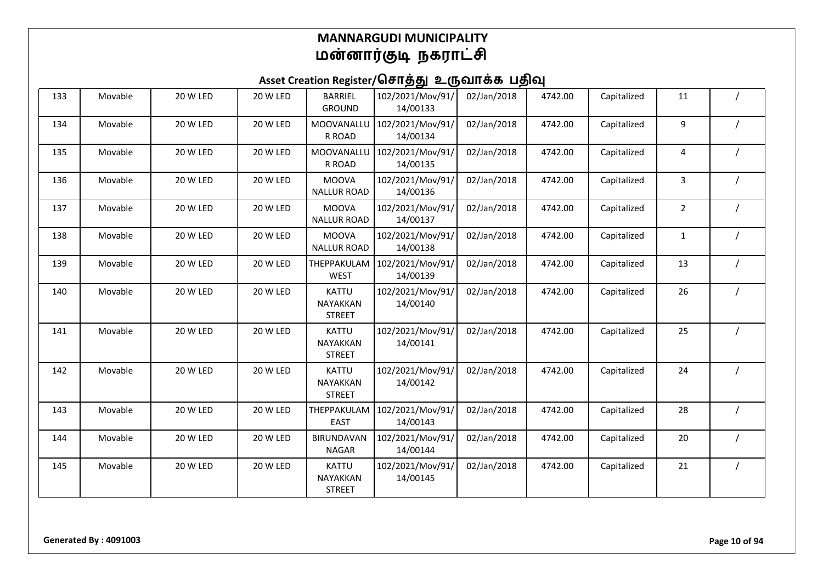| 133 | Movable | 20 W LED | 20 W LED | <b>BARRIEL</b><br><b>GROUND</b>           | 102/2021/Mov/91/<br>14/00133 | 02/Jan/2018 | 4742.00 | Capitalized | 11             |  |
|-----|---------|----------|----------|-------------------------------------------|------------------------------|-------------|---------|-------------|----------------|--|
| 134 | Movable | 20 W LED | 20 W LED | MOOVANALLU<br>R ROAD                      | 102/2021/Mov/91/<br>14/00134 | 02/Jan/2018 | 4742.00 | Capitalized | 9              |  |
| 135 | Movable | 20 W LED | 20 W LED | MOOVANALLU<br>R ROAD                      | 102/2021/Mov/91/<br>14/00135 | 02/Jan/2018 | 4742.00 | Capitalized | 4              |  |
| 136 | Movable | 20 W LED | 20 W LED | <b>MOOVA</b><br><b>NALLUR ROAD</b>        | 102/2021/Mov/91/<br>14/00136 | 02/Jan/2018 | 4742.00 | Capitalized | 3              |  |
| 137 | Movable | 20 W LED | 20 W LED | <b>MOOVA</b><br><b>NALLUR ROAD</b>        | 102/2021/Mov/91/<br>14/00137 | 02/Jan/2018 | 4742.00 | Capitalized | $\overline{2}$ |  |
| 138 | Movable | 20 W LED | 20 W LED | <b>MOOVA</b><br><b>NALLUR ROAD</b>        | 102/2021/Mov/91/<br>14/00138 | 02/Jan/2018 | 4742.00 | Capitalized | $\mathbf{1}$   |  |
| 139 | Movable | 20 W LED | 20 W LED | THEPPAKULAM<br><b>WEST</b>                | 102/2021/Mov/91/<br>14/00139 | 02/Jan/2018 | 4742.00 | Capitalized | 13             |  |
| 140 | Movable | 20 W LED | 20 W LED | KATTU<br><b>NAYAKKAN</b><br><b>STREET</b> | 102/2021/Mov/91/<br>14/00140 | 02/Jan/2018 | 4742.00 | Capitalized | 26             |  |
| 141 | Movable | 20 W LED | 20 W LED | <b>KATTU</b><br>NAYAKKAN<br><b>STREET</b> | 102/2021/Mov/91/<br>14/00141 | 02/Jan/2018 | 4742.00 | Capitalized | 25             |  |
| 142 | Movable | 20 W LED | 20 W LED | <b>KATTU</b><br>NAYAKKAN<br><b>STREET</b> | 102/2021/Mov/91/<br>14/00142 | 02/Jan/2018 | 4742.00 | Capitalized | 24             |  |
| 143 | Movable | 20 W LED | 20 W LED | THEPPAKULAM<br><b>EAST</b>                | 102/2021/Mov/91/<br>14/00143 | 02/Jan/2018 | 4742.00 | Capitalized | 28             |  |
| 144 | Movable | 20 W LED | 20 W LED | <b>BIRUNDAVAN</b><br><b>NAGAR</b>         | 102/2021/Mov/91/<br>14/00144 | 02/Jan/2018 | 4742.00 | Capitalized | 20             |  |
| 145 | Movable | 20 W LED | 20 W LED | <b>KATTU</b><br>NAYAKKAN<br><b>STREET</b> | 102/2021/Mov/91/<br>14/00145 | 02/Jan/2018 | 4742.00 | Capitalized | 21             |  |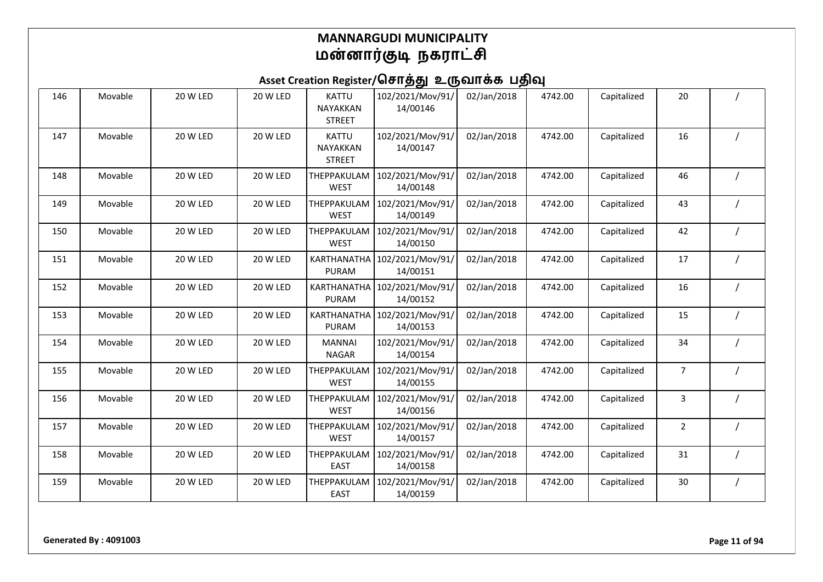| 146 | Movable | 20 W LED | 20 W LED | <b>KATTU</b><br><b>NAYAKKAN</b><br><b>STREET</b> | 102/2021/Mov/91/<br>14/00146 | 02/Jan/2018 | 4742.00 | Capitalized | 20             |  |
|-----|---------|----------|----------|--------------------------------------------------|------------------------------|-------------|---------|-------------|----------------|--|
| 147 | Movable | 20 W LED | 20 W LED | <b>KATTU</b><br>NAYAKKAN<br><b>STREET</b>        | 102/2021/Mov/91/<br>14/00147 | 02/Jan/2018 | 4742.00 | Capitalized | 16             |  |
| 148 | Movable | 20 W LED | 20 W LED | THEPPAKULAM<br><b>WEST</b>                       | 102/2021/Mov/91/<br>14/00148 | 02/Jan/2018 | 4742.00 | Capitalized | 46             |  |
| 149 | Movable | 20 W LED | 20 W LED | THEPPAKULAM<br><b>WEST</b>                       | 102/2021/Mov/91/<br>14/00149 | 02/Jan/2018 | 4742.00 | Capitalized | 43             |  |
| 150 | Movable | 20 W LED | 20 W LED | THEPPAKULAM<br><b>WEST</b>                       | 102/2021/Mov/91/<br>14/00150 | 02/Jan/2018 | 4742.00 | Capitalized | 42             |  |
| 151 | Movable | 20 W LED | 20 W LED | KARTHANATHA<br><b>PURAM</b>                      | 102/2021/Mov/91/<br>14/00151 | 02/Jan/2018 | 4742.00 | Capitalized | 17             |  |
| 152 | Movable | 20 W LED | 20 W LED | KARTHANATHA<br>PURAM                             | 102/2021/Mov/91/<br>14/00152 | 02/Jan/2018 | 4742.00 | Capitalized | 16             |  |
| 153 | Movable | 20 W LED | 20 W LED | KARTHANATHA<br>PURAM                             | 102/2021/Mov/91/<br>14/00153 | 02/Jan/2018 | 4742.00 | Capitalized | 15             |  |
| 154 | Movable | 20 W LED | 20 W LED | <b>MANNAI</b><br><b>NAGAR</b>                    | 102/2021/Mov/91/<br>14/00154 | 02/Jan/2018 | 4742.00 | Capitalized | 34             |  |
| 155 | Movable | 20 W LED | 20 W LED | THEPPAKULAM<br><b>WEST</b>                       | 102/2021/Mov/91/<br>14/00155 | 02/Jan/2018 | 4742.00 | Capitalized | $\overline{7}$ |  |
| 156 | Movable | 20 W LED | 20 W LED | THEPPAKULAM<br><b>WEST</b>                       | 102/2021/Mov/91/<br>14/00156 | 02/Jan/2018 | 4742.00 | Capitalized | 3              |  |
| 157 | Movable | 20 W LED | 20 W LED | THEPPAKULAM<br><b>WEST</b>                       | 102/2021/Mov/91/<br>14/00157 | 02/Jan/2018 | 4742.00 | Capitalized | $\overline{2}$ |  |
| 158 | Movable | 20 W LED | 20 W LED | THEPPAKULAM<br><b>EAST</b>                       | 102/2021/Mov/91/<br>14/00158 | 02/Jan/2018 | 4742.00 | Capitalized | 31             |  |
| 159 | Movable | 20 W LED | 20 W LED | THEPPAKULAM<br><b>EAST</b>                       | 102/2021/Mov/91/<br>14/00159 | 02/Jan/2018 | 4742.00 | Capitalized | 30             |  |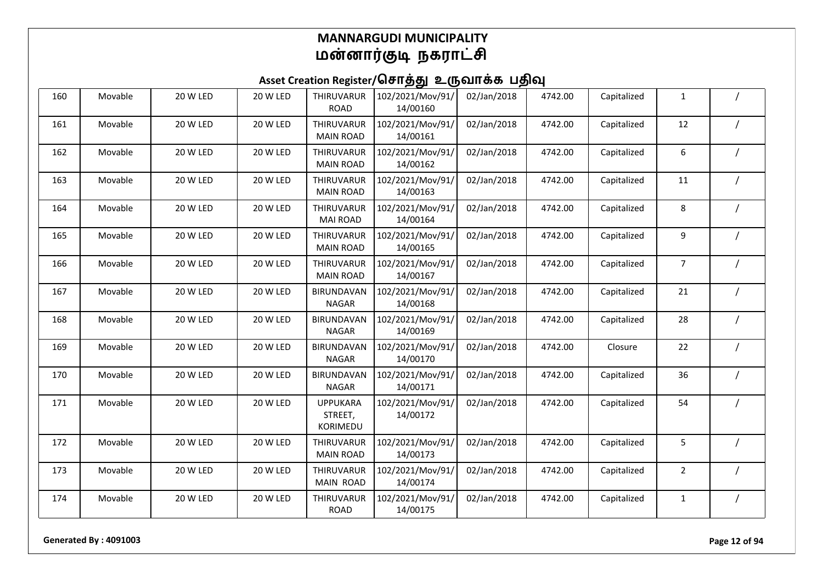| 160 | Movable | 20 W LED        | 20 W LED        | THIRUVARUR<br><b>ROAD</b>              | 102/2021/Mov/91/<br>14/00160 | 02/Jan/2018 | 4742.00 | Capitalized | $\mathbf{1}$   |                |
|-----|---------|-----------------|-----------------|----------------------------------------|------------------------------|-------------|---------|-------------|----------------|----------------|
| 161 | Movable | 20 W LED        | 20 W LED        | THIRUVARUR<br><b>MAIN ROAD</b>         | 102/2021/Mov/91/<br>14/00161 | 02/Jan/2018 | 4742.00 | Capitalized | 12             |                |
| 162 | Movable | 20 W LED        | 20 W LED        | THIRUVARUR<br><b>MAIN ROAD</b>         | 102/2021/Mov/91/<br>14/00162 | 02/Jan/2018 | 4742.00 | Capitalized | 6              |                |
| 163 | Movable | 20 W LED        | 20 W LED        | THIRUVARUR<br><b>MAIN ROAD</b>         | 102/2021/Mov/91/<br>14/00163 | 02/Jan/2018 | 4742.00 | Capitalized | $11\,$         |                |
| 164 | Movable | 20 W LED        | 20 W LED        | THIRUVARUR<br><b>MAI ROAD</b>          | 102/2021/Mov/91/<br>14/00164 | 02/Jan/2018 | 4742.00 | Capitalized | 8              |                |
| 165 | Movable | 20 W LED        | 20 W LED        | THIRUVARUR<br><b>MAIN ROAD</b>         | 102/2021/Mov/91/<br>14/00165 | 02/Jan/2018 | 4742.00 | Capitalized | 9              |                |
| 166 | Movable | 20 W LED        | 20 W LED        | <b>THIRUVARUR</b><br><b>MAIN ROAD</b>  | 102/2021/Mov/91/<br>14/00167 | 02/Jan/2018 | 4742.00 | Capitalized | $\overline{7}$ |                |
| 167 | Movable | <b>20 W LED</b> | 20 W LED        | <b>BIRUNDAVAN</b><br><b>NAGAR</b>      | 102/2021/Mov/91/<br>14/00168 | 02/Jan/2018 | 4742.00 | Capitalized | 21             |                |
| 168 | Movable | <b>20 W LED</b> | 20 W LED        | <b>BIRUNDAVAN</b><br><b>NAGAR</b>      | 102/2021/Mov/91/<br>14/00169 | 02/Jan/2018 | 4742.00 | Capitalized | 28             |                |
| 169 | Movable | 20 W LED        | 20 W LED        | <b>BIRUNDAVAN</b><br><b>NAGAR</b>      | 102/2021/Mov/91/<br>14/00170 | 02/Jan/2018 | 4742.00 | Closure     | 22             |                |
| 170 | Movable | 20 W LED        | 20 W LED        | <b>BIRUNDAVAN</b><br><b>NAGAR</b>      | 102/2021/Mov/91/<br>14/00171 | 02/Jan/2018 | 4742.00 | Capitalized | 36             |                |
| 171 | Movable | 20 W LED        | 20 W LED        | <b>UPPUKARA</b><br>STREET,<br>KORIMEDU | 102/2021/Mov/91/<br>14/00172 | 02/Jan/2018 | 4742.00 | Capitalized | 54             |                |
| 172 | Movable | 20 W LED        | <b>20 W LED</b> | THIRUVARUR<br><b>MAIN ROAD</b>         | 102/2021/Mov/91/<br>14/00173 | 02/Jan/2018 | 4742.00 | Capitalized | 5              |                |
| 173 | Movable | 20 W LED        | 20 W LED        | THIRUVARUR<br><b>MAIN ROAD</b>         | 102/2021/Mov/91/<br>14/00174 | 02/Jan/2018 | 4742.00 | Capitalized | $\overline{2}$ |                |
| 174 | Movable | 20 W LED        | 20 W LED        | THIRUVARUR<br><b>ROAD</b>              | 102/2021/Mov/91/<br>14/00175 | 02/Jan/2018 | 4742.00 | Capitalized | 1              | $\overline{1}$ |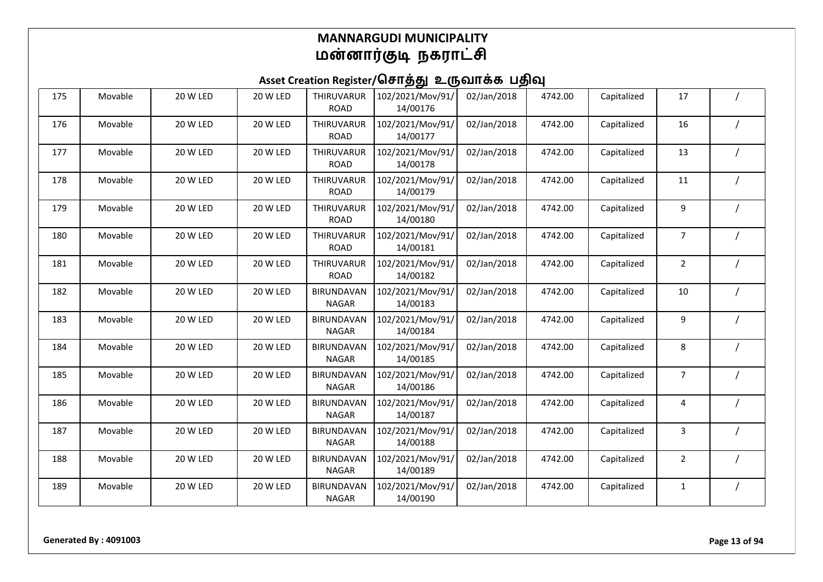| 175 | Movable | 20 W LED | 20 W LED | THIRUVARUR<br><b>ROAD</b>         | 102/2021/Mov/91/<br>14/00176 | 02/Jan/2018 | 4742.00 | Capitalized | 17             |  |
|-----|---------|----------|----------|-----------------------------------|------------------------------|-------------|---------|-------------|----------------|--|
| 176 | Movable | 20 W LED | 20 W LED | THIRUVARUR<br><b>ROAD</b>         | 102/2021/Mov/91/<br>14/00177 | 02/Jan/2018 | 4742.00 | Capitalized | 16             |  |
| 177 | Movable | 20 W LED | 20 W LED | THIRUVARUR<br><b>ROAD</b>         | 102/2021/Mov/91/<br>14/00178 | 02/Jan/2018 | 4742.00 | Capitalized | 13             |  |
| 178 | Movable | 20 W LED | 20 W LED | THIRUVARUR<br><b>ROAD</b>         | 102/2021/Mov/91/<br>14/00179 | 02/Jan/2018 | 4742.00 | Capitalized | 11             |  |
| 179 | Movable | 20 W LED | 20 W LED | THIRUVARUR<br><b>ROAD</b>         | 102/2021/Mov/91/<br>14/00180 | 02/Jan/2018 | 4742.00 | Capitalized | 9              |  |
| 180 | Movable | 20 W LED | 20 W LED | THIRUVARUR<br><b>ROAD</b>         | 102/2021/Mov/91/<br>14/00181 | 02/Jan/2018 | 4742.00 | Capitalized | $\overline{7}$ |  |
| 181 | Movable | 20 W LED | 20 W LED | THIRUVARUR<br><b>ROAD</b>         | 102/2021/Mov/91/<br>14/00182 | 02/Jan/2018 | 4742.00 | Capitalized | $\overline{2}$ |  |
| 182 | Movable | 20 W LED | 20 W LED | <b>BIRUNDAVAN</b><br><b>NAGAR</b> | 102/2021/Mov/91/<br>14/00183 | 02/Jan/2018 | 4742.00 | Capitalized | 10             |  |
| 183 | Movable | 20 W LED | 20 W LED | <b>BIRUNDAVAN</b><br><b>NAGAR</b> | 102/2021/Mov/91/<br>14/00184 | 02/Jan/2018 | 4742.00 | Capitalized | 9              |  |
| 184 | Movable | 20 W LED | 20 W LED | <b>BIRUNDAVAN</b><br><b>NAGAR</b> | 102/2021/Mov/91/<br>14/00185 | 02/Jan/2018 | 4742.00 | Capitalized | 8              |  |
| 185 | Movable | 20 W LED | 20 W LED | <b>BIRUNDAVAN</b><br><b>NAGAR</b> | 102/2021/Mov/91/<br>14/00186 | 02/Jan/2018 | 4742.00 | Capitalized | $\overline{7}$ |  |
| 186 | Movable | 20 W LED | 20 W LED | <b>BIRUNDAVAN</b><br><b>NAGAR</b> | 102/2021/Mov/91/<br>14/00187 | 02/Jan/2018 | 4742.00 | Capitalized | 4              |  |
| 187 | Movable | 20 W LED | 20 W LED | <b>BIRUNDAVAN</b><br><b>NAGAR</b> | 102/2021/Mov/91/<br>14/00188 | 02/Jan/2018 | 4742.00 | Capitalized | 3              |  |
| 188 | Movable | 20 W LED | 20 W LED | <b>BIRUNDAVAN</b><br><b>NAGAR</b> | 102/2021/Mov/91/<br>14/00189 | 02/Jan/2018 | 4742.00 | Capitalized | $\overline{2}$ |  |
| 189 | Movable | 20 W LED | 20 W LED | <b>BIRUNDAVAN</b><br><b>NAGAR</b> | 102/2021/Mov/91/<br>14/00190 | 02/Jan/2018 | 4742.00 | Capitalized | 1              |  |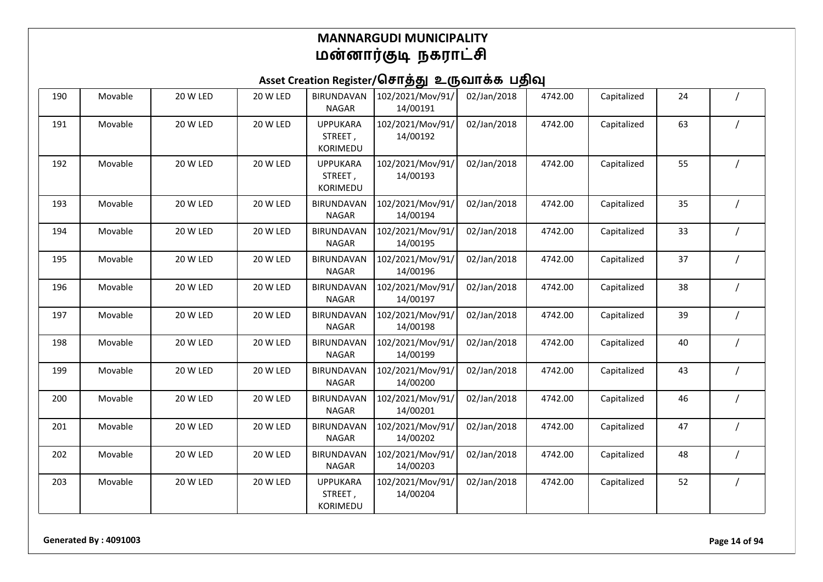Asset Creation Register/சொத்து உருவாக்க பதிவு

| 190 | Movable | 20 W LED        | 20 W LED        | <b>BIRUNDAVAN</b><br><b>NAGAR</b>      | 102/2021/Mov/91/<br>14/00191 | 02/Jan/2018 | 4742.00 | Capitalized | 24 |            |
|-----|---------|-----------------|-----------------|----------------------------------------|------------------------------|-------------|---------|-------------|----|------------|
| 191 | Movable | 20 W LED        | 20 W LED        | <b>UPPUKARA</b><br>STREET,<br>KORIMEDU | 102/2021/Mov/91/<br>14/00192 | 02/Jan/2018 | 4742.00 | Capitalized | 63 |            |
| 192 | Movable | 20 W LED        | 20 W LED        | <b>UPPUKARA</b><br>STREET,<br>KORIMEDU | 102/2021/Mov/91/<br>14/00193 | 02/Jan/2018 | 4742.00 | Capitalized | 55 |            |
| 193 | Movable | 20 W LED        | 20 W LED        | <b>BIRUNDAVAN</b><br><b>NAGAR</b>      | 102/2021/Mov/91/<br>14/00194 | 02/Jan/2018 | 4742.00 | Capitalized | 35 |            |
| 194 | Movable | 20 W LED        | 20 W LED        | <b>BIRUNDAVAN</b><br><b>NAGAR</b>      | 102/2021/Mov/91/<br>14/00195 | 02/Jan/2018 | 4742.00 | Capitalized | 33 |            |
| 195 | Movable | 20 W LED        | 20 W LED        | <b>BIRUNDAVAN</b><br><b>NAGAR</b>      | 102/2021/Mov/91/<br>14/00196 | 02/Jan/2018 | 4742.00 | Capitalized | 37 |            |
| 196 | Movable | 20 W LED        | 20 W LED        | <b>BIRUNDAVAN</b><br><b>NAGAR</b>      | 102/2021/Mov/91/<br>14/00197 | 02/Jan/2018 | 4742.00 | Capitalized | 38 |            |
| 197 | Movable | <b>20 W LED</b> | <b>20 W LED</b> | <b>BIRUNDAVAN</b><br><b>NAGAR</b>      | 102/2021/Mov/91/<br>14/00198 | 02/Jan/2018 | 4742.00 | Capitalized | 39 |            |
| 198 | Movable | 20 W LED        | 20 W LED        | <b>BIRUNDAVAN</b><br><b>NAGAR</b>      | 102/2021/Mov/91/<br>14/00199 | 02/Jan/2018 | 4742.00 | Capitalized | 40 |            |
| 199 | Movable | 20 W LED        | 20 W LED        | <b>BIRUNDAVAN</b><br><b>NAGAR</b>      | 102/2021/Mov/91/<br>14/00200 | 02/Jan/2018 | 4742.00 | Capitalized | 43 | $\sqrt{ }$ |
| 200 | Movable | 20 W LED        | 20 W LED        | <b>BIRUNDAVAN</b><br><b>NAGAR</b>      | 102/2021/Mov/91/<br>14/00201 | 02/Jan/2018 | 4742.00 | Capitalized | 46 |            |
| 201 | Movable | 20 W LED        | 20 W LED        | <b>BIRUNDAVAN</b><br><b>NAGAR</b>      | 102/2021/Mov/91/<br>14/00202 | 02/Jan/2018 | 4742.00 | Capitalized | 47 |            |
| 202 | Movable | <b>20 W LED</b> | <b>20 W LED</b> | BIRUNDAVAN<br><b>NAGAR</b>             | 102/2021/Mov/91/<br>14/00203 | 02/Jan/2018 | 4742.00 | Capitalized | 48 |            |
| 203 | Movable | 20 W LED        | 20 W LED        | <b>UPPUKARA</b><br>STREET,<br>KORIMEDU | 102/2021/Mov/91/<br>14/00204 | 02/Jan/2018 | 4742.00 | Capitalized | 52 |            |

**Generated By : 4091003 Page 14 of 94**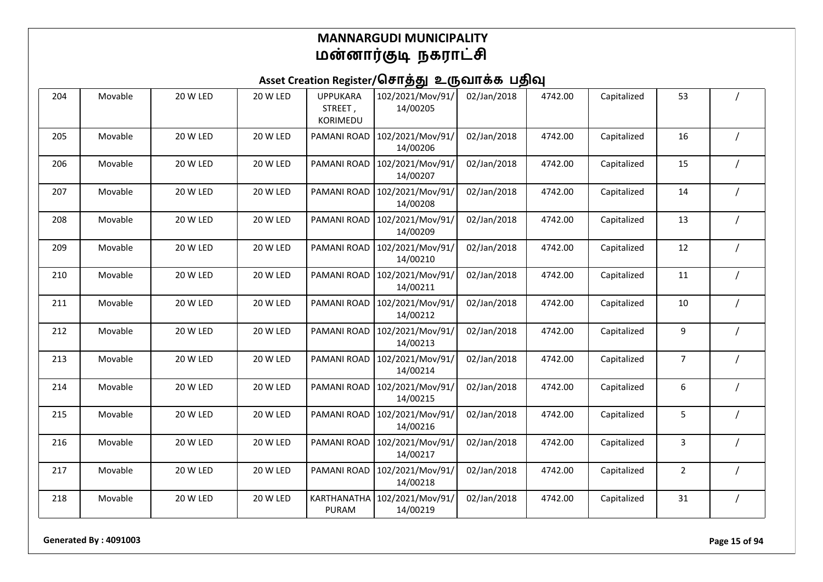### Asset Creation Register/சொத்து உருவாக்க பதிவு

| 204 | Movable | 20 W LED        | 20 W LED | <b>UPPUKARA</b><br>STREET,<br><b>KORIMEDU</b> | 102/2021/Mov/91/<br>14/00205 | 02/Jan/2018 | 4742.00 | Capitalized | 53             |  |
|-----|---------|-----------------|----------|-----------------------------------------------|------------------------------|-------------|---------|-------------|----------------|--|
| 205 | Movable | 20 W LED        | 20 W LED | PAMANI ROAD                                   | 102/2021/Mov/91/<br>14/00206 | 02/Jan/2018 | 4742.00 | Capitalized | 16             |  |
| 206 | Movable | 20 W LED        | 20 W LED | <b>PAMANI ROAD</b>                            | 102/2021/Mov/91/<br>14/00207 | 02/Jan/2018 | 4742.00 | Capitalized | 15             |  |
| 207 | Movable | 20 W LED        | 20 W LED | PAMANI ROAD                                   | 102/2021/Mov/91/<br>14/00208 | 02/Jan/2018 | 4742.00 | Capitalized | 14             |  |
| 208 | Movable | 20 W LED        | 20 W LED | PAMANI ROAD                                   | 102/2021/Mov/91/<br>14/00209 | 02/Jan/2018 | 4742.00 | Capitalized | 13             |  |
| 209 | Movable | 20 W LED        | 20 W LED | PAMANI ROAD                                   | 102/2021/Mov/91/<br>14/00210 | 02/Jan/2018 | 4742.00 | Capitalized | 12             |  |
| 210 | Movable | 20 W LED        | 20 W LED | PAMANI ROAD                                   | 102/2021/Mov/91/<br>14/00211 | 02/Jan/2018 | 4742.00 | Capitalized | 11             |  |
| 211 | Movable | 20 W LED        | 20 W LED | PAMANI ROAD                                   | 102/2021/Mov/91/<br>14/00212 | 02/Jan/2018 | 4742.00 | Capitalized | 10             |  |
| 212 | Movable | <b>20 W LED</b> | 20 W LED | <b>PAMANI ROAD</b>                            | 102/2021/Mov/91/<br>14/00213 | 02/Jan/2018 | 4742.00 | Capitalized | 9              |  |
| 213 | Movable | 20 W LED        | 20 W LED | PAMANI ROAD                                   | 102/2021/Mov/91/<br>14/00214 | 02/Jan/2018 | 4742.00 | Capitalized | $\overline{7}$ |  |
| 214 | Movable | 20 W LED        | 20 W LED | PAMANI ROAD                                   | 102/2021/Mov/91/<br>14/00215 | 02/Jan/2018 | 4742.00 | Capitalized | 6              |  |
| 215 | Movable | 20 W LED        | 20 W LED | <b>PAMANI ROAD</b>                            | 102/2021/Mov/91/<br>14/00216 | 02/Jan/2018 | 4742.00 | Capitalized | 5              |  |
| 216 | Movable | 20 W LED        | 20 W LED | PAMANI ROAD                                   | 102/2021/Mov/91/<br>14/00217 | 02/Jan/2018 | 4742.00 | Capitalized | 3              |  |
| 217 | Movable | 20 W LED        | 20 W LED | PAMANI ROAD                                   | 102/2021/Mov/91/<br>14/00218 | 02/Jan/2018 | 4742.00 | Capitalized | $\overline{2}$ |  |
| 218 | Movable | 20 W LED        | 20 W LED | <b>KARTHANATHA</b><br>PURAM                   | 102/2021/Mov/91/<br>14/00219 | 02/Jan/2018 | 4742.00 | Capitalized | 31             |  |

**Generated By : 4091003 Page 15 of 94**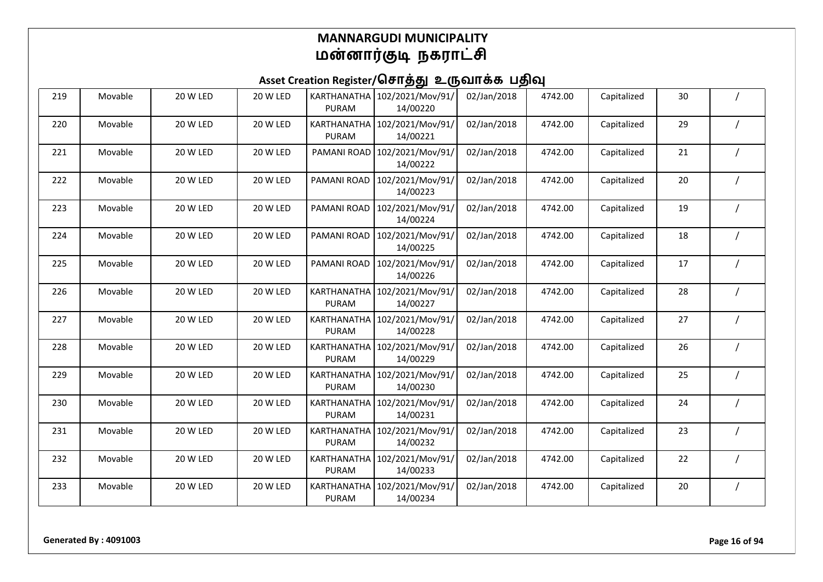| 219 | Movable | 20 W LED | 20 W LED | KARTHANATHA<br>PURAM               | 102/2021/Mov/91/<br>14/00220 | 02/Jan/2018 | 4742.00 | Capitalized | 30 |  |
|-----|---------|----------|----------|------------------------------------|------------------------------|-------------|---------|-------------|----|--|
| 220 | Movable | 20 W LED | 20 W LED | <b>KARTHANATHA</b><br>PURAM        | 102/2021/Mov/91/<br>14/00221 | 02/Jan/2018 | 4742.00 | Capitalized | 29 |  |
| 221 | Movable | 20 W LED | 20 W LED | PAMANI ROAD                        | 102/2021/Mov/91/<br>14/00222 | 02/Jan/2018 | 4742.00 | Capitalized | 21 |  |
| 222 | Movable | 20 W LED | 20 W LED | PAMANI ROAD                        | 102/2021/Mov/91/<br>14/00223 | 02/Jan/2018 | 4742.00 | Capitalized | 20 |  |
| 223 | Movable | 20 W LED | 20 W LED | PAMANI ROAD                        | 102/2021/Mov/91/<br>14/00224 | 02/Jan/2018 | 4742.00 | Capitalized | 19 |  |
| 224 | Movable | 20 W LED | 20 W LED | PAMANI ROAD                        | 102/2021/Mov/91/<br>14/00225 | 02/Jan/2018 | 4742.00 | Capitalized | 18 |  |
| 225 | Movable | 20 W LED | 20 W LED | PAMANI ROAD                        | 102/2021/Mov/91/<br>14/00226 | 02/Jan/2018 | 4742.00 | Capitalized | 17 |  |
| 226 | Movable | 20 W LED | 20 W LED | KARTHANATHA<br><b>PURAM</b>        | 102/2021/Mov/91/<br>14/00227 | 02/Jan/2018 | 4742.00 | Capitalized | 28 |  |
| 227 | Movable | 20 W LED | 20 W LED | KARTHANATHA<br>PURAM               | 102/2021/Mov/91/<br>14/00228 | 02/Jan/2018 | 4742.00 | Capitalized | 27 |  |
| 228 | Movable | 20 W LED | 20 W LED | <b>KARTHANATHA</b><br>PURAM        | 102/2021/Mov/91/<br>14/00229 | 02/Jan/2018 | 4742.00 | Capitalized | 26 |  |
| 229 | Movable | 20 W LED | 20 W LED | KARTHANATHA<br>PURAM               | 102/2021/Mov/91/<br>14/00230 | 02/Jan/2018 | 4742.00 | Capitalized | 25 |  |
| 230 | Movable | 20 W LED | 20 W LED | <b>KARTHANATHA</b><br><b>PURAM</b> | 102/2021/Mov/91/<br>14/00231 | 02/Jan/2018 | 4742.00 | Capitalized | 24 |  |
| 231 | Movable | 20 W LED | 20 W LED | KARTHANATHA<br><b>PURAM</b>        | 102/2021/Mov/91/<br>14/00232 | 02/Jan/2018 | 4742.00 | Capitalized | 23 |  |
| 232 | Movable | 20 W LED | 20 W LED | <b>KARTHANATHA</b><br>PURAM        | 102/2021/Mov/91/<br>14/00233 | 02/Jan/2018 | 4742.00 | Capitalized | 22 |  |
| 233 | Movable | 20 W LED | 20 W LED | <b>KARTHANATHA</b><br>PURAM        | 102/2021/Mov/91/<br>14/00234 | 02/Jan/2018 | 4742.00 | Capitalized | 20 |  |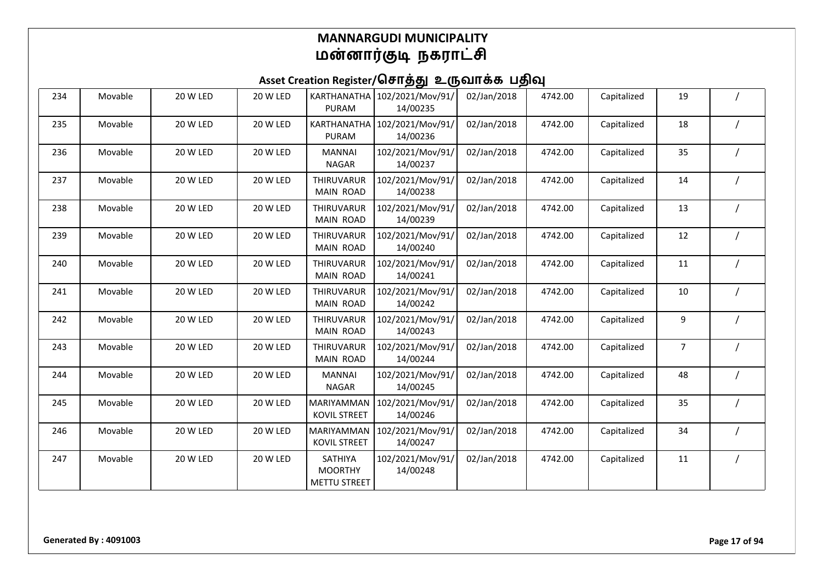| 234 | Movable | 20 W LED        | 20 W LED | KARTHANATHA<br>PURAM                             | 102/2021/Mov/91/<br>14/00235 | 02/Jan/2018 | 4742.00 | Capitalized | 19             |  |
|-----|---------|-----------------|----------|--------------------------------------------------|------------------------------|-------------|---------|-------------|----------------|--|
| 235 | Movable | <b>20 W LED</b> | 20 W LED | <b>KARTHANATHA</b><br>PURAM                      | 102/2021/Mov/91/<br>14/00236 | 02/Jan/2018 | 4742.00 | Capitalized | 18             |  |
| 236 | Movable | 20 W LED        | 20 W LED | <b>MANNAI</b><br><b>NAGAR</b>                    | 102/2021/Mov/91/<br>14/00237 | 02/Jan/2018 | 4742.00 | Capitalized | 35             |  |
| 237 | Movable | 20 W LED        | 20 W LED | THIRUVARUR<br>MAIN ROAD                          | 102/2021/Mov/91/<br>14/00238 | 02/Jan/2018 | 4742.00 | Capitalized | 14             |  |
| 238 | Movable | 20 W LED        | 20 W LED | THIRUVARUR<br>MAIN ROAD                          | 102/2021/Mov/91/<br>14/00239 | 02/Jan/2018 | 4742.00 | Capitalized | 13             |  |
| 239 | Movable | 20 W LED        | 20 W LED | THIRUVARUR<br>MAIN ROAD                          | 102/2021/Mov/91/<br>14/00240 | 02/Jan/2018 | 4742.00 | Capitalized | 12             |  |
| 240 | Movable | <b>20 W LED</b> | 20 W LED | THIRUVARUR<br>MAIN ROAD                          | 102/2021/Mov/91/<br>14/00241 | 02/Jan/2018 | 4742.00 | Capitalized | 11             |  |
| 241 | Movable | 20 W LED        | 20 W LED | <b>THIRUVARUR</b><br>MAIN ROAD                   | 102/2021/Mov/91/<br>14/00242 | 02/Jan/2018 | 4742.00 | Capitalized | 10             |  |
| 242 | Movable | 20 W LED        | 20 W LED | THIRUVARUR<br>MAIN ROAD                          | 102/2021/Mov/91/<br>14/00243 | 02/Jan/2018 | 4742.00 | Capitalized | 9              |  |
| 243 | Movable | 20 W LED        | 20 W LED | THIRUVARUR<br>MAIN ROAD                          | 102/2021/Mov/91/<br>14/00244 | 02/Jan/2018 | 4742.00 | Capitalized | $\overline{7}$ |  |
| 244 | Movable | 20 W LED        | 20 W LED | <b>MANNAI</b><br><b>NAGAR</b>                    | 102/2021/Mov/91/<br>14/00245 | 02/Jan/2018 | 4742.00 | Capitalized | 48             |  |
| 245 | Movable | 20 W LED        | 20 W LED | MARIYAMMAN<br><b>KOVIL STREET</b>                | 102/2021/Mov/91/<br>14/00246 | 02/Jan/2018 | 4742.00 | Capitalized | 35             |  |
| 246 | Movable | 20 W LED        | 20 W LED | MARIYAMMAN<br><b>KOVIL STREET</b>                | 102/2021/Mov/91/<br>14/00247 | 02/Jan/2018 | 4742.00 | Capitalized | 34             |  |
| 247 | Movable | 20 W LED        | 20 W LED | SATHIYA<br><b>MOORTHY</b><br><b>METTU STREET</b> | 102/2021/Mov/91/<br>14/00248 | 02/Jan/2018 | 4742.00 | Capitalized | 11             |  |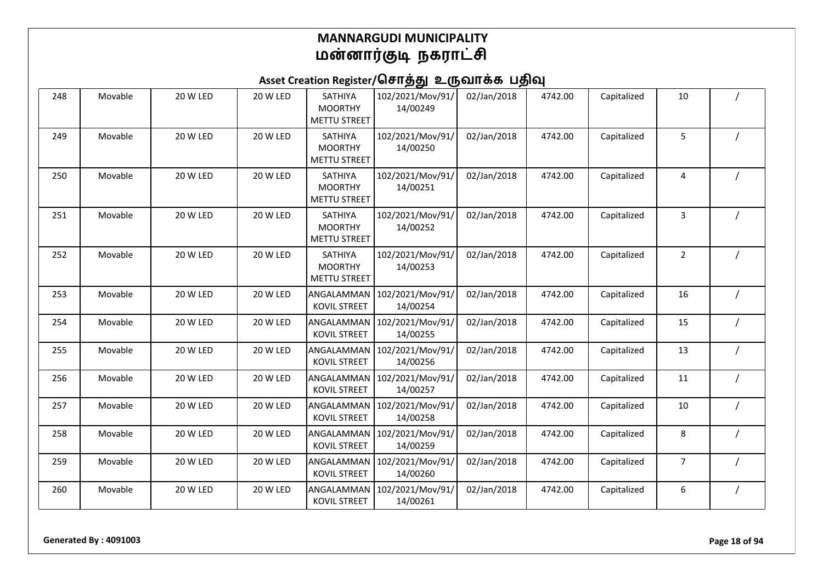| 248 | Movable | 20 W LED | 20 W LED        | SATHIYA<br><b>MOORTHY</b><br><b>METTU STREET</b> | 102/2021/Mov/91/<br>14/00249 | 02/Jan/2018 | 4742.00 | Capitalized | 10             |  |
|-----|---------|----------|-----------------|--------------------------------------------------|------------------------------|-------------|---------|-------------|----------------|--|
| 249 | Movable | 20 W LED | 20 W LED        | SATHIYA<br><b>MOORTHY</b><br><b>METTU STREET</b> | 102/2021/Mov/91/<br>14/00250 | 02/Jan/2018 | 4742.00 | Capitalized | 5              |  |
| 250 | Movable | 20 W LED | 20 W LED        | SATHIYA<br><b>MOORTHY</b><br><b>METTU STREET</b> | 102/2021/Mov/91/<br>14/00251 | 02/Jan/2018 | 4742.00 | Capitalized | 4              |  |
| 251 | Movable | 20 W LED | 20 W LED        | SATHIYA<br><b>MOORTHY</b><br><b>METTU STREET</b> | 102/2021/Mov/91/<br>14/00252 | 02/Jan/2018 | 4742.00 | Capitalized | 3              |  |
| 252 | Movable | 20 W LED | <b>20 W LED</b> | SATHIYA<br><b>MOORTHY</b><br><b>METTU STREET</b> | 102/2021/Mov/91/<br>14/00253 | 02/Jan/2018 | 4742.00 | Capitalized | $\overline{2}$ |  |
| 253 | Movable | 20 W LED | 20 W LED        | ANGALAMMAN<br><b>KOVIL STREET</b>                | 102/2021/Mov/91/<br>14/00254 | 02/Jan/2018 | 4742.00 | Capitalized | 16             |  |
| 254 | Movable | 20 W LED | 20 W LED        | ANGALAMMAN<br><b>KOVIL STREET</b>                | 102/2021/Mov/91/<br>14/00255 | 02/Jan/2018 | 4742.00 | Capitalized | 15             |  |
| 255 | Movable | 20 W LED | 20 W LED        | ANGALAMMAN<br><b>KOVIL STREET</b>                | 102/2021/Mov/91/<br>14/00256 | 02/Jan/2018 | 4742.00 | Capitalized | 13             |  |
| 256 | Movable | 20 W LED | 20 W LED        | ANGALAMMAN<br><b>KOVIL STREET</b>                | 102/2021/Mov/91/<br>14/00257 | 02/Jan/2018 | 4742.00 | Capitalized | 11             |  |
| 257 | Movable | 20 W LED | 20 W LED        | ANGALAMMAN<br><b>KOVIL STREET</b>                | 102/2021/Mov/91/<br>14/00258 | 02/Jan/2018 | 4742.00 | Capitalized | 10             |  |
| 258 | Movable | 20 W LED | 20 W LED        | ANGALAMMAN<br><b>KOVIL STREET</b>                | 102/2021/Mov/91/<br>14/00259 | 02/Jan/2018 | 4742.00 | Capitalized | 8              |  |
| 259 | Movable | 20 W LED | <b>20 W LED</b> | ANGALAMMAN<br><b>KOVIL STREET</b>                | 102/2021/Mov/91/<br>14/00260 | 02/Jan/2018 | 4742.00 | Capitalized | 7              |  |
| 260 | Movable | 20 W LED | 20 W LED        | ANGALAMMAN<br><b>KOVIL STREET</b>                | 102/2021/Mov/91/<br>14/00261 | 02/Jan/2018 | 4742.00 | Capitalized | 6              |  |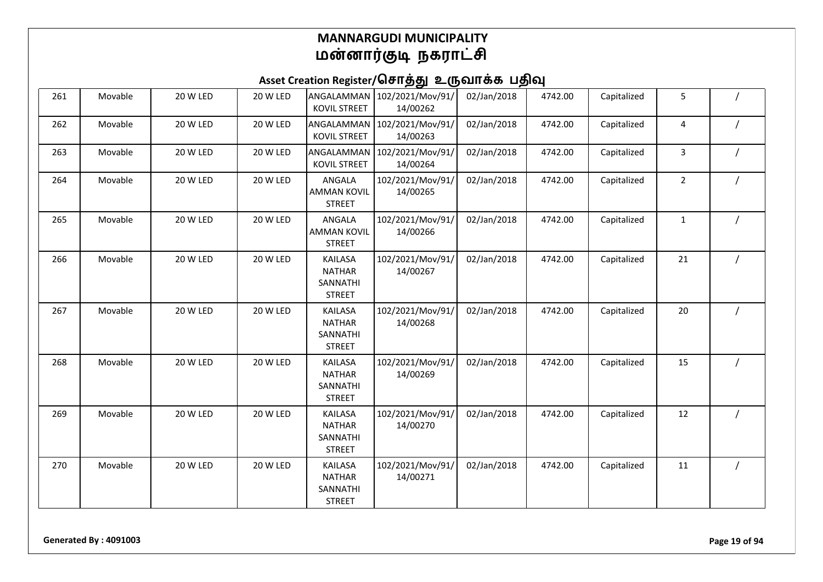| 261 | Movable | 20 W LED | 20 W LED | ANGALAMMAN<br><b>KOVIL STREET</b>                            | 102/2021/Mov/91/<br>14/00262 | 02/Jan/2018 | 4742.00 | Capitalized | 5              |  |
|-----|---------|----------|----------|--------------------------------------------------------------|------------------------------|-------------|---------|-------------|----------------|--|
| 262 | Movable | 20 W LED | 20 W LED | ANGALAMMAN<br><b>KOVIL STREET</b>                            | 102/2021/Mov/91/<br>14/00263 | 02/Jan/2018 | 4742.00 | Capitalized | 4              |  |
| 263 | Movable | 20 W LED | 20 W LED | ANGALAMMAN<br><b>KOVIL STREET</b>                            | 102/2021/Mov/91/<br>14/00264 | 02/Jan/2018 | 4742.00 | Capitalized | 3              |  |
| 264 | Movable | 20 W LED | 20 W LED | ANGALA<br><b>AMMAN KOVIL</b><br><b>STREET</b>                | 102/2021/Mov/91/<br>14/00265 | 02/Jan/2018 | 4742.00 | Capitalized | $\overline{2}$ |  |
| 265 | Movable | 20 W LED | 20 W LED | ANGALA<br><b>AMMAN KOVIL</b><br><b>STREET</b>                | 102/2021/Mov/91/<br>14/00266 | 02/Jan/2018 | 4742.00 | Capitalized | $\mathbf{1}$   |  |
| 266 | Movable | 20 W LED | 20 W LED | <b>KAILASA</b><br><b>NATHAR</b><br>SANNATHI<br><b>STREET</b> | 102/2021/Mov/91/<br>14/00267 | 02/Jan/2018 | 4742.00 | Capitalized | 21             |  |
| 267 | Movable | 20 W LED | 20 W LED | <b>KAILASA</b><br><b>NATHAR</b><br>SANNATHI<br><b>STREET</b> | 102/2021/Mov/91/<br>14/00268 | 02/Jan/2018 | 4742.00 | Capitalized | 20             |  |
| 268 | Movable | 20 W LED | 20 W LED | <b>KAILASA</b><br><b>NATHAR</b><br>SANNATHI<br><b>STREET</b> | 102/2021/Mov/91/<br>14/00269 | 02/Jan/2018 | 4742.00 | Capitalized | 15             |  |
| 269 | Movable | 20 W LED | 20 W LED | <b>KAILASA</b><br><b>NATHAR</b><br>SANNATHI<br><b>STREET</b> | 102/2021/Mov/91/<br>14/00270 | 02/Jan/2018 | 4742.00 | Capitalized | 12             |  |
| 270 | Movable | 20 W LED | 20 W LED | <b>KAILASA</b><br><b>NATHAR</b><br>SANNATHI<br><b>STREET</b> | 102/2021/Mov/91/<br>14/00271 | 02/Jan/2018 | 4742.00 | Capitalized | 11             |  |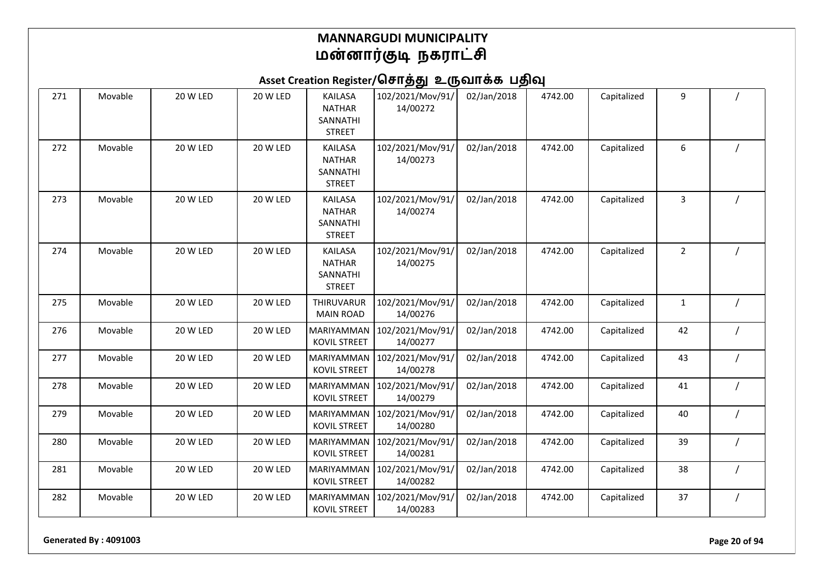| 271 | Movable | 20 W LED | 20 W LED        | <b>KAILASA</b><br><b>NATHAR</b><br>SANNATHI<br><b>STREET</b> | 102/2021/Mov/91/<br>14/00272 | 02/Jan/2018 | 4742.00 | Capitalized | 9              |  |
|-----|---------|----------|-----------------|--------------------------------------------------------------|------------------------------|-------------|---------|-------------|----------------|--|
| 272 | Movable | 20 W LED | 20 W LED        | <b>KAILASA</b><br><b>NATHAR</b><br>SANNATHI<br><b>STREET</b> | 102/2021/Mov/91/<br>14/00273 | 02/Jan/2018 | 4742.00 | Capitalized | 6              |  |
| 273 | Movable | 20 W LED | 20 W LED        | <b>KAILASA</b><br><b>NATHAR</b><br>SANNATHI<br><b>STREET</b> | 102/2021/Mov/91/<br>14/00274 | 02/Jan/2018 | 4742.00 | Capitalized | 3              |  |
| 274 | Movable | 20 W LED | <b>20 W LED</b> | <b>KAILASA</b><br><b>NATHAR</b><br>SANNATHI<br><b>STREET</b> | 102/2021/Mov/91/<br>14/00275 | 02/Jan/2018 | 4742.00 | Capitalized | $\overline{2}$ |  |
| 275 | Movable | 20 W LED | <b>20 W LED</b> | THIRUVARUR<br><b>MAIN ROAD</b>                               | 102/2021/Mov/91/<br>14/00276 | 02/Jan/2018 | 4742.00 | Capitalized | $\mathbf{1}$   |  |
| 276 | Movable | 20 W LED | <b>20 W LED</b> | MARIYAMMAN<br><b>KOVIL STREET</b>                            | 102/2021/Mov/91/<br>14/00277 | 02/Jan/2018 | 4742.00 | Capitalized | 42             |  |
| 277 | Movable | 20 W LED | 20 W LED        | MARIYAMMAN<br><b>KOVIL STREET</b>                            | 102/2021/Mov/91/<br>14/00278 | 02/Jan/2018 | 4742.00 | Capitalized | 43             |  |
| 278 | Movable | 20 W LED | 20 W LED        | MARIYAMMAN<br><b>KOVIL STREET</b>                            | 102/2021/Mov/91/<br>14/00279 | 02/Jan/2018 | 4742.00 | Capitalized | 41             |  |
| 279 | Movable | 20 W LED | 20 W LED        | MARIYAMMAN<br><b>KOVIL STREET</b>                            | 102/2021/Mov/91/<br>14/00280 | 02/Jan/2018 | 4742.00 | Capitalized | 40             |  |
| 280 | Movable | 20 W LED | 20 W LED        | MARIYAMMAN<br><b>KOVIL STREET</b>                            | 102/2021/Mov/91/<br>14/00281 | 02/Jan/2018 | 4742.00 | Capitalized | 39             |  |
| 281 | Movable | 20 W LED | 20 W LED        | MARIYAMMAN<br><b>KOVIL STREET</b>                            | 102/2021/Mov/91/<br>14/00282 | 02/Jan/2018 | 4742.00 | Capitalized | 38             |  |
| 282 | Movable | 20 W LED | 20 W LED        | MARIYAMMAN<br><b>KOVIL STREET</b>                            | 102/2021/Mov/91/<br>14/00283 | 02/Jan/2018 | 4742.00 | Capitalized | 37             |  |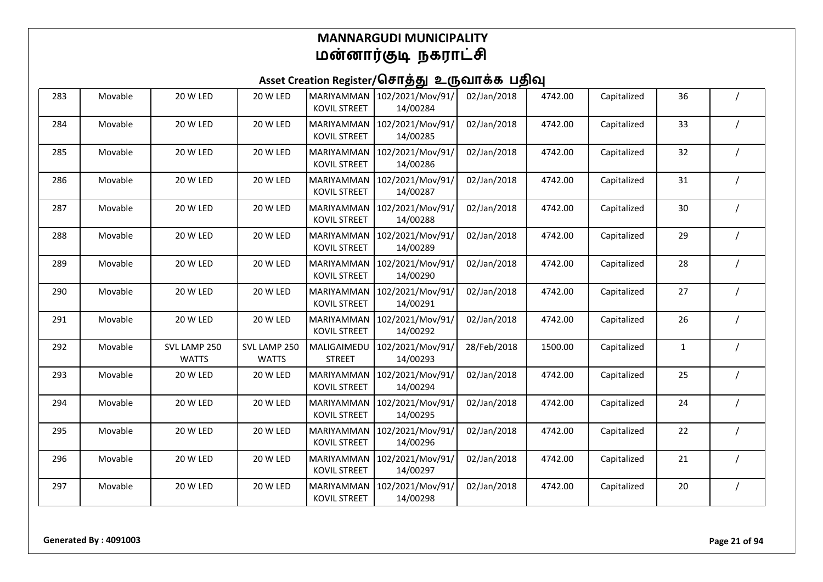| 283 | Movable | 20 W LED                     | 20 W LED                     | <b>MARIYAMMAN</b><br><b>KOVIL STREET</b> | 102/2021/Mov/91/<br>14/00284 | 02/Jan/2018 | 4742.00 | Capitalized | 36           |          |
|-----|---------|------------------------------|------------------------------|------------------------------------------|------------------------------|-------------|---------|-------------|--------------|----------|
| 284 | Movable | 20 W LED                     | 20 W LED                     | MARIYAMMAN<br><b>KOVIL STREET</b>        | 102/2021/Mov/91/<br>14/00285 | 02/Jan/2018 | 4742.00 | Capitalized | 33           |          |
| 285 | Movable | 20 W LED                     | 20 W LED                     | MARIYAMMAN<br><b>KOVIL STREET</b>        | 102/2021/Mov/91/<br>14/00286 | 02/Jan/2018 | 4742.00 | Capitalized | 32           |          |
| 286 | Movable | 20 W LED                     | 20 W LED                     | MARIYAMMAN<br><b>KOVIL STREET</b>        | 102/2021/Mov/91/<br>14/00287 | 02/Jan/2018 | 4742.00 | Capitalized | 31           |          |
| 287 | Movable | 20 W LED                     | 20 W LED                     | MARIYAMMAN<br><b>KOVIL STREET</b>        | 102/2021/Mov/91/<br>14/00288 | 02/Jan/2018 | 4742.00 | Capitalized | 30           |          |
| 288 | Movable | 20 W LED                     | 20 W LED                     | MARIYAMMAN<br>KOVIL STREET               | 102/2021/Mov/91/<br>14/00289 | 02/Jan/2018 | 4742.00 | Capitalized | 29           |          |
| 289 | Movable | 20 W LED                     | 20 W LED                     | MARIYAMMAN<br><b>KOVIL STREET</b>        | 102/2021/Mov/91/<br>14/00290 | 02/Jan/2018 | 4742.00 | Capitalized | 28           |          |
| 290 | Movable | 20 W LED                     | 20 W LED                     | MARIYAMMAN<br><b>KOVIL STREET</b>        | 102/2021/Mov/91/<br>14/00291 | 02/Jan/2018 | 4742.00 | Capitalized | 27           |          |
| 291 | Movable | 20 W LED                     | 20 W LED                     | MARIYAMMAN<br><b>KOVIL STREET</b>        | 102/2021/Mov/91/<br>14/00292 | 02/Jan/2018 | 4742.00 | Capitalized | 26           |          |
| 292 | Movable | SVL LAMP 250<br><b>WATTS</b> | SVL LAMP 250<br><b>WATTS</b> | MALIGAIMEDU<br><b>STREET</b>             | 102/2021/Mov/91/<br>14/00293 | 28/Feb/2018 | 1500.00 | Capitalized | $\mathbf{1}$ |          |
| 293 | Movable | 20 W LED                     | 20 W LED                     | MARIYAMMAN<br><b>KOVIL STREET</b>        | 102/2021/Mov/91/<br>14/00294 | 02/Jan/2018 | 4742.00 | Capitalized | 25           |          |
| 294 | Movable | 20 W LED                     | 20 W LED                     | MARIYAMMAN<br><b>KOVIL STREET</b>        | 102/2021/Mov/91/<br>14/00295 | 02/Jan/2018 | 4742.00 | Capitalized | 24           |          |
| 295 | Movable | 20 W LED                     | 20 W LED                     | MARIYAMMAN<br><b>KOVIL STREET</b>        | 102/2021/Mov/91/<br>14/00296 | 02/Jan/2018 | 4742.00 | Capitalized | 22           |          |
| 296 | Movable | 20 W LED                     | 20 W LED                     | MARIYAMMAN<br><b>KOVIL STREET</b>        | 102/2021/Mov/91/<br>14/00297 | 02/Jan/2018 | 4742.00 | Capitalized | 21           |          |
| 297 | Movable | 20 W LED                     | 20 W LED                     | MARIYAMMAN<br><b>KOVIL STREET</b>        | 102/2021/Mov/91/<br>14/00298 | 02/Jan/2018 | 4742.00 | Capitalized | 20           | $\prime$ |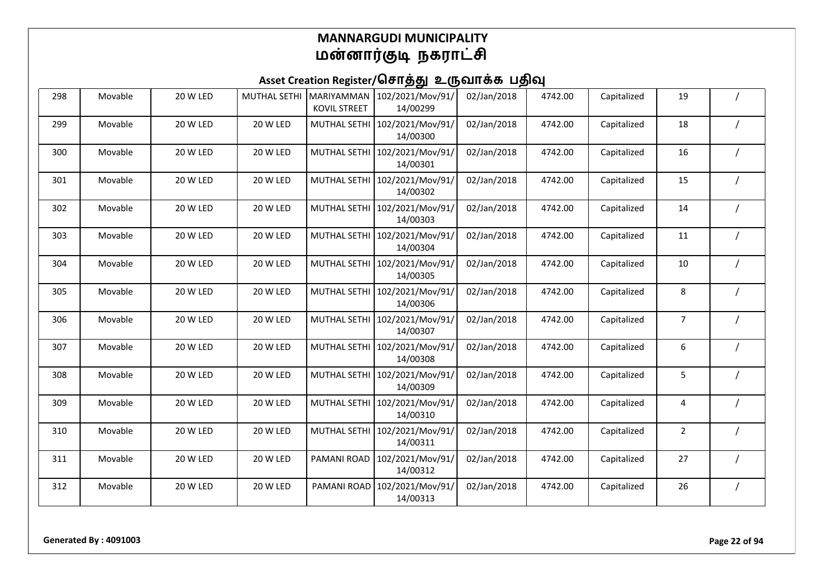| 298 | Movable | 20 W LED | <b>MUTHAL SETHI</b> | <b>MARIYAMMAN</b><br><b>KOVIL STREET</b> | 102/2021/Mov/91/<br>14/00299 | 02/Jan/2018 | 4742.00 | Capitalized | 19             |  |
|-----|---------|----------|---------------------|------------------------------------------|------------------------------|-------------|---------|-------------|----------------|--|
| 299 | Movable | 20 W LED | 20 W LED            | <b>MUTHAL SETH</b>                       | 102/2021/Mov/91/<br>14/00300 | 02/Jan/2018 | 4742.00 | Capitalized | 18             |  |
| 300 | Movable | 20 W LED | 20 W LED            | <b>MUTHAL SETHI</b>                      | 102/2021/Mov/91/<br>14/00301 | 02/Jan/2018 | 4742.00 | Capitalized | 16             |  |
| 301 | Movable | 20 W LED | 20 W LED            | <b>MUTHAL SETH</b>                       | 102/2021/Mov/91/<br>14/00302 | 02/Jan/2018 | 4742.00 | Capitalized | 15             |  |
| 302 | Movable | 20 W LED | 20 W LED            | MUTHAL SETH                              | 102/2021/Mov/91/<br>14/00303 | 02/Jan/2018 | 4742.00 | Capitalized | 14             |  |
| 303 | Movable | 20 W LED | 20 W LED            | <b>MUTHAL SETH</b>                       | 102/2021/Mov/91/<br>14/00304 | 02/Jan/2018 | 4742.00 | Capitalized | 11             |  |
| 304 | Movable | 20 W LED | 20 W LED            | <b>MUTHAL SETHI</b>                      | 102/2021/Mov/91/<br>14/00305 | 02/Jan/2018 | 4742.00 | Capitalized | 10             |  |
| 305 | Movable | 20 W LED | 20 W LED            | <b>MUTHAL SETH</b>                       | 102/2021/Mov/91/<br>14/00306 | 02/Jan/2018 | 4742.00 | Capitalized | 8              |  |
| 306 | Movable | 20 W LED | 20 W LED            | <b>MUTHAL SETH</b>                       | 102/2021/Mov/91/<br>14/00307 | 02/Jan/2018 | 4742.00 | Capitalized | 7              |  |
| 307 | Movable | 20 W LED | 20 W LED            | MUTHAL SETH                              | 102/2021/Mov/91/<br>14/00308 | 02/Jan/2018 | 4742.00 | Capitalized | 6              |  |
| 308 | Movable | 20 W LED | 20 W LED            | <b>MUTHAL SETH</b>                       | 102/2021/Mov/91/<br>14/00309 | 02/Jan/2018 | 4742.00 | Capitalized | 5              |  |
| 309 | Movable | 20 W LED | 20 W LED            | <b>MUTHAL SETH</b>                       | 102/2021/Mov/91/<br>14/00310 | 02/Jan/2018 | 4742.00 | Capitalized | 4              |  |
| 310 | Movable | 20 W LED | 20 W LED            | <b>MUTHAL SETHI</b>                      | 102/2021/Mov/91/<br>14/00311 | 02/Jan/2018 | 4742.00 | Capitalized | $\overline{2}$ |  |
| 311 | Movable | 20 W LED | 20 W LED            | PAMANI ROAD                              | 102/2021/Mov/91/<br>14/00312 | 02/Jan/2018 | 4742.00 | Capitalized | 27             |  |
| 312 | Movable | 20 W LED | 20 W LED            | PAMANI ROAD                              | 102/2021/Mov/91/<br>14/00313 | 02/Jan/2018 | 4742.00 | Capitalized | 26             |  |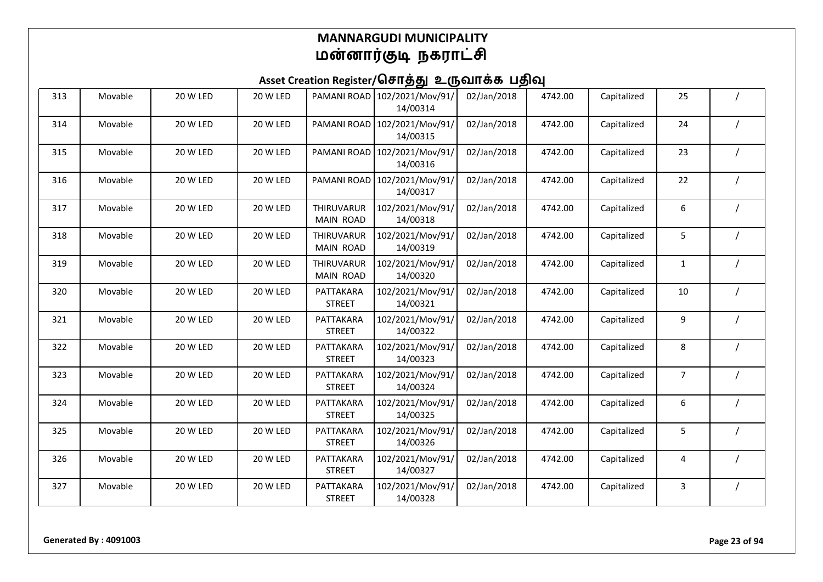| 313 | Movable | 20 W LED | 20 W LED | PAMANI ROAD                    | 102/2021/Mov/91/<br>14/00314 | 02/Jan/2018 | 4742.00 | Capitalized | 25             |          |
|-----|---------|----------|----------|--------------------------------|------------------------------|-------------|---------|-------------|----------------|----------|
| 314 | Movable | 20 W LED | 20 W LED | PAMANI ROAD                    | 102/2021/Mov/91/<br>14/00315 | 02/Jan/2018 | 4742.00 | Capitalized | 24             |          |
| 315 | Movable | 20 W LED | 20 W LED | PAMANI ROAD                    | 102/2021/Mov/91/<br>14/00316 | 02/Jan/2018 | 4742.00 | Capitalized | 23             |          |
| 316 | Movable | 20 W LED | 20 W LED | PAMANI ROAD                    | 102/2021/Mov/91/<br>14/00317 | 02/Jan/2018 | 4742.00 | Capitalized | 22             |          |
| 317 | Movable | 20 W LED | 20 W LED | <b>THIRUVARUR</b><br>MAIN ROAD | 102/2021/Mov/91/<br>14/00318 | 02/Jan/2018 | 4742.00 | Capitalized | 6              |          |
| 318 | Movable | 20 W LED | 20 W LED | THIRUVARUR<br>MAIN ROAD        | 102/2021/Mov/91/<br>14/00319 | 02/Jan/2018 | 4742.00 | Capitalized | 5              |          |
| 319 | Movable | 20 W LED | 20 W LED | <b>THIRUVARUR</b><br>MAIN ROAD | 102/2021/Mov/91/<br>14/00320 | 02/Jan/2018 | 4742.00 | Capitalized | $\mathbf{1}$   |          |
| 320 | Movable | 20 W LED | 20 W LED | PATTAKARA<br><b>STREET</b>     | 102/2021/Mov/91/<br>14/00321 | 02/Jan/2018 | 4742.00 | Capitalized | 10             |          |
| 321 | Movable | 20 W LED | 20 W LED | PATTAKARA<br><b>STREET</b>     | 102/2021/Mov/91/<br>14/00322 | 02/Jan/2018 | 4742.00 | Capitalized | 9              |          |
| 322 | Movable | 20 W LED | 20 W LED | PATTAKARA<br><b>STREET</b>     | 102/2021/Mov/91/<br>14/00323 | 02/Jan/2018 | 4742.00 | Capitalized | 8              |          |
| 323 | Movable | 20 W LED | 20 W LED | PATTAKARA<br><b>STREET</b>     | 102/2021/Mov/91/<br>14/00324 | 02/Jan/2018 | 4742.00 | Capitalized | $\overline{7}$ |          |
| 324 | Movable | 20 W LED | 20 W LED | PATTAKARA<br><b>STREET</b>     | 102/2021/Mov/91/<br>14/00325 | 02/Jan/2018 | 4742.00 | Capitalized | 6              |          |
| 325 | Movable | 20 W LED | 20 W LED | PATTAKARA<br><b>STREET</b>     | 102/2021/Mov/91/<br>14/00326 | 02/Jan/2018 | 4742.00 | Capitalized | 5              |          |
| 326 | Movable | 20 W LED | 20 W LED | PATTAKARA<br><b>STREET</b>     | 102/2021/Mov/91/<br>14/00327 | 02/Jan/2018 | 4742.00 | Capitalized | 4              |          |
| 327 | Movable | 20 W LED | 20 W LED | PATTAKARA<br><b>STREET</b>     | 102/2021/Mov/91/<br>14/00328 | 02/Jan/2018 | 4742.00 | Capitalized | 3              | $\prime$ |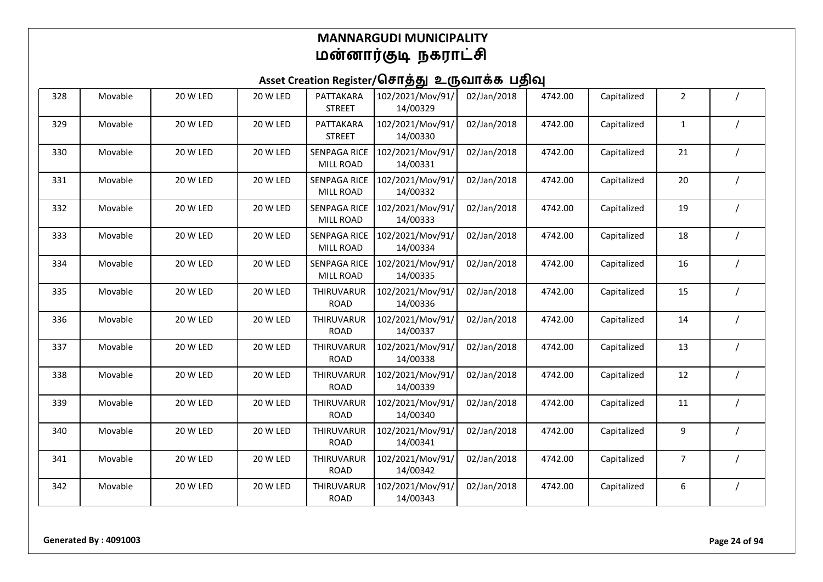| 328 | Movable | 20 W LED        | 20 W LED | PATTAKARA<br><b>STREET</b>       | 102/2021/Mov/91/<br>14/00329 | 02/Jan/2018 | 4742.00 | Capitalized | $\overline{2}$ |  |
|-----|---------|-----------------|----------|----------------------------------|------------------------------|-------------|---------|-------------|----------------|--|
| 329 | Movable | 20 W LED        | 20 W LED | PATTAKARA<br><b>STREET</b>       | 102/2021/Mov/91/<br>14/00330 | 02/Jan/2018 | 4742.00 | Capitalized | $\mathbf{1}$   |  |
| 330 | Movable | 20 W LED        | 20 W LED | <b>SENPAGA RICE</b><br>MILL ROAD | 102/2021/Mov/91/<br>14/00331 | 02/Jan/2018 | 4742.00 | Capitalized | 21             |  |
| 331 | Movable | 20 W LED        | 20 W LED | <b>SENPAGA RICE</b><br>MILL ROAD | 102/2021/Mov/91/<br>14/00332 | 02/Jan/2018 | 4742.00 | Capitalized | 20             |  |
| 332 | Movable | 20 W LED        | 20 W LED | <b>SENPAGA RICE</b><br>MILL ROAD | 102/2021/Mov/91/<br>14/00333 | 02/Jan/2018 | 4742.00 | Capitalized | 19             |  |
| 333 | Movable | <b>20 W LED</b> | 20 W LED | <b>SENPAGA RICE</b><br>MILL ROAD | 102/2021/Mov/91/<br>14/00334 | 02/Jan/2018 | 4742.00 | Capitalized | 18             |  |
| 334 | Movable | 20 W LED        | 20 W LED | <b>SENPAGA RICE</b><br>MILL ROAD | 102/2021/Mov/91/<br>14/00335 | 02/Jan/2018 | 4742.00 | Capitalized | 16             |  |
| 335 | Movable | <b>20 W LED</b> | 20 W LED | THIRUVARUR<br><b>ROAD</b>        | 102/2021/Mov/91/<br>14/00336 | 02/Jan/2018 | 4742.00 | Capitalized | 15             |  |
| 336 | Movable | 20 W LED        | 20 W LED | THIRUVARUR<br><b>ROAD</b>        | 102/2021/Mov/91/<br>14/00337 | 02/Jan/2018 | 4742.00 | Capitalized | 14             |  |
| 337 | Movable | 20 W LED        | 20 W LED | THIRUVARUR<br><b>ROAD</b>        | 102/2021/Mov/91/<br>14/00338 | 02/Jan/2018 | 4742.00 | Capitalized | 13             |  |
| 338 | Movable | 20 W LED        | 20 W LED | THIRUVARUR<br><b>ROAD</b>        | 102/2021/Mov/91/<br>14/00339 | 02/Jan/2018 | 4742.00 | Capitalized | 12             |  |
| 339 | Movable | 20 W LED        | 20 W LED | <b>THIRUVARUR</b><br><b>ROAD</b> | 102/2021/Mov/91/<br>14/00340 | 02/Jan/2018 | 4742.00 | Capitalized | 11             |  |
| 340 | Movable | 20 W LED        | 20 W LED | THIRUVARUR<br><b>ROAD</b>        | 102/2021/Mov/91/<br>14/00341 | 02/Jan/2018 | 4742.00 | Capitalized | 9              |  |
| 341 | Movable | 20 W LED        | 20 W LED | THIRUVARUR<br><b>ROAD</b>        | 102/2021/Mov/91/<br>14/00342 | 02/Jan/2018 | 4742.00 | Capitalized | 7              |  |
| 342 | Movable | 20 W LED        | 20 W LED | THIRUVARUR<br><b>ROAD</b>        | 102/2021/Mov/91/<br>14/00343 | 02/Jan/2018 | 4742.00 | Capitalized | 6              |  |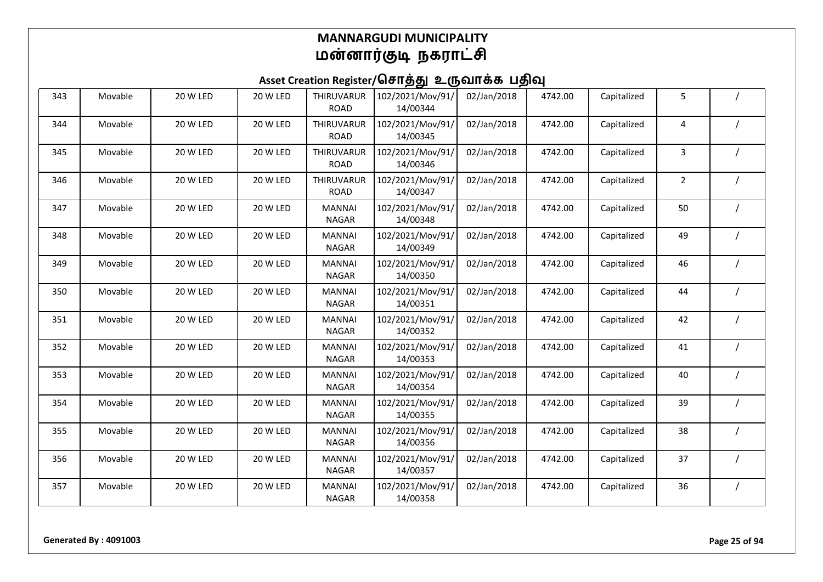| 343 | Movable | 20 W LED | 20 W LED | THIRUVARUR<br><b>ROAD</b>     | 102/2021/Mov/91/<br>14/00344 | 02/Jan/2018 | 4742.00 | Capitalized | 5              |  |
|-----|---------|----------|----------|-------------------------------|------------------------------|-------------|---------|-------------|----------------|--|
| 344 | Movable | 20 W LED | 20 W LED | THIRUVARUR<br><b>ROAD</b>     | 102/2021/Mov/91/<br>14/00345 | 02/Jan/2018 | 4742.00 | Capitalized | 4              |  |
| 345 | Movable | 20 W LED | 20 W LED | THIRUVARUR<br><b>ROAD</b>     | 102/2021/Mov/91/<br>14/00346 | 02/Jan/2018 | 4742.00 | Capitalized | 3              |  |
| 346 | Movable | 20 W LED | 20 W LED | THIRUVARUR<br><b>ROAD</b>     | 102/2021/Mov/91/<br>14/00347 | 02/Jan/2018 | 4742.00 | Capitalized | $\overline{2}$ |  |
| 347 | Movable | 20 W LED | 20 W LED | <b>MANNAI</b><br><b>NAGAR</b> | 102/2021/Mov/91/<br>14/00348 | 02/Jan/2018 | 4742.00 | Capitalized | 50             |  |
| 348 | Movable | 20 W LED | 20 W LED | <b>MANNAI</b><br><b>NAGAR</b> | 102/2021/Mov/91/<br>14/00349 | 02/Jan/2018 | 4742.00 | Capitalized | 49             |  |
| 349 | Movable | 20 W LED | 20 W LED | <b>MANNAI</b><br><b>NAGAR</b> | 102/2021/Mov/91/<br>14/00350 | 02/Jan/2018 | 4742.00 | Capitalized | 46             |  |
| 350 | Movable | 20 W LED | 20 W LED | <b>MANNAI</b><br><b>NAGAR</b> | 102/2021/Mov/91/<br>14/00351 | 02/Jan/2018 | 4742.00 | Capitalized | 44             |  |
| 351 | Movable | 20 W LED | 20 W LED | <b>MANNAI</b><br><b>NAGAR</b> | 102/2021/Mov/91/<br>14/00352 | 02/Jan/2018 | 4742.00 | Capitalized | 42             |  |
| 352 | Movable | 20 W LED | 20 W LED | <b>MANNAI</b><br><b>NAGAR</b> | 102/2021/Mov/91/<br>14/00353 | 02/Jan/2018 | 4742.00 | Capitalized | 41             |  |
| 353 | Movable | 20 W LED | 20 W LED | <b>MANNAI</b><br><b>NAGAR</b> | 102/2021/Mov/91/<br>14/00354 | 02/Jan/2018 | 4742.00 | Capitalized | 40             |  |
| 354 | Movable | 20 W LED | 20 W LED | <b>MANNAI</b><br><b>NAGAR</b> | 102/2021/Mov/91/<br>14/00355 | 02/Jan/2018 | 4742.00 | Capitalized | 39             |  |
| 355 | Movable | 20 W LED | 20 W LED | <b>MANNAI</b><br><b>NAGAR</b> | 102/2021/Mov/91/<br>14/00356 | 02/Jan/2018 | 4742.00 | Capitalized | 38             |  |
| 356 | Movable | 20 W LED | 20 W LED | <b>MANNAI</b><br><b>NAGAR</b> | 102/2021/Mov/91/<br>14/00357 | 02/Jan/2018 | 4742.00 | Capitalized | 37             |  |
| 357 | Movable | 20 W LED | 20 W LED | <b>MANNAI</b><br><b>NAGAR</b> | 102/2021/Mov/91/<br>14/00358 | 02/Jan/2018 | 4742.00 | Capitalized | 36             |  |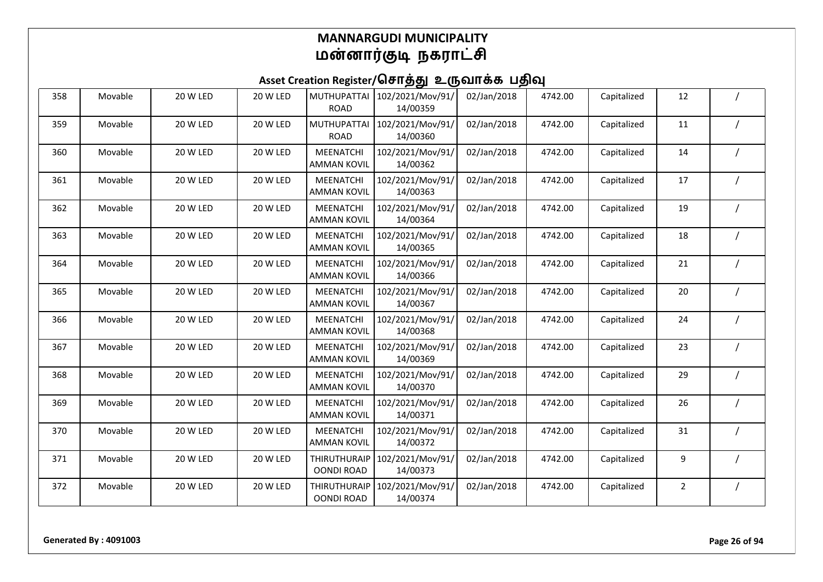| 358 | Movable | 20 W LED | 20 W LED | <b>MUTHUPATTAI</b><br><b>ROAD</b>        | 102/2021/Mov/91/<br>14/00359 | 02/Jan/2018 | 4742.00 | Capitalized | 12             |  |
|-----|---------|----------|----------|------------------------------------------|------------------------------|-------------|---------|-------------|----------------|--|
| 359 | Movable | 20 W LED | 20 W LED | <b>MUTHUPATTAI</b><br><b>ROAD</b>        | 102/2021/Mov/91/<br>14/00360 | 02/Jan/2018 | 4742.00 | Capitalized | 11             |  |
| 360 | Movable | 20 W LED | 20 W LED | MEENATCHI<br><b>AMMAN KOVIL</b>          | 102/2021/Mov/91/<br>14/00362 | 02/Jan/2018 | 4742.00 | Capitalized | 14             |  |
| 361 | Movable | 20 W LED | 20 W LED | MEENATCHI<br><b>AMMAN KOVIL</b>          | 102/2021/Mov/91/<br>14/00363 | 02/Jan/2018 | 4742.00 | Capitalized | 17             |  |
| 362 | Movable | 20 W LED | 20 W LED | <b>MEENATCHI</b><br><b>AMMAN KOVIL</b>   | 102/2021/Mov/91/<br>14/00364 | 02/Jan/2018 | 4742.00 | Capitalized | 19             |  |
| 363 | Movable | 20 W LED | 20 W LED | <b>MEENATCHI</b><br><b>AMMAN KOVIL</b>   | 102/2021/Mov/91/<br>14/00365 | 02/Jan/2018 | 4742.00 | Capitalized | 18             |  |
| 364 | Movable | 20 W LED | 20 W LED | MEENATCHI<br><b>AMMAN KOVIL</b>          | 102/2021/Mov/91/<br>14/00366 | 02/Jan/2018 | 4742.00 | Capitalized | 21             |  |
| 365 | Movable | 20 W LED | 20 W LED | <b>MEENATCHI</b><br><b>AMMAN KOVIL</b>   | 102/2021/Mov/91/<br>14/00367 | 02/Jan/2018 | 4742.00 | Capitalized | 20             |  |
| 366 | Movable | 20 W LED | 20 W LED | MEENATCHI<br><b>AMMAN KOVIL</b>          | 102/2021/Mov/91/<br>14/00368 | 02/Jan/2018 | 4742.00 | Capitalized | 24             |  |
| 367 | Movable | 20 W LED | 20 W LED | <b>MEENATCHI</b><br><b>AMMAN KOVIL</b>   | 102/2021/Mov/91/<br>14/00369 | 02/Jan/2018 | 4742.00 | Capitalized | 23             |  |
| 368 | Movable | 20 W LED | 20 W LED | <b>MEENATCHI</b><br><b>AMMAN KOVIL</b>   | 102/2021/Mov/91/<br>14/00370 | 02/Jan/2018 | 4742.00 | Capitalized | 29             |  |
| 369 | Movable | 20 W LED | 20 W LED | MEENATCHI<br><b>AMMAN KOVIL</b>          | 102/2021/Mov/91/<br>14/00371 | 02/Jan/2018 | 4742.00 | Capitalized | 26             |  |
| 370 | Movable | 20 W LED | 20 W LED | <b>MEENATCHI</b><br><b>AMMAN KOVIL</b>   | 102/2021/Mov/91/<br>14/00372 | 02/Jan/2018 | 4742.00 | Capitalized | 31             |  |
| 371 | Movable | 20 W LED | 20 W LED | <b>THIRUTHURAIP</b><br><b>OONDI ROAD</b> | 102/2021/Mov/91/<br>14/00373 | 02/Jan/2018 | 4742.00 | Capitalized | 9              |  |
| 372 | Movable | 20 W LED | 20 W LED | <b>THIRUTHURAIP</b><br><b>OONDI ROAD</b> | 102/2021/Mov/91/<br>14/00374 | 02/Jan/2018 | 4742.00 | Capitalized | $\overline{2}$ |  |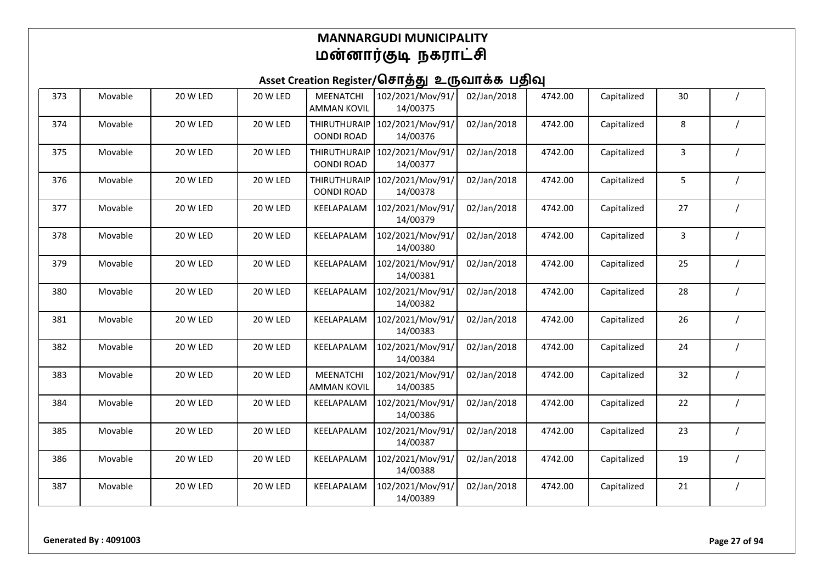| 373 | Movable | 20 W LED        | 20 W LED | MEENATCHI<br><b>AMMAN KOVIL</b>          | 102/2021/Mov/91/<br>14/00375 | 02/Jan/2018 | 4742.00 | Capitalized | 30 |  |
|-----|---------|-----------------|----------|------------------------------------------|------------------------------|-------------|---------|-------------|----|--|
| 374 | Movable | 20 W LED        | 20 W LED | <b>THIRUTHURAIP</b><br><b>OONDI ROAD</b> | 102/2021/Mov/91/<br>14/00376 | 02/Jan/2018 | 4742.00 | Capitalized | 8  |  |
| 375 | Movable | 20 W LED        | 20 W LED | <b>THIRUTHURAIP</b><br><b>OONDI ROAD</b> | 102/2021/Mov/91/<br>14/00377 | 02/Jan/2018 | 4742.00 | Capitalized | 3  |  |
| 376 | Movable | <b>20 W LED</b> | 20 W LED | THIRUTHURAIP<br><b>OONDI ROAD</b>        | 102/2021/Mov/91/<br>14/00378 | 02/Jan/2018 | 4742.00 | Capitalized | 5  |  |
| 377 | Movable | 20 W LED        | 20 W LED | KEELAPALAM                               | 102/2021/Mov/91/<br>14/00379 | 02/Jan/2018 | 4742.00 | Capitalized | 27 |  |
| 378 | Movable | 20 W LED        | 20 W LED | KEELAPALAM                               | 102/2021/Mov/91/<br>14/00380 | 02/Jan/2018 | 4742.00 | Capitalized | 3  |  |
| 379 | Movable | 20 W LED        | 20 W LED | KEELAPALAM                               | 102/2021/Mov/91/<br>14/00381 | 02/Jan/2018 | 4742.00 | Capitalized | 25 |  |
| 380 | Movable | 20 W LED        | 20 W LED | KEELAPALAM                               | 102/2021/Mov/91/<br>14/00382 | 02/Jan/2018 | 4742.00 | Capitalized | 28 |  |
| 381 | Movable | 20 W LED        | 20 W LED | KEELAPALAM                               | 102/2021/Mov/91/<br>14/00383 | 02/Jan/2018 | 4742.00 | Capitalized | 26 |  |
| 382 | Movable | 20 W LED        | 20 W LED | KEELAPALAM                               | 102/2021/Mov/91/<br>14/00384 | 02/Jan/2018 | 4742.00 | Capitalized | 24 |  |
| 383 | Movable | 20 W LED        | 20 W LED | <b>MEENATCHI</b><br><b>AMMAN KOVIL</b>   | 102/2021/Mov/91/<br>14/00385 | 02/Jan/2018 | 4742.00 | Capitalized | 32 |  |
| 384 | Movable | 20 W LED        | 20 W LED | KEELAPALAM                               | 102/2021/Mov/91/<br>14/00386 | 02/Jan/2018 | 4742.00 | Capitalized | 22 |  |
| 385 | Movable | 20 W LED        | 20 W LED | KEELAPALAM                               | 102/2021/Mov/91/<br>14/00387 | 02/Jan/2018 | 4742.00 | Capitalized | 23 |  |
| 386 | Movable | 20 W LED        | 20 W LED | KEELAPALAM                               | 102/2021/Mov/91/<br>14/00388 | 02/Jan/2018 | 4742.00 | Capitalized | 19 |  |
| 387 | Movable | 20 W LED        | 20 W LED | KEELAPALAM                               | 102/2021/Mov/91/<br>14/00389 | 02/Jan/2018 | 4742.00 | Capitalized | 21 |  |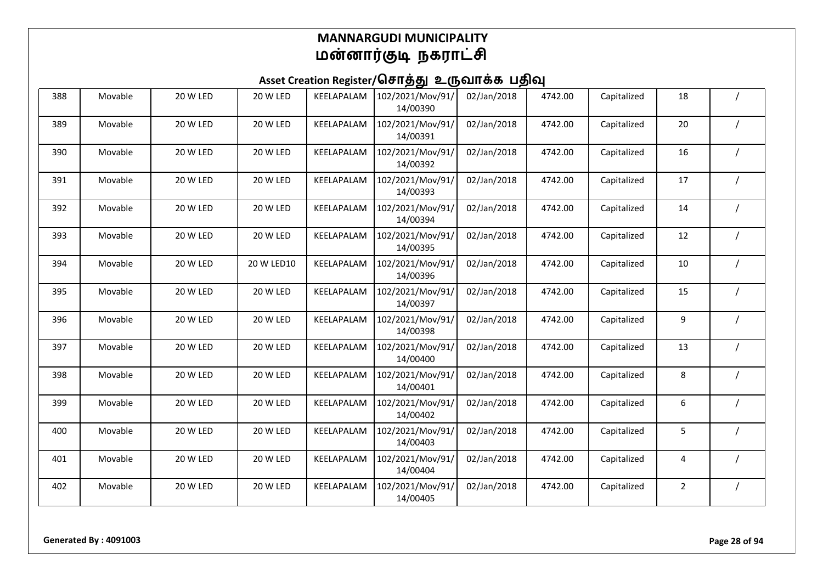| 388 | Movable | 20 W LED | 20 W LED   | KEELAPALAM | 102/2021/Mov/91/<br>14/00390 | 02/Jan/2018 | 4742.00 | Capitalized | 18             |  |
|-----|---------|----------|------------|------------|------------------------------|-------------|---------|-------------|----------------|--|
| 389 | Movable | 20 W LED | 20 W LED   | KEELAPALAM | 102/2021/Mov/91/<br>14/00391 | 02/Jan/2018 | 4742.00 | Capitalized | 20             |  |
| 390 | Movable | 20 W LED | 20 W LED   | KEELAPALAM | 102/2021/Mov/91/<br>14/00392 | 02/Jan/2018 | 4742.00 | Capitalized | 16             |  |
| 391 | Movable | 20 W LED | 20 W LED   | KEELAPALAM | 102/2021/Mov/91/<br>14/00393 | 02/Jan/2018 | 4742.00 | Capitalized | 17             |  |
| 392 | Movable | 20 W LED | 20 W LED   | KEELAPALAM | 102/2021/Mov/91/<br>14/00394 | 02/Jan/2018 | 4742.00 | Capitalized | 14             |  |
| 393 | Movable | 20 W LED | 20 W LED   | KEELAPALAM | 102/2021/Mov/91/<br>14/00395 | 02/Jan/2018 | 4742.00 | Capitalized | 12             |  |
| 394 | Movable | 20 W LED | 20 W LED10 | KEELAPALAM | 102/2021/Mov/91/<br>14/00396 | 02/Jan/2018 | 4742.00 | Capitalized | 10             |  |
| 395 | Movable | 20 W LED | 20 W LED   | KEELAPALAM | 102/2021/Mov/91/<br>14/00397 | 02/Jan/2018 | 4742.00 | Capitalized | 15             |  |
| 396 | Movable | 20 W LED | 20 W LED   | KEELAPALAM | 102/2021/Mov/91/<br>14/00398 | 02/Jan/2018 | 4742.00 | Capitalized | 9              |  |
| 397 | Movable | 20 W LED | 20 W LED   | KEELAPALAM | 102/2021/Mov/91/<br>14/00400 | 02/Jan/2018 | 4742.00 | Capitalized | 13             |  |
| 398 | Movable | 20 W LED | 20 W LED   | KEELAPALAM | 102/2021/Mov/91/<br>14/00401 | 02/Jan/2018 | 4742.00 | Capitalized | 8              |  |
| 399 | Movable | 20 W LED | 20 W LED   | KEELAPALAM | 102/2021/Mov/91/<br>14/00402 | 02/Jan/2018 | 4742.00 | Capitalized | 6              |  |
| 400 | Movable | 20 W LED | 20 W LED   | KEELAPALAM | 102/2021/Mov/91/<br>14/00403 | 02/Jan/2018 | 4742.00 | Capitalized | 5              |  |
| 401 | Movable | 20 W LED | 20 W LED   | KEELAPALAM | 102/2021/Mov/91/<br>14/00404 | 02/Jan/2018 | 4742.00 | Capitalized | 4              |  |
| 402 | Movable | 20 W LED | 20 W LED   | KEELAPALAM | 102/2021/Mov/91/<br>14/00405 | 02/Jan/2018 | 4742.00 | Capitalized | $\overline{2}$ |  |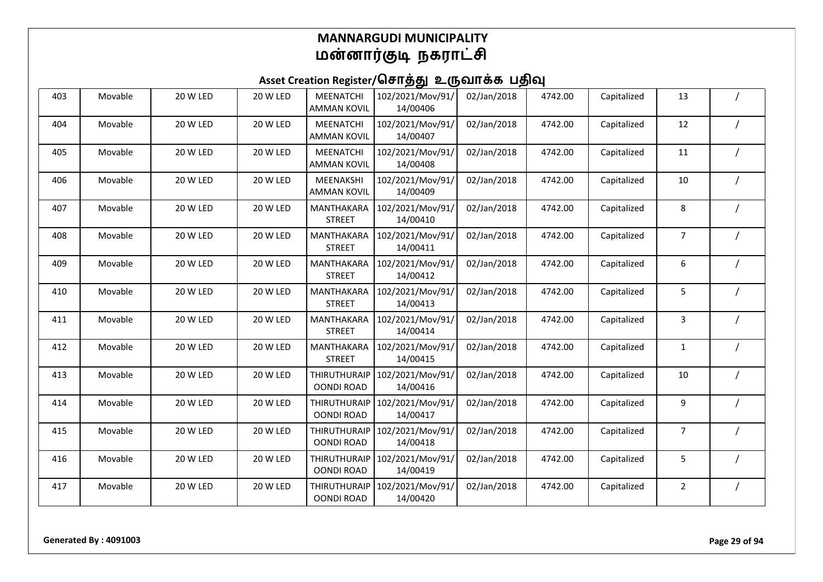| 403 | Movable | 20 W LED        | 20 W LED | MEENATCHI<br><b>AMMAN KOVIL</b>          | 102/2021/Mov/91/<br>14/00406 | 02/Jan/2018 | 4742.00 | Capitalized | 13             |  |
|-----|---------|-----------------|----------|------------------------------------------|------------------------------|-------------|---------|-------------|----------------|--|
| 404 | Movable | 20 W LED        | 20 W LED | <b>MEENATCHI</b><br><b>AMMAN KOVIL</b>   | 102/2021/Mov/91/<br>14/00407 | 02/Jan/2018 | 4742.00 | Capitalized | 12             |  |
| 405 | Movable | 20 W LED        | 20 W LED | MEENATCHI<br><b>AMMAN KOVIL</b>          | 102/2021/Mov/91/<br>14/00408 | 02/Jan/2018 | 4742.00 | Capitalized | 11             |  |
| 406 | Movable | <b>20 W LED</b> | 20 W LED | MEENAKSHI<br><b>AMMAN KOVIL</b>          | 102/2021/Mov/91/<br>14/00409 | 02/Jan/2018 | 4742.00 | Capitalized | 10             |  |
| 407 | Movable | 20 W LED        | 20 W LED | MANTHAKARA<br><b>STREET</b>              | 102/2021/Mov/91/<br>14/00410 | 02/Jan/2018 | 4742.00 | Capitalized | 8              |  |
| 408 | Movable | <b>20 W LED</b> | 20 W LED | MANTHAKARA<br><b>STREET</b>              | 102/2021/Mov/91/<br>14/00411 | 02/Jan/2018 | 4742.00 | Capitalized | 7              |  |
| 409 | Movable | 20 W LED        | 20 W LED | MANTHAKARA<br><b>STREET</b>              | 102/2021/Mov/91/<br>14/00412 | 02/Jan/2018 | 4742.00 | Capitalized | 6              |  |
| 410 | Movable | 20 W LED        | 20 W LED | MANTHAKARA<br><b>STREET</b>              | 102/2021/Mov/91/<br>14/00413 | 02/Jan/2018 | 4742.00 | Capitalized | 5              |  |
| 411 | Movable | 20 W LED        | 20 W LED | MANTHAKARA<br><b>STREET</b>              | 102/2021/Mov/91/<br>14/00414 | 02/Jan/2018 | 4742.00 | Capitalized | 3              |  |
| 412 | Movable | 20 W LED        | 20 W LED | MANTHAKARA<br><b>STREET</b>              | 102/2021/Mov/91/<br>14/00415 | 02/Jan/2018 | 4742.00 | Capitalized | 1              |  |
| 413 | Movable | 20 W LED        | 20 W LED | <b>THIRUTHURAIP</b><br><b>OONDI ROAD</b> | 102/2021/Mov/91/<br>14/00416 | 02/Jan/2018 | 4742.00 | Capitalized | 10             |  |
| 414 | Movable | 20 W LED        | 20 W LED | THIRUTHURAIP<br><b>OONDI ROAD</b>        | 102/2021/Mov/91/<br>14/00417 | 02/Jan/2018 | 4742.00 | Capitalized | 9              |  |
| 415 | Movable | 20 W LED        | 20 W LED | <b>THIRUTHURAIP</b><br><b>OONDI ROAD</b> | 102/2021/Mov/91/<br>14/00418 | 02/Jan/2018 | 4742.00 | Capitalized | 7              |  |
| 416 | Movable | 20 W LED        | 20 W LED | <b>THIRUTHURAIP</b><br><b>OONDI ROAD</b> | 102/2021/Mov/91/<br>14/00419 | 02/Jan/2018 | 4742.00 | Capitalized | 5              |  |
| 417 | Movable | 20 W LED        | 20 W LED | <b>THIRUTHURAIP</b><br><b>OONDI ROAD</b> | 102/2021/Mov/91/<br>14/00420 | 02/Jan/2018 | 4742.00 | Capitalized | $\overline{2}$ |  |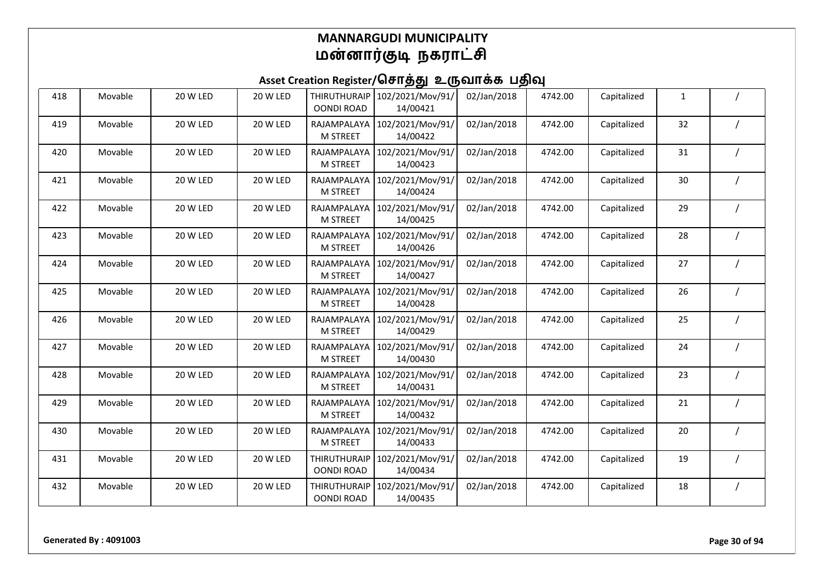| 418 | Movable | 20 W LED | 20 W LED | <b>THIRUTHURAIP</b><br><b>OONDI ROAD</b> | 102/2021/Mov/91/<br>14/00421 | 02/Jan/2018 | 4742.00 | Capitalized | 1  |  |
|-----|---------|----------|----------|------------------------------------------|------------------------------|-------------|---------|-------------|----|--|
| 419 | Movable | 20 W LED | 20 W LED | RAJAMPALAYA<br><b>M STREET</b>           | 102/2021/Mov/91/<br>14/00422 | 02/Jan/2018 | 4742.00 | Capitalized | 32 |  |
| 420 | Movable | 20 W LED | 20 W LED | RAJAMPALAYA<br><b>M STREET</b>           | 102/2021/Mov/91/<br>14/00423 | 02/Jan/2018 | 4742.00 | Capitalized | 31 |  |
| 421 | Movable | 20 W LED | 20 W LED | RAJAMPALAYA<br><b>M STREET</b>           | 102/2021/Mov/91/<br>14/00424 | 02/Jan/2018 | 4742.00 | Capitalized | 30 |  |
| 422 | Movable | 20 W LED | 20 W LED | RAJAMPALAYA<br><b>M STREET</b>           | 102/2021/Mov/91/<br>14/00425 | 02/Jan/2018 | 4742.00 | Capitalized | 29 |  |
| 423 | Movable | 20 W LED | 20 W LED | RAJAMPALAYA<br><b>M STREET</b>           | 102/2021/Mov/91/<br>14/00426 | 02/Jan/2018 | 4742.00 | Capitalized | 28 |  |
| 424 | Movable | 20 W LED | 20 W LED | RAJAMPALAYA<br><b>M STREET</b>           | 102/2021/Mov/91/<br>14/00427 | 02/Jan/2018 | 4742.00 | Capitalized | 27 |  |
| 425 | Movable | 20 W LED | 20 W LED | RAJAMPALAYA<br><b>M STREET</b>           | 102/2021/Mov/91/<br>14/00428 | 02/Jan/2018 | 4742.00 | Capitalized | 26 |  |
| 426 | Movable | 20 W LED | 20 W LED | RAJAMPALAYA<br><b>M STREET</b>           | 102/2021/Mov/91/<br>14/00429 | 02/Jan/2018 | 4742.00 | Capitalized | 25 |  |
| 427 | Movable | 20 W LED | 20 W LED | RAJAMPALAYA<br><b>M STREET</b>           | 102/2021/Mov/91/<br>14/00430 | 02/Jan/2018 | 4742.00 | Capitalized | 24 |  |
| 428 | Movable | 20 W LED | 20 W LED | RAJAMPALAYA<br><b>M STREET</b>           | 102/2021/Mov/91/<br>14/00431 | 02/Jan/2018 | 4742.00 | Capitalized | 23 |  |
| 429 | Movable | 20 W LED | 20 W LED | RAJAMPALAYA<br><b>M STREET</b>           | 102/2021/Mov/91/<br>14/00432 | 02/Jan/2018 | 4742.00 | Capitalized | 21 |  |
| 430 | Movable | 20 W LED | 20 W LED | RAJAMPALAYA<br><b>M STREET</b>           | 102/2021/Mov/91/<br>14/00433 | 02/Jan/2018 | 4742.00 | Capitalized | 20 |  |
| 431 | Movable | 20 W LED | 20 W LED | <b>THIRUTHURAIP</b><br><b>OONDI ROAD</b> | 102/2021/Mov/91/<br>14/00434 | 02/Jan/2018 | 4742.00 | Capitalized | 19 |  |
| 432 | Movable | 20 W LED | 20 W LED | <b>THIRUTHURAIP</b><br><b>OONDI ROAD</b> | 102/2021/Mov/91/<br>14/00435 | 02/Jan/2018 | 4742.00 | Capitalized | 18 |  |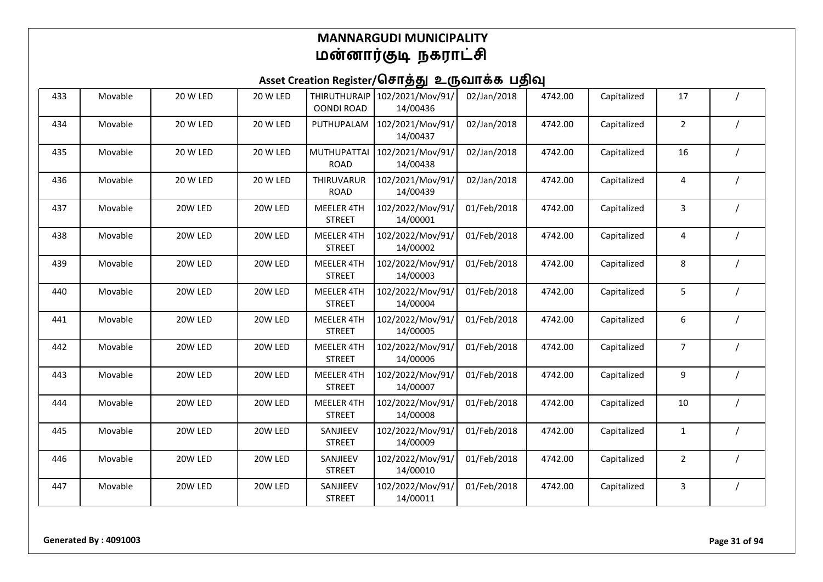| 433 | Movable | 20 W LED | 20 W LED | <b>THIRUTHURAIP</b><br><b>OONDI ROAD</b> | 102/2021/Mov/91/<br>14/00436 | 02/Jan/2018 | 4742.00 | Capitalized | 17             |  |
|-----|---------|----------|----------|------------------------------------------|------------------------------|-------------|---------|-------------|----------------|--|
| 434 | Movable | 20 W LED | 20 W LED | PUTHUPALAM                               | 102/2021/Mov/91/<br>14/00437 | 02/Jan/2018 | 4742.00 | Capitalized | $\overline{2}$ |  |
| 435 | Movable | 20 W LED | 20 W LED | <b>MUTHUPATTAI</b><br><b>ROAD</b>        | 102/2021/Mov/91/<br>14/00438 | 02/Jan/2018 | 4742.00 | Capitalized | 16             |  |
| 436 | Movable | 20 W LED | 20 W LED | THIRUVARUR<br><b>ROAD</b>                | 102/2021/Mov/91/<br>14/00439 | 02/Jan/2018 | 4742.00 | Capitalized | 4              |  |
| 437 | Movable | 20W LED  | 20W LED  | <b>MEELER 4TH</b><br><b>STREET</b>       | 102/2022/Mov/91/<br>14/00001 | 01/Feb/2018 | 4742.00 | Capitalized | 3              |  |
| 438 | Movable | 20W LED  | 20W LED  | <b>MEELER 4TH</b><br><b>STREET</b>       | 102/2022/Mov/91/<br>14/00002 | 01/Feb/2018 | 4742.00 | Capitalized | 4              |  |
| 439 | Movable | 20W LED  | 20W LED  | MEELER 4TH<br><b>STREET</b>              | 102/2022/Mov/91/<br>14/00003 | 01/Feb/2018 | 4742.00 | Capitalized | 8              |  |
| 440 | Movable | 20W LED  | 20W LED  | <b>MEELER 4TH</b><br><b>STREET</b>       | 102/2022/Mov/91/<br>14/00004 | 01/Feb/2018 | 4742.00 | Capitalized | 5              |  |
| 441 | Movable | 20W LED  | 20W LED  | MEELER 4TH<br><b>STREET</b>              | 102/2022/Mov/91/<br>14/00005 | 01/Feb/2018 | 4742.00 | Capitalized | 6              |  |
| 442 | Movable | 20W LED  | 20W LED  | <b>MEELER 4TH</b><br><b>STREET</b>       | 102/2022/Mov/91/<br>14/00006 | 01/Feb/2018 | 4742.00 | Capitalized | 7              |  |
| 443 | Movable | 20W LED  | 20W LED  | MEELER 4TH<br><b>STREET</b>              | 102/2022/Mov/91/<br>14/00007 | 01/Feb/2018 | 4742.00 | Capitalized | 9              |  |
| 444 | Movable | 20W LED  | 20W LED  | MEELER 4TH<br><b>STREET</b>              | 102/2022/Mov/91/<br>14/00008 | 01/Feb/2018 | 4742.00 | Capitalized | 10             |  |
| 445 | Movable | 20W LED  | 20W LED  | SANJIEEV<br><b>STREET</b>                | 102/2022/Mov/91/<br>14/00009 | 01/Feb/2018 | 4742.00 | Capitalized | $\mathbf{1}$   |  |
| 446 | Movable | 20W LED  | 20W LED  | SANJIEEV<br><b>STREET</b>                | 102/2022/Mov/91/<br>14/00010 | 01/Feb/2018 | 4742.00 | Capitalized | $\overline{2}$ |  |
| 447 | Movable | 20W LED  | 20W LED  | SANJIEEV<br><b>STREET</b>                | 102/2022/Mov/91/<br>14/00011 | 01/Feb/2018 | 4742.00 | Capitalized | 3              |  |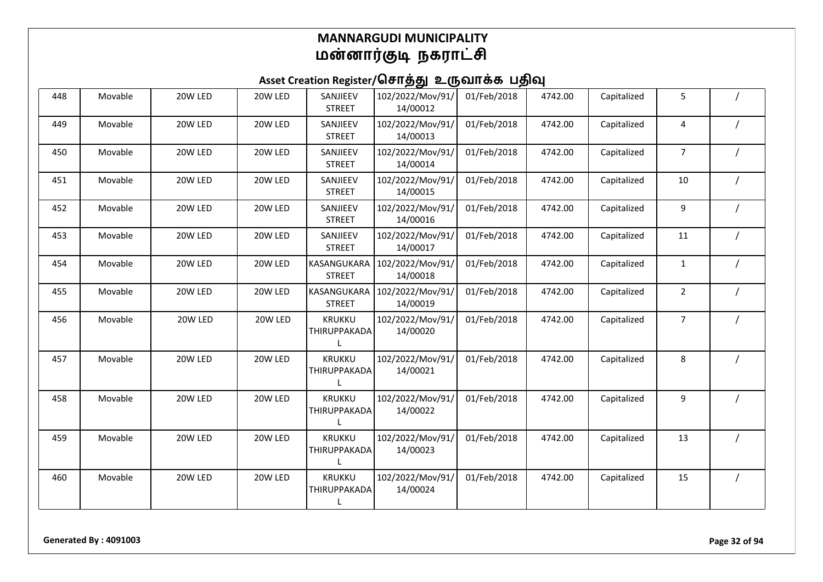| 448 | Movable | 20W LED | 20W LED | SANJIEEV<br><b>STREET</b>     | 102/2022/Mov/91/<br>14/00012 | 01/Feb/2018 | 4742.00 | Capitalized | 5              |  |
|-----|---------|---------|---------|-------------------------------|------------------------------|-------------|---------|-------------|----------------|--|
| 449 | Movable | 20W LED | 20W LED | SANJIEEV<br><b>STREET</b>     | 102/2022/Mov/91/<br>14/00013 | 01/Feb/2018 | 4742.00 | Capitalized | 4              |  |
| 450 | Movable | 20W LED | 20W LED | SANJIEEV<br><b>STREET</b>     | 102/2022/Mov/91/<br>14/00014 | 01/Feb/2018 | 4742.00 | Capitalized | $\overline{7}$ |  |
| 451 | Movable | 20W LED | 20W LED | SANJIEEV<br><b>STREET</b>     | 102/2022/Mov/91/<br>14/00015 | 01/Feb/2018 | 4742.00 | Capitalized | 10             |  |
| 452 | Movable | 20W LED | 20W LED | SANJIEEV<br><b>STREET</b>     | 102/2022/Mov/91/<br>14/00016 | 01/Feb/2018 | 4742.00 | Capitalized | 9              |  |
| 453 | Movable | 20W LED | 20W LED | SANJIEEV<br><b>STREET</b>     | 102/2022/Mov/91/<br>14/00017 | 01/Feb/2018 | 4742.00 | Capitalized | 11             |  |
| 454 | Movable | 20W LED | 20W LED | KASANGUKARA<br><b>STREET</b>  | 102/2022/Mov/91/<br>14/00018 | 01/Feb/2018 | 4742.00 | Capitalized | $\mathbf{1}$   |  |
| 455 | Movable | 20W LED | 20W LED | KASANGUKARA<br><b>STREET</b>  | 102/2022/Mov/91/<br>14/00019 | 01/Feb/2018 | 4742.00 | Capitalized | $\overline{2}$ |  |
| 456 | Movable | 20W LED | 20W LED | KRUKKU<br>THIRUPPAKADA        | 102/2022/Mov/91/<br>14/00020 | 01/Feb/2018 | 4742.00 | Capitalized | $\overline{7}$ |  |
| 457 | Movable | 20W LED | 20W LED | <b>KRUKKU</b><br>THIRUPPAKADA | 102/2022/Mov/91/<br>14/00021 | 01/Feb/2018 | 4742.00 | Capitalized | 8              |  |
| 458 | Movable | 20W LED | 20W LED | <b>KRUKKU</b><br>THIRUPPAKADA | 102/2022/Mov/91/<br>14/00022 | 01/Feb/2018 | 4742.00 | Capitalized | 9              |  |
| 459 | Movable | 20W LED | 20W LED | <b>KRUKKU</b><br>THIRUPPAKADA | 102/2022/Mov/91/<br>14/00023 | 01/Feb/2018 | 4742.00 | Capitalized | 13             |  |
| 460 | Movable | 20W LED | 20W LED | KRUKKU<br>THIRUPPAKADA<br>L   | 102/2022/Mov/91/<br>14/00024 | 01/Feb/2018 | 4742.00 | Capitalized | 15             |  |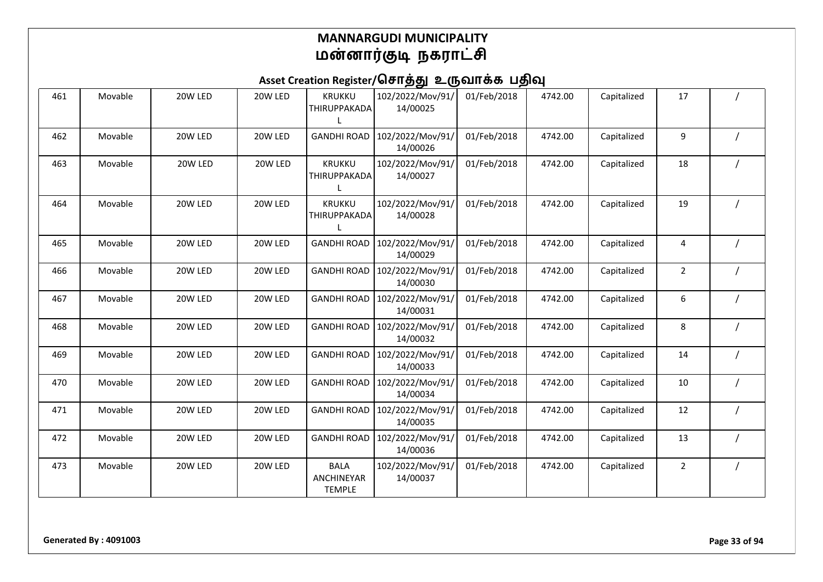| 461 | Movable | 20W LED | 20W LED | <b>KRUKKU</b><br>THIRUPPAKADA              | 102/2022/Mov/91/<br>14/00025 | 01/Feb/2018 | 4742.00 | Capitalized | 17             |  |
|-----|---------|---------|---------|--------------------------------------------|------------------------------|-------------|---------|-------------|----------------|--|
| 462 | Movable | 20W LED | 20W LED | <b>GANDHI ROAD</b>                         | 102/2022/Mov/91/<br>14/00026 | 01/Feb/2018 | 4742.00 | Capitalized | 9              |  |
| 463 | Movable | 20W LED | 20W LED | <b>KRUKKU</b><br>THIRUPPAKADA              | 102/2022/Mov/91/<br>14/00027 | 01/Feb/2018 | 4742.00 | Capitalized | 18             |  |
| 464 | Movable | 20W LED | 20W LED | <b>KRUKKU</b><br>THIRUPPAKADA              | 102/2022/Mov/91/<br>14/00028 | 01/Feb/2018 | 4742.00 | Capitalized | 19             |  |
| 465 | Movable | 20W LED | 20W LED | <b>GANDHI ROAD</b>                         | 102/2022/Mov/91/<br>14/00029 | 01/Feb/2018 | 4742.00 | Capitalized | 4              |  |
| 466 | Movable | 20W LED | 20W LED | <b>GANDHI ROAD</b>                         | 102/2022/Mov/91/<br>14/00030 | 01/Feb/2018 | 4742.00 | Capitalized | $\overline{2}$ |  |
| 467 | Movable | 20W LED | 20W LED | <b>GANDHI ROAD</b>                         | 102/2022/Mov/91/<br>14/00031 | 01/Feb/2018 | 4742.00 | Capitalized | 6              |  |
| 468 | Movable | 20W LED | 20W LED | <b>GANDHI ROAD</b>                         | 102/2022/Mov/91/<br>14/00032 | 01/Feb/2018 | 4742.00 | Capitalized | 8              |  |
| 469 | Movable | 20W LED | 20W LED | <b>GANDHI ROAD</b>                         | 102/2022/Mov/91/<br>14/00033 | 01/Feb/2018 | 4742.00 | Capitalized | 14             |  |
| 470 | Movable | 20W LED | 20W LED | <b>GANDHI ROAD</b>                         | 102/2022/Mov/91/<br>14/00034 | 01/Feb/2018 | 4742.00 | Capitalized | 10             |  |
| 471 | Movable | 20W LED | 20W LED | <b>GANDHI ROAD</b>                         | 102/2022/Mov/91/<br>14/00035 | 01/Feb/2018 | 4742.00 | Capitalized | 12             |  |
| 472 | Movable | 20W LED | 20W LED | <b>GANDHI ROAD</b>                         | 102/2022/Mov/91/<br>14/00036 | 01/Feb/2018 | 4742.00 | Capitalized | 13             |  |
| 473 | Movable | 20W LED | 20W LED | <b>BALA</b><br>ANCHINEYAR<br><b>TEMPLE</b> | 102/2022/Mov/91/<br>14/00037 | 01/Feb/2018 | 4742.00 | Capitalized | $\overline{2}$ |  |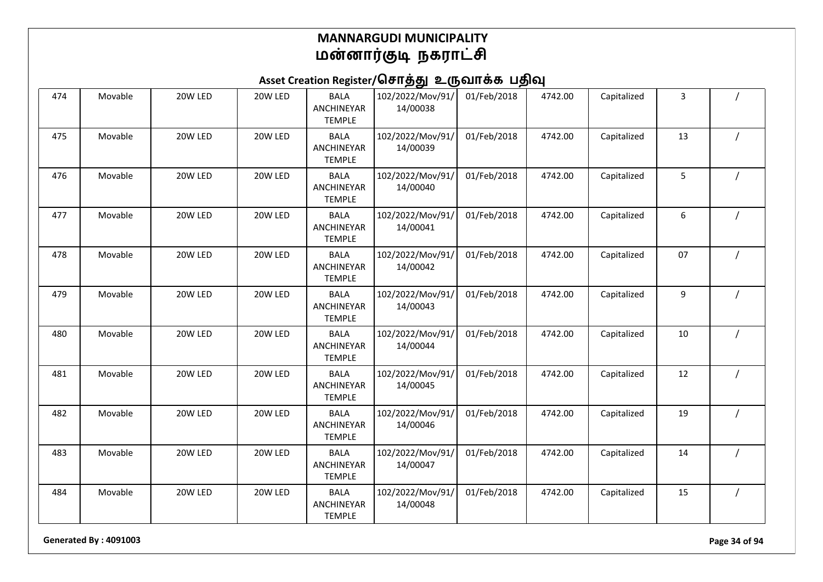## Asset Creation Register/சொத்து உருவாக்க பதிவு

| 474 | Movable | 20W LED | 20W LED | <b>BALA</b><br>ANCHINEYAR<br><b>TEMPLE</b> | 102/2022/Mov/91/<br>14/00038 | 01/Feb/2018 | 4742.00 | Capitalized | 3  |                |
|-----|---------|---------|---------|--------------------------------------------|------------------------------|-------------|---------|-------------|----|----------------|
| 475 | Movable | 20W LED | 20W LED | <b>BALA</b><br>ANCHINEYAR<br><b>TEMPLE</b> | 102/2022/Mov/91/<br>14/00039 | 01/Feb/2018 | 4742.00 | Capitalized | 13 |                |
| 476 | Movable | 20W LED | 20W LED | <b>BALA</b><br>ANCHINEYAR<br><b>TEMPLE</b> | 102/2022/Mov/91/<br>14/00040 | 01/Feb/2018 | 4742.00 | Capitalized | 5  |                |
| 477 | Movable | 20W LED | 20W LED | <b>BALA</b><br>ANCHINEYAR<br><b>TEMPLE</b> | 102/2022/Mov/91/<br>14/00041 | 01/Feb/2018 | 4742.00 | Capitalized | 6  |                |
| 478 | Movable | 20W LED | 20W LED | <b>BALA</b><br>ANCHINEYAR<br><b>TEMPLE</b> | 102/2022/Mov/91/<br>14/00042 | 01/Feb/2018 | 4742.00 | Capitalized | 07 |                |
| 479 | Movable | 20W LED | 20W LED | <b>BALA</b><br>ANCHINEYAR<br><b>TEMPLE</b> | 102/2022/Mov/91/<br>14/00043 | 01/Feb/2018 | 4742.00 | Capitalized | 9  |                |
| 480 | Movable | 20W LED | 20W LED | <b>BALA</b><br>ANCHINEYAR<br><b>TEMPLE</b> | 102/2022/Mov/91/<br>14/00044 | 01/Feb/2018 | 4742.00 | Capitalized | 10 |                |
| 481 | Movable | 20W LED | 20W LED | <b>BALA</b><br>ANCHINEYAR<br><b>TEMPLE</b> | 102/2022/Mov/91/<br>14/00045 | 01/Feb/2018 | 4742.00 | Capitalized | 12 |                |
| 482 | Movable | 20W LED | 20W LED | <b>BALA</b><br>ANCHINEYAR<br><b>TEMPLE</b> | 102/2022/Mov/91/<br>14/00046 | 01/Feb/2018 | 4742.00 | Capitalized | 19 | $\overline{1}$ |
| 483 | Movable | 20W LED | 20W LED | <b>BALA</b><br>ANCHINEYAR<br><b>TEMPLE</b> | 102/2022/Mov/91/<br>14/00047 | 01/Feb/2018 | 4742.00 | Capitalized | 14 |                |
| 484 | Movable | 20W LED | 20W LED | <b>BALA</b><br>ANCHINEYAR<br><b>TEMPLE</b> | 102/2022/Mov/91/<br>14/00048 | 01/Feb/2018 | 4742.00 | Capitalized | 15 |                |

**Generated By : 4091003 Page 34 of 94**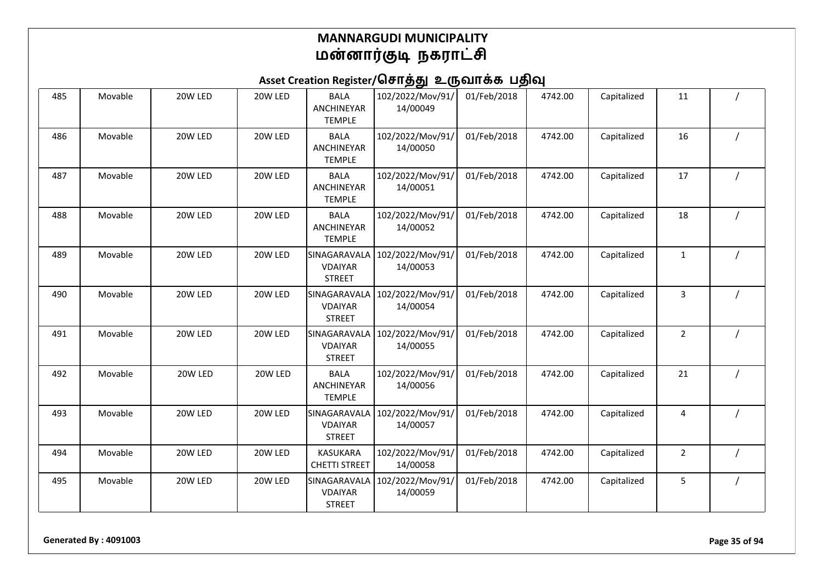| 485 | Movable | 20W LED | 20W LED | <b>BALA</b><br>ANCHINEYAR<br><b>TEMPLE</b>      | 102/2022/Mov/91/<br>14/00049 | 01/Feb/2018 | 4742.00 | Capitalized | 11             |  |
|-----|---------|---------|---------|-------------------------------------------------|------------------------------|-------------|---------|-------------|----------------|--|
| 486 | Movable | 20W LED | 20W LED | <b>BALA</b><br>ANCHINEYAR<br><b>TEMPLE</b>      | 102/2022/Mov/91/<br>14/00050 | 01/Feb/2018 | 4742.00 | Capitalized | 16             |  |
| 487 | Movable | 20W LED | 20W LED | <b>BALA</b><br>ANCHINEYAR<br><b>TEMPLE</b>      | 102/2022/Mov/91/<br>14/00051 | 01/Feb/2018 | 4742.00 | Capitalized | 17             |  |
| 488 | Movable | 20W LED | 20W LED | <b>BALA</b><br>ANCHINEYAR<br><b>TEMPLE</b>      | 102/2022/Mov/91/<br>14/00052 | 01/Feb/2018 | 4742.00 | Capitalized | 18             |  |
| 489 | Movable | 20W LED | 20W LED | SINAGARAVALA<br><b>VDAIYAR</b><br><b>STREET</b> | 102/2022/Mov/91/<br>14/00053 | 01/Feb/2018 | 4742.00 | Capitalized | 1              |  |
| 490 | Movable | 20W LED | 20W LED | SINAGARAVALA<br><b>VDAIYAR</b><br><b>STREET</b> | 102/2022/Mov/91/<br>14/00054 | 01/Feb/2018 | 4742.00 | Capitalized | 3              |  |
| 491 | Movable | 20W LED | 20W LED | SINAGARAVALA<br><b>VDAIYAR</b><br><b>STREET</b> | 102/2022/Mov/91/<br>14/00055 | 01/Feb/2018 | 4742.00 | Capitalized | $\overline{2}$ |  |
| 492 | Movable | 20W LED | 20W LED | <b>BALA</b><br>ANCHINEYAR<br><b>TEMPLE</b>      | 102/2022/Mov/91/<br>14/00056 | 01/Feb/2018 | 4742.00 | Capitalized | 21             |  |
| 493 | Movable | 20W LED | 20W LED | SINAGARAVALA<br><b>VDAIYAR</b><br><b>STREET</b> | 102/2022/Mov/91/<br>14/00057 | 01/Feb/2018 | 4742.00 | Capitalized | 4              |  |
| 494 | Movable | 20W LED | 20W LED | <b>KASUKARA</b><br><b>CHETTI STREET</b>         | 102/2022/Mov/91/<br>14/00058 | 01/Feb/2018 | 4742.00 | Capitalized | $\overline{2}$ |  |
| 495 | Movable | 20W LED | 20W LED | SINAGARAVALA<br><b>VDAIYAR</b><br><b>STREET</b> | 102/2022/Mov/91/<br>14/00059 | 01/Feb/2018 | 4742.00 | Capitalized | 5              |  |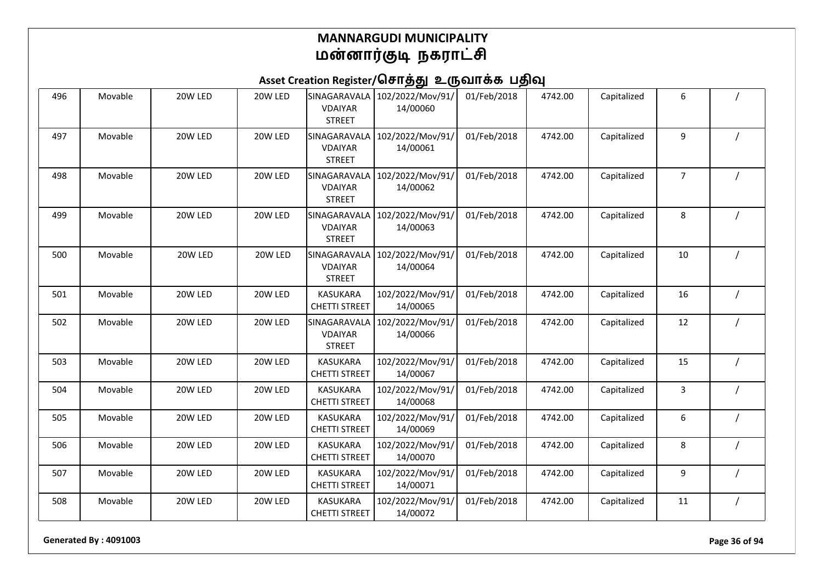# Asset Creation Register/சொத்து உருவாக்க பதிவு

| 496 | Movable | 20W LED | 20W LED | SINAGARAVALA<br><b>VDAIYAR</b><br><b>STREET</b> | 102/2022/Mov/91/<br>14/00060 | 01/Feb/2018 | 4742.00 | Capitalized | 6  |  |
|-----|---------|---------|---------|-------------------------------------------------|------------------------------|-------------|---------|-------------|----|--|
| 497 | Movable | 20W LED | 20W LED | SINAGARAVALA<br><b>VDAIYAR</b><br><b>STREET</b> | 102/2022/Mov/91/<br>14/00061 | 01/Feb/2018 | 4742.00 | Capitalized | 9  |  |
| 498 | Movable | 20W LED | 20W LED | SINAGARAVALA<br><b>VDAIYAR</b><br><b>STREET</b> | 102/2022/Mov/91/<br>14/00062 | 01/Feb/2018 | 4742.00 | Capitalized | 7  |  |
| 499 | Movable | 20W LED | 20W LED | SINAGARAVALA<br><b>VDAIYAR</b><br><b>STREET</b> | 102/2022/Mov/91/<br>14/00063 | 01/Feb/2018 | 4742.00 | Capitalized | 8  |  |
| 500 | Movable | 20W LED | 20W LED | SINAGARAVALA<br><b>VDAIYAR</b><br><b>STREET</b> | 102/2022/Mov/91/<br>14/00064 | 01/Feb/2018 | 4742.00 | Capitalized | 10 |  |
| 501 | Movable | 20W LED | 20W LED | <b>KASUKARA</b><br><b>CHETTI STREET</b>         | 102/2022/Mov/91/<br>14/00065 | 01/Feb/2018 | 4742.00 | Capitalized | 16 |  |
| 502 | Movable | 20W LED | 20W LED | SINAGARAVALA<br><b>VDAIYAR</b><br><b>STREET</b> | 102/2022/Mov/91/<br>14/00066 | 01/Feb/2018 | 4742.00 | Capitalized | 12 |  |
| 503 | Movable | 20W LED | 20W LED | <b>KASUKARA</b><br><b>CHETTI STREET</b>         | 102/2022/Mov/91/<br>14/00067 | 01/Feb/2018 | 4742.00 | Capitalized | 15 |  |
| 504 | Movable | 20W LED | 20W LED | <b>KASUKARA</b><br><b>CHETTI STREET</b>         | 102/2022/Mov/91/<br>14/00068 | 01/Feb/2018 | 4742.00 | Capitalized | 3  |  |
| 505 | Movable | 20W LED | 20W LED | <b>KASUKARA</b><br><b>CHETTI STREET</b>         | 102/2022/Mov/91/<br>14/00069 | 01/Feb/2018 | 4742.00 | Capitalized | 6  |  |
| 506 | Movable | 20W LED | 20W LED | <b>KASUKARA</b><br><b>CHETTI STREET</b>         | 102/2022/Mov/91/<br>14/00070 | 01/Feb/2018 | 4742.00 | Capitalized | 8  |  |
| 507 | Movable | 20W LED | 20W LED | <b>KASUKARA</b><br><b>CHETTI STREET</b>         | 102/2022/Mov/91/<br>14/00071 | 01/Feb/2018 | 4742.00 | Capitalized | 9  |  |
| 508 | Movable | 20W LED | 20W LED | <b>KASUKARA</b><br><b>CHETTI STREET</b>         | 102/2022/Mov/91/<br>14/00072 | 01/Feb/2018 | 4742.00 | Capitalized | 11 |  |

**Generated By : 4091003 Page 36 of 94**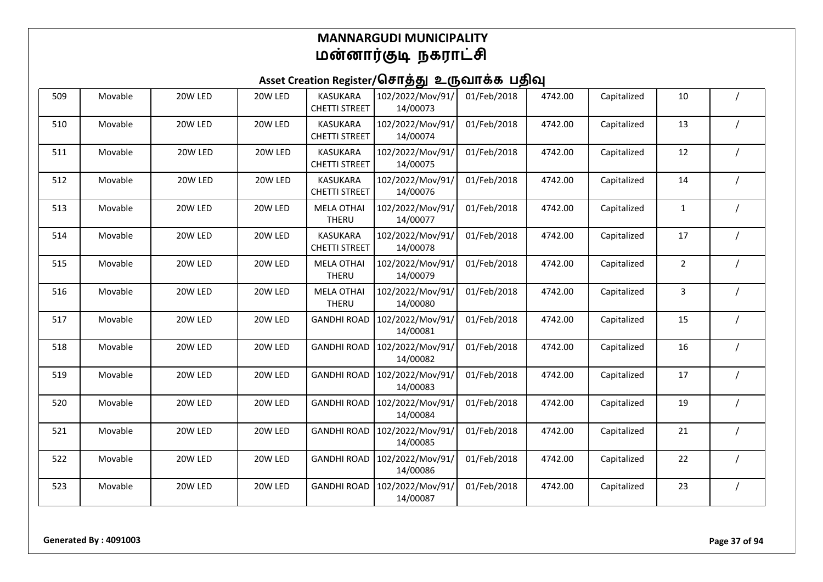| 509 | Movable | 20W LED | 20W LED | <b>KASUKARA</b><br><b>CHETTI STREET</b> | 102/2022/Mov/91/<br>14/00073 | 01/Feb/2018 | 4742.00 | Capitalized | $10\,$         |          |
|-----|---------|---------|---------|-----------------------------------------|------------------------------|-------------|---------|-------------|----------------|----------|
| 510 | Movable | 20W LED | 20W LED | <b>KASUKARA</b><br><b>CHETTI STREET</b> | 102/2022/Mov/91/<br>14/00074 | 01/Feb/2018 | 4742.00 | Capitalized | 13             |          |
| 511 | Movable | 20W LED | 20W LED | <b>KASUKARA</b><br><b>CHETTI STREET</b> | 102/2022/Mov/91/<br>14/00075 | 01/Feb/2018 | 4742.00 | Capitalized | 12             |          |
| 512 | Movable | 20W LED | 20W LED | <b>KASUKARA</b><br><b>CHETTI STREET</b> | 102/2022/Mov/91/<br>14/00076 | 01/Feb/2018 | 4742.00 | Capitalized | 14             |          |
| 513 | Movable | 20W LED | 20W LED | <b>MELA OTHAI</b><br>THERU              | 102/2022/Mov/91/<br>14/00077 | 01/Feb/2018 | 4742.00 | Capitalized | $\mathbf{1}$   |          |
| 514 | Movable | 20W LED | 20W LED | <b>KASUKARA</b><br><b>CHETTI STREET</b> | 102/2022/Mov/91/<br>14/00078 | 01/Feb/2018 | 4742.00 | Capitalized | 17             |          |
| 515 | Movable | 20W LED | 20W LED | <b>MELA OTHAI</b><br><b>THERU</b>       | 102/2022/Mov/91/<br>14/00079 | 01/Feb/2018 | 4742.00 | Capitalized | $\overline{2}$ |          |
| 516 | Movable | 20W LED | 20W LED | <b>MELA OTHAI</b><br>THERU              | 102/2022/Mov/91/<br>14/00080 | 01/Feb/2018 | 4742.00 | Capitalized | 3              |          |
| 517 | Movable | 20W LED | 20W LED | <b>GANDHI ROAD</b>                      | 102/2022/Mov/91/<br>14/00081 | 01/Feb/2018 | 4742.00 | Capitalized | 15             |          |
| 518 | Movable | 20W LED | 20W LED | <b>GANDHI ROAD</b>                      | 102/2022/Mov/91/<br>14/00082 | 01/Feb/2018 | 4742.00 | Capitalized | 16             |          |
| 519 | Movable | 20W LED | 20W LED | <b>GANDHI ROAD</b>                      | 102/2022/Mov/91/<br>14/00083 | 01/Feb/2018 | 4742.00 | Capitalized | 17             |          |
| 520 | Movable | 20W LED | 20W LED | <b>GANDHI ROAD</b>                      | 102/2022/Mov/91/<br>14/00084 | 01/Feb/2018 | 4742.00 | Capitalized | 19             |          |
| 521 | Movable | 20W LED | 20W LED | <b>GANDHI ROAD</b>                      | 102/2022/Mov/91/<br>14/00085 | 01/Feb/2018 | 4742.00 | Capitalized | 21             |          |
| 522 | Movable | 20W LED | 20W LED | <b>GANDHI ROAD</b>                      | 102/2022/Mov/91/<br>14/00086 | 01/Feb/2018 | 4742.00 | Capitalized | 22             |          |
| 523 | Movable | 20W LED | 20W LED | <b>GANDHI ROAD</b>                      | 102/2022/Mov/91/<br>14/00087 | 01/Feb/2018 | 4742.00 | Capitalized | 23             | $\prime$ |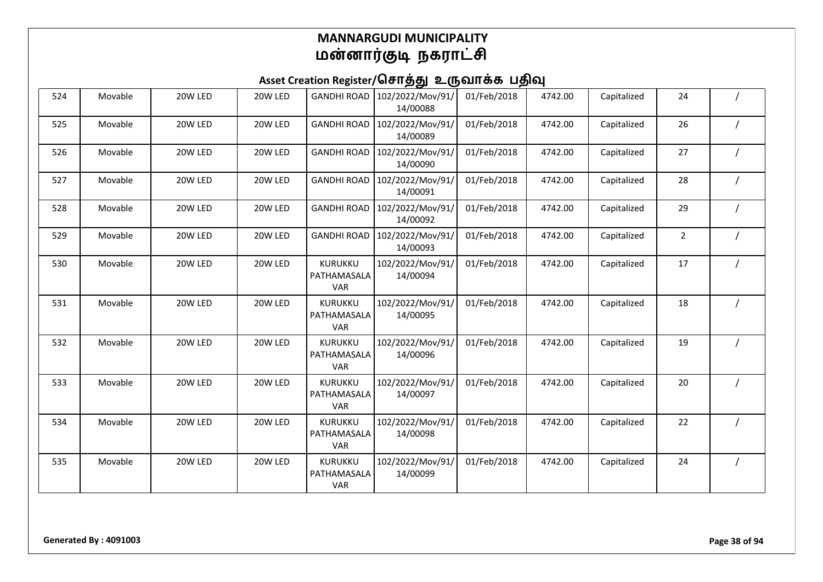| 524 | Movable | 20W LED | 20W LED | <b>GANDHI ROAD</b>                          | 102/2022/Mov/91/<br>14/00088 | 01/Feb/2018 | 4742.00 | Capitalized | 24             |  |
|-----|---------|---------|---------|---------------------------------------------|------------------------------|-------------|---------|-------------|----------------|--|
| 525 | Movable | 20W LED | 20W LED | <b>GANDHI ROAD</b>                          | 102/2022/Mov/91/<br>14/00089 | 01/Feb/2018 | 4742.00 | Capitalized | 26             |  |
| 526 | Movable | 20W LED | 20W LED | <b>GANDHI ROAD</b>                          | 102/2022/Mov/91/<br>14/00090 | 01/Feb/2018 | 4742.00 | Capitalized | 27             |  |
| 527 | Movable | 20W LED | 20W LED | <b>GANDHI ROAD</b>                          | 102/2022/Mov/91/<br>14/00091 | 01/Feb/2018 | 4742.00 | Capitalized | 28             |  |
| 528 | Movable | 20W LED | 20W LED | <b>GANDHI ROAD</b>                          | 102/2022/Mov/91/<br>14/00092 | 01/Feb/2018 | 4742.00 | Capitalized | 29             |  |
| 529 | Movable | 20W LED | 20W LED | <b>GANDHI ROAD</b>                          | 102/2022/Mov/91/<br>14/00093 | 01/Feb/2018 | 4742.00 | Capitalized | $\overline{2}$ |  |
| 530 | Movable | 20W LED | 20W LED | <b>KURUKKU</b><br>PATHAMASALA<br><b>VAR</b> | 102/2022/Mov/91/<br>14/00094 | 01/Feb/2018 | 4742.00 | Capitalized | 17             |  |
| 531 | Movable | 20W LED | 20W LED | KURUKKU<br>PATHAMASALA<br><b>VAR</b>        | 102/2022/Mov/91/<br>14/00095 | 01/Feb/2018 | 4742.00 | Capitalized | 18             |  |
| 532 | Movable | 20W LED | 20W LED | KURUKKU<br>PATHAMASALA<br><b>VAR</b>        | 102/2022/Mov/91/<br>14/00096 | 01/Feb/2018 | 4742.00 | Capitalized | 19             |  |
| 533 | Movable | 20W LED | 20W LED | KURUKKU<br>PATHAMASALA<br><b>VAR</b>        | 102/2022/Mov/91/<br>14/00097 | 01/Feb/2018 | 4742.00 | Capitalized | 20             |  |
| 534 | Movable | 20W LED | 20W LED | <b>KURUKKU</b><br>PATHAMASALA<br><b>VAR</b> | 102/2022/Mov/91/<br>14/00098 | 01/Feb/2018 | 4742.00 | Capitalized | 22             |  |
| 535 | Movable | 20W LED | 20W LED | KURUKKU<br>PATHAMASALA<br><b>VAR</b>        | 102/2022/Mov/91/<br>14/00099 | 01/Feb/2018 | 4742.00 | Capitalized | 24             |  |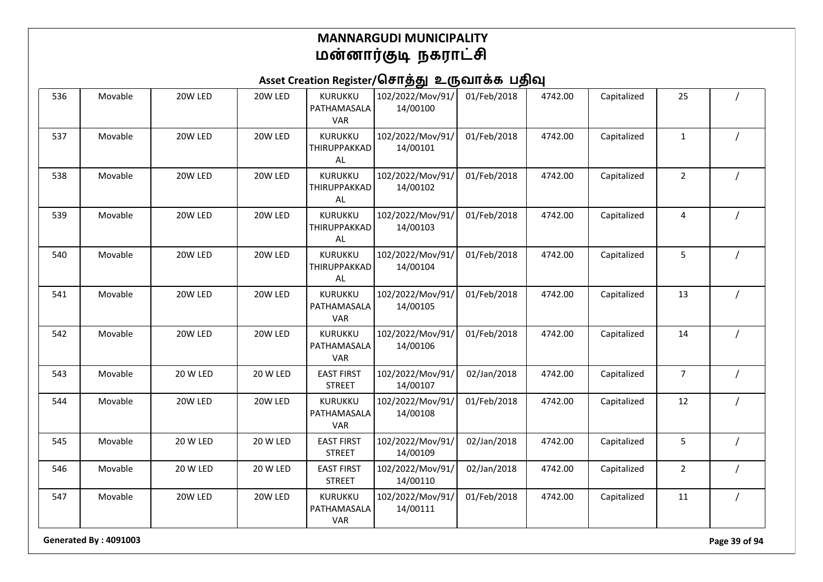## Asset Creation Register/சொத்து உருவாக்க பதிவு

| 536 | Movable | 20W LED  | 20W LED         | KURUKKU<br>PATHAMASALA<br><b>VAR</b>        | 102/2022/Mov/91/<br>14/00100 | 01/Feb/2018 | 4742.00 | Capitalized | 25             |  |
|-----|---------|----------|-----------------|---------------------------------------------|------------------------------|-------------|---------|-------------|----------------|--|
| 537 | Movable | 20W LED  | 20W LED         | KURUKKU<br>THIRUPPAKKAD<br>AL               | 102/2022/Mov/91/<br>14/00101 | 01/Feb/2018 | 4742.00 | Capitalized | $\mathbf 1$    |  |
| 538 | Movable | 20W LED  | 20W LED         | <b>KURUKKU</b><br>THIRUPPAKKAD<br>AL        | 102/2022/Mov/91/<br>14/00102 | 01/Feb/2018 | 4742.00 | Capitalized | $\overline{2}$ |  |
| 539 | Movable | 20W LED  | 20W LED         | <b>KURUKKU</b><br>THIRUPPAKKAD<br>AL        | 102/2022/Mov/91/<br>14/00103 | 01/Feb/2018 | 4742.00 | Capitalized | 4              |  |
| 540 | Movable | 20W LED  | 20W LED         | <b>KURUKKU</b><br>THIRUPPAKKAD<br>AL        | 102/2022/Mov/91/<br>14/00104 | 01/Feb/2018 | 4742.00 | Capitalized | 5              |  |
| 541 | Movable | 20W LED  | 20W LED         | KURUKKU<br>PATHAMASALA<br><b>VAR</b>        | 102/2022/Mov/91/<br>14/00105 | 01/Feb/2018 | 4742.00 | Capitalized | 13             |  |
| 542 | Movable | 20W LED  | 20W LED         | KURUKKU<br>PATHAMASALA<br><b>VAR</b>        | 102/2022/Mov/91/<br>14/00106 | 01/Feb/2018 | 4742.00 | Capitalized | 14             |  |
| 543 | Movable | 20 W LED | 20 W LED        | <b>EAST FIRST</b><br><b>STREET</b>          | 102/2022/Mov/91/<br>14/00107 | 02/Jan/2018 | 4742.00 | Capitalized | $\overline{7}$ |  |
| 544 | Movable | 20W LED  | 20W LED         | KURUKKU<br>PATHAMASALA<br><b>VAR</b>        | 102/2022/Mov/91/<br>14/00108 | 01/Feb/2018 | 4742.00 | Capitalized | 12             |  |
| 545 | Movable | 20 W LED | <b>20 W LED</b> | <b>EAST FIRST</b><br><b>STREET</b>          | 102/2022/Mov/91/<br>14/00109 | 02/Jan/2018 | 4742.00 | Capitalized | 5              |  |
| 546 | Movable | 20 W LED | 20 W LED        | <b>EAST FIRST</b><br><b>STREET</b>          | 102/2022/Mov/91/<br>14/00110 | 02/Jan/2018 | 4742.00 | Capitalized | $\overline{2}$ |  |
| 547 | Movable | 20W LED  | 20W LED         | <b>KURUKKU</b><br>PATHAMASALA<br><b>VAR</b> | 102/2022/Mov/91/<br>14/00111 | 01/Feb/2018 | 4742.00 | Capitalized | 11             |  |

**Generated By : 4091003 Page 39 of 94**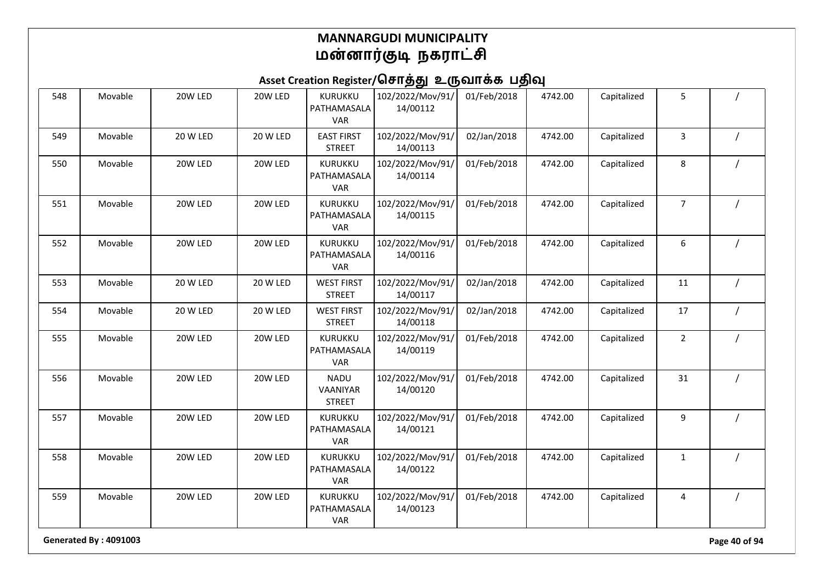## Asset Creation Register/சொத்து உருவாக்க பதிவு

| 548 | Movable | 20W LED  | 20W LED  | KURUKKU<br>PATHAMASALA<br><b>VAR</b>        | 102/2022/Mov/91/<br>14/00112 | 01/Feb/2018 | 4742.00 | Capitalized | 5              |  |
|-----|---------|----------|----------|---------------------------------------------|------------------------------|-------------|---------|-------------|----------------|--|
| 549 | Movable | 20 W LED | 20 W LED | <b>EAST FIRST</b><br><b>STREET</b>          | 102/2022/Mov/91/<br>14/00113 | 02/Jan/2018 | 4742.00 | Capitalized | 3              |  |
| 550 | Movable | 20W LED  | 20W LED  | KURUKKU<br>PATHAMASALA<br><b>VAR</b>        | 102/2022/Mov/91/<br>14/00114 | 01/Feb/2018 | 4742.00 | Capitalized | 8              |  |
| 551 | Movable | 20W LED  | 20W LED  | KURUKKU<br>PATHAMASALA<br><b>VAR</b>        | 102/2022/Mov/91/<br>14/00115 | 01/Feb/2018 | 4742.00 | Capitalized | $\overline{7}$ |  |
| 552 | Movable | 20W LED  | 20W LED  | KURUKKU<br>PATHAMASALA<br><b>VAR</b>        | 102/2022/Mov/91/<br>14/00116 | 01/Feb/2018 | 4742.00 | Capitalized | 6              |  |
| 553 | Movable | 20 W LED | 20 W LED | <b>WEST FIRST</b><br><b>STREET</b>          | 102/2022/Mov/91/<br>14/00117 | 02/Jan/2018 | 4742.00 | Capitalized | 11             |  |
| 554 | Movable | 20 W LED | 20 W LED | <b>WEST FIRST</b><br><b>STREET</b>          | 102/2022/Mov/91/<br>14/00118 | 02/Jan/2018 | 4742.00 | Capitalized | 17             |  |
| 555 | Movable | 20W LED  | 20W LED  | KURUKKU<br>PATHAMASALA<br><b>VAR</b>        | 102/2022/Mov/91/<br>14/00119 | 01/Feb/2018 | 4742.00 | Capitalized | $\overline{2}$ |  |
| 556 | Movable | 20W LED  | 20W LED  | <b>NADU</b><br>VAANIYAR<br><b>STREET</b>    | 102/2022/Mov/91/<br>14/00120 | 01/Feb/2018 | 4742.00 | Capitalized | 31             |  |
| 557 | Movable | 20W LED  | 20W LED  | <b>KURUKKU</b><br>PATHAMASALA<br><b>VAR</b> | 102/2022/Mov/91/<br>14/00121 | 01/Feb/2018 | 4742.00 | Capitalized | 9              |  |
| 558 | Movable | 20W LED  | 20W LED  | <b>KURUKKU</b><br>PATHAMASALA<br>VAR        | 102/2022/Mov/91/<br>14/00122 | 01/Feb/2018 | 4742.00 | Capitalized | $\mathbf{1}$   |  |
| 559 | Movable | 20W LED  | 20W LED  | <b>KURUKKU</b><br>PATHAMASALA<br><b>VAR</b> | 102/2022/Mov/91/<br>14/00123 | 01/Feb/2018 | 4742.00 | Capitalized | 4              |  |

**Generated By : 4091003 Page 40 of 94**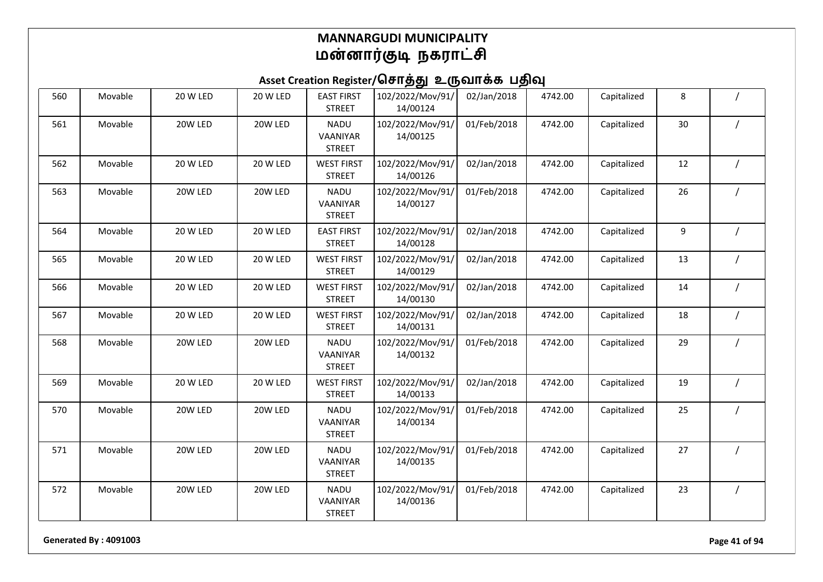### Asset Creation Register/சொத்து உருவாக்க பதிவு

| 560 | Movable | 20 W LED | 20 W LED | <b>EAST FIRST</b><br><b>STREET</b>       | 102/2022/Mov/91/<br>14/00124 | 02/Jan/2018 | 4742.00 | Capitalized | 8  |  |
|-----|---------|----------|----------|------------------------------------------|------------------------------|-------------|---------|-------------|----|--|
| 561 | Movable | 20W LED  | 20W LED  | <b>NADU</b><br>VAANIYAR<br><b>STREET</b> | 102/2022/Mov/91/<br>14/00125 | 01/Feb/2018 | 4742.00 | Capitalized | 30 |  |
| 562 | Movable | 20 W LED | 20 W LED | <b>WEST FIRST</b><br><b>STREET</b>       | 102/2022/Mov/91/<br>14/00126 | 02/Jan/2018 | 4742.00 | Capitalized | 12 |  |
| 563 | Movable | 20W LED  | 20W LED  | <b>NADU</b><br>VAANIYAR<br><b>STREET</b> | 102/2022/Mov/91/<br>14/00127 | 01/Feb/2018 | 4742.00 | Capitalized | 26 |  |
| 564 | Movable | 20 W LED | 20 W LED | <b>EAST FIRST</b><br><b>STREET</b>       | 102/2022/Mov/91/<br>14/00128 | 02/Jan/2018 | 4742.00 | Capitalized | 9  |  |
| 565 | Movable | 20 W LED | 20 W LED | <b>WEST FIRST</b><br><b>STREET</b>       | 102/2022/Mov/91/<br>14/00129 | 02/Jan/2018 | 4742.00 | Capitalized | 13 |  |
| 566 | Movable | 20 W LED | 20 W LED | <b>WEST FIRST</b><br><b>STREET</b>       | 102/2022/Mov/91/<br>14/00130 | 02/Jan/2018 | 4742.00 | Capitalized | 14 |  |
| 567 | Movable | 20 W LED | 20 W LED | <b>WEST FIRST</b><br><b>STREET</b>       | 102/2022/Mov/91/<br>14/00131 | 02/Jan/2018 | 4742.00 | Capitalized | 18 |  |
| 568 | Movable | 20W LED  | 20W LED  | <b>NADU</b><br>VAANIYAR<br><b>STREET</b> | 102/2022/Mov/91/<br>14/00132 | 01/Feb/2018 | 4742.00 | Capitalized | 29 |  |
| 569 | Movable | 20 W LED | 20 W LED | <b>WEST FIRST</b><br><b>STREET</b>       | 102/2022/Mov/91/<br>14/00133 | 02/Jan/2018 | 4742.00 | Capitalized | 19 |  |
| 570 | Movable | 20W LED  | 20W LED  | <b>NADU</b><br>VAANIYAR<br><b>STREET</b> | 102/2022/Mov/91/<br>14/00134 | 01/Feb/2018 | 4742.00 | Capitalized | 25 |  |
| 571 | Movable | 20W LED  | 20W LED  | <b>NADU</b><br>VAANIYAR<br><b>STREET</b> | 102/2022/Mov/91/<br>14/00135 | 01/Feb/2018 | 4742.00 | Capitalized | 27 |  |
| 572 | Movable | 20W LED  | 20W LED  | <b>NADU</b><br>VAANIYAR<br><b>STREET</b> | 102/2022/Mov/91/<br>14/00136 | 01/Feb/2018 | 4742.00 | Capitalized | 23 |  |

**Generated By : 4091003 Page 41 of 94**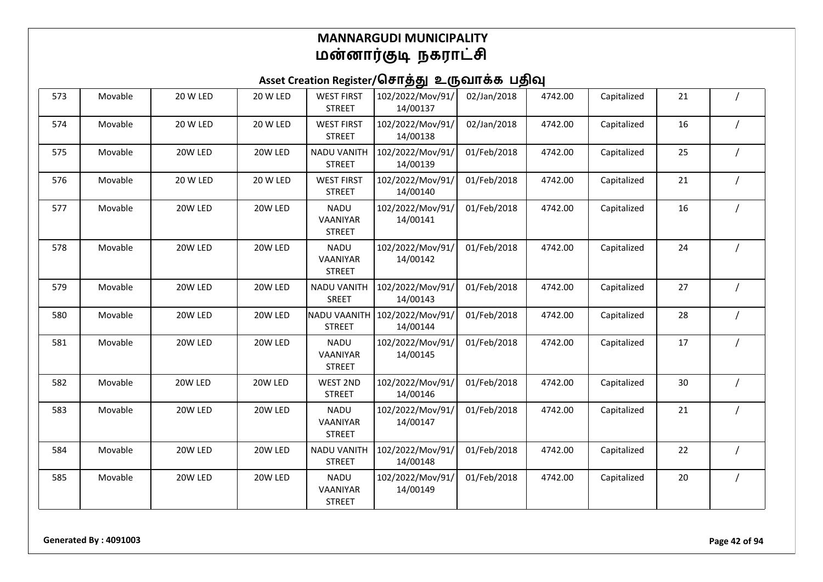| 573 | Movable | 20 W LED | 20 W LED        | <b>WEST FIRST</b><br><b>STREET</b>       | 102/2022/Mov/91/<br>14/00137 | 02/Jan/2018 | 4742.00 | Capitalized | 21 |  |
|-----|---------|----------|-----------------|------------------------------------------|------------------------------|-------------|---------|-------------|----|--|
| 574 | Movable | 20 W LED | <b>20 W LED</b> | <b>WEST FIRST</b><br><b>STREET</b>       | 102/2022/Mov/91/<br>14/00138 | 02/Jan/2018 | 4742.00 | Capitalized | 16 |  |
| 575 | Movable | 20W LED  | 20W LED         | <b>NADU VANITH</b><br><b>STREET</b>      | 102/2022/Mov/91/<br>14/00139 | 01/Feb/2018 | 4742.00 | Capitalized | 25 |  |
| 576 | Movable | 20 W LED | 20 W LED        | <b>WEST FIRST</b><br><b>STREET</b>       | 102/2022/Mov/91/<br>14/00140 | 01/Feb/2018 | 4742.00 | Capitalized | 21 |  |
| 577 | Movable | 20W LED  | 20W LED         | <b>NADU</b><br>VAANIYAR<br><b>STREET</b> | 102/2022/Mov/91/<br>14/00141 | 01/Feb/2018 | 4742.00 | Capitalized | 16 |  |
| 578 | Movable | 20W LED  | 20W LED         | <b>NADU</b><br>VAANIYAR<br><b>STREET</b> | 102/2022/Mov/91/<br>14/00142 | 01/Feb/2018 | 4742.00 | Capitalized | 24 |  |
| 579 | Movable | 20W LED  | 20W LED         | <b>NADU VANITH</b><br>SREET              | 102/2022/Mov/91/<br>14/00143 | 01/Feb/2018 | 4742.00 | Capitalized | 27 |  |
| 580 | Movable | 20W LED  | 20W LED         | <b>NADU VAANITH</b><br><b>STREET</b>     | 102/2022/Mov/91/<br>14/00144 | 01/Feb/2018 | 4742.00 | Capitalized | 28 |  |
| 581 | Movable | 20W LED  | 20W LED         | <b>NADU</b><br>VAANIYAR<br><b>STREET</b> | 102/2022/Mov/91/<br>14/00145 | 01/Feb/2018 | 4742.00 | Capitalized | 17 |  |
| 582 | Movable | 20W LED  | 20W LED         | WEST 2ND<br><b>STREET</b>                | 102/2022/Mov/91/<br>14/00146 | 01/Feb/2018 | 4742.00 | Capitalized | 30 |  |
| 583 | Movable | 20W LED  | 20W LED         | <b>NADU</b><br>VAANIYAR<br><b>STREET</b> | 102/2022/Mov/91/<br>14/00147 | 01/Feb/2018 | 4742.00 | Capitalized | 21 |  |
| 584 | Movable | 20W LED  | 20W LED         | <b>NADU VANITH</b><br><b>STREET</b>      | 102/2022/Mov/91/<br>14/00148 | 01/Feb/2018 | 4742.00 | Capitalized | 22 |  |
| 585 | Movable | 20W LED  | 20W LED         | <b>NADU</b><br>VAANIYAR<br><b>STREET</b> | 102/2022/Mov/91/<br>14/00149 | 01/Feb/2018 | 4742.00 | Capitalized | 20 |  |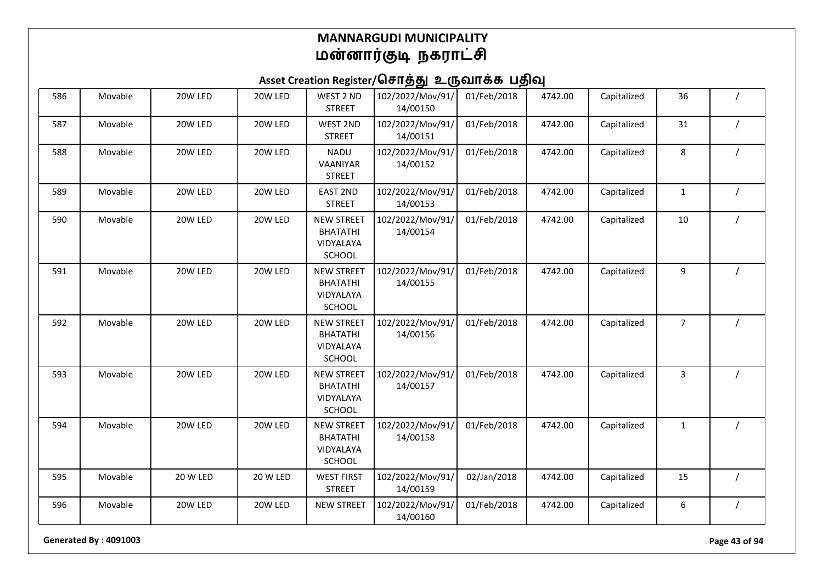## Asset Creation Register/சொத்து உருவாக்க பதிவு

| 586 | Movable | 20W LED  | 20W LED  | WEST 2 ND<br><b>STREET</b>                                  | 102/2022/Mov/91/<br>14/00150 | 01/Feb/2018 | 4742.00 | Capitalized | 36             |                |
|-----|---------|----------|----------|-------------------------------------------------------------|------------------------------|-------------|---------|-------------|----------------|----------------|
| 587 | Movable | 20W LED  | 20W LED  | WEST 2ND<br><b>STREET</b>                                   | 102/2022/Mov/91/<br>14/00151 | 01/Feb/2018 | 4742.00 | Capitalized | 31             | $\prime$       |
| 588 | Movable | 20W LED  | 20W LED  | <b>NADU</b><br>VAANIYAR<br><b>STREET</b>                    | 102/2022/Mov/91/<br>14/00152 | 01/Feb/2018 | 4742.00 | Capitalized | 8              |                |
| 589 | Movable | 20W LED  | 20W LED  | <b>EAST 2ND</b><br><b>STREET</b>                            | 102/2022/Mov/91/<br>14/00153 | 01/Feb/2018 | 4742.00 | Capitalized | $\mathbf{1}$   | $\overline{1}$ |
| 590 | Movable | 20W LED  | 20W LED  | <b>NEW STREET</b><br><b>BHATATHI</b><br>VIDYALAYA<br>SCHOOL | 102/2022/Mov/91/<br>14/00154 | 01/Feb/2018 | 4742.00 | Capitalized | 10             |                |
| 591 | Movable | 20W LED  | 20W LED  | <b>NEW STREET</b><br><b>BHATATHI</b><br>VIDYALAYA<br>SCHOOL | 102/2022/Mov/91/<br>14/00155 | 01/Feb/2018 | 4742.00 | Capitalized | 9              |                |
| 592 | Movable | 20W LED  | 20W LED  | <b>NEW STREET</b><br><b>BHATATHI</b><br>VIDYALAYA<br>SCHOOL | 102/2022/Mov/91/<br>14/00156 | 01/Feb/2018 | 4742.00 | Capitalized | $\overline{7}$ |                |
| 593 | Movable | 20W LED  | 20W LED  | <b>NEW STREET</b><br><b>BHATATHI</b><br>VIDYALAYA<br>SCHOOL | 102/2022/Mov/91/<br>14/00157 | 01/Feb/2018 | 4742.00 | Capitalized | 3              |                |
| 594 | Movable | 20W LED  | 20W LED  | <b>NEW STREET</b><br><b>BHATATHI</b><br>VIDYALAYA<br>SCHOOL | 102/2022/Mov/91/<br>14/00158 | 01/Feb/2018 | 4742.00 | Capitalized | $\mathbf{1}$   |                |
| 595 | Movable | 20 W LED | 20 W LED | <b>WEST FIRST</b><br><b>STREET</b>                          | 102/2022/Mov/91/<br>14/00159 | 02/Jan/2018 | 4742.00 | Capitalized | 15             |                |
| 596 | Movable | 20W LED  | 20W LED  | <b>NEW STREET</b>                                           | 102/2022/Mov/91/<br>14/00160 | 01/Feb/2018 | 4742.00 | Capitalized | 6              |                |

**Generated By : 4091003 Page 43 of 94**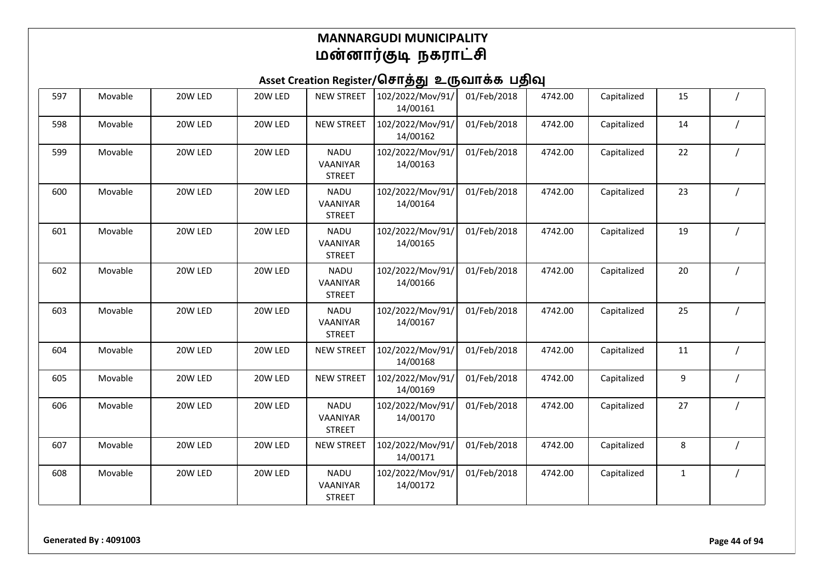| 597 | Movable | 20W LED | 20W LED | <b>NEW STREET</b>                               | 102/2022/Mov/91/<br>14/00161 | 01/Feb/2018 | 4742.00 | Capitalized | 15           |  |
|-----|---------|---------|---------|-------------------------------------------------|------------------------------|-------------|---------|-------------|--------------|--|
| 598 | Movable | 20W LED | 20W LED | <b>NEW STREET</b>                               | 102/2022/Mov/91/<br>14/00162 | 01/Feb/2018 | 4742.00 | Capitalized | 14           |  |
| 599 | Movable | 20W LED | 20W LED | <b>NADU</b><br>VAANIYAR<br><b>STREET</b>        | 102/2022/Mov/91/<br>14/00163 | 01/Feb/2018 | 4742.00 | Capitalized | 22           |  |
| 600 | Movable | 20W LED | 20W LED | <b>NADU</b><br><b>VAANIYAR</b><br><b>STREET</b> | 102/2022/Mov/91/<br>14/00164 | 01/Feb/2018 | 4742.00 | Capitalized | 23           |  |
| 601 | Movable | 20W LED | 20W LED | <b>NADU</b><br>VAANIYAR<br><b>STREET</b>        | 102/2022/Mov/91/<br>14/00165 | 01/Feb/2018 | 4742.00 | Capitalized | 19           |  |
| 602 | Movable | 20W LED | 20W LED | <b>NADU</b><br>VAANIYAR<br><b>STREET</b>        | 102/2022/Mov/91/<br>14/00166 | 01/Feb/2018 | 4742.00 | Capitalized | 20           |  |
| 603 | Movable | 20W LED | 20W LED | <b>NADU</b><br>VAANIYAR<br><b>STREET</b>        | 102/2022/Mov/91/<br>14/00167 | 01/Feb/2018 | 4742.00 | Capitalized | 25           |  |
| 604 | Movable | 20W LED | 20W LED | <b>NEW STREET</b>                               | 102/2022/Mov/91/<br>14/00168 | 01/Feb/2018 | 4742.00 | Capitalized | 11           |  |
| 605 | Movable | 20W LED | 20W LED | <b>NEW STREET</b>                               | 102/2022/Mov/91/<br>14/00169 | 01/Feb/2018 | 4742.00 | Capitalized | 9            |  |
| 606 | Movable | 20W LED | 20W LED | <b>NADU</b><br>VAANIYAR<br><b>STREET</b>        | 102/2022/Mov/91/<br>14/00170 | 01/Feb/2018 | 4742.00 | Capitalized | 27           |  |
| 607 | Movable | 20W LED | 20W LED | <b>NEW STREET</b>                               | 102/2022/Mov/91/<br>14/00171 | 01/Feb/2018 | 4742.00 | Capitalized | 8            |  |
| 608 | Movable | 20W LED | 20W LED | <b>NADU</b><br>VAANIYAR<br><b>STREET</b>        | 102/2022/Mov/91/<br>14/00172 | 01/Feb/2018 | 4742.00 | Capitalized | $\mathbf{1}$ |  |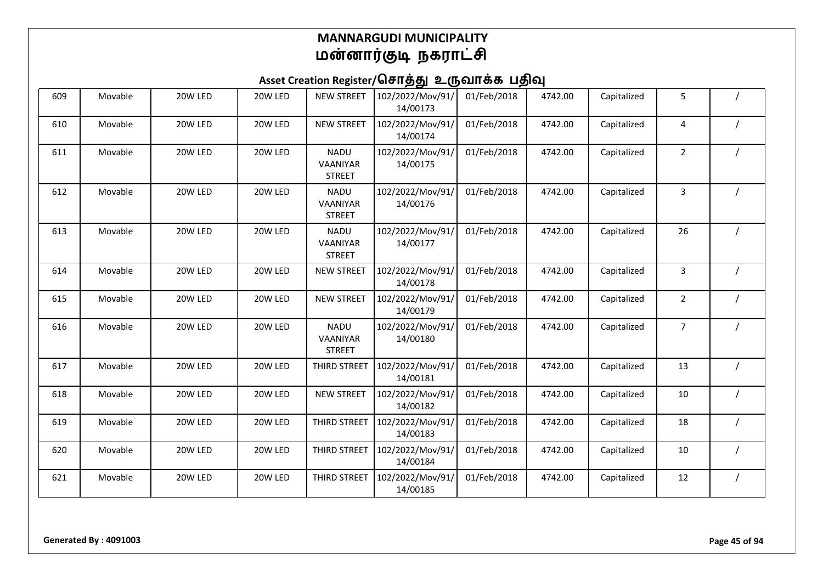| 609 | Movable | 20W LED | 20W LED | <b>NEW STREET</b>                        | 102/2022/Mov/91/<br>14/00173 | 01/Feb/2018 | 4742.00 | Capitalized | 5              |  |
|-----|---------|---------|---------|------------------------------------------|------------------------------|-------------|---------|-------------|----------------|--|
| 610 | Movable | 20W LED | 20W LED | <b>NEW STREET</b>                        | 102/2022/Mov/91/<br>14/00174 | 01/Feb/2018 | 4742.00 | Capitalized | 4              |  |
| 611 | Movable | 20W LED | 20W LED | <b>NADU</b><br>VAANIYAR<br><b>STREET</b> | 102/2022/Mov/91/<br>14/00175 | 01/Feb/2018 | 4742.00 | Capitalized | $\overline{2}$ |  |
| 612 | Movable | 20W LED | 20W LED | <b>NADU</b><br>VAANIYAR<br><b>STREET</b> | 102/2022/Mov/91/<br>14/00176 | 01/Feb/2018 | 4742.00 | Capitalized | 3              |  |
| 613 | Movable | 20W LED | 20W LED | <b>NADU</b><br>VAANIYAR<br><b>STREET</b> | 102/2022/Mov/91/<br>14/00177 | 01/Feb/2018 | 4742.00 | Capitalized | 26             |  |
| 614 | Movable | 20W LED | 20W LED | <b>NEW STREET</b>                        | 102/2022/Mov/91/<br>14/00178 | 01/Feb/2018 | 4742.00 | Capitalized | 3              |  |
| 615 | Movable | 20W LED | 20W LED | <b>NEW STREET</b>                        | 102/2022/Mov/91/<br>14/00179 | 01/Feb/2018 | 4742.00 | Capitalized | $\overline{2}$ |  |
| 616 | Movable | 20W LED | 20W LED | <b>NADU</b><br>VAANIYAR<br><b>STREET</b> | 102/2022/Mov/91/<br>14/00180 | 01/Feb/2018 | 4742.00 | Capitalized | $\overline{7}$ |  |
| 617 | Movable | 20W LED | 20W LED | THIRD STREET                             | 102/2022/Mov/91/<br>14/00181 | 01/Feb/2018 | 4742.00 | Capitalized | 13             |  |
| 618 | Movable | 20W LED | 20W LED | <b>NEW STREET</b>                        | 102/2022/Mov/91/<br>14/00182 | 01/Feb/2018 | 4742.00 | Capitalized | 10             |  |
| 619 | Movable | 20W LED | 20W LED | THIRD STREET                             | 102/2022/Mov/91/<br>14/00183 | 01/Feb/2018 | 4742.00 | Capitalized | 18             |  |
| 620 | Movable | 20W LED | 20W LED | THIRD STREET                             | 102/2022/Mov/91/<br>14/00184 | 01/Feb/2018 | 4742.00 | Capitalized | 10             |  |
| 621 | Movable | 20W LED | 20W LED | THIRD STREET                             | 102/2022/Mov/91/<br>14/00185 | 01/Feb/2018 | 4742.00 | Capitalized | 12             |  |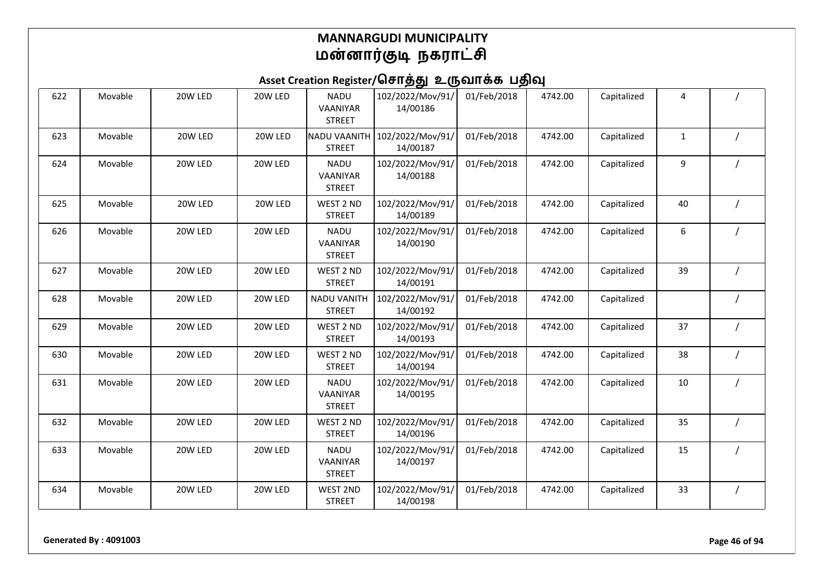# Asset Creation Register/சொத்து உருவாக்க பதிவு

| 622 | Movable | 20W LED | 20W LED | <b>NADU</b><br>VAANIYAR<br><b>STREET</b> | 102/2022/Mov/91/<br>14/00186 | 01/Feb/2018 | 4742.00 | Capitalized | 4            |          |
|-----|---------|---------|---------|------------------------------------------|------------------------------|-------------|---------|-------------|--------------|----------|
| 623 | Movable | 20W LED | 20W LED | <b>NADU VAANITH</b><br><b>STREET</b>     | 102/2022/Mov/91/<br>14/00187 | 01/Feb/2018 | 4742.00 | Capitalized | $\mathbf{1}$ |          |
| 624 | Movable | 20W LED | 20W LED | <b>NADU</b><br>VAANIYAR<br><b>STREET</b> | 102/2022/Mov/91/<br>14/00188 | 01/Feb/2018 | 4742.00 | Capitalized | 9            |          |
| 625 | Movable | 20W LED | 20W LED | WEST 2 ND<br><b>STREET</b>               | 102/2022/Mov/91/<br>14/00189 | 01/Feb/2018 | 4742.00 | Capitalized | 40           |          |
| 626 | Movable | 20W LED | 20W LED | <b>NADU</b><br>VAANIYAR<br><b>STREET</b> | 102/2022/Mov/91/<br>14/00190 | 01/Feb/2018 | 4742.00 | Capitalized | 6            |          |
| 627 | Movable | 20W LED | 20W LED | WEST 2 ND<br><b>STREET</b>               | 102/2022/Mov/91/<br>14/00191 | 01/Feb/2018 | 4742.00 | Capitalized | 39           |          |
| 628 | Movable | 20W LED | 20W LED | <b>NADU VANITH</b><br><b>STREET</b>      | 102/2022/Mov/91/<br>14/00192 | 01/Feb/2018 | 4742.00 | Capitalized |              |          |
| 629 | Movable | 20W LED | 20W LED | WEST 2 ND<br><b>STREET</b>               | 102/2022/Mov/91/<br>14/00193 | 01/Feb/2018 | 4742.00 | Capitalized | 37           |          |
| 630 | Movable | 20W LED | 20W LED | WEST 2 ND<br><b>STREET</b>               | 102/2022/Mov/91/<br>14/00194 | 01/Feb/2018 | 4742.00 | Capitalized | 38           |          |
| 631 | Movable | 20W LED | 20W LED | <b>NADU</b><br>VAANIYAR<br><b>STREET</b> | 102/2022/Mov/91/<br>14/00195 | 01/Feb/2018 | 4742.00 | Capitalized | 10           |          |
| 632 | Movable | 20W LED | 20W LED | WEST 2 ND<br><b>STREET</b>               | 102/2022/Mov/91/<br>14/00196 | 01/Feb/2018 | 4742.00 | Capitalized | 35           |          |
| 633 | Movable | 20W LED | 20W LED | <b>NADU</b><br>VAANIYAR<br><b>STREET</b> | 102/2022/Mov/91/<br>14/00197 | 01/Feb/2018 | 4742.00 | Capitalized | 15           |          |
| 634 | Movable | 20W LED | 20W LED | WEST 2ND<br><b>STREET</b>                | 102/2022/Mov/91/<br>14/00198 | 01/Feb/2018 | 4742.00 | Capitalized | 33           | $\prime$ |

**Generated By : 4091003 Page 46 of 94**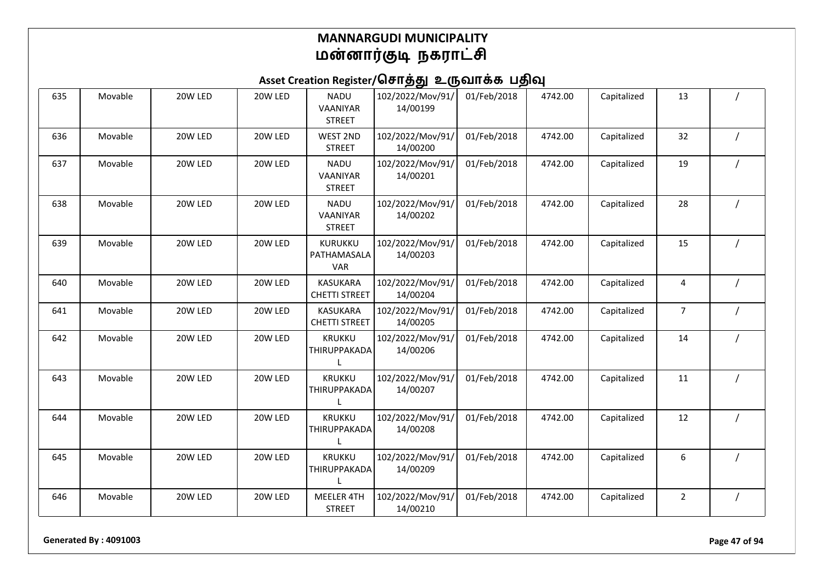| 635 | Movable | 20W LED | 20W LED | <b>NADU</b><br>VAANIYAR<br><b>STREET</b> | 102/2022/Mov/91/<br>14/00199 | 01/Feb/2018 | 4742.00 | Capitalized | 13             |          |
|-----|---------|---------|---------|------------------------------------------|------------------------------|-------------|---------|-------------|----------------|----------|
| 636 | Movable | 20W LED | 20W LED | <b>WEST 2ND</b><br><b>STREET</b>         | 102/2022/Mov/91/<br>14/00200 | 01/Feb/2018 | 4742.00 | Capitalized | 32             |          |
| 637 | Movable | 20W LED | 20W LED | <b>NADU</b><br>VAANIYAR<br><b>STREET</b> | 102/2022/Mov/91/<br>14/00201 | 01/Feb/2018 | 4742.00 | Capitalized | 19             |          |
| 638 | Movable | 20W LED | 20W LED | <b>NADU</b><br>VAANIYAR<br><b>STREET</b> | 102/2022/Mov/91/<br>14/00202 | 01/Feb/2018 | 4742.00 | Capitalized | 28             |          |
| 639 | Movable | 20W LED | 20W LED | KURUKKU<br>PATHAMASALA<br><b>VAR</b>     | 102/2022/Mov/91/<br>14/00203 | 01/Feb/2018 | 4742.00 | Capitalized | 15             |          |
| 640 | Movable | 20W LED | 20W LED | <b>KASUKARA</b><br><b>CHETTI STREET</b>  | 102/2022/Mov/91/<br>14/00204 | 01/Feb/2018 | 4742.00 | Capitalized | 4              |          |
| 641 | Movable | 20W LED | 20W LED | <b>KASUKARA</b><br><b>CHETTI STREET</b>  | 102/2022/Mov/91/<br>14/00205 | 01/Feb/2018 | 4742.00 | Capitalized | $\overline{7}$ |          |
| 642 | Movable | 20W LED | 20W LED | <b>KRUKKU</b><br>THIRUPPAKADA            | 102/2022/Mov/91/<br>14/00206 | 01/Feb/2018 | 4742.00 | Capitalized | 14             | $\prime$ |
| 643 | Movable | 20W LED | 20W LED | <b>KRUKKU</b><br>THIRUPPAKADA            | 102/2022/Mov/91/<br>14/00207 | 01/Feb/2018 | 4742.00 | Capitalized | 11             |          |
| 644 | Movable | 20W LED | 20W LED | <b>KRUKKU</b><br>THIRUPPAKADA            | 102/2022/Mov/91/<br>14/00208 | 01/Feb/2018 | 4742.00 | Capitalized | 12             |          |
| 645 | Movable | 20W LED | 20W LED | <b>KRUKKU</b><br>THIRUPPAKADA            | 102/2022/Mov/91/<br>14/00209 | 01/Feb/2018 | 4742.00 | Capitalized | 6              |          |
| 646 | Movable | 20W LED | 20W LED | MEELER 4TH<br><b>STREET</b>              | 102/2022/Mov/91/<br>14/00210 | 01/Feb/2018 | 4742.00 | Capitalized | $\overline{2}$ |          |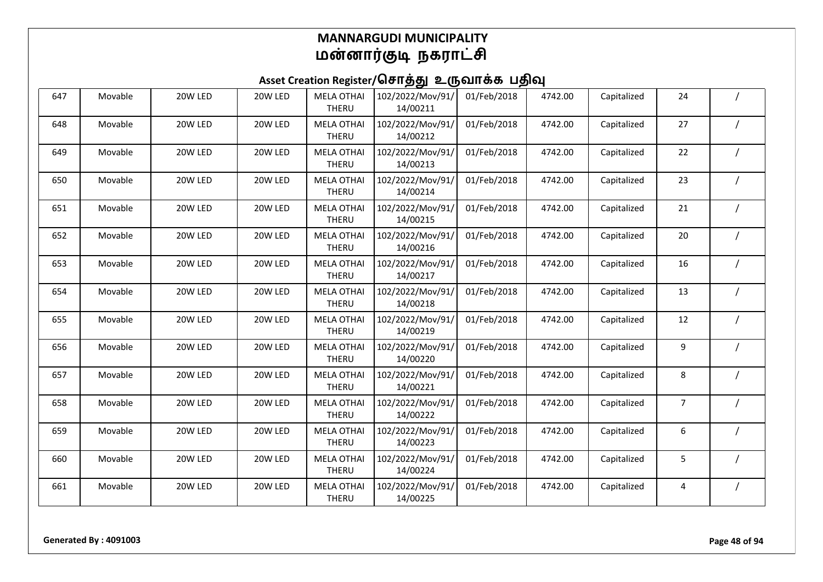| 647 | Movable | 20W LED | 20W LED | <b>MELA OTHAI</b><br>THERU        | 102/2022/Mov/91/<br>14/00211 | 01/Feb/2018 | 4742.00 | Capitalized | 24 |  |
|-----|---------|---------|---------|-----------------------------------|------------------------------|-------------|---------|-------------|----|--|
| 648 | Movable | 20W LED | 20W LED | <b>MELA OTHAI</b><br>THERU        | 102/2022/Mov/91/<br>14/00212 | 01/Feb/2018 | 4742.00 | Capitalized | 27 |  |
| 649 | Movable | 20W LED | 20W LED | <b>MELA OTHAI</b><br>THERU        | 102/2022/Mov/91/<br>14/00213 | 01/Feb/2018 | 4742.00 | Capitalized | 22 |  |
| 650 | Movable | 20W LED | 20W LED | <b>MELA OTHAI</b><br><b>THERU</b> | 102/2022/Mov/91/<br>14/00214 | 01/Feb/2018 | 4742.00 | Capitalized | 23 |  |
| 651 | Movable | 20W LED | 20W LED | <b>MELA OTHAI</b><br>THERU        | 102/2022/Mov/91/<br>14/00215 | 01/Feb/2018 | 4742.00 | Capitalized | 21 |  |
| 652 | Movable | 20W LED | 20W LED | <b>MELA OTHAI</b><br><b>THERU</b> | 102/2022/Mov/91/<br>14/00216 | 01/Feb/2018 | 4742.00 | Capitalized | 20 |  |
| 653 | Movable | 20W LED | 20W LED | <b>MELA OTHAI</b><br>THERU        | 102/2022/Mov/91/<br>14/00217 | 01/Feb/2018 | 4742.00 | Capitalized | 16 |  |
| 654 | Movable | 20W LED | 20W LED | <b>MELA OTHAI</b><br>THERU        | 102/2022/Mov/91/<br>14/00218 | 01/Feb/2018 | 4742.00 | Capitalized | 13 |  |
| 655 | Movable | 20W LED | 20W LED | <b>MELA OTHAI</b><br><b>THERU</b> | 102/2022/Mov/91/<br>14/00219 | 01/Feb/2018 | 4742.00 | Capitalized | 12 |  |
| 656 | Movable | 20W LED | 20W LED | <b>MELA OTHAI</b><br><b>THERU</b> | 102/2022/Mov/91/<br>14/00220 | 01/Feb/2018 | 4742.00 | Capitalized | 9  |  |
| 657 | Movable | 20W LED | 20W LED | <b>MELA OTHAI</b><br>THERU        | 102/2022/Mov/91/<br>14/00221 | 01/Feb/2018 | 4742.00 | Capitalized | 8  |  |
| 658 | Movable | 20W LED | 20W LED | <b>MELA OTHAI</b><br>THERU        | 102/2022/Mov/91/<br>14/00222 | 01/Feb/2018 | 4742.00 | Capitalized | 7  |  |
| 659 | Movable | 20W LED | 20W LED | <b>MELA OTHAI</b><br>THERU        | 102/2022/Mov/91/<br>14/00223 | 01/Feb/2018 | 4742.00 | Capitalized | 6  |  |
| 660 | Movable | 20W LED | 20W LED | <b>MELA OTHAI</b><br>THERU        | 102/2022/Mov/91/<br>14/00224 | 01/Feb/2018 | 4742.00 | Capitalized | 5  |  |
| 661 | Movable | 20W LED | 20W LED | <b>MELA OTHAI</b><br>THERU        | 102/2022/Mov/91/<br>14/00225 | 01/Feb/2018 | 4742.00 | Capitalized | 4  |  |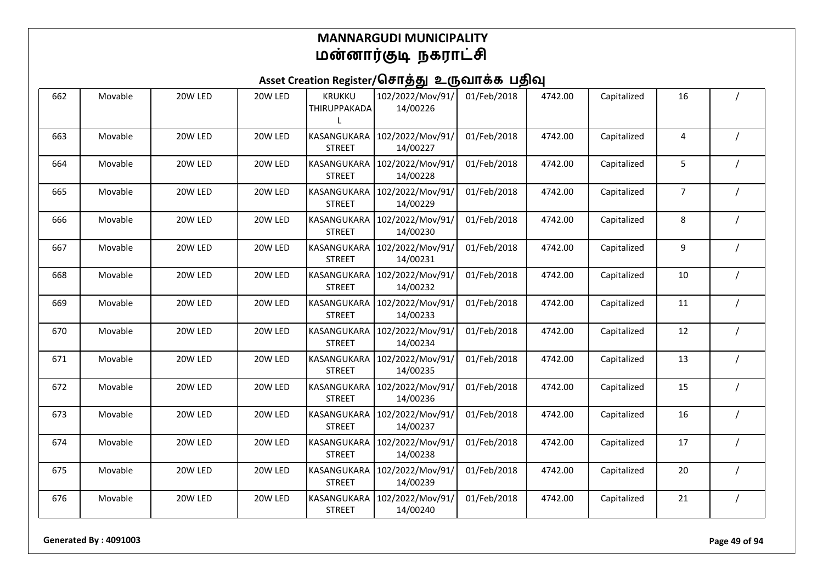| 662 | Movable | 20W LED | 20W LED | KRUKKU<br>THIRUPPAKADA       | 102/2022/Mov/91/<br>14/00226 | 01/Feb/2018 | 4742.00 | Capitalized | 16             |  |
|-----|---------|---------|---------|------------------------------|------------------------------|-------------|---------|-------------|----------------|--|
| 663 | Movable | 20W LED | 20W LED | KASANGUKARA<br><b>STREET</b> | 102/2022/Mov/91/<br>14/00227 | 01/Feb/2018 | 4742.00 | Capitalized | 4              |  |
| 664 | Movable | 20W LED | 20W LED | KASANGUKARA<br><b>STREET</b> | 102/2022/Mov/91/<br>14/00228 | 01/Feb/2018 | 4742.00 | Capitalized | 5              |  |
| 665 | Movable | 20W LED | 20W LED | KASANGUKARA<br><b>STREET</b> | 102/2022/Mov/91/<br>14/00229 | 01/Feb/2018 | 4742.00 | Capitalized | $\overline{7}$ |  |
| 666 | Movable | 20W LED | 20W LED | KASANGUKARA<br><b>STREET</b> | 102/2022/Mov/91/<br>14/00230 | 01/Feb/2018 | 4742.00 | Capitalized | 8              |  |
| 667 | Movable | 20W LED | 20W LED | KASANGUKARA<br><b>STREET</b> | 102/2022/Mov/91/<br>14/00231 | 01/Feb/2018 | 4742.00 | Capitalized | 9              |  |
| 668 | Movable | 20W LED | 20W LED | KASANGUKARA<br><b>STREET</b> | 102/2022/Mov/91/<br>14/00232 | 01/Feb/2018 | 4742.00 | Capitalized | 10             |  |
| 669 | Movable | 20W LED | 20W LED | KASANGUKARA<br><b>STREET</b> | 102/2022/Mov/91/<br>14/00233 | 01/Feb/2018 | 4742.00 | Capitalized | 11             |  |
| 670 | Movable | 20W LED | 20W LED | KASANGUKARA<br><b>STREET</b> | 102/2022/Mov/91/<br>14/00234 | 01/Feb/2018 | 4742.00 | Capitalized | 12             |  |
| 671 | Movable | 20W LED | 20W LED | KASANGUKARA<br><b>STREET</b> | 102/2022/Mov/91/<br>14/00235 | 01/Feb/2018 | 4742.00 | Capitalized | 13             |  |
| 672 | Movable | 20W LED | 20W LED | KASANGUKARA<br><b>STREET</b> | 102/2022/Mov/91/<br>14/00236 | 01/Feb/2018 | 4742.00 | Capitalized | 15             |  |
| 673 | Movable | 20W LED | 20W LED | KASANGUKARA<br><b>STREET</b> | 102/2022/Mov/91/<br>14/00237 | 01/Feb/2018 | 4742.00 | Capitalized | 16             |  |
| 674 | Movable | 20W LED | 20W LED | KASANGUKARA<br><b>STREET</b> | 102/2022/Mov/91/<br>14/00238 | 01/Feb/2018 | 4742.00 | Capitalized | 17             |  |
| 675 | Movable | 20W LED | 20W LED | KASANGUKARA<br><b>STREET</b> | 102/2022/Mov/91/<br>14/00239 | 01/Feb/2018 | 4742.00 | Capitalized | 20             |  |
| 676 | Movable | 20W LED | 20W LED | KASANGUKARA<br><b>STREET</b> | 102/2022/Mov/91/<br>14/00240 | 01/Feb/2018 | 4742.00 | Capitalized | 21             |  |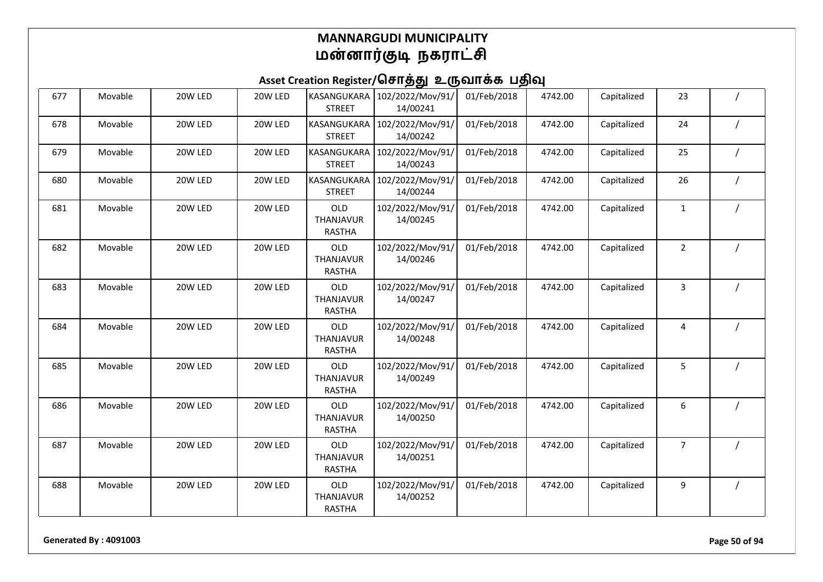## Asset Creation Register/சொத்து உருவாக்க பதிவு

| 677 | Movable | 20W LED | 20W LED | KASANGUKARA<br><b>STREET</b>      | 102/2022/Mov/91/<br>14/00241 | 01/Feb/2018 | 4742.00 | Capitalized | 23             |  |
|-----|---------|---------|---------|-----------------------------------|------------------------------|-------------|---------|-------------|----------------|--|
| 678 | Movable | 20W LED | 20W LED | KASANGUKARA<br><b>STREET</b>      | 102/2022/Mov/91/<br>14/00242 | 01/Feb/2018 | 4742.00 | Capitalized | 24             |  |
| 679 | Movable | 20W LED | 20W LED | KASANGUKARA<br><b>STREET</b>      | 102/2022/Mov/91/<br>14/00243 | 01/Feb/2018 | 4742.00 | Capitalized | 25             |  |
| 680 | Movable | 20W LED | 20W LED | KASANGUKARA<br><b>STREET</b>      | 102/2022/Mov/91/<br>14/00244 | 01/Feb/2018 | 4742.00 | Capitalized | 26             |  |
| 681 | Movable | 20W LED | 20W LED | OLD<br>THANJAVUR<br><b>RASTHA</b> | 102/2022/Mov/91/<br>14/00245 | 01/Feb/2018 | 4742.00 | Capitalized | $\mathbf{1}$   |  |
| 682 | Movable | 20W LED | 20W LED | OLD<br>THANJAVUR<br><b>RASTHA</b> | 102/2022/Mov/91/<br>14/00246 | 01/Feb/2018 | 4742.00 | Capitalized | $\overline{2}$ |  |
| 683 | Movable | 20W LED | 20W LED | OLD<br>THANJAVUR<br><b>RASTHA</b> | 102/2022/Mov/91/<br>14/00247 | 01/Feb/2018 | 4742.00 | Capitalized | 3              |  |
| 684 | Movable | 20W LED | 20W LED | OLD<br>THANJAVUR<br><b>RASTHA</b> | 102/2022/Mov/91/<br>14/00248 | 01/Feb/2018 | 4742.00 | Capitalized | 4              |  |
| 685 | Movable | 20W LED | 20W LED | OLD<br>THANJAVUR<br><b>RASTHA</b> | 102/2022/Mov/91/<br>14/00249 | 01/Feb/2018 | 4742.00 | Capitalized | 5              |  |
| 686 | Movable | 20W LED | 20W LED | OLD<br>THANJAVUR<br><b>RASTHA</b> | 102/2022/Mov/91/<br>14/00250 | 01/Feb/2018 | 4742.00 | Capitalized | 6              |  |
| 687 | Movable | 20W LED | 20W LED | OLD<br>THANJAVUR<br><b>RASTHA</b> | 102/2022/Mov/91/<br>14/00251 | 01/Feb/2018 | 4742.00 | Capitalized | $\overline{7}$ |  |
| 688 | Movable | 20W LED | 20W LED | OLD<br>THANJAVUR<br><b>RASTHA</b> | 102/2022/Mov/91/<br>14/00252 | 01/Feb/2018 | 4742.00 | Capitalized | 9              |  |

**Generated By : 4091003 Page 50 of 94**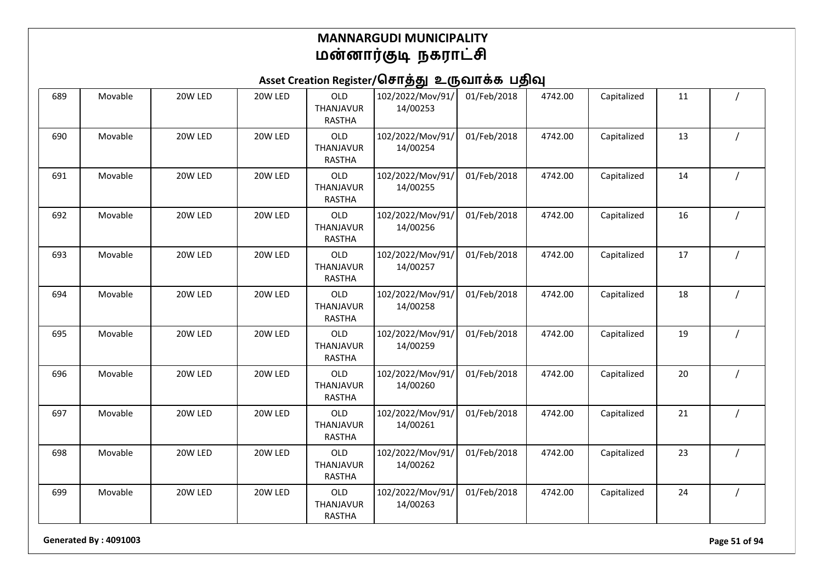## Asset Creation Register/சொத்து உருவாக்க பதிவு

| 689 | Movable | 20W LED | 20W LED | OLD<br>THANJAVUR<br><b>RASTHA</b>        | 102/2022/Mov/91/<br>14/00253 | 01/Feb/2018 | 4742.00 | Capitalized | 11 |  |
|-----|---------|---------|---------|------------------------------------------|------------------------------|-------------|---------|-------------|----|--|
| 690 | Movable | 20W LED | 20W LED | OLD<br>THANJAVUR<br><b>RASTHA</b>        | 102/2022/Mov/91/<br>14/00254 | 01/Feb/2018 | 4742.00 | Capitalized | 13 |  |
| 691 | Movable | 20W LED | 20W LED | OLD<br>THANJAVUR<br><b>RASTHA</b>        | 102/2022/Mov/91/<br>14/00255 | 01/Feb/2018 | 4742.00 | Capitalized | 14 |  |
| 692 | Movable | 20W LED | 20W LED | OLD<br>THANJAVUR<br><b>RASTHA</b>        | 102/2022/Mov/91/<br>14/00256 | 01/Feb/2018 | 4742.00 | Capitalized | 16 |  |
| 693 | Movable | 20W LED | 20W LED | OLD<br>THANJAVUR<br><b>RASTHA</b>        | 102/2022/Mov/91/<br>14/00257 | 01/Feb/2018 | 4742.00 | Capitalized | 17 |  |
| 694 | Movable | 20W LED | 20W LED | OLD<br>THANJAVUR<br><b>RASTHA</b>        | 102/2022/Mov/91/<br>14/00258 | 01/Feb/2018 | 4742.00 | Capitalized | 18 |  |
| 695 | Movable | 20W LED | 20W LED | OLD<br>THANJAVUR<br><b>RASTHA</b>        | 102/2022/Mov/91/<br>14/00259 | 01/Feb/2018 | 4742.00 | Capitalized | 19 |  |
| 696 | Movable | 20W LED | 20W LED | OLD<br>THANJAVUR<br><b>RASTHA</b>        | 102/2022/Mov/91/<br>14/00260 | 01/Feb/2018 | 4742.00 | Capitalized | 20 |  |
| 697 | Movable | 20W LED | 20W LED | OLD<br>THANJAVUR<br><b>RASTHA</b>        | 102/2022/Mov/91/<br>14/00261 | 01/Feb/2018 | 4742.00 | Capitalized | 21 |  |
| 698 | Movable | 20W LED | 20W LED | OLD<br><b>THANJAVUR</b><br><b>RASTHA</b> | 102/2022/Mov/91/<br>14/00262 | 01/Feb/2018 | 4742.00 | Capitalized | 23 |  |
| 699 | Movable | 20W LED | 20W LED | OLD<br>THANJAVUR<br><b>RASTHA</b>        | 102/2022/Mov/91/<br>14/00263 | 01/Feb/2018 | 4742.00 | Capitalized | 24 |  |

**Generated By : 4091003 Page 51 of 94**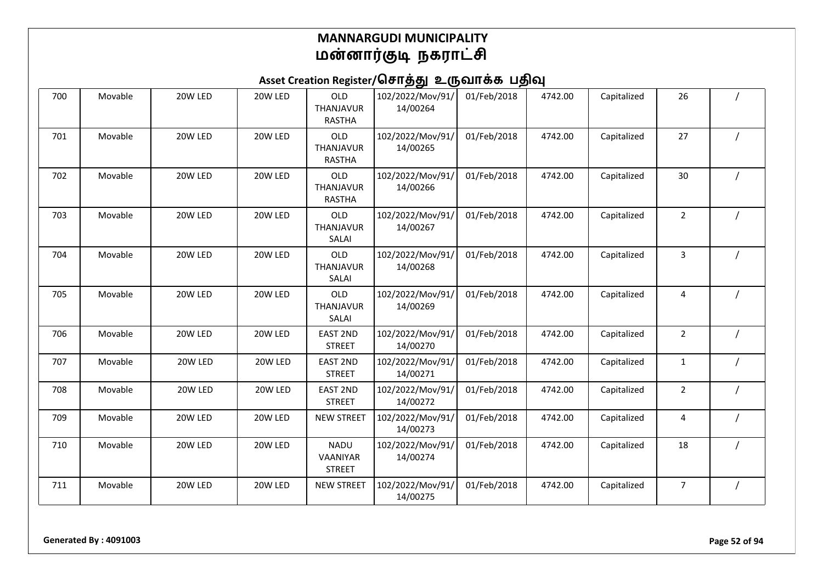| 700 | Movable | 20W LED | 20W LED | OLD<br>THANJAVUR<br><b>RASTHA</b>        | 102/2022/Mov/91/<br>14/00264 | 01/Feb/2018 | 4742.00 | Capitalized | 26             |  |
|-----|---------|---------|---------|------------------------------------------|------------------------------|-------------|---------|-------------|----------------|--|
| 701 | Movable | 20W LED | 20W LED | OLD<br>THANJAVUR<br><b>RASTHA</b>        | 102/2022/Mov/91/<br>14/00265 | 01/Feb/2018 | 4742.00 | Capitalized | 27             |  |
| 702 | Movable | 20W LED | 20W LED | OLD<br><b>THANJAVUR</b><br><b>RASTHA</b> | 102/2022/Mov/91/<br>14/00266 | 01/Feb/2018 | 4742.00 | Capitalized | 30             |  |
| 703 | Movable | 20W LED | 20W LED | OLD<br>THANJAVUR<br>SALAI                | 102/2022/Mov/91/<br>14/00267 | 01/Feb/2018 | 4742.00 | Capitalized | $\overline{2}$ |  |
| 704 | Movable | 20W LED | 20W LED | OLD<br>THANJAVUR<br>SALAI                | 102/2022/Mov/91/<br>14/00268 | 01/Feb/2018 | 4742.00 | Capitalized | 3              |  |
| 705 | Movable | 20W LED | 20W LED | OLD<br>THANJAVUR<br>SALAI                | 102/2022/Mov/91/<br>14/00269 | 01/Feb/2018 | 4742.00 | Capitalized | 4              |  |
| 706 | Movable | 20W LED | 20W LED | <b>EAST 2ND</b><br><b>STREET</b>         | 102/2022/Mov/91/<br>14/00270 | 01/Feb/2018 | 4742.00 | Capitalized | $\overline{2}$ |  |
| 707 | Movable | 20W LED | 20W LED | <b>EAST 2ND</b><br><b>STREET</b>         | 102/2022/Mov/91/<br>14/00271 | 01/Feb/2018 | 4742.00 | Capitalized | $\mathbf{1}$   |  |
| 708 | Movable | 20W LED | 20W LED | <b>EAST 2ND</b><br><b>STREET</b>         | 102/2022/Mov/91/<br>14/00272 | 01/Feb/2018 | 4742.00 | Capitalized | $\overline{2}$ |  |
| 709 | Movable | 20W LED | 20W LED | <b>NEW STREET</b>                        | 102/2022/Mov/91/<br>14/00273 | 01/Feb/2018 | 4742.00 | Capitalized | 4              |  |
| 710 | Movable | 20W LED | 20W LED | <b>NADU</b><br>VAANIYAR<br><b>STREET</b> | 102/2022/Mov/91/<br>14/00274 | 01/Feb/2018 | 4742.00 | Capitalized | 18             |  |
| 711 | Movable | 20W LED | 20W LED | <b>NEW STREET</b>                        | 102/2022/Mov/91/<br>14/00275 | 01/Feb/2018 | 4742.00 | Capitalized | 7              |  |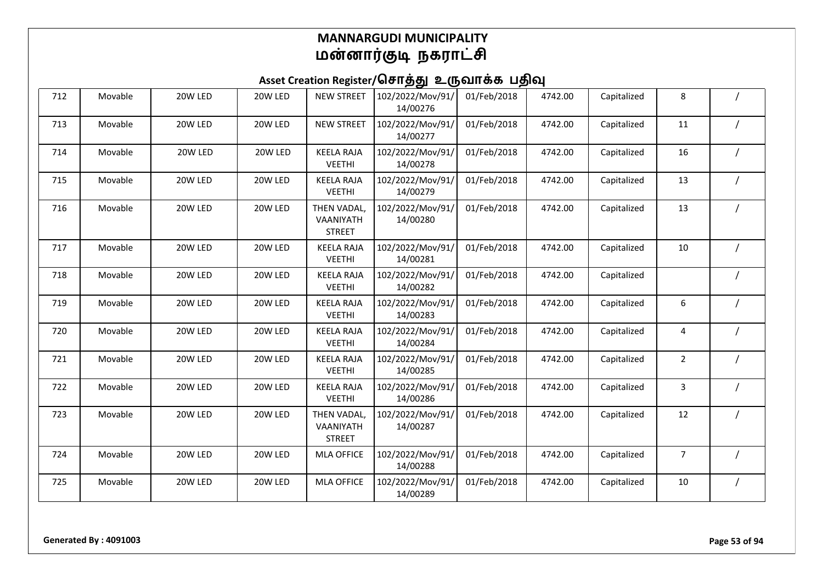| 712 | Movable | 20W LED | 20W LED | <b>NEW STREET</b>                         | 102/2022/Mov/91/<br>14/00276 | 01/Feb/2018 | 4742.00 | Capitalized | 8              |  |
|-----|---------|---------|---------|-------------------------------------------|------------------------------|-------------|---------|-------------|----------------|--|
| 713 | Movable | 20W LED | 20W LED | <b>NEW STREET</b>                         | 102/2022/Mov/91/<br>14/00277 | 01/Feb/2018 | 4742.00 | Capitalized | 11             |  |
| 714 | Movable | 20W LED | 20W LED | <b>KEELA RAJA</b><br><b>VEETHI</b>        | 102/2022/Mov/91/<br>14/00278 | 01/Feb/2018 | 4742.00 | Capitalized | 16             |  |
| 715 | Movable | 20W LED | 20W LED | <b>KEELA RAJA</b><br><b>VEETHI</b>        | 102/2022/Mov/91/<br>14/00279 | 01/Feb/2018 | 4742.00 | Capitalized | 13             |  |
| 716 | Movable | 20W LED | 20W LED | THEN VADAL,<br>VAANIYATH<br><b>STREET</b> | 102/2022/Mov/91/<br>14/00280 | 01/Feb/2018 | 4742.00 | Capitalized | 13             |  |
| 717 | Movable | 20W LED | 20W LED | <b>KEELA RAJA</b><br><b>VEETHI</b>        | 102/2022/Mov/91/<br>14/00281 | 01/Feb/2018 | 4742.00 | Capitalized | 10             |  |
| 718 | Movable | 20W LED | 20W LED | <b>KEELA RAJA</b><br><b>VEETHI</b>        | 102/2022/Mov/91/<br>14/00282 | 01/Feb/2018 | 4742.00 | Capitalized |                |  |
| 719 | Movable | 20W LED | 20W LED | <b>KEELA RAJA</b><br><b>VEETHI</b>        | 102/2022/Mov/91/<br>14/00283 | 01/Feb/2018 | 4742.00 | Capitalized | 6              |  |
| 720 | Movable | 20W LED | 20W LED | <b>KEELA RAJA</b><br><b>VEETHI</b>        | 102/2022/Mov/91/<br>14/00284 | 01/Feb/2018 | 4742.00 | Capitalized | 4              |  |
| 721 | Movable | 20W LED | 20W LED | <b>KEELA RAJA</b><br><b>VEETHI</b>        | 102/2022/Mov/91/<br>14/00285 | 01/Feb/2018 | 4742.00 | Capitalized | $\overline{2}$ |  |
| 722 | Movable | 20W LED | 20W LED | <b>KEELA RAJA</b><br><b>VEETHI</b>        | 102/2022/Mov/91/<br>14/00286 | 01/Feb/2018 | 4742.00 | Capitalized | 3              |  |
| 723 | Movable | 20W LED | 20W LED | THEN VADAL,<br>VAANIYATH<br><b>STREET</b> | 102/2022/Mov/91/<br>14/00287 | 01/Feb/2018 | 4742.00 | Capitalized | 12             |  |
| 724 | Movable | 20W LED | 20W LED | <b>MLA OFFICE</b>                         | 102/2022/Mov/91/<br>14/00288 | 01/Feb/2018 | 4742.00 | Capitalized | $\overline{7}$ |  |
| 725 | Movable | 20W LED | 20W LED | <b>MLA OFFICE</b>                         | 102/2022/Mov/91/<br>14/00289 | 01/Feb/2018 | 4742.00 | Capitalized | 10             |  |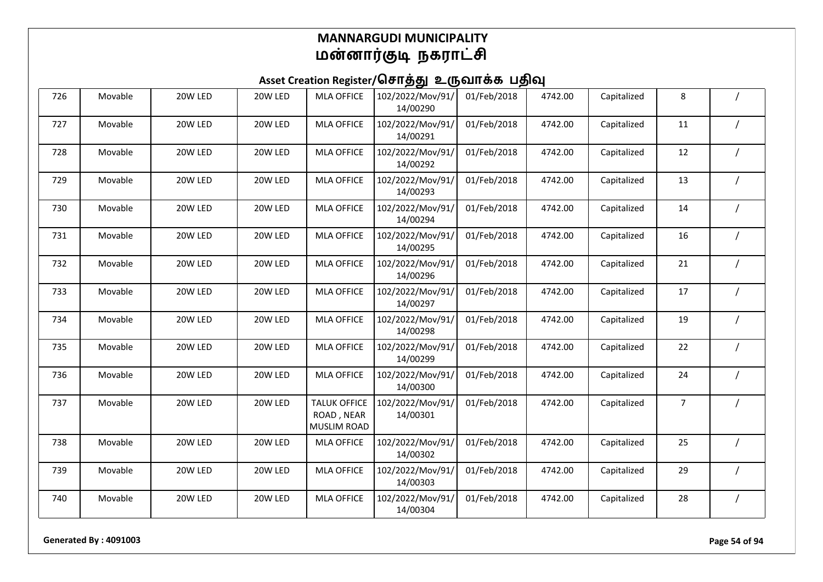## Asset Creation Register/சொத்து உருவாக்க பதிவு

| 726 | Movable | 20W LED | 20W LED | <b>MLA OFFICE</b>                                       | 102/2022/Mov/91/<br>14/00290 | 01/Feb/2018 | 4742.00 | Capitalized | 8              |                |
|-----|---------|---------|---------|---------------------------------------------------------|------------------------------|-------------|---------|-------------|----------------|----------------|
| 727 | Movable | 20W LED | 20W LED | <b>MLA OFFICE</b>                                       | 102/2022/Mov/91/<br>14/00291 | 01/Feb/2018 | 4742.00 | Capitalized | 11             |                |
| 728 | Movable | 20W LED | 20W LED | <b>MLA OFFICE</b>                                       | 102/2022/Mov/91/<br>14/00292 | 01/Feb/2018 | 4742.00 | Capitalized | 12             |                |
| 729 | Movable | 20W LED | 20W LED | <b>MLA OFFICE</b>                                       | 102/2022/Mov/91/<br>14/00293 | 01/Feb/2018 | 4742.00 | Capitalized | 13             |                |
| 730 | Movable | 20W LED | 20W LED | <b>MLA OFFICE</b>                                       | 102/2022/Mov/91/<br>14/00294 | 01/Feb/2018 | 4742.00 | Capitalized | 14             |                |
| 731 | Movable | 20W LED | 20W LED | <b>MLA OFFICE</b>                                       | 102/2022/Mov/91/<br>14/00295 | 01/Feb/2018 | 4742.00 | Capitalized | 16             |                |
| 732 | Movable | 20W LED | 20W LED | <b>MLA OFFICE</b>                                       | 102/2022/Mov/91/<br>14/00296 | 01/Feb/2018 | 4742.00 | Capitalized | 21             |                |
| 733 | Movable | 20W LED | 20W LED | <b>MLA OFFICE</b>                                       | 102/2022/Mov/91/<br>14/00297 | 01/Feb/2018 | 4742.00 | Capitalized | 17             |                |
| 734 | Movable | 20W LED | 20W LED | <b>MLA OFFICE</b>                                       | 102/2022/Mov/91/<br>14/00298 | 01/Feb/2018 | 4742.00 | Capitalized | 19             |                |
| 735 | Movable | 20W LED | 20W LED | <b>MLA OFFICE</b>                                       | 102/2022/Mov/91/<br>14/00299 | 01/Feb/2018 | 4742.00 | Capitalized | 22             |                |
| 736 | Movable | 20W LED | 20W LED | <b>MLA OFFICE</b>                                       | 102/2022/Mov/91/<br>14/00300 | 01/Feb/2018 | 4742.00 | Capitalized | 24             |                |
| 737 | Movable | 20W LED | 20W LED | <b>TALUK OFFICE</b><br>ROAD, NEAR<br><b>MUSLIM ROAD</b> | 102/2022/Mov/91/<br>14/00301 | 01/Feb/2018 | 4742.00 | Capitalized | $\overline{7}$ |                |
| 738 | Movable | 20W LED | 20W LED | <b>MLA OFFICE</b>                                       | 102/2022/Mov/91/<br>14/00302 | 01/Feb/2018 | 4742.00 | Capitalized | 25             |                |
| 739 | Movable | 20W LED | 20W LED | <b>MLA OFFICE</b>                                       | 102/2022/Mov/91/<br>14/00303 | 01/Feb/2018 | 4742.00 | Capitalized | 29             |                |
| 740 | Movable | 20W LED | 20W LED | <b>MLA OFFICE</b>                                       | 102/2022/Mov/91/<br>14/00304 | 01/Feb/2018 | 4742.00 | Capitalized | 28             | $\overline{1}$ |

**Generated By : 4091003 Page 54 of 94**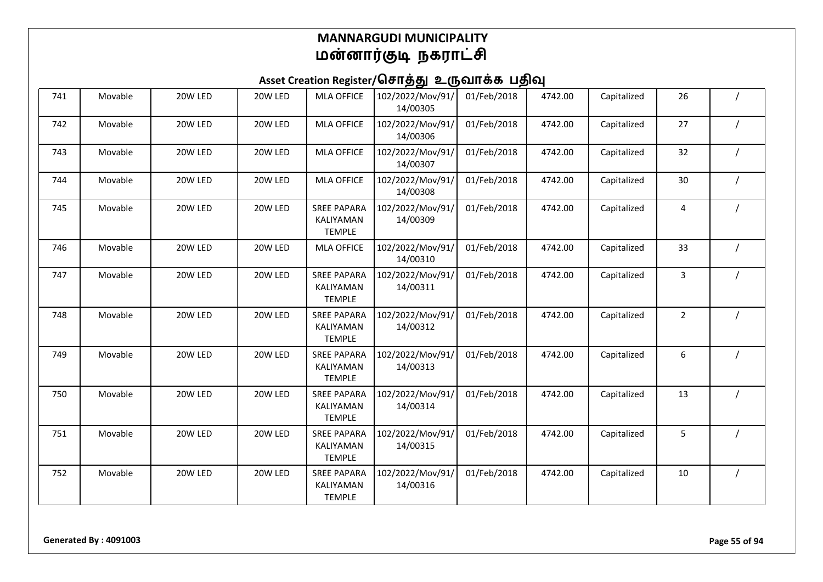| 741 | Movable | 20W LED | 20W LED | <b>MLA OFFICE</b>                                | 102/2022/Mov/91/<br>14/00305 | 01/Feb/2018 | 4742.00 | Capitalized | 26             |  |
|-----|---------|---------|---------|--------------------------------------------------|------------------------------|-------------|---------|-------------|----------------|--|
| 742 | Movable | 20W LED | 20W LED | <b>MLA OFFICE</b>                                | 102/2022/Mov/91/<br>14/00306 | 01/Feb/2018 | 4742.00 | Capitalized | 27             |  |
| 743 | Movable | 20W LED | 20W LED | <b>MLA OFFICE</b>                                | 102/2022/Mov/91/<br>14/00307 | 01/Feb/2018 | 4742.00 | Capitalized | 32             |  |
| 744 | Movable | 20W LED | 20W LED | <b>MLA OFFICE</b>                                | 102/2022/Mov/91/<br>14/00308 | 01/Feb/2018 | 4742.00 | Capitalized | 30             |  |
| 745 | Movable | 20W LED | 20W LED | <b>SREE PAPARA</b><br>KALIYAMAN<br><b>TEMPLE</b> | 102/2022/Mov/91/<br>14/00309 | 01/Feb/2018 | 4742.00 | Capitalized | 4              |  |
| 746 | Movable | 20W LED | 20W LED | <b>MLA OFFICE</b>                                | 102/2022/Mov/91/<br>14/00310 | 01/Feb/2018 | 4742.00 | Capitalized | 33             |  |
| 747 | Movable | 20W LED | 20W LED | <b>SREE PAPARA</b><br>KALIYAMAN<br><b>TEMPLE</b> | 102/2022/Mov/91/<br>14/00311 | 01/Feb/2018 | 4742.00 | Capitalized | 3              |  |
| 748 | Movable | 20W LED | 20W LED | <b>SREE PAPARA</b><br>KALIYAMAN<br><b>TEMPLE</b> | 102/2022/Mov/91/<br>14/00312 | 01/Feb/2018 | 4742.00 | Capitalized | $\overline{2}$ |  |
| 749 | Movable | 20W LED | 20W LED | <b>SREE PAPARA</b><br>KALIYAMAN<br><b>TEMPLE</b> | 102/2022/Mov/91/<br>14/00313 | 01/Feb/2018 | 4742.00 | Capitalized | 6              |  |
| 750 | Movable | 20W LED | 20W LED | <b>SREE PAPARA</b><br>KALIYAMAN<br><b>TEMPLE</b> | 102/2022/Mov/91/<br>14/00314 | 01/Feb/2018 | 4742.00 | Capitalized | 13             |  |
| 751 | Movable | 20W LED | 20W LED | <b>SREE PAPARA</b><br>KALIYAMAN<br><b>TEMPLE</b> | 102/2022/Mov/91/<br>14/00315 | 01/Feb/2018 | 4742.00 | Capitalized | 5              |  |
| 752 | Movable | 20W LED | 20W LED | <b>SREE PAPARA</b><br>KALIYAMAN<br><b>TEMPLE</b> | 102/2022/Mov/91/<br>14/00316 | 01/Feb/2018 | 4742.00 | Capitalized | 10             |  |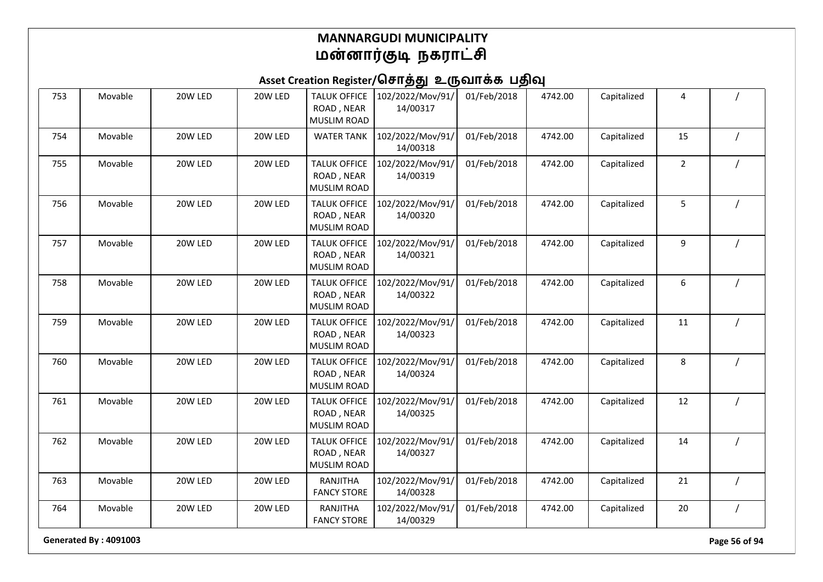## Asset Creation Register/சொத்து உருவாக்க பதிவு

| 753 | Movable | 20W LED | 20W LED | <b>TALUK OFFICE</b><br>ROAD, NEAR<br><b>MUSLIM ROAD</b> | 102/2022/Mov/91/<br>14/00317 | 01/Feb/2018 | 4742.00 | Capitalized | 4              |          |
|-----|---------|---------|---------|---------------------------------------------------------|------------------------------|-------------|---------|-------------|----------------|----------|
| 754 | Movable | 20W LED | 20W LED | <b>WATER TANK</b>                                       | 102/2022/Mov/91/<br>14/00318 | 01/Feb/2018 | 4742.00 | Capitalized | 15             |          |
| 755 | Movable | 20W LED | 20W LED | <b>TALUK OFFICE</b><br>ROAD, NEAR<br><b>MUSLIM ROAD</b> | 102/2022/Mov/91/<br>14/00319 | 01/Feb/2018 | 4742.00 | Capitalized | $\overline{2}$ |          |
| 756 | Movable | 20W LED | 20W LED | <b>TALUK OFFICE</b><br>ROAD, NEAR<br><b>MUSLIM ROAD</b> | 102/2022/Mov/91/<br>14/00320 | 01/Feb/2018 | 4742.00 | Capitalized | 5              |          |
| 757 | Movable | 20W LED | 20W LED | <b>TALUK OFFICE</b><br>ROAD, NEAR<br><b>MUSLIM ROAD</b> | 102/2022/Mov/91/<br>14/00321 | 01/Feb/2018 | 4742.00 | Capitalized | 9              |          |
| 758 | Movable | 20W LED | 20W LED | <b>TALUK OFFICE</b><br>ROAD, NEAR<br>MUSLIM ROAD        | 102/2022/Mov/91/<br>14/00322 | 01/Feb/2018 | 4742.00 | Capitalized | 6              |          |
| 759 | Movable | 20W LED | 20W LED | <b>TALUK OFFICE</b><br>ROAD, NEAR<br><b>MUSLIM ROAD</b> | 102/2022/Mov/91/<br>14/00323 | 01/Feb/2018 | 4742.00 | Capitalized | 11             |          |
| 760 | Movable | 20W LED | 20W LED | <b>TALUK OFFICE</b><br>ROAD, NEAR<br><b>MUSLIM ROAD</b> | 102/2022/Mov/91/<br>14/00324 | 01/Feb/2018 | 4742.00 | Capitalized | 8              |          |
| 761 | Movable | 20W LED | 20W LED | <b>TALUK OFFICE</b><br>ROAD, NEAR<br><b>MUSLIM ROAD</b> | 102/2022/Mov/91/<br>14/00325 | 01/Feb/2018 | 4742.00 | Capitalized | 12             |          |
| 762 | Movable | 20W LED | 20W LED | <b>TALUK OFFICE</b><br>ROAD, NEAR<br><b>MUSLIM ROAD</b> | 102/2022/Mov/91/<br>14/00327 | 01/Feb/2018 | 4742.00 | Capitalized | 14             |          |
| 763 | Movable | 20W LED | 20W LED | RANJITHA<br><b>FANCY STORE</b>                          | 102/2022/Mov/91/<br>14/00328 | 01/Feb/2018 | 4742.00 | Capitalized | 21             |          |
| 764 | Movable | 20W LED | 20W LED | RANJITHA<br><b>FANCY STORE</b>                          | 102/2022/Mov/91/<br>14/00329 | 01/Feb/2018 | 4742.00 | Capitalized | 20             | $\prime$ |

**Generated By : 4091003 Page 56 of 94**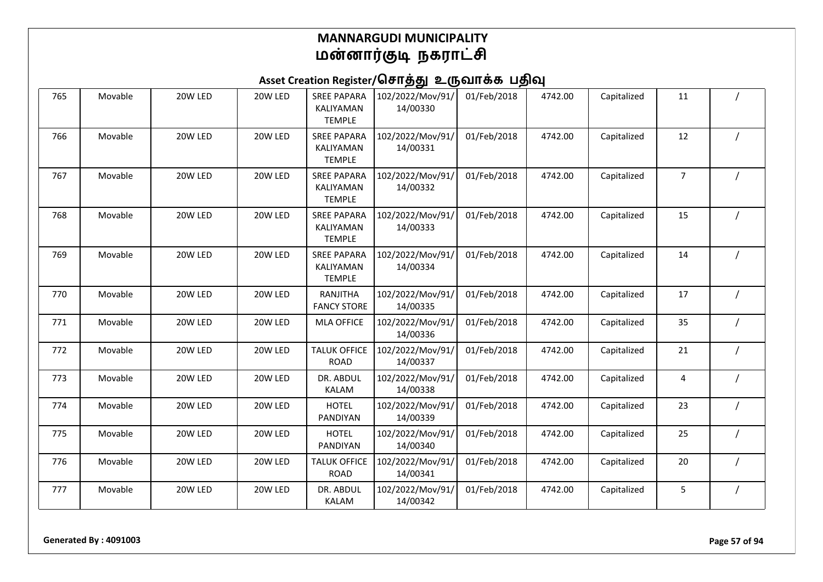| 765 | Movable | 20W LED | 20W LED | <b>SREE PAPARA</b><br>KALIYAMAN<br><b>TEMPLE</b> | 102/2022/Mov/91/<br>14/00330 | 01/Feb/2018 | 4742.00 | Capitalized | 11             |  |
|-----|---------|---------|---------|--------------------------------------------------|------------------------------|-------------|---------|-------------|----------------|--|
| 766 | Movable | 20W LED | 20W LED | <b>SREE PAPARA</b><br>KALIYAMAN<br><b>TEMPLE</b> | 102/2022/Mov/91/<br>14/00331 | 01/Feb/2018 | 4742.00 | Capitalized | 12             |  |
| 767 | Movable | 20W LED | 20W LED | <b>SREE PAPARA</b><br>KALIYAMAN<br><b>TEMPLE</b> | 102/2022/Mov/91/<br>14/00332 | 01/Feb/2018 | 4742.00 | Capitalized | $\overline{7}$ |  |
| 768 | Movable | 20W LED | 20W LED | <b>SREE PAPARA</b><br>KALIYAMAN<br><b>TEMPLE</b> | 102/2022/Mov/91/<br>14/00333 | 01/Feb/2018 | 4742.00 | Capitalized | 15             |  |
| 769 | Movable | 20W LED | 20W LED | <b>SREE PAPARA</b><br>KALIYAMAN<br><b>TEMPLE</b> | 102/2022/Mov/91/<br>14/00334 | 01/Feb/2018 | 4742.00 | Capitalized | 14             |  |
| 770 | Movable | 20W LED | 20W LED | RANJITHA<br><b>FANCY STORE</b>                   | 102/2022/Mov/91/<br>14/00335 | 01/Feb/2018 | 4742.00 | Capitalized | 17             |  |
| 771 | Movable | 20W LED | 20W LED | <b>MLA OFFICE</b>                                | 102/2022/Mov/91/<br>14/00336 | 01/Feb/2018 | 4742.00 | Capitalized | 35             |  |
| 772 | Movable | 20W LED | 20W LED | <b>TALUK OFFICE</b><br><b>ROAD</b>               | 102/2022/Mov/91/<br>14/00337 | 01/Feb/2018 | 4742.00 | Capitalized | 21             |  |
| 773 | Movable | 20W LED | 20W LED | DR. ABDUL<br><b>KALAM</b>                        | 102/2022/Mov/91/<br>14/00338 | 01/Feb/2018 | 4742.00 | Capitalized | 4              |  |
| 774 | Movable | 20W LED | 20W LED | <b>HOTEL</b><br>PANDIYAN                         | 102/2022/Mov/91/<br>14/00339 | 01/Feb/2018 | 4742.00 | Capitalized | 23             |  |
| 775 | Movable | 20W LED | 20W LED | <b>HOTEL</b><br>PANDIYAN                         | 102/2022/Mov/91/<br>14/00340 | 01/Feb/2018 | 4742.00 | Capitalized | 25             |  |
| 776 | Movable | 20W LED | 20W LED | <b>TALUK OFFICE</b><br><b>ROAD</b>               | 102/2022/Mov/91/<br>14/00341 | 01/Feb/2018 | 4742.00 | Capitalized | 20             |  |
| 777 | Movable | 20W LED | 20W LED | DR. ABDUL<br><b>KALAM</b>                        | 102/2022/Mov/91/<br>14/00342 | 01/Feb/2018 | 4742.00 | Capitalized | 5              |  |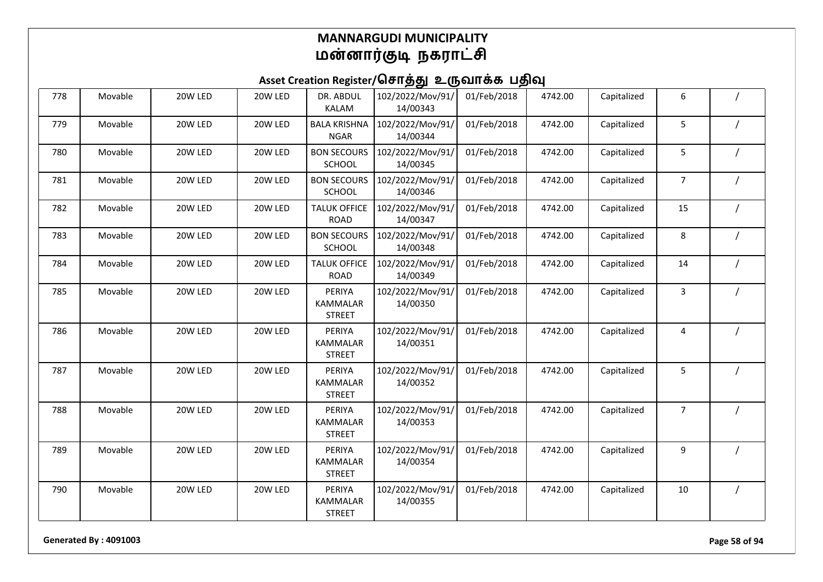## Asset Creation Register/சொத்து உருவாக்க பதிவு

| 778 | Movable | 20W LED | 20W LED | DR. ABDUL<br><b>KALAM</b>                  | 102/2022/Mov/91/<br>14/00343 | 01/Feb/2018 | 4742.00 | Capitalized | 6              |  |
|-----|---------|---------|---------|--------------------------------------------|------------------------------|-------------|---------|-------------|----------------|--|
| 779 | Movable | 20W LED | 20W LED | <b>BALA KRISHNA</b><br><b>NGAR</b>         | 102/2022/Mov/91/<br>14/00344 | 01/Feb/2018 | 4742.00 | Capitalized | 5              |  |
| 780 | Movable | 20W LED | 20W LED | <b>BON SECOURS</b><br>SCHOOL               | 102/2022/Mov/91/<br>14/00345 | 01/Feb/2018 | 4742.00 | Capitalized | 5              |  |
| 781 | Movable | 20W LED | 20W LED | <b>BON SECOURS</b><br>SCHOOL               | 102/2022/Mov/91/<br>14/00346 | 01/Feb/2018 | 4742.00 | Capitalized | $\overline{7}$ |  |
| 782 | Movable | 20W LED | 20W LED | <b>TALUK OFFICE</b><br><b>ROAD</b>         | 102/2022/Mov/91/<br>14/00347 | 01/Feb/2018 | 4742.00 | Capitalized | 15             |  |
| 783 | Movable | 20W LED | 20W LED | <b>BON SECOURS</b><br>SCHOOL               | 102/2022/Mov/91/<br>14/00348 | 01/Feb/2018 | 4742.00 | Capitalized | 8              |  |
| 784 | Movable | 20W LED | 20W LED | <b>TALUK OFFICE</b><br><b>ROAD</b>         | 102/2022/Mov/91/<br>14/00349 | 01/Feb/2018 | 4742.00 | Capitalized | 14             |  |
| 785 | Movable | 20W LED | 20W LED | PERIYA<br>KAMMALAR<br><b>STREET</b>        | 102/2022/Mov/91/<br>14/00350 | 01/Feb/2018 | 4742.00 | Capitalized | 3              |  |
| 786 | Movable | 20W LED | 20W LED | PERIYA<br>KAMMALAR<br><b>STREET</b>        | 102/2022/Mov/91/<br>14/00351 | 01/Feb/2018 | 4742.00 | Capitalized | 4              |  |
| 787 | Movable | 20W LED | 20W LED | PERIYA<br>KAMMALAR<br><b>STREET</b>        | 102/2022/Mov/91/<br>14/00352 | 01/Feb/2018 | 4742.00 | Capitalized | 5              |  |
| 788 | Movable | 20W LED | 20W LED | PERIYA<br><b>KAMMALAR</b><br><b>STREET</b> | 102/2022/Mov/91/<br>14/00353 | 01/Feb/2018 | 4742.00 | Capitalized | $\overline{7}$ |  |
| 789 | Movable | 20W LED | 20W LED | PERIYA<br><b>KAMMALAR</b><br><b>STREET</b> | 102/2022/Mov/91/<br>14/00354 | 01/Feb/2018 | 4742.00 | Capitalized | 9              |  |
| 790 | Movable | 20W LED | 20W LED | PERIYA<br>KAMMALAR<br><b>STREET</b>        | 102/2022/Mov/91/<br>14/00355 | 01/Feb/2018 | 4742.00 | Capitalized | 10             |  |

**Generated By : 4091003 Page 58 of 94**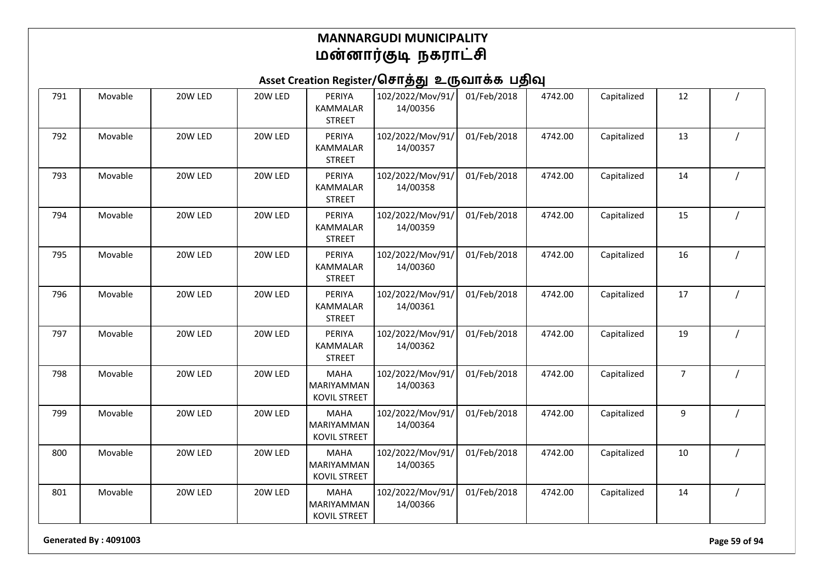## Asset Creation Register/சொத்து உருவாக்க பதிவு

| 791 | Movable | 20W LED | 20W LED | PERIYA<br><b>KAMMALAR</b><br><b>STREET</b>       | 102/2022/Mov/91/<br>14/00356 | 01/Feb/2018 | 4742.00 | Capitalized | 12             |  |
|-----|---------|---------|---------|--------------------------------------------------|------------------------------|-------------|---------|-------------|----------------|--|
| 792 | Movable | 20W LED | 20W LED | PERIYA<br>KAMMALAR<br><b>STREET</b>              | 102/2022/Mov/91/<br>14/00357 | 01/Feb/2018 | 4742.00 | Capitalized | 13             |  |
| 793 | Movable | 20W LED | 20W LED | PERIYA<br>KAMMALAR<br><b>STREET</b>              | 102/2022/Mov/91/<br>14/00358 | 01/Feb/2018 | 4742.00 | Capitalized | 14             |  |
| 794 | Movable | 20W LED | 20W LED | PERIYA<br>KAMMALAR<br><b>STREET</b>              | 102/2022/Mov/91/<br>14/00359 | 01/Feb/2018 | 4742.00 | Capitalized | 15             |  |
| 795 | Movable | 20W LED | 20W LED | PERIYA<br>KAMMALAR<br><b>STREET</b>              | 102/2022/Mov/91/<br>14/00360 | 01/Feb/2018 | 4742.00 | Capitalized | 16             |  |
| 796 | Movable | 20W LED | 20W LED | PERIYA<br>KAMMALAR<br><b>STREET</b>              | 102/2022/Mov/91/<br>14/00361 | 01/Feb/2018 | 4742.00 | Capitalized | 17             |  |
| 797 | Movable | 20W LED | 20W LED | PERIYA<br>KAMMALAR<br><b>STREET</b>              | 102/2022/Mov/91/<br>14/00362 | 01/Feb/2018 | 4742.00 | Capitalized | 19             |  |
| 798 | Movable | 20W LED | 20W LED | <b>MAHA</b><br>MARIYAMMAN<br><b>KOVIL STREET</b> | 102/2022/Mov/91/<br>14/00363 | 01/Feb/2018 | 4742.00 | Capitalized | $\overline{7}$ |  |
| 799 | Movable | 20W LED | 20W LED | <b>MAHA</b><br>MARIYAMMAN<br><b>KOVIL STREET</b> | 102/2022/Mov/91/<br>14/00364 | 01/Feb/2018 | 4742.00 | Capitalized | 9              |  |
| 800 | Movable | 20W LED | 20W LED | <b>MAHA</b><br>MARIYAMMAN<br><b>KOVIL STREET</b> | 102/2022/Mov/91/<br>14/00365 | 01/Feb/2018 | 4742.00 | Capitalized | 10             |  |
| 801 | Movable | 20W LED | 20W LED | <b>MAHA</b><br>MARIYAMMAN<br><b>KOVIL STREET</b> | 102/2022/Mov/91/<br>14/00366 | 01/Feb/2018 | 4742.00 | Capitalized | 14             |  |

**Generated By : 4091003 Page 59 of 94**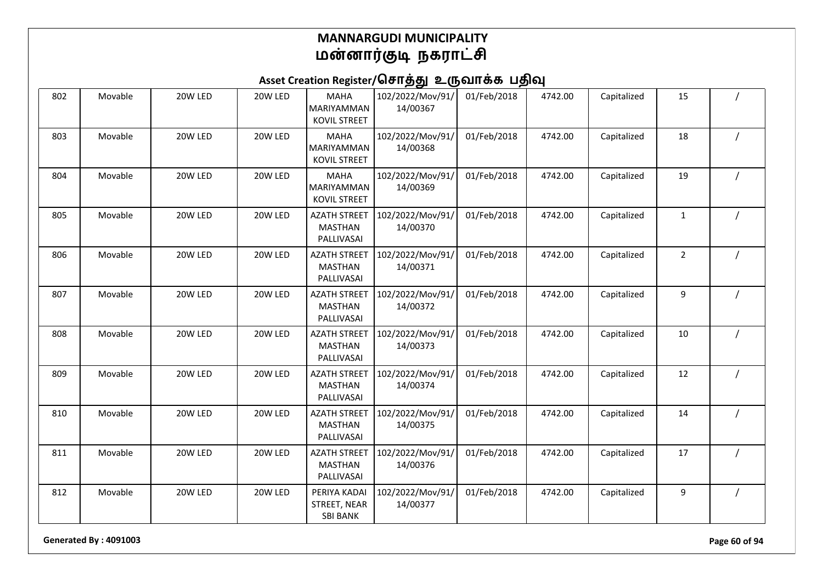## Asset Creation Register/சொத்து உருவாக்க பதிவு

| 802 | Movable | 20W LED | 20W LED | <b>MAHA</b><br>MARIYAMMAN<br><b>KOVIL STREET</b>    | 102/2022/Mov/91/<br>14/00367 | 01/Feb/2018 | 4742.00 | Capitalized | 15             |  |
|-----|---------|---------|---------|-----------------------------------------------------|------------------------------|-------------|---------|-------------|----------------|--|
| 803 | Movable | 20W LED | 20W LED | <b>MAHA</b><br>MARIYAMMAN<br><b>KOVIL STREET</b>    | 102/2022/Mov/91/<br>14/00368 | 01/Feb/2018 | 4742.00 | Capitalized | 18             |  |
| 804 | Movable | 20W LED | 20W LED | <b>MAHA</b><br>MARIYAMMAN<br><b>KOVIL STREET</b>    | 102/2022/Mov/91/<br>14/00369 | 01/Feb/2018 | 4742.00 | Capitalized | 19             |  |
| 805 | Movable | 20W LED | 20W LED | <b>AZATH STREET</b><br><b>MASTHAN</b><br>PALLIVASAI | 102/2022/Mov/91/<br>14/00370 | 01/Feb/2018 | 4742.00 | Capitalized | $\mathbf{1}$   |  |
| 806 | Movable | 20W LED | 20W LED | <b>AZATH STREET</b><br><b>MASTHAN</b><br>PALLIVASAI | 102/2022/Mov/91/<br>14/00371 | 01/Feb/2018 | 4742.00 | Capitalized | $\overline{2}$ |  |
| 807 | Movable | 20W LED | 20W LED | <b>AZATH STREET</b><br><b>MASTHAN</b><br>PALLIVASAI | 102/2022/Mov/91/<br>14/00372 | 01/Feb/2018 | 4742.00 | Capitalized | 9              |  |
| 808 | Movable | 20W LED | 20W LED | <b>AZATH STREET</b><br><b>MASTHAN</b><br>PALLIVASAI | 102/2022/Mov/91/<br>14/00373 | 01/Feb/2018 | 4742.00 | Capitalized | 10             |  |
| 809 | Movable | 20W LED | 20W LED | <b>AZATH STREET</b><br><b>MASTHAN</b><br>PALLIVASAI | 102/2022/Mov/91/<br>14/00374 | 01/Feb/2018 | 4742.00 | Capitalized | 12             |  |
| 810 | Movable | 20W LED | 20W LED | <b>AZATH STREET</b><br><b>MASTHAN</b><br>PALLIVASAI | 102/2022/Mov/91/<br>14/00375 | 01/Feb/2018 | 4742.00 | Capitalized | 14             |  |
| 811 | Movable | 20W LED | 20W LED | <b>AZATH STREET</b><br><b>MASTHAN</b><br>PALLIVASAI | 102/2022/Mov/91/<br>14/00376 | 01/Feb/2018 | 4742.00 | Capitalized | 17             |  |
| 812 | Movable | 20W LED | 20W LED | PERIYA KADAI<br>STREET, NEAR<br><b>SBI BANK</b>     | 102/2022/Mov/91/<br>14/00377 | 01/Feb/2018 | 4742.00 | Capitalized | 9              |  |

**Generated By : 4091003 Page 60 of 94**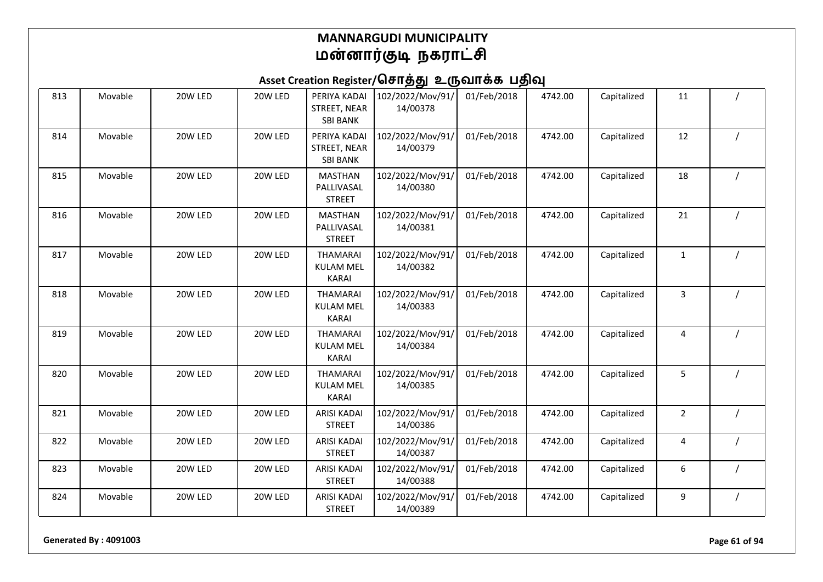# Asset Creation Register/சொத்து உருவாக்க பதிவு

| 813 | Movable | 20W LED | 20W LED | PERIYA KADAI<br>STREET, NEAR<br><b>SBI BANK</b>     | 102/2022/Mov/91/<br>14/00378 | 01/Feb/2018 | 4742.00 | Capitalized | 11             |  |
|-----|---------|---------|---------|-----------------------------------------------------|------------------------------|-------------|---------|-------------|----------------|--|
| 814 | Movable | 20W LED | 20W LED | PERIYA KADAI<br>STREET, NEAR<br><b>SBI BANK</b>     | 102/2022/Mov/91/<br>14/00379 | 01/Feb/2018 | 4742.00 | Capitalized | 12             |  |
| 815 | Movable | 20W LED | 20W LED | <b>MASTHAN</b><br>PALLIVASAL<br><b>STREET</b>       | 102/2022/Mov/91/<br>14/00380 | 01/Feb/2018 | 4742.00 | Capitalized | 18             |  |
| 816 | Movable | 20W LED | 20W LED | <b>MASTHAN</b><br>PALLIVASAL<br><b>STREET</b>       | 102/2022/Mov/91/<br>14/00381 | 01/Feb/2018 | 4742.00 | Capitalized | 21             |  |
| 817 | Movable | 20W LED | 20W LED | <b>THAMARAI</b><br><b>KULAM MEL</b><br><b>KARAI</b> | 102/2022/Mov/91/<br>14/00382 | 01/Feb/2018 | 4742.00 | Capitalized | 1              |  |
| 818 | Movable | 20W LED | 20W LED | <b>THAMARAI</b><br><b>KULAM MEL</b><br><b>KARAI</b> | 102/2022/Mov/91/<br>14/00383 | 01/Feb/2018 | 4742.00 | Capitalized | 3              |  |
| 819 | Movable | 20W LED | 20W LED | <b>THAMARAI</b><br><b>KULAM MEL</b><br><b>KARAI</b> | 102/2022/Mov/91/<br>14/00384 | 01/Feb/2018 | 4742.00 | Capitalized | 4              |  |
| 820 | Movable | 20W LED | 20W LED | <b>THAMARAI</b><br><b>KULAM MEL</b><br><b>KARAI</b> | 102/2022/Mov/91/<br>14/00385 | 01/Feb/2018 | 4742.00 | Capitalized | 5              |  |
| 821 | Movable | 20W LED | 20W LED | <b>ARISI KADAI</b><br><b>STREET</b>                 | 102/2022/Mov/91/<br>14/00386 | 01/Feb/2018 | 4742.00 | Capitalized | $\overline{2}$ |  |
| 822 | Movable | 20W LED | 20W LED | <b>ARISI KADAI</b><br><b>STREET</b>                 | 102/2022/Mov/91/<br>14/00387 | 01/Feb/2018 | 4742.00 | Capitalized | 4              |  |
| 823 | Movable | 20W LED | 20W LED | <b>ARISI KADAI</b><br><b>STREET</b>                 | 102/2022/Mov/91/<br>14/00388 | 01/Feb/2018 | 4742.00 | Capitalized | 6              |  |
| 824 | Movable | 20W LED | 20W LED | <b>ARISI KADAI</b><br><b>STREET</b>                 | 102/2022/Mov/91/<br>14/00389 | 01/Feb/2018 | 4742.00 | Capitalized | 9              |  |

**Generated By : 4091003 Page 61 of 94**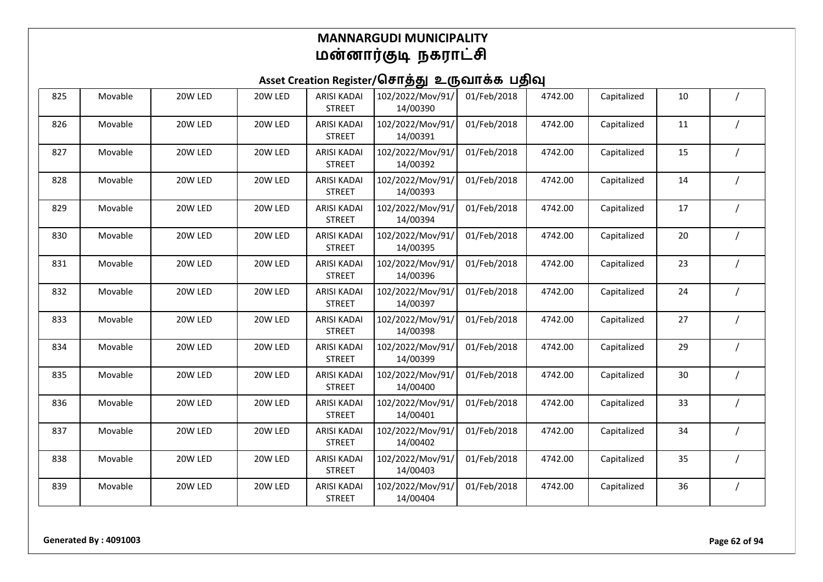| 825 | Movable | 20W LED | 20W LED | <b>ARISI KADAI</b><br><b>STREET</b> | 102/2022/Mov/91/<br>14/00390 | 01/Feb/2018 | 4742.00 | Capitalized | 10 |  |
|-----|---------|---------|---------|-------------------------------------|------------------------------|-------------|---------|-------------|----|--|
| 826 | Movable | 20W LED | 20W LED | <b>ARISI KADAI</b><br><b>STREET</b> | 102/2022/Mov/91/<br>14/00391 | 01/Feb/2018 | 4742.00 | Capitalized | 11 |  |
| 827 | Movable | 20W LED | 20W LED | <b>ARISI KADAI</b><br><b>STREET</b> | 102/2022/Mov/91/<br>14/00392 | 01/Feb/2018 | 4742.00 | Capitalized | 15 |  |
| 828 | Movable | 20W LED | 20W LED | <b>ARISI KADAI</b><br><b>STREET</b> | 102/2022/Mov/91/<br>14/00393 | 01/Feb/2018 | 4742.00 | Capitalized | 14 |  |
| 829 | Movable | 20W LED | 20W LED | <b>ARISI KADAI</b><br><b>STREET</b> | 102/2022/Mov/91/<br>14/00394 | 01/Feb/2018 | 4742.00 | Capitalized | 17 |  |
| 830 | Movable | 20W LED | 20W LED | <b>ARISI KADAI</b><br><b>STREET</b> | 102/2022/Mov/91/<br>14/00395 | 01/Feb/2018 | 4742.00 | Capitalized | 20 |  |
| 831 | Movable | 20W LED | 20W LED | <b>ARISI KADAI</b><br><b>STREET</b> | 102/2022/Mov/91/<br>14/00396 | 01/Feb/2018 | 4742.00 | Capitalized | 23 |  |
| 832 | Movable | 20W LED | 20W LED | <b>ARISI KADAI</b><br><b>STREET</b> | 102/2022/Mov/91/<br>14/00397 | 01/Feb/2018 | 4742.00 | Capitalized | 24 |  |
| 833 | Movable | 20W LED | 20W LED | <b>ARISI KADAI</b><br><b>STREET</b> | 102/2022/Mov/91/<br>14/00398 | 01/Feb/2018 | 4742.00 | Capitalized | 27 |  |
| 834 | Movable | 20W LED | 20W LED | <b>ARISI KADAI</b><br><b>STREET</b> | 102/2022/Mov/91/<br>14/00399 | 01/Feb/2018 | 4742.00 | Capitalized | 29 |  |
| 835 | Movable | 20W LED | 20W LED | <b>ARISI KADAI</b><br><b>STREET</b> | 102/2022/Mov/91/<br>14/00400 | 01/Feb/2018 | 4742.00 | Capitalized | 30 |  |
| 836 | Movable | 20W LED | 20W LED | <b>ARISI KADAI</b><br><b>STREET</b> | 102/2022/Mov/91/<br>14/00401 | 01/Feb/2018 | 4742.00 | Capitalized | 33 |  |
| 837 | Movable | 20W LED | 20W LED | <b>ARISI KADAI</b><br><b>STREET</b> | 102/2022/Mov/91/<br>14/00402 | 01/Feb/2018 | 4742.00 | Capitalized | 34 |  |
| 838 | Movable | 20W LED | 20W LED | <b>ARISI KADAI</b><br><b>STREET</b> | 102/2022/Mov/91/<br>14/00403 | 01/Feb/2018 | 4742.00 | Capitalized | 35 |  |
| 839 | Movable | 20W LED | 20W LED | <b>ARISI KADAI</b><br><b>STREET</b> | 102/2022/Mov/91/<br>14/00404 | 01/Feb/2018 | 4742.00 | Capitalized | 36 |  |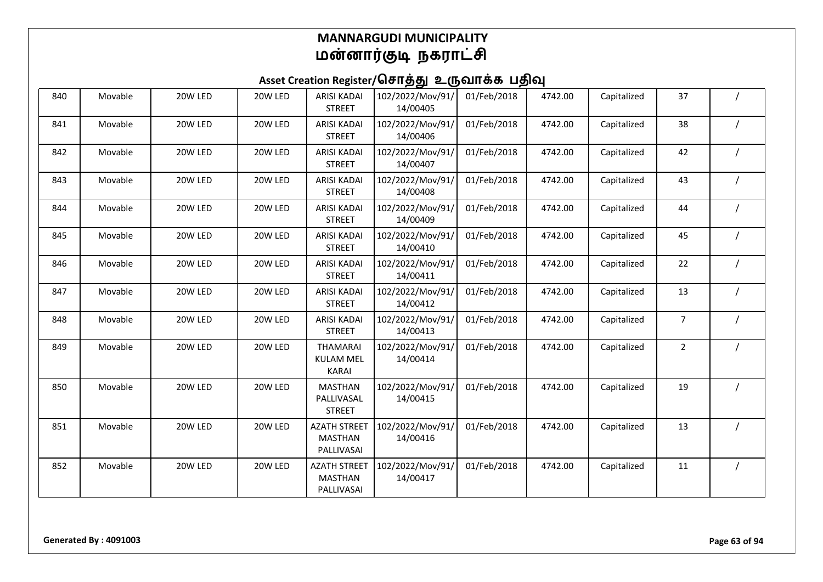| 840 | Movable | 20W LED | 20W LED | <b>ARISI KADAI</b><br><b>STREET</b>                 | 102/2022/Mov/91/<br>14/00405 | 01/Feb/2018 | 4742.00 | Capitalized | 37             |  |
|-----|---------|---------|---------|-----------------------------------------------------|------------------------------|-------------|---------|-------------|----------------|--|
| 841 | Movable | 20W LED | 20W LED | <b>ARISI KADAI</b><br><b>STREET</b>                 | 102/2022/Mov/91/<br>14/00406 | 01/Feb/2018 | 4742.00 | Capitalized | 38             |  |
| 842 | Movable | 20W LED | 20W LED | <b>ARISI KADAI</b><br><b>STREET</b>                 | 102/2022/Mov/91/<br>14/00407 | 01/Feb/2018 | 4742.00 | Capitalized | 42             |  |
| 843 | Movable | 20W LED | 20W LED | <b>ARISI KADAI</b><br><b>STREET</b>                 | 102/2022/Mov/91/<br>14/00408 | 01/Feb/2018 | 4742.00 | Capitalized | 43             |  |
| 844 | Movable | 20W LED | 20W LED | <b>ARISI KADAI</b><br><b>STREET</b>                 | 102/2022/Mov/91/<br>14/00409 | 01/Feb/2018 | 4742.00 | Capitalized | 44             |  |
| 845 | Movable | 20W LED | 20W LED | <b>ARISI KADAI</b><br><b>STREET</b>                 | 102/2022/Mov/91/<br>14/00410 | 01/Feb/2018 | 4742.00 | Capitalized | 45             |  |
| 846 | Movable | 20W LED | 20W LED | <b>ARISI KADAI</b><br><b>STREET</b>                 | 102/2022/Mov/91/<br>14/00411 | 01/Feb/2018 | 4742.00 | Capitalized | 22             |  |
| 847 | Movable | 20W LED | 20W LED | <b>ARISI KADAI</b><br><b>STREET</b>                 | 102/2022/Mov/91/<br>14/00412 | 01/Feb/2018 | 4742.00 | Capitalized | 13             |  |
| 848 | Movable | 20W LED | 20W LED | <b>ARISI KADAI</b><br><b>STREET</b>                 | 102/2022/Mov/91/<br>14/00413 | 01/Feb/2018 | 4742.00 | Capitalized | $\overline{7}$ |  |
| 849 | Movable | 20W LED | 20W LED | <b>THAMARAI</b><br><b>KULAM MEL</b><br><b>KARAI</b> | 102/2022/Mov/91/<br>14/00414 | 01/Feb/2018 | 4742.00 | Capitalized | $\overline{2}$ |  |
| 850 | Movable | 20W LED | 20W LED | <b>MASTHAN</b><br>PALLIVASAL<br><b>STREET</b>       | 102/2022/Mov/91/<br>14/00415 | 01/Feb/2018 | 4742.00 | Capitalized | 19             |  |
| 851 | Movable | 20W LED | 20W LED | <b>AZATH STREET</b><br><b>MASTHAN</b><br>PALLIVASAI | 102/2022/Mov/91/<br>14/00416 | 01/Feb/2018 | 4742.00 | Capitalized | 13             |  |
| 852 | Movable | 20W LED | 20W LED | <b>AZATH STREET</b><br><b>MASTHAN</b><br>PALLIVASAI | 102/2022/Mov/91/<br>14/00417 | 01/Feb/2018 | 4742.00 | Capitalized | 11             |  |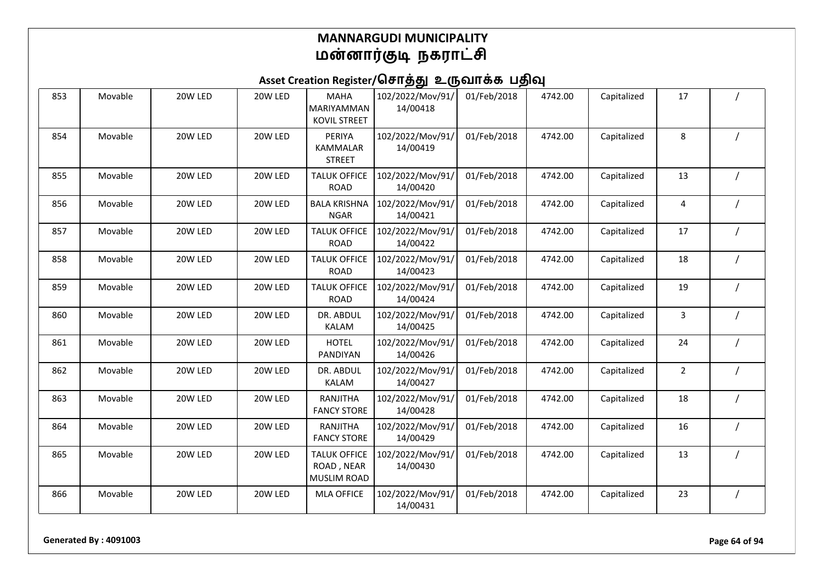| 853 | Movable | 20W LED | 20W LED | <b>MAHA</b><br>MARIYAMMAN<br><b>KOVIL STREET</b>        | 102/2022/Mov/91/<br>14/00418 | 01/Feb/2018 | 4742.00 | Capitalized | 17             |          |
|-----|---------|---------|---------|---------------------------------------------------------|------------------------------|-------------|---------|-------------|----------------|----------|
| 854 | Movable | 20W LED | 20W LED | PERIYA<br>KAMMALAR<br><b>STREET</b>                     | 102/2022/Mov/91/<br>14/00419 | 01/Feb/2018 | 4742.00 | Capitalized | 8              |          |
| 855 | Movable | 20W LED | 20W LED | <b>TALUK OFFICE</b><br><b>ROAD</b>                      | 102/2022/Mov/91/<br>14/00420 | 01/Feb/2018 | 4742.00 | Capitalized | 13             |          |
| 856 | Movable | 20W LED | 20W LED | <b>BALA KRISHNA</b><br><b>NGAR</b>                      | 102/2022/Mov/91/<br>14/00421 | 01/Feb/2018 | 4742.00 | Capitalized | 4              |          |
| 857 | Movable | 20W LED | 20W LED | <b>TALUK OFFICE</b><br><b>ROAD</b>                      | 102/2022/Mov/91/<br>14/00422 | 01/Feb/2018 | 4742.00 | Capitalized | 17             |          |
| 858 | Movable | 20W LED | 20W LED | <b>TALUK OFFICE</b><br><b>ROAD</b>                      | 102/2022/Mov/91/<br>14/00423 | 01/Feb/2018 | 4742.00 | Capitalized | 18             |          |
| 859 | Movable | 20W LED | 20W LED | <b>TALUK OFFICE</b><br><b>ROAD</b>                      | 102/2022/Mov/91/<br>14/00424 | 01/Feb/2018 | 4742.00 | Capitalized | 19             |          |
| 860 | Movable | 20W LED | 20W LED | DR. ABDUL<br><b>KALAM</b>                               | 102/2022/Mov/91/<br>14/00425 | 01/Feb/2018 | 4742.00 | Capitalized | 3              |          |
| 861 | Movable | 20W LED | 20W LED | <b>HOTEL</b><br>PANDIYAN                                | 102/2022/Mov/91/<br>14/00426 | 01/Feb/2018 | 4742.00 | Capitalized | 24             |          |
| 862 | Movable | 20W LED | 20W LED | DR. ABDUL<br><b>KALAM</b>                               | 102/2022/Mov/91/<br>14/00427 | 01/Feb/2018 | 4742.00 | Capitalized | $\overline{2}$ |          |
| 863 | Movable | 20W LED | 20W LED | RANJITHA<br><b>FANCY STORE</b>                          | 102/2022/Mov/91/<br>14/00428 | 01/Feb/2018 | 4742.00 | Capitalized | 18             |          |
| 864 | Movable | 20W LED | 20W LED | RANJITHA<br><b>FANCY STORE</b>                          | 102/2022/Mov/91/<br>14/00429 | 01/Feb/2018 | 4742.00 | Capitalized | 16             |          |
| 865 | Movable | 20W LED | 20W LED | <b>TALUK OFFICE</b><br>ROAD, NEAR<br><b>MUSLIM ROAD</b> | 102/2022/Mov/91/<br>14/00430 | 01/Feb/2018 | 4742.00 | Capitalized | 13             |          |
| 866 | Movable | 20W LED | 20W LED | <b>MLA OFFICE</b>                                       | 102/2022/Mov/91/<br>14/00431 | 01/Feb/2018 | 4742.00 | Capitalized | 23             | $\prime$ |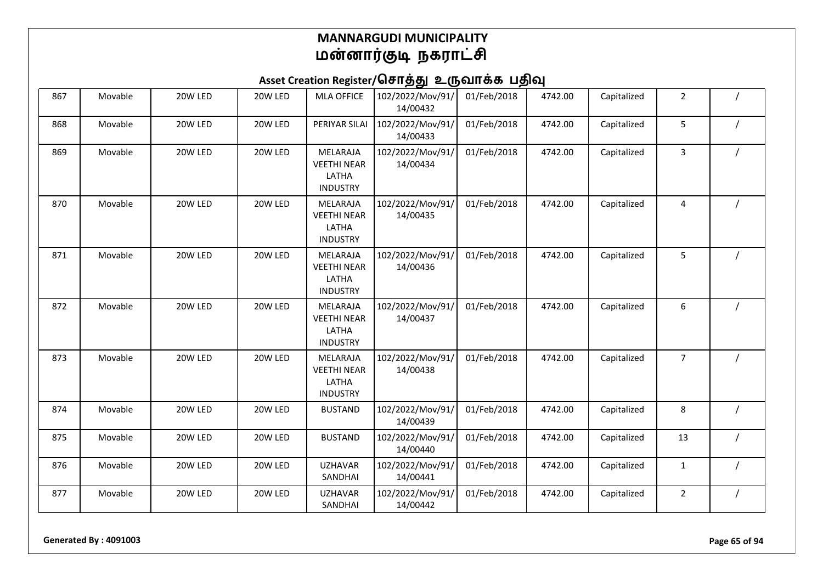Asset Creation Register/சொத்து உருவாக்க பதிவு

| 867 | Movable | 20W LED | 20W LED | <b>MLA OFFICE</b>                                                 | 102/2022/Mov/91/<br>14/00432 | 01/Feb/2018 | 4742.00 | Capitalized | $\overline{2}$ |  |
|-----|---------|---------|---------|-------------------------------------------------------------------|------------------------------|-------------|---------|-------------|----------------|--|
| 868 | Movable | 20W LED | 20W LED | PERIYAR SILAI                                                     | 102/2022/Mov/91/<br>14/00433 | 01/Feb/2018 | 4742.00 | Capitalized | 5              |  |
| 869 | Movable | 20W LED | 20W LED | <b>MELARAJA</b><br><b>VEETHI NEAR</b><br>LATHA<br><b>INDUSTRY</b> | 102/2022/Mov/91/<br>14/00434 | 01/Feb/2018 | 4742.00 | Capitalized | 3              |  |
| 870 | Movable | 20W LED | 20W LED | MELARAJA<br><b>VEETHI NEAR</b><br>LATHA<br><b>INDUSTRY</b>        | 102/2022/Mov/91/<br>14/00435 | 01/Feb/2018 | 4742.00 | Capitalized | 4              |  |
| 871 | Movable | 20W LED | 20W LED | MELARAJA<br><b>VEETHI NEAR</b><br>LATHA<br><b>INDUSTRY</b>        | 102/2022/Mov/91/<br>14/00436 | 01/Feb/2018 | 4742.00 | Capitalized | 5              |  |
| 872 | Movable | 20W LED | 20W LED | MELARAJA<br><b>VEETHI NEAR</b><br>LATHA<br><b>INDUSTRY</b>        | 102/2022/Mov/91/<br>14/00437 | 01/Feb/2018 | 4742.00 | Capitalized | 6              |  |
| 873 | Movable | 20W LED | 20W LED | MELARAJA<br><b>VEETHI NEAR</b><br>LATHA<br><b>INDUSTRY</b>        | 102/2022/Mov/91/<br>14/00438 | 01/Feb/2018 | 4742.00 | Capitalized | $\overline{7}$ |  |
| 874 | Movable | 20W LED | 20W LED | <b>BUSTAND</b>                                                    | 102/2022/Mov/91/<br>14/00439 | 01/Feb/2018 | 4742.00 | Capitalized | 8              |  |
| 875 | Movable | 20W LED | 20W LED | <b>BUSTAND</b>                                                    | 102/2022/Mov/91/<br>14/00440 | 01/Feb/2018 | 4742.00 | Capitalized | 13             |  |
| 876 | Movable | 20W LED | 20W LED | <b>UZHAVAR</b><br>SANDHAI                                         | 102/2022/Mov/91/<br>14/00441 | 01/Feb/2018 | 4742.00 | Capitalized | $\mathbf{1}$   |  |
| 877 | Movable | 20W LED | 20W LED | <b>UZHAVAR</b><br>SANDHAI                                         | 102/2022/Mov/91/<br>14/00442 | 01/Feb/2018 | 4742.00 | Capitalized | $\overline{2}$ |  |

**Generated By : 4091003 Page 65 of 94**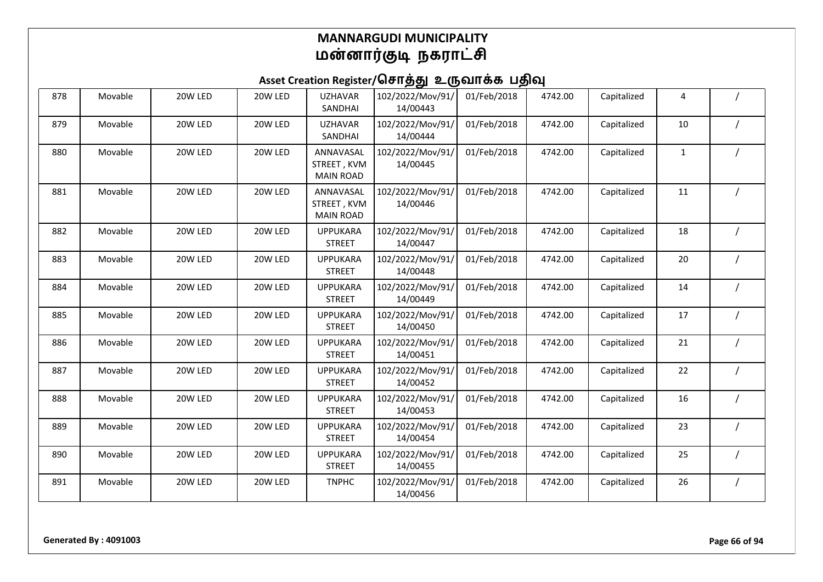| 878 | Movable | 20W LED | 20W LED | <b>UZHAVAR</b><br>SANDHAI                    | 102/2022/Mov/91/<br>14/00443 | 01/Feb/2018 | 4742.00 | Capitalized | 4            |  |
|-----|---------|---------|---------|----------------------------------------------|------------------------------|-------------|---------|-------------|--------------|--|
| 879 | Movable | 20W LED | 20W LED | <b>UZHAVAR</b><br>SANDHAI                    | 102/2022/Mov/91/<br>14/00444 | 01/Feb/2018 | 4742.00 | Capitalized | 10           |  |
| 880 | Movable | 20W LED | 20W LED | ANNAVASAL<br>STREET, KVM<br><b>MAIN ROAD</b> | 102/2022/Mov/91/<br>14/00445 | 01/Feb/2018 | 4742.00 | Capitalized | $\mathbf{1}$ |  |
| 881 | Movable | 20W LED | 20W LED | ANNAVASAL<br>STREET, KVM<br><b>MAIN ROAD</b> | 102/2022/Mov/91/<br>14/00446 | 01/Feb/2018 | 4742.00 | Capitalized | 11           |  |
| 882 | Movable | 20W LED | 20W LED | <b>UPPUKARA</b><br><b>STREET</b>             | 102/2022/Mov/91/<br>14/00447 | 01/Feb/2018 | 4742.00 | Capitalized | 18           |  |
| 883 | Movable | 20W LED | 20W LED | <b>UPPUKARA</b><br><b>STREET</b>             | 102/2022/Mov/91/<br>14/00448 | 01/Feb/2018 | 4742.00 | Capitalized | 20           |  |
| 884 | Movable | 20W LED | 20W LED | <b>UPPUKARA</b><br><b>STREET</b>             | 102/2022/Mov/91/<br>14/00449 | 01/Feb/2018 | 4742.00 | Capitalized | 14           |  |
| 885 | Movable | 20W LED | 20W LED | <b>UPPUKARA</b><br><b>STREET</b>             | 102/2022/Mov/91/<br>14/00450 | 01/Feb/2018 | 4742.00 | Capitalized | 17           |  |
| 886 | Movable | 20W LED | 20W LED | <b>UPPUKARA</b><br><b>STREET</b>             | 102/2022/Mov/91/<br>14/00451 | 01/Feb/2018 | 4742.00 | Capitalized | 21           |  |
| 887 | Movable | 20W LED | 20W LED | <b>UPPUKARA</b><br><b>STREET</b>             | 102/2022/Mov/91/<br>14/00452 | 01/Feb/2018 | 4742.00 | Capitalized | 22           |  |
| 888 | Movable | 20W LED | 20W LED | <b>UPPUKARA</b><br><b>STREET</b>             | 102/2022/Mov/91/<br>14/00453 | 01/Feb/2018 | 4742.00 | Capitalized | 16           |  |
| 889 | Movable | 20W LED | 20W LED | <b>UPPUKARA</b><br><b>STREET</b>             | 102/2022/Mov/91/<br>14/00454 | 01/Feb/2018 | 4742.00 | Capitalized | 23           |  |
| 890 | Movable | 20W LED | 20W LED | <b>UPPUKARA</b><br><b>STREET</b>             | 102/2022/Mov/91/<br>14/00455 | 01/Feb/2018 | 4742.00 | Capitalized | 25           |  |
| 891 | Movable | 20W LED | 20W LED | <b>TNPHC</b>                                 | 102/2022/Mov/91/<br>14/00456 | 01/Feb/2018 | 4742.00 | Capitalized | 26           |  |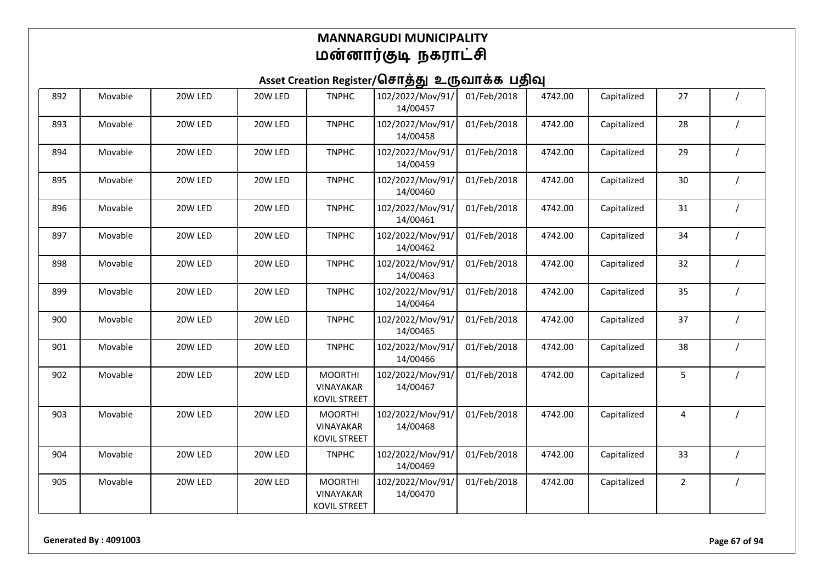| 892 | Movable | 20W LED | 20W LED | <b>TNPHC</b>                                              | 102/2022/Mov/91/<br>14/00457 | 01/Feb/2018 | 4742.00 | Capitalized | 27             |  |
|-----|---------|---------|---------|-----------------------------------------------------------|------------------------------|-------------|---------|-------------|----------------|--|
| 893 | Movable | 20W LED | 20W LED | <b>TNPHC</b>                                              | 102/2022/Mov/91/<br>14/00458 | 01/Feb/2018 | 4742.00 | Capitalized | 28             |  |
| 894 | Movable | 20W LED | 20W LED | <b>TNPHC</b>                                              | 102/2022/Mov/91/<br>14/00459 | 01/Feb/2018 | 4742.00 | Capitalized | 29             |  |
| 895 | Movable | 20W LED | 20W LED | <b>TNPHC</b>                                              | 102/2022/Mov/91/<br>14/00460 | 01/Feb/2018 | 4742.00 | Capitalized | 30             |  |
| 896 | Movable | 20W LED | 20W LED | <b>TNPHC</b>                                              | 102/2022/Mov/91/<br>14/00461 | 01/Feb/2018 | 4742.00 | Capitalized | 31             |  |
| 897 | Movable | 20W LED | 20W LED | <b>TNPHC</b>                                              | 102/2022/Mov/91/<br>14/00462 | 01/Feb/2018 | 4742.00 | Capitalized | 34             |  |
| 898 | Movable | 20W LED | 20W LED | <b>TNPHC</b>                                              | 102/2022/Mov/91/<br>14/00463 | 01/Feb/2018 | 4742.00 | Capitalized | 32             |  |
| 899 | Movable | 20W LED | 20W LED | <b>TNPHC</b>                                              | 102/2022/Mov/91/<br>14/00464 | 01/Feb/2018 | 4742.00 | Capitalized | 35             |  |
| 900 | Movable | 20W LED | 20W LED | <b>TNPHC</b>                                              | 102/2022/Mov/91/<br>14/00465 | 01/Feb/2018 | 4742.00 | Capitalized | 37             |  |
| 901 | Movable | 20W LED | 20W LED | <b>TNPHC</b>                                              | 102/2022/Mov/91/<br>14/00466 | 01/Feb/2018 | 4742.00 | Capitalized | 38             |  |
| 902 | Movable | 20W LED | 20W LED | <b>MOORTHI</b><br>VINAYAKAR<br><b>KOVIL STREET</b>        | 102/2022/Mov/91/<br>14/00467 | 01/Feb/2018 | 4742.00 | Capitalized | 5              |  |
| 903 | Movable | 20W LED | 20W LED | <b>MOORTHI</b><br>VINAYAKAR<br><b>KOVIL STREET</b>        | 102/2022/Mov/91/<br>14/00468 | 01/Feb/2018 | 4742.00 | Capitalized | 4              |  |
| 904 | Movable | 20W LED | 20W LED | <b>TNPHC</b>                                              | 102/2022/Mov/91/<br>14/00469 | 01/Feb/2018 | 4742.00 | Capitalized | 33             |  |
| 905 | Movable | 20W LED | 20W LED | <b>MOORTHI</b><br><b>VINAYAKAR</b><br><b>KOVIL STREET</b> | 102/2022/Mov/91/<br>14/00470 | 01/Feb/2018 | 4742.00 | Capitalized | $\overline{2}$ |  |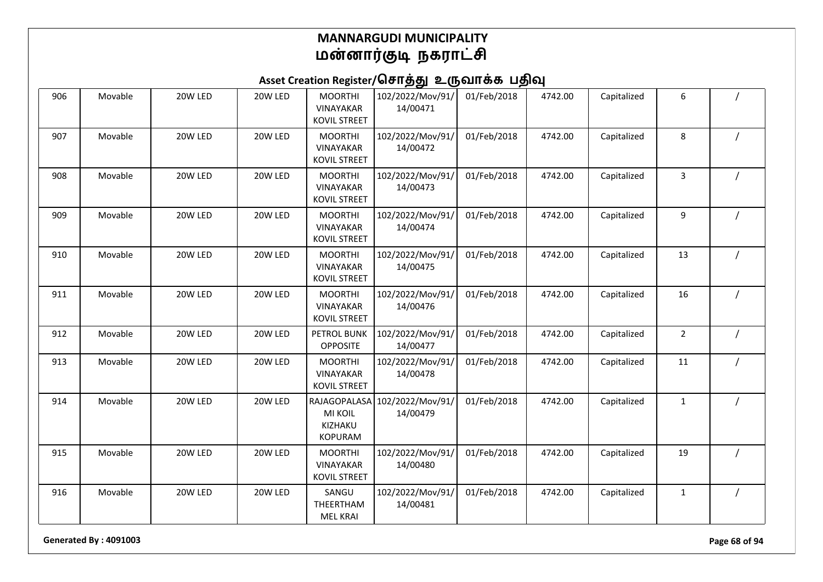## Asset Creation Register/சொத்து உருவாக்க பதிவு

| 906 | Movable | 20W LED | 20W LED | <b>MOORTHI</b><br><b>VINAYAKAR</b><br><b>KOVIL STREET</b> | 102/2022/Mov/91/<br>14/00471 | 01/Feb/2018 | 4742.00 | Capitalized | 6              |  |
|-----|---------|---------|---------|-----------------------------------------------------------|------------------------------|-------------|---------|-------------|----------------|--|
| 907 | Movable | 20W LED | 20W LED | <b>MOORTHI</b><br>VINAYAKAR<br><b>KOVIL STREET</b>        | 102/2022/Mov/91/<br>14/00472 | 01/Feb/2018 | 4742.00 | Capitalized | 8              |  |
| 908 | Movable | 20W LED | 20W LED | <b>MOORTHI</b><br>VINAYAKAR<br><b>KOVIL STREET</b>        | 102/2022/Mov/91/<br>14/00473 | 01/Feb/2018 | 4742.00 | Capitalized | 3              |  |
| 909 | Movable | 20W LED | 20W LED | <b>MOORTHI</b><br>VINAYAKAR<br><b>KOVIL STREET</b>        | 102/2022/Mov/91/<br>14/00474 | 01/Feb/2018 | 4742.00 | Capitalized | 9              |  |
| 910 | Movable | 20W LED | 20W LED | <b>MOORTHI</b><br><b>VINAYAKAR</b><br><b>KOVIL STREET</b> | 102/2022/Mov/91/<br>14/00475 | 01/Feb/2018 | 4742.00 | Capitalized | 13             |  |
| 911 | Movable | 20W LED | 20W LED | <b>MOORTHI</b><br>VINAYAKAR<br><b>KOVIL STREET</b>        | 102/2022/Mov/91/<br>14/00476 | 01/Feb/2018 | 4742.00 | Capitalized | 16             |  |
| 912 | Movable | 20W LED | 20W LED | PETROL BUNK<br><b>OPPOSITE</b>                            | 102/2022/Mov/91/<br>14/00477 | 01/Feb/2018 | 4742.00 | Capitalized | $\overline{2}$ |  |
| 913 | Movable | 20W LED | 20W LED | <b>MOORTHI</b><br>VINAYAKAR<br><b>KOVIL STREET</b>        | 102/2022/Mov/91/<br>14/00478 | 01/Feb/2018 | 4742.00 | Capitalized | 11             |  |
| 914 | Movable | 20W LED | 20W LED | RAJAGOPALASA<br><b>MI KOIL</b><br>KIZHAKU<br>KOPURAM      | 102/2022/Mov/91/<br>14/00479 | 01/Feb/2018 | 4742.00 | Capitalized | $\mathbf{1}$   |  |
| 915 | Movable | 20W LED | 20W LED | <b>MOORTHI</b><br><b>VINAYAKAR</b><br><b>KOVIL STREET</b> | 102/2022/Mov/91/<br>14/00480 | 01/Feb/2018 | 4742.00 | Capitalized | 19             |  |
| 916 | Movable | 20W LED | 20W LED | SANGU<br>THEERTHAM<br><b>MEL KRAI</b>                     | 102/2022/Mov/91/<br>14/00481 | 01/Feb/2018 | 4742.00 | Capitalized | $\mathbf{1}$   |  |

**Generated By : 4091003 Page 68 of 94**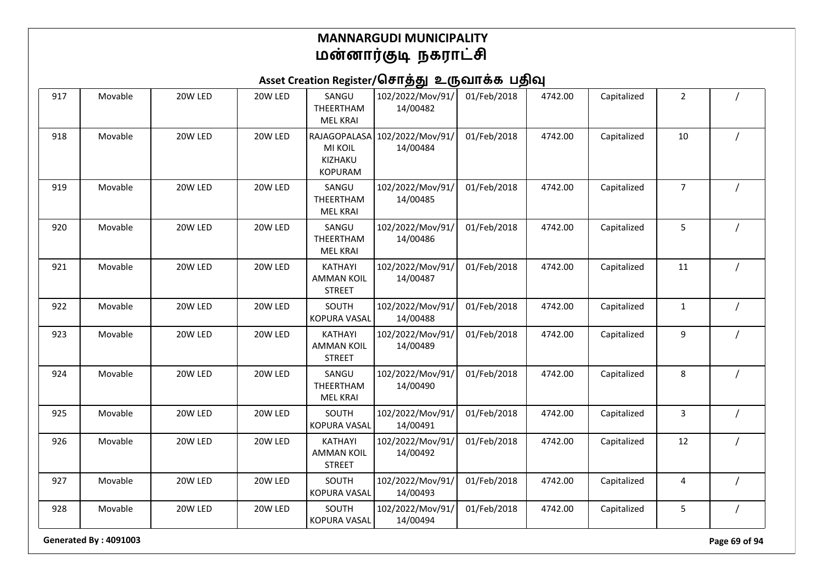# Asset Creation Register/சொத்து உருவாக்க பதிவு

| 917 | Movable | 20W LED | 20W LED | SANGU<br>THEERTHAM<br><b>MEL KRAI</b>                       | 102/2022/Mov/91/<br>14/00482 | 01/Feb/2018 | 4742.00 | Capitalized | $\overline{2}$ |                |
|-----|---------|---------|---------|-------------------------------------------------------------|------------------------------|-------------|---------|-------------|----------------|----------------|
| 918 | Movable | 20W LED | 20W LED | RAJAGOPALASA<br><b>MI KOIL</b><br>KIZHAKU<br><b>KOPURAM</b> | 102/2022/Mov/91/<br>14/00484 | 01/Feb/2018 | 4742.00 | Capitalized | 10             |                |
| 919 | Movable | 20W LED | 20W LED | SANGU<br>THEERTHAM<br><b>MEL KRAI</b>                       | 102/2022/Mov/91/<br>14/00485 | 01/Feb/2018 | 4742.00 | Capitalized | $\overline{7}$ |                |
| 920 | Movable | 20W LED | 20W LED | SANGU<br>THEERTHAM<br><b>MEL KRAI</b>                       | 102/2022/Mov/91/<br>14/00486 | 01/Feb/2018 | 4742.00 | Capitalized | 5              |                |
| 921 | Movable | 20W LED | 20W LED | KATHAYI<br><b>AMMAN KOIL</b><br><b>STREET</b>               | 102/2022/Mov/91/<br>14/00487 | 01/Feb/2018 | 4742.00 | Capitalized | 11             |                |
| 922 | Movable | 20W LED | 20W LED | SOUTH<br><b>KOPURA VASAL</b>                                | 102/2022/Mov/91/<br>14/00488 | 01/Feb/2018 | 4742.00 | Capitalized | $\mathbf{1}$   |                |
| 923 | Movable | 20W LED | 20W LED | KATHAYI<br><b>AMMAN KOIL</b><br><b>STREET</b>               | 102/2022/Mov/91/<br>14/00489 | 01/Feb/2018 | 4742.00 | Capitalized | 9              |                |
| 924 | Movable | 20W LED | 20W LED | SANGU<br>THEERTHAM<br><b>MEL KRAI</b>                       | 102/2022/Mov/91/<br>14/00490 | 01/Feb/2018 | 4742.00 | Capitalized | 8              |                |
| 925 | Movable | 20W LED | 20W LED | SOUTH<br><b>KOPURA VASAL</b>                                | 102/2022/Mov/91/<br>14/00491 | 01/Feb/2018 | 4742.00 | Capitalized | 3              |                |
| 926 | Movable | 20W LED | 20W LED | KATHAYI<br><b>AMMAN KOIL</b><br><b>STREET</b>               | 102/2022/Mov/91/<br>14/00492 | 01/Feb/2018 | 4742.00 | Capitalized | 12             |                |
| 927 | Movable | 20W LED | 20W LED | SOUTH<br>KOPURA VASAL                                       | 102/2022/Mov/91/<br>14/00493 | 01/Feb/2018 | 4742.00 | Capitalized | 4              |                |
| 928 | Movable | 20W LED | 20W LED | SOUTH<br>KOPURA VASAL                                       | 102/2022/Mov/91/<br>14/00494 | 01/Feb/2018 | 4742.00 | Capitalized | 5              | $\overline{1}$ |

**Generated By : 4091003 Page 69 of 94**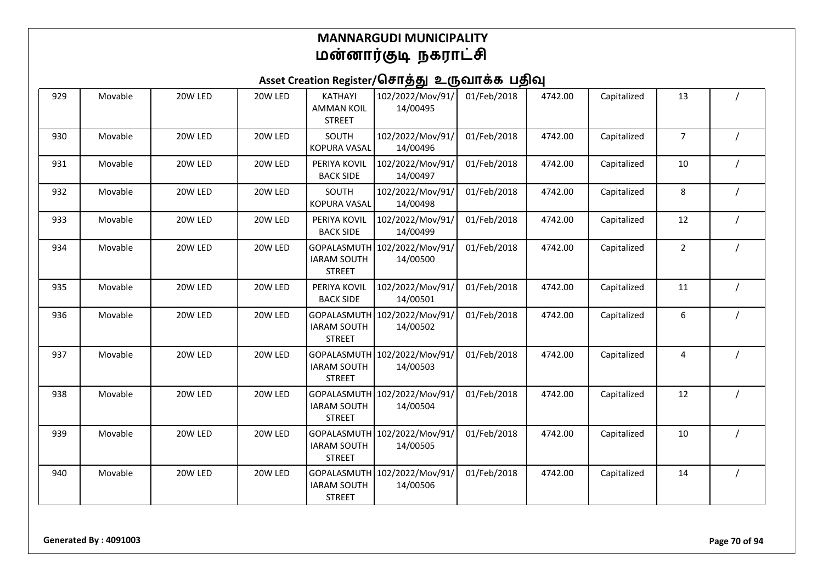# Asset Creation Register/சொத்து உருவாக்க பதிவு

| 929 | Movable | 20W LED | 20W LED | KATHAYI<br><b>AMMAN KOIL</b><br><b>STREET</b>      | 102/2022/Mov/91/<br>14/00495             | 01/Feb/2018 | 4742.00 | Capitalized | 13             |  |
|-----|---------|---------|---------|----------------------------------------------------|------------------------------------------|-------------|---------|-------------|----------------|--|
| 930 | Movable | 20W LED | 20W LED | <b>SOUTH</b><br><b>KOPURA VASAL</b>                | 102/2022/Mov/91/<br>14/00496             | 01/Feb/2018 | 4742.00 | Capitalized | $\overline{7}$ |  |
| 931 | Movable | 20W LED | 20W LED | PERIYA KOVIL<br><b>BACK SIDE</b>                   | 102/2022/Mov/91/<br>14/00497             | 01/Feb/2018 | 4742.00 | Capitalized | 10             |  |
| 932 | Movable | 20W LED | 20W LED | SOUTH<br>KOPURA VASAL                              | 102/2022/Mov/91/<br>14/00498             | 01/Feb/2018 | 4742.00 | Capitalized | 8              |  |
| 933 | Movable | 20W LED | 20W LED | PERIYA KOVIL<br><b>BACK SIDE</b>                   | 102/2022/Mov/91/<br>14/00499             | 01/Feb/2018 | 4742.00 | Capitalized | 12             |  |
| 934 | Movable | 20W LED | 20W LED | GOPALASMUTH<br><b>IARAM SOUTH</b><br><b>STREET</b> | 102/2022/Mov/91/<br>14/00500             | 01/Feb/2018 | 4742.00 | Capitalized | $\overline{2}$ |  |
| 935 | Movable | 20W LED | 20W LED | PERIYA KOVIL<br><b>BACK SIDE</b>                   | 102/2022/Mov/91/<br>14/00501             | 01/Feb/2018 | 4742.00 | Capitalized | 11             |  |
| 936 | Movable | 20W LED | 20W LED | <b>IARAM SOUTH</b><br><b>STREET</b>                | GOPALASMUTH 102/2022/Mov/91/<br>14/00502 | 01/Feb/2018 | 4742.00 | Capitalized | 6              |  |
| 937 | Movable | 20W LED | 20W LED | <b>IARAM SOUTH</b><br><b>STREET</b>                | GOPALASMUTH 102/2022/Mov/91/<br>14/00503 | 01/Feb/2018 | 4742.00 | Capitalized | 4              |  |
| 938 | Movable | 20W LED | 20W LED | <b>IARAM SOUTH</b><br><b>STREET</b>                | GOPALASMUTH 102/2022/Mov/91/<br>14/00504 | 01/Feb/2018 | 4742.00 | Capitalized | 12             |  |
| 939 | Movable | 20W LED | 20W LED | <b>IARAM SOUTH</b><br><b>STREET</b>                | GOPALASMUTH 102/2022/Mov/91/<br>14/00505 | 01/Feb/2018 | 4742.00 | Capitalized | 10             |  |
| 940 | Movable | 20W LED | 20W LED | <b>IARAM SOUTH</b><br><b>STREET</b>                | GOPALASMUTH 102/2022/Mov/91/<br>14/00506 | 01/Feb/2018 | 4742.00 | Capitalized | 14             |  |

**Generated By : 4091003 Page 70 of 94**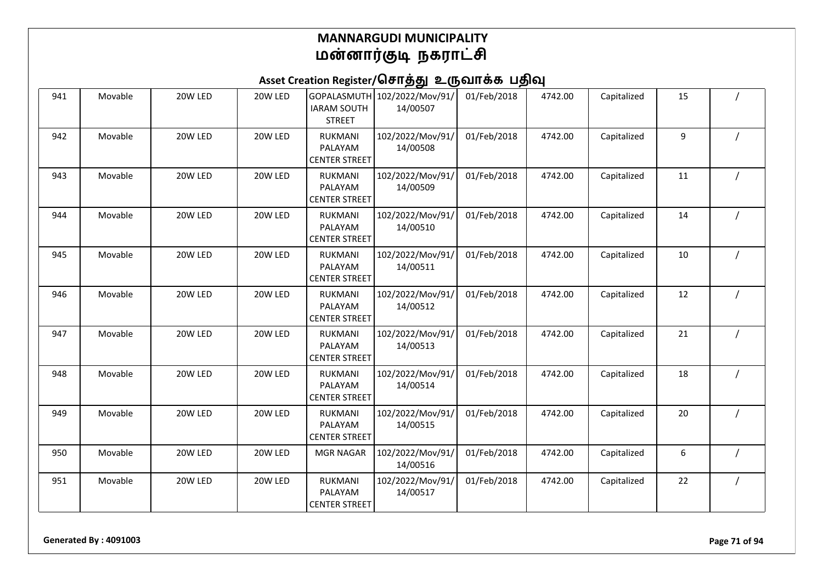| 941 | Movable | 20W LED | 20W LED | <b>IARAM SOUTH</b><br><b>STREET</b>               | GOPALASMUTH 102/2022/Mov/91/<br>14/00507 | 01/Feb/2018 | 4742.00 | Capitalized | 15 |  |
|-----|---------|---------|---------|---------------------------------------------------|------------------------------------------|-------------|---------|-------------|----|--|
| 942 | Movable | 20W LED | 20W LED | <b>RUKMANI</b><br>PALAYAM<br><b>CENTER STREET</b> | 102/2022/Mov/91/<br>14/00508             | 01/Feb/2018 | 4742.00 | Capitalized | 9  |  |
| 943 | Movable | 20W LED | 20W LED | <b>RUKMANI</b><br>PALAYAM<br><b>CENTER STREET</b> | 102/2022/Mov/91/<br>14/00509             | 01/Feb/2018 | 4742.00 | Capitalized | 11 |  |
| 944 | Movable | 20W LED | 20W LED | <b>RUKMANI</b><br>PALAYAM<br><b>CENTER STREET</b> | 102/2022/Mov/91/<br>14/00510             | 01/Feb/2018 | 4742.00 | Capitalized | 14 |  |
| 945 | Movable | 20W LED | 20W LED | <b>RUKMANI</b><br>PALAYAM<br><b>CENTER STREET</b> | 102/2022/Mov/91/<br>14/00511             | 01/Feb/2018 | 4742.00 | Capitalized | 10 |  |
| 946 | Movable | 20W LED | 20W LED | RUKMANI<br>PALAYAM<br><b>CENTER STREET</b>        | 102/2022/Mov/91/<br>14/00512             | 01/Feb/2018 | 4742.00 | Capitalized | 12 |  |
| 947 | Movable | 20W LED | 20W LED | <b>RUKMANI</b><br>PALAYAM<br><b>CENTER STREET</b> | 102/2022/Mov/91/<br>14/00513             | 01/Feb/2018 | 4742.00 | Capitalized | 21 |  |
| 948 | Movable | 20W LED | 20W LED | <b>RUKMANI</b><br>PALAYAM<br><b>CENTER STREET</b> | 102/2022/Mov/91/<br>14/00514             | 01/Feb/2018 | 4742.00 | Capitalized | 18 |  |
| 949 | Movable | 20W LED | 20W LED | <b>RUKMANI</b><br>PALAYAM<br><b>CENTER STREET</b> | 102/2022/Mov/91/<br>14/00515             | 01/Feb/2018 | 4742.00 | Capitalized | 20 |  |
| 950 | Movable | 20W LED | 20W LED | <b>MGR NAGAR</b>                                  | 102/2022/Mov/91/<br>14/00516             | 01/Feb/2018 | 4742.00 | Capitalized | 6  |  |
| 951 | Movable | 20W LED | 20W LED | <b>RUKMANI</b><br>PALAYAM<br><b>CENTER STREET</b> | 102/2022/Mov/91/<br>14/00517             | 01/Feb/2018 | 4742.00 | Capitalized | 22 |  |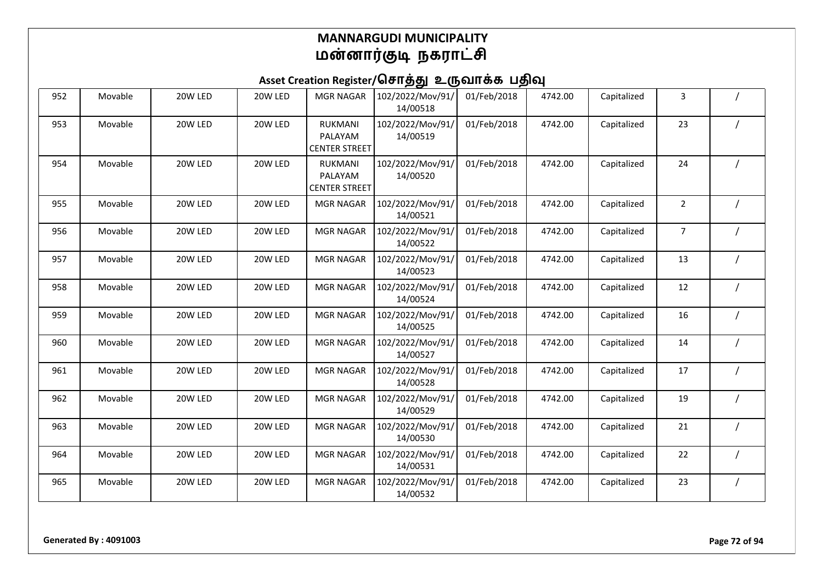| 952 | Movable | 20W LED | 20W LED | <b>MGR NAGAR</b>                                  | 102/2022/Mov/91/<br>14/00518 | 01/Feb/2018 | 4742.00 | Capitalized | 3              |  |
|-----|---------|---------|---------|---------------------------------------------------|------------------------------|-------------|---------|-------------|----------------|--|
| 953 | Movable | 20W LED | 20W LED | <b>RUKMANI</b><br>PALAYAM<br><b>CENTER STREET</b> | 102/2022/Mov/91/<br>14/00519 | 01/Feb/2018 | 4742.00 | Capitalized | 23             |  |
| 954 | Movable | 20W LED | 20W LED | RUKMANI<br>PALAYAM<br><b>CENTER STREET</b>        | 102/2022/Mov/91/<br>14/00520 | 01/Feb/2018 | 4742.00 | Capitalized | 24             |  |
| 955 | Movable | 20W LED | 20W LED | <b>MGR NAGAR</b>                                  | 102/2022/Mov/91/<br>14/00521 | 01/Feb/2018 | 4742.00 | Capitalized | $\overline{2}$ |  |
| 956 | Movable | 20W LED | 20W LED | <b>MGR NAGAR</b>                                  | 102/2022/Mov/91/<br>14/00522 | 01/Feb/2018 | 4742.00 | Capitalized | $\overline{7}$ |  |
| 957 | Movable | 20W LED | 20W LED | <b>MGR NAGAR</b>                                  | 102/2022/Mov/91/<br>14/00523 | 01/Feb/2018 | 4742.00 | Capitalized | 13             |  |
| 958 | Movable | 20W LED | 20W LED | <b>MGR NAGAR</b>                                  | 102/2022/Mov/91/<br>14/00524 | 01/Feb/2018 | 4742.00 | Capitalized | 12             |  |
| 959 | Movable | 20W LED | 20W LED | <b>MGR NAGAR</b>                                  | 102/2022/Mov/91/<br>14/00525 | 01/Feb/2018 | 4742.00 | Capitalized | 16             |  |
| 960 | Movable | 20W LED | 20W LED | <b>MGR NAGAR</b>                                  | 102/2022/Mov/91/<br>14/00527 | 01/Feb/2018 | 4742.00 | Capitalized | 14             |  |
| 961 | Movable | 20W LED | 20W LED | <b>MGR NAGAR</b>                                  | 102/2022/Mov/91/<br>14/00528 | 01/Feb/2018 | 4742.00 | Capitalized | 17             |  |
| 962 | Movable | 20W LED | 20W LED | <b>MGR NAGAR</b>                                  | 102/2022/Mov/91/<br>14/00529 | 01/Feb/2018 | 4742.00 | Capitalized | 19             |  |
| 963 | Movable | 20W LED | 20W LED | <b>MGR NAGAR</b>                                  | 102/2022/Mov/91/<br>14/00530 | 01/Feb/2018 | 4742.00 | Capitalized | 21             |  |
| 964 | Movable | 20W LED | 20W LED | <b>MGR NAGAR</b>                                  | 102/2022/Mov/91/<br>14/00531 | 01/Feb/2018 | 4742.00 | Capitalized | 22             |  |
| 965 | Movable | 20W LED | 20W LED | <b>MGR NAGAR</b>                                  | 102/2022/Mov/91/<br>14/00532 | 01/Feb/2018 | 4742.00 | Capitalized | 23             |  |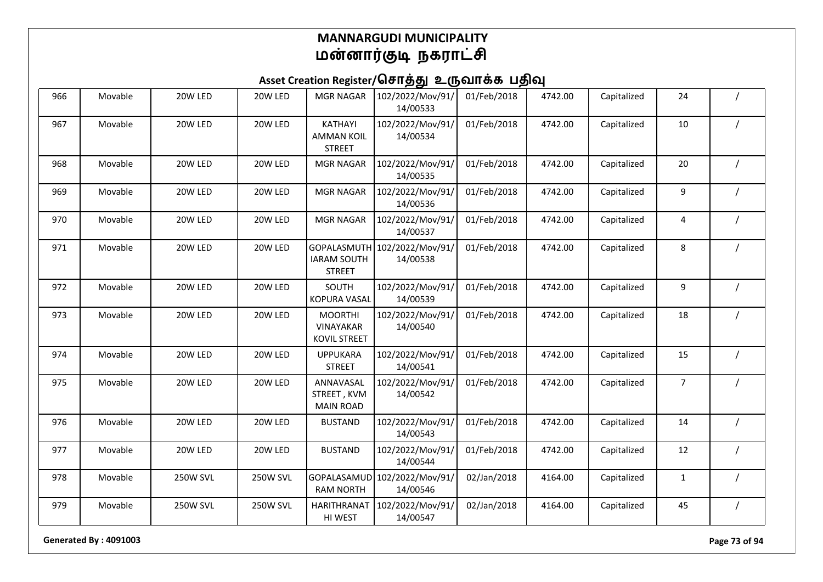### Asset Creation Register/சொத்து உருவாக்க பதிவு

| 966 | Movable | 20W LED         | 20W LED  | <b>MGR NAGAR</b>                                          | 102/2022/Mov/91/<br>14/00533 | 01/Feb/2018 | 4742.00 | Capitalized | 24             |                |
|-----|---------|-----------------|----------|-----------------------------------------------------------|------------------------------|-------------|---------|-------------|----------------|----------------|
| 967 | Movable | 20W LED         | 20W LED  | KATHAYI<br><b>AMMAN KOIL</b><br><b>STREET</b>             | 102/2022/Mov/91/<br>14/00534 | 01/Feb/2018 | 4742.00 | Capitalized | 10             |                |
| 968 | Movable | 20W LED         | 20W LED  | <b>MGR NAGAR</b>                                          | 102/2022/Mov/91/<br>14/00535 | 01/Feb/2018 | 4742.00 | Capitalized | 20             |                |
| 969 | Movable | 20W LED         | 20W LED  | <b>MGR NAGAR</b>                                          | 102/2022/Mov/91/<br>14/00536 | 01/Feb/2018 | 4742.00 | Capitalized | 9              | $\prime$       |
| 970 | Movable | 20W LED         | 20W LED  | <b>MGR NAGAR</b>                                          | 102/2022/Mov/91/<br>14/00537 | 01/Feb/2018 | 4742.00 | Capitalized | 4              |                |
| 971 | Movable | 20W LED         | 20W LED  | GOPALASMUTH<br><b>IARAM SOUTH</b><br><b>STREET</b>        | 102/2022/Mov/91/<br>14/00538 | 01/Feb/2018 | 4742.00 | Capitalized | 8              |                |
| 972 | Movable | 20W LED         | 20W LED  | SOUTH<br><b>KOPURA VASAL</b>                              | 102/2022/Mov/91/<br>14/00539 | 01/Feb/2018 | 4742.00 | Capitalized | 9              | $\prime$       |
| 973 | Movable | 20W LED         | 20W LED  | <b>MOORTHI</b><br><b>VINAYAKAR</b><br><b>KOVIL STREET</b> | 102/2022/Mov/91/<br>14/00540 | 01/Feb/2018 | 4742.00 | Capitalized | 18             |                |
| 974 | Movable | 20W LED         | 20W LED  | <b>UPPUKARA</b><br><b>STREET</b>                          | 102/2022/Mov/91/<br>14/00541 | 01/Feb/2018 | 4742.00 | Capitalized | 15             |                |
| 975 | Movable | 20W LED         | 20W LED  | ANNAVASAL<br>STREET, KVM<br><b>MAIN ROAD</b>              | 102/2022/Mov/91/<br>14/00542 | 01/Feb/2018 | 4742.00 | Capitalized | $\overline{7}$ |                |
| 976 | Movable | 20W LED         | 20W LED  | <b>BUSTAND</b>                                            | 102/2022/Mov/91/<br>14/00543 | 01/Feb/2018 | 4742.00 | Capitalized | 14             |                |
| 977 | Movable | 20W LED         | 20W LED  | <b>BUSTAND</b>                                            | 102/2022/Mov/91/<br>14/00544 | 01/Feb/2018 | 4742.00 | Capitalized | 12             | $\overline{1}$ |
| 978 | Movable | 250W SVL        | 250W SVL | GOPALASAMUD<br><b>RAM NORTH</b>                           | 102/2022/Mov/91/<br>14/00546 | 02/Jan/2018 | 4164.00 | Capitalized | $\mathbf{1}$   |                |
| 979 | Movable | <b>250W SVL</b> | 250W SVL | <b>HARITHRANAT</b><br>HI WEST                             | 102/2022/Mov/91/<br>14/00547 | 02/Jan/2018 | 4164.00 | Capitalized | 45             | $\prime$       |

**Generated By : 4091003 Page 73 of 94**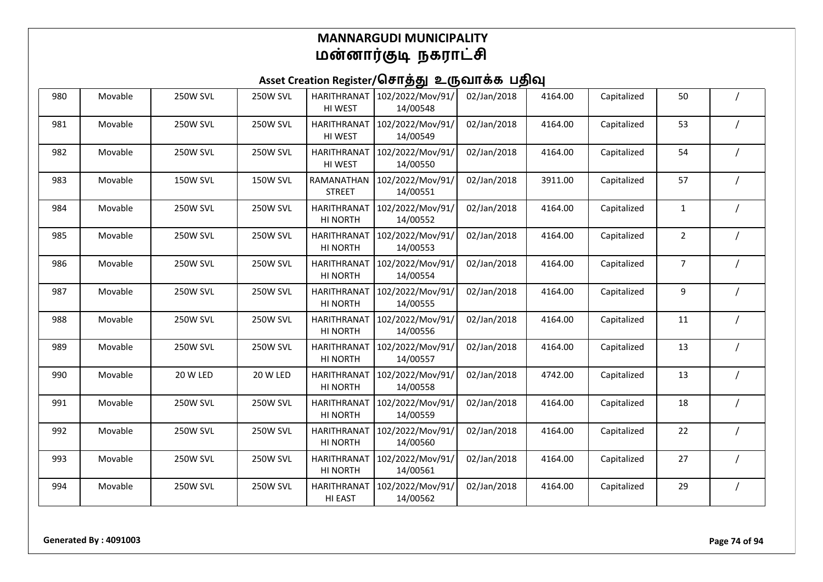| 980 | Movable | <b>250W SVL</b> | <b>250W SVL</b> | <b>HARITHRANAT</b><br>HI WEST  | 102/2022/Mov/91/<br>14/00548 | 02/Jan/2018 | 4164.00 | Capitalized | 50             |  |
|-----|---------|-----------------|-----------------|--------------------------------|------------------------------|-------------|---------|-------------|----------------|--|
| 981 | Movable | <b>250W SVL</b> | <b>250W SVL</b> | <b>HARITHRANAT</b><br>HI WEST  | 102/2022/Mov/91/<br>14/00549 | 02/Jan/2018 | 4164.00 | Capitalized | 53             |  |
| 982 | Movable | <b>250W SVL</b> | <b>250W SVL</b> | <b>HARITHRANAT</b><br>HI WEST  | 102/2022/Mov/91/<br>14/00550 | 02/Jan/2018 | 4164.00 | Capitalized | 54             |  |
| 983 | Movable | <b>150W SVL</b> | <b>150W SVL</b> | RAMANATHAN<br><b>STREET</b>    | 102/2022/Mov/91/<br>14/00551 | 02/Jan/2018 | 3911.00 | Capitalized | 57             |  |
| 984 | Movable | <b>250W SVL</b> | <b>250W SVL</b> | <b>HARITHRANAT</b><br>HI NORTH | 102/2022/Mov/91/<br>14/00552 | 02/Jan/2018 | 4164.00 | Capitalized | $\mathbf{1}$   |  |
| 985 | Movable | <b>250W SVL</b> | <b>250W SVL</b> | <b>HARITHRANAT</b><br>HI NORTH | 102/2022/Mov/91/<br>14/00553 | 02/Jan/2018 | 4164.00 | Capitalized | $\overline{2}$ |  |
| 986 | Movable | <b>250W SVL</b> | <b>250W SVL</b> | <b>HARITHRANAT</b><br>HI NORTH | 102/2022/Mov/91/<br>14/00554 | 02/Jan/2018 | 4164.00 | Capitalized | $\overline{7}$ |  |
| 987 | Movable | <b>250W SVL</b> | <b>250W SVL</b> | <b>HARITHRANAT</b><br>HI NORTH | 102/2022/Mov/91/<br>14/00555 | 02/Jan/2018 | 4164.00 | Capitalized | 9              |  |
| 988 | Movable | 250W SVL        | <b>250W SVL</b> | <b>HARITHRANAT</b><br>HI NORTH | 102/2022/Mov/91/<br>14/00556 | 02/Jan/2018 | 4164.00 | Capitalized | 11             |  |
| 989 | Movable | <b>250W SVL</b> | <b>250W SVL</b> | <b>HARITHRANAT</b><br>HI NORTH | 102/2022/Mov/91/<br>14/00557 | 02/Jan/2018 | 4164.00 | Capitalized | 13             |  |
| 990 | Movable | 20 W LED        | 20 W LED        | <b>HARITHRANAT</b><br>HI NORTH | 102/2022/Mov/91/<br>14/00558 | 02/Jan/2018 | 4742.00 | Capitalized | 13             |  |
| 991 | Movable | <b>250W SVL</b> | <b>250W SVL</b> | <b>HARITHRANAT</b><br>HI NORTH | 102/2022/Mov/91/<br>14/00559 | 02/Jan/2018 | 4164.00 | Capitalized | 18             |  |
| 992 | Movable | <b>250W SVL</b> | <b>250W SVL</b> | <b>HARITHRANAT</b><br>HI NORTH | 102/2022/Mov/91/<br>14/00560 | 02/Jan/2018 | 4164.00 | Capitalized | 22             |  |
| 993 | Movable | <b>250W SVL</b> | <b>250W SVL</b> | <b>HARITHRANAT</b><br>HI NORTH | 102/2022/Mov/91/<br>14/00561 | 02/Jan/2018 | 4164.00 | Capitalized | 27             |  |
| 994 | Movable | 250W SVL        | 250W SVL        | <b>HARITHRANAT</b><br>HI EAST  | 102/2022/Mov/91/<br>14/00562 | 02/Jan/2018 | 4164.00 | Capitalized | 29             |  |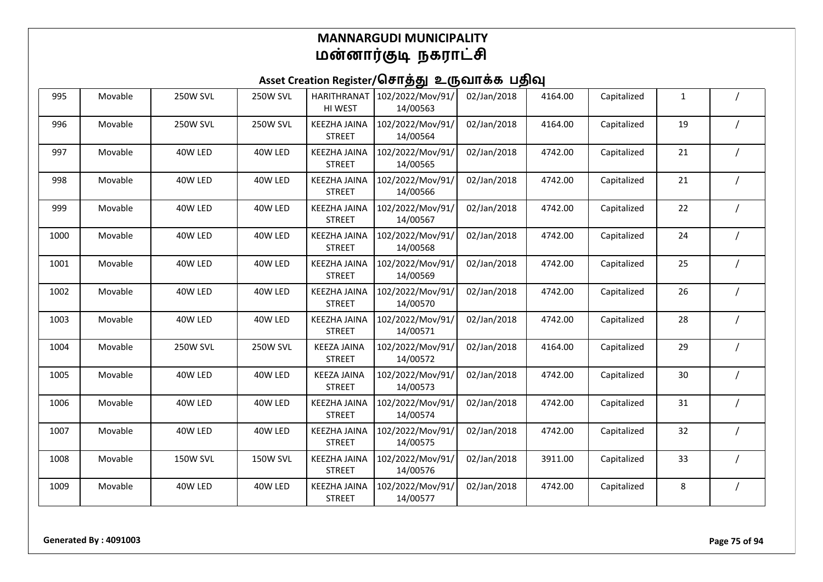| 995  | Movable | <b>250W SVL</b> | <b>250W SVL</b> | <b>HARITHRANAT</b><br>HI WEST        | 102/2022/Mov/91/<br>14/00563 | 02/Jan/2018 | 4164.00 | Capitalized | $\mathbf{1}$ |  |
|------|---------|-----------------|-----------------|--------------------------------------|------------------------------|-------------|---------|-------------|--------------|--|
| 996  | Movable | <b>250W SVL</b> | <b>250W SVL</b> | <b>KEEZHA JAINA</b><br><b>STREET</b> | 102/2022/Mov/91/<br>14/00564 | 02/Jan/2018 | 4164.00 | Capitalized | 19           |  |
| 997  | Movable | 40W LED         | 40W LED         | <b>KEEZHA JAINA</b><br><b>STREET</b> | 102/2022/Mov/91/<br>14/00565 | 02/Jan/2018 | 4742.00 | Capitalized | 21           |  |
| 998  | Movable | 40W LED         | 40W LED         | <b>KEEZHA JAINA</b><br><b>STREET</b> | 102/2022/Mov/91/<br>14/00566 | 02/Jan/2018 | 4742.00 | Capitalized | 21           |  |
| 999  | Movable | 40W LED         | 40W LED         | <b>KEEZHA JAINA</b><br><b>STREET</b> | 102/2022/Mov/91/<br>14/00567 | 02/Jan/2018 | 4742.00 | Capitalized | 22           |  |
| 1000 | Movable | 40W LED         | 40W LED         | <b>KEEZHA JAINA</b><br><b>STREET</b> | 102/2022/Mov/91/<br>14/00568 | 02/Jan/2018 | 4742.00 | Capitalized | 24           |  |
| 1001 | Movable | 40W LED         | 40W LED         | <b>KEEZHA JAINA</b><br><b>STREET</b> | 102/2022/Mov/91/<br>14/00569 | 02/Jan/2018 | 4742.00 | Capitalized | 25           |  |
| 1002 | Movable | 40W LED         | 40W LED         | <b>KEEZHA JAINA</b><br><b>STREET</b> | 102/2022/Mov/91/<br>14/00570 | 02/Jan/2018 | 4742.00 | Capitalized | 26           |  |
| 1003 | Movable | 40W LED         | 40W LED         | <b>KEEZHA JAINA</b><br><b>STREET</b> | 102/2022/Mov/91/<br>14/00571 | 02/Jan/2018 | 4742.00 | Capitalized | 28           |  |
| 1004 | Movable | <b>250W SVL</b> | <b>250W SVL</b> | <b>KEEZA JAINA</b><br><b>STREET</b>  | 102/2022/Mov/91/<br>14/00572 | 02/Jan/2018 | 4164.00 | Capitalized | 29           |  |
| 1005 | Movable | 40W LED         | 40W LED         | <b>KEEZA JAINA</b><br><b>STREET</b>  | 102/2022/Mov/91/<br>14/00573 | 02/Jan/2018 | 4742.00 | Capitalized | 30           |  |
| 1006 | Movable | 40W LED         | 40W LED         | <b>KEEZHA JAINA</b><br><b>STREET</b> | 102/2022/Mov/91/<br>14/00574 | 02/Jan/2018 | 4742.00 | Capitalized | 31           |  |
| 1007 | Movable | 40W LED         | 40W LED         | <b>KEEZHA JAINA</b><br><b>STREET</b> | 102/2022/Mov/91/<br>14/00575 | 02/Jan/2018 | 4742.00 | Capitalized | 32           |  |
| 1008 | Movable | <b>150W SVL</b> | <b>150W SVL</b> | <b>KEEZHA JAINA</b><br><b>STREET</b> | 102/2022/Mov/91/<br>14/00576 | 02/Jan/2018 | 3911.00 | Capitalized | 33           |  |
| 1009 | Movable | 40W LED         | 40W LED         | <b>KEEZHA JAINA</b><br><b>STREET</b> | 102/2022/Mov/91/<br>14/00577 | 02/Jan/2018 | 4742.00 | Capitalized | 8            |  |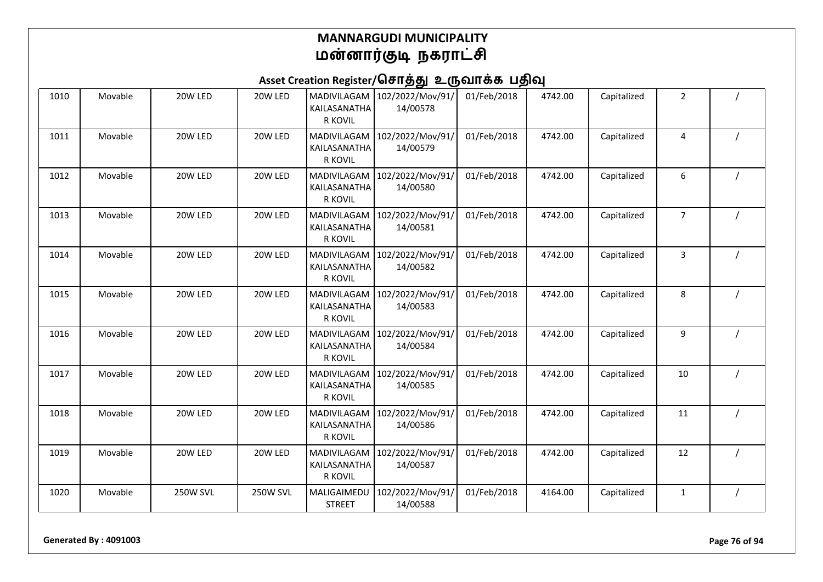| 1010 | Movable | 20W LED         | 20W LED         | MADIVILAGAM<br>KAILASANATHA<br>R KOVIL        | 102/2022/Mov/91/<br>14/00578 | 01/Feb/2018 | 4742.00 | Capitalized | $\overline{2}$ |  |
|------|---------|-----------------|-----------------|-----------------------------------------------|------------------------------|-------------|---------|-------------|----------------|--|
| 1011 | Movable | 20W LED         | 20W LED         | MADIVILAGAM<br>KAILASANATHA<br><b>R KOVIL</b> | 102/2022/Mov/91/<br>14/00579 | 01/Feb/2018 | 4742.00 | Capitalized | 4              |  |
| 1012 | Movable | 20W LED         | 20W LED         | MADIVILAGAM<br>KAILASANATHA<br><b>R KOVIL</b> | 102/2022/Mov/91/<br>14/00580 | 01/Feb/2018 | 4742.00 | Capitalized | 6              |  |
| 1013 | Movable | 20W LED         | 20W LED         | MADIVILAGAM<br>KAILASANATHA<br>R KOVIL        | 102/2022/Mov/91/<br>14/00581 | 01/Feb/2018 | 4742.00 | Capitalized | 7              |  |
| 1014 | Movable | 20W LED         | 20W LED         | MADIVILAGAM<br>KAILASANATHA<br>R KOVIL        | 102/2022/Mov/91/<br>14/00582 | 01/Feb/2018 | 4742.00 | Capitalized | 3              |  |
| 1015 | Movable | 20W LED         | 20W LED         | MADIVILAGAM<br>KAILASANATHA<br><b>R KOVIL</b> | 102/2022/Mov/91/<br>14/00583 | 01/Feb/2018 | 4742.00 | Capitalized | 8              |  |
| 1016 | Movable | 20W LED         | 20W LED         | MADIVILAGAM<br>KAILASANATHA<br>R KOVIL        | 102/2022/Mov/91/<br>14/00584 | 01/Feb/2018 | 4742.00 | Capitalized | 9              |  |
| 1017 | Movable | 20W LED         | 20W LED         | MADIVILAGAM<br>KAILASANATHA<br><b>R KOVIL</b> | 102/2022/Mov/91/<br>14/00585 | 01/Feb/2018 | 4742.00 | Capitalized | 10             |  |
| 1018 | Movable | 20W LED         | 20W LED         | MADIVILAGAM<br>KAILASANATHA<br>R KOVIL        | 102/2022/Mov/91/<br>14/00586 | 01/Feb/2018 | 4742.00 | Capitalized | 11             |  |
| 1019 | Movable | 20W LED         | 20W LED         | MADIVILAGAM<br>KAILASANATHA<br>R KOVIL        | 102/2022/Mov/91/<br>14/00587 | 01/Feb/2018 | 4742.00 | Capitalized | 12             |  |
| 1020 | Movable | <b>250W SVL</b> | <b>250W SVL</b> | MALIGAIMEDU<br><b>STREET</b>                  | 102/2022/Mov/91/<br>14/00588 | 01/Feb/2018 | 4164.00 | Capitalized | 1              |  |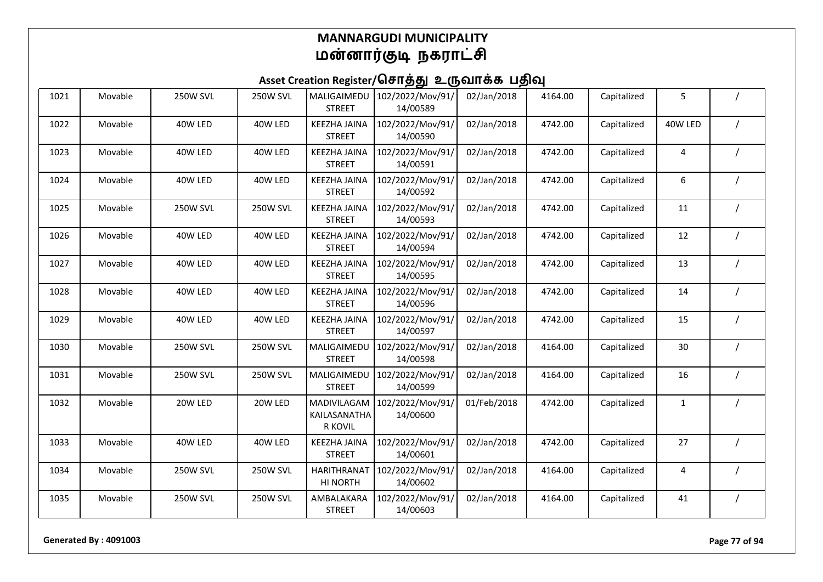| 1021 | Movable | <b>250W SVL</b> | <b>250W SVL</b> | MALIGAIMEDU<br><b>STREET</b>                  | 102/2022/Mov/91/<br>14/00589 | 02/Jan/2018 | 4164.00 | Capitalized | 5       |          |
|------|---------|-----------------|-----------------|-----------------------------------------------|------------------------------|-------------|---------|-------------|---------|----------|
| 1022 | Movable | 40W LED         | 40W LED         | <b>KEEZHA JAINA</b><br><b>STREET</b>          | 102/2022/Mov/91/<br>14/00590 | 02/Jan/2018 | 4742.00 | Capitalized | 40W LED |          |
| 1023 | Movable | 40W LED         | 40W LED         | <b>KEEZHA JAINA</b><br><b>STREET</b>          | 102/2022/Mov/91/<br>14/00591 | 02/Jan/2018 | 4742.00 | Capitalized | 4       |          |
| 1024 | Movable | 40W LED         | 40W LED         | <b>KEEZHA JAINA</b><br><b>STREET</b>          | 102/2022/Mov/91/<br>14/00592 | 02/Jan/2018 | 4742.00 | Capitalized | 6       |          |
| 1025 | Movable | <b>250W SVL</b> | <b>250W SVL</b> | <b>KEEZHA JAINA</b><br><b>STREET</b>          | 102/2022/Mov/91/<br>14/00593 | 02/Jan/2018 | 4742.00 | Capitalized | 11      |          |
| 1026 | Movable | 40W LED         | 40W LED         | <b>KEEZHA JAINA</b><br><b>STREET</b>          | 102/2022/Mov/91/<br>14/00594 | 02/Jan/2018 | 4742.00 | Capitalized | 12      |          |
| 1027 | Movable | 40W LED         | 40W LED         | <b>KEEZHA JAINA</b><br><b>STREET</b>          | 102/2022/Mov/91/<br>14/00595 | 02/Jan/2018 | 4742.00 | Capitalized | 13      |          |
| 1028 | Movable | 40W LED         | 40W LED         | <b>KEEZHA JAINA</b><br><b>STREET</b>          | 102/2022/Mov/91/<br>14/00596 | 02/Jan/2018 | 4742.00 | Capitalized | 14      |          |
| 1029 | Movable | 40W LED         | 40W LED         | <b>KEEZHA JAINA</b><br><b>STREET</b>          | 102/2022/Mov/91/<br>14/00597 | 02/Jan/2018 | 4742.00 | Capitalized | 15      |          |
| 1030 | Movable | <b>250W SVL</b> | <b>250W SVL</b> | MALIGAIMEDU<br><b>STREET</b>                  | 102/2022/Mov/91/<br>14/00598 | 02/Jan/2018 | 4164.00 | Capitalized | 30      |          |
| 1031 | Movable | <b>250W SVL</b> | <b>250W SVL</b> | MALIGAIMEDU<br><b>STREET</b>                  | 102/2022/Mov/91/<br>14/00599 | 02/Jan/2018 | 4164.00 | Capitalized | 16      |          |
| 1032 | Movable | 20W LED         | 20W LED         | MADIVILAGAM<br>KAILASANATHA<br><b>R KOVIL</b> | 102/2022/Mov/91/<br>14/00600 | 01/Feb/2018 | 4742.00 | Capitalized | 1       |          |
| 1033 | Movable | 40W LED         | 40W LED         | <b>KEEZHA JAINA</b><br><b>STREET</b>          | 102/2022/Mov/91/<br>14/00601 | 02/Jan/2018 | 4742.00 | Capitalized | 27      |          |
| 1034 | Movable | <b>250W SVL</b> | <b>250W SVL</b> | <b>HARITHRANAT</b><br>HI NORTH                | 102/2022/Mov/91/<br>14/00602 | 02/Jan/2018 | 4164.00 | Capitalized | 4       |          |
| 1035 | Movable | <b>250W SVL</b> | <b>250W SVL</b> | AMBALAKARA<br><b>STREET</b>                   | 102/2022/Mov/91/<br>14/00603 | 02/Jan/2018 | 4164.00 | Capitalized | 41      | $\prime$ |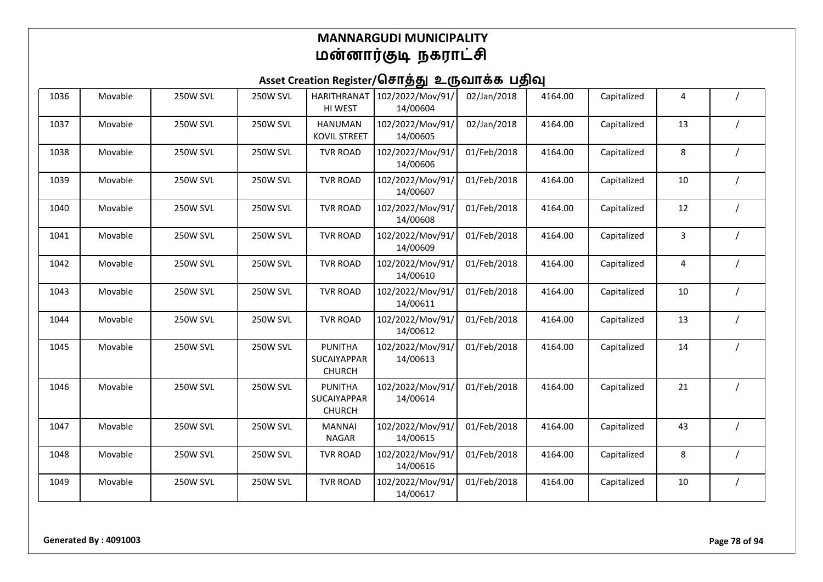| 1036 | Movable | <b>250W SVL</b> | <b>250W SVL</b> | <b>HARITHRANAT</b><br>HI WEST                         | 102/2022/Mov/91/<br>14/00604 | 02/Jan/2018 | 4164.00 | Capitalized | 4  |  |
|------|---------|-----------------|-----------------|-------------------------------------------------------|------------------------------|-------------|---------|-------------|----|--|
| 1037 | Movable | <b>250W SVL</b> | <b>250W SVL</b> | <b>HANUMAN</b><br><b>KOVIL STREET</b>                 | 102/2022/Mov/91/<br>14/00605 | 02/Jan/2018 | 4164.00 | Capitalized | 13 |  |
| 1038 | Movable | <b>250W SVL</b> | <b>250W SVL</b> | <b>TVR ROAD</b>                                       | 102/2022/Mov/91/<br>14/00606 | 01/Feb/2018 | 4164.00 | Capitalized | 8  |  |
| 1039 | Movable | <b>250W SVL</b> | <b>250W SVL</b> | <b>TVR ROAD</b>                                       | 102/2022/Mov/91/<br>14/00607 | 01/Feb/2018 | 4164.00 | Capitalized | 10 |  |
| 1040 | Movable | <b>250W SVL</b> | <b>250W SVL</b> | <b>TVR ROAD</b>                                       | 102/2022/Mov/91/<br>14/00608 | 01/Feb/2018 | 4164.00 | Capitalized | 12 |  |
| 1041 | Movable | <b>250W SVL</b> | <b>250W SVL</b> | <b>TVR ROAD</b>                                       | 102/2022/Mov/91/<br>14/00609 | 01/Feb/2018 | 4164.00 | Capitalized | 3  |  |
| 1042 | Movable | <b>250W SVL</b> | <b>250W SVL</b> | <b>TVR ROAD</b>                                       | 102/2022/Mov/91/<br>14/00610 | 01/Feb/2018 | 4164.00 | Capitalized | 4  |  |
| 1043 | Movable | <b>250W SVL</b> | <b>250W SVL</b> | <b>TVR ROAD</b>                                       | 102/2022/Mov/91/<br>14/00611 | 01/Feb/2018 | 4164.00 | Capitalized | 10 |  |
| 1044 | Movable | <b>250W SVL</b> | <b>250W SVL</b> | <b>TVR ROAD</b>                                       | 102/2022/Mov/91/<br>14/00612 | 01/Feb/2018 | 4164.00 | Capitalized | 13 |  |
| 1045 | Movable | <b>250W SVL</b> | <b>250W SVL</b> | <b>PUNITHA</b><br><b>SUCAIYAPPAR</b><br><b>CHURCH</b> | 102/2022/Mov/91/<br>14/00613 | 01/Feb/2018 | 4164.00 | Capitalized | 14 |  |
| 1046 | Movable | <b>250W SVL</b> | <b>250W SVL</b> | <b>PUNITHA</b><br>SUCAIYAPPAR<br><b>CHURCH</b>        | 102/2022/Mov/91/<br>14/00614 | 01/Feb/2018 | 4164.00 | Capitalized | 21 |  |
| 1047 | Movable | <b>250W SVL</b> | <b>250W SVL</b> | <b>MANNAI</b><br><b>NAGAR</b>                         | 102/2022/Mov/91/<br>14/00615 | 01/Feb/2018 | 4164.00 | Capitalized | 43 |  |
| 1048 | Movable | <b>250W SVL</b> | <b>250W SVL</b> | <b>TVR ROAD</b>                                       | 102/2022/Mov/91/<br>14/00616 | 01/Feb/2018 | 4164.00 | Capitalized | 8  |  |
| 1049 | Movable | <b>250W SVL</b> | <b>250W SVL</b> | <b>TVR ROAD</b>                                       | 102/2022/Mov/91/<br>14/00617 | 01/Feb/2018 | 4164.00 | Capitalized | 10 |  |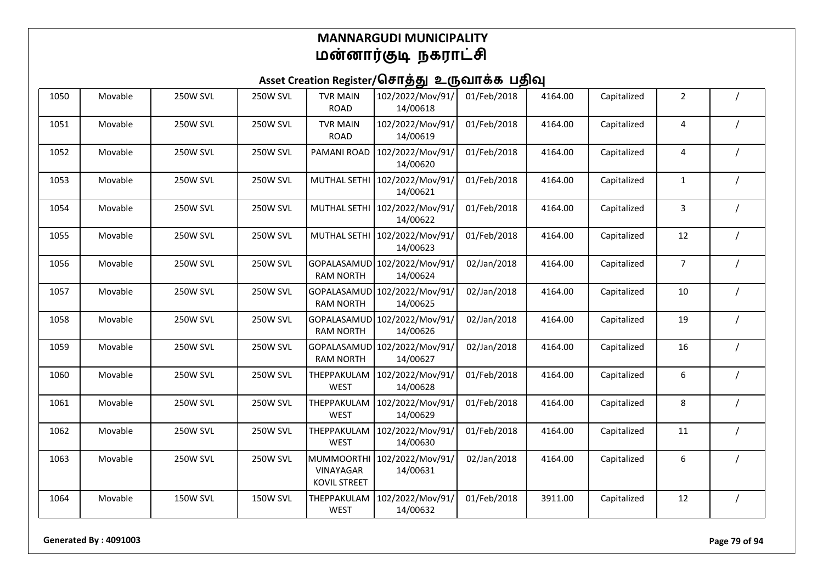| 1050 | Movable | <b>250W SVL</b> | <b>250W SVL</b> | <b>TVR MAIN</b><br><b>ROAD</b>                       | 102/2022/Mov/91/<br>14/00618              | 01/Feb/2018 | 4164.00 | Capitalized | $\overline{2}$ |          |
|------|---------|-----------------|-----------------|------------------------------------------------------|-------------------------------------------|-------------|---------|-------------|----------------|----------|
| 1051 | Movable | <b>250W SVL</b> | <b>250W SVL</b> | <b>TVR MAIN</b><br><b>ROAD</b>                       | 102/2022/Mov/91/<br>14/00619              | 01/Feb/2018 | 4164.00 | Capitalized | 4              |          |
| 1052 | Movable | <b>250W SVL</b> | <b>250W SVL</b> | PAMANI ROAD                                          | 102/2022/Mov/91/<br>14/00620              | 01/Feb/2018 | 4164.00 | Capitalized | 4              |          |
| 1053 | Movable | <b>250W SVL</b> | <b>250W SVL</b> | <b>MUTHAL SETHI</b>                                  | 102/2022/Mov/91/<br>14/00621              | 01/Feb/2018 | 4164.00 | Capitalized | $\mathbf{1}$   |          |
| 1054 | Movable | <b>250W SVL</b> | <b>250W SVL</b> |                                                      | MUTHAL SETHI 102/2022/Mov/91/<br>14/00622 | 01/Feb/2018 | 4164.00 | Capitalized | 3              |          |
| 1055 | Movable | <b>250W SVL</b> | 250W SVL        | MUTHAL SETHI                                         | 102/2022/Mov/91/<br>14/00623              | 01/Feb/2018 | 4164.00 | Capitalized | 12             |          |
| 1056 | Movable | <b>250W SVL</b> | <b>250W SVL</b> | <b>GOPALASAMUD</b><br><b>RAM NORTH</b>               | 102/2022/Mov/91/<br>14/00624              | 02/Jan/2018 | 4164.00 | Capitalized | $\overline{7}$ |          |
| 1057 | Movable | <b>250W SVL</b> | <b>250W SVL</b> | GOPALASAMUD<br><b>RAM NORTH</b>                      | 102/2022/Mov/91/<br>14/00625              | 02/Jan/2018 | 4164.00 | Capitalized | 10             |          |
| 1058 | Movable | <b>250W SVL</b> | <b>250W SVL</b> | GOPALASAMUD<br><b>RAM NORTH</b>                      | 102/2022/Mov/91/<br>14/00626              | 02/Jan/2018 | 4164.00 | Capitalized | 19             |          |
| 1059 | Movable | <b>250W SVL</b> | <b>250W SVL</b> | GOPALASAMUD<br><b>RAM NORTH</b>                      | 102/2022/Mov/91/<br>14/00627              | 02/Jan/2018 | 4164.00 | Capitalized | 16             |          |
| 1060 | Movable | <b>250W SVL</b> | <b>250W SVL</b> | THEPPAKULAM<br>WEST                                  | 102/2022/Mov/91/<br>14/00628              | 01/Feb/2018 | 4164.00 | Capitalized | 6              |          |
| 1061 | Movable | <b>250W SVL</b> | 250W SVL        | THEPPAKULAM<br><b>WEST</b>                           | 102/2022/Mov/91/<br>14/00629              | 01/Feb/2018 | 4164.00 | Capitalized | 8              |          |
| 1062 | Movable | <b>250W SVL</b> | 250W SVL        | THEPPAKULAM<br><b>WEST</b>                           | 102/2022/Mov/91/<br>14/00630              | 01/Feb/2018 | 4164.00 | Capitalized | 11             |          |
| 1063 | Movable | <b>250W SVL</b> | <b>250W SVL</b> | <b>MUMMOORTH</b><br>VINAYAGAR<br><b>KOVIL STREET</b> | 102/2022/Mov/91/<br>14/00631              | 02/Jan/2018 | 4164.00 | Capitalized | 6              |          |
| 1064 | Movable | <b>150W SVL</b> | 150W SVL        | THEPPAKULAM<br><b>WEST</b>                           | 102/2022/Mov/91/<br>14/00632              | 01/Feb/2018 | 3911.00 | Capitalized | 12             | $\prime$ |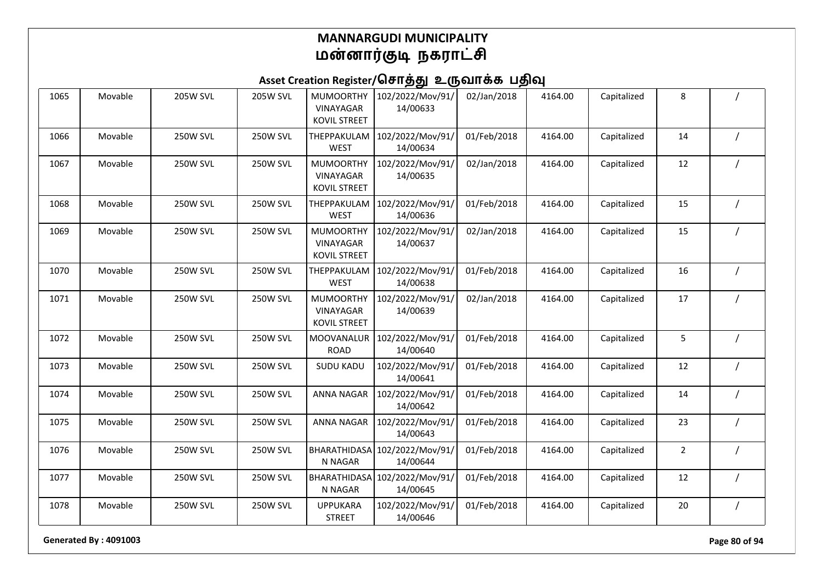## Asset Creation Register/சொத்து உருவாக்க பதிவு

| 1065 | Movable | <b>205W SVL</b> | <b>205W SVL</b> | <b>MUMOORTHY</b><br>VINAYAGAR<br><b>KOVIL STREET</b>        | 102/2022/Mov/91/<br>14/00633 | 02/Jan/2018 | 4164.00 | Capitalized | 8              |                |
|------|---------|-----------------|-----------------|-------------------------------------------------------------|------------------------------|-------------|---------|-------------|----------------|----------------|
| 1066 | Movable | <b>250W SVL</b> | <b>250W SVL</b> | THEPPAKULAM<br><b>WEST</b>                                  | 102/2022/Mov/91/<br>14/00634 | 01/Feb/2018 | 4164.00 | Capitalized | 14             |                |
| 1067 | Movable | <b>250W SVL</b> | 250W SVL        | <b>MUMOORTHY</b><br>VINAYAGAR<br><b>KOVIL STREET</b>        | 102/2022/Mov/91/<br>14/00635 | 02/Jan/2018 | 4164.00 | Capitalized | 12             |                |
| 1068 | Movable | <b>250W SVL</b> | <b>250W SVL</b> | THEPPAKULAM<br><b>WEST</b>                                  | 102/2022/Mov/91/<br>14/00636 | 01/Feb/2018 | 4164.00 | Capitalized | 15             | $\prime$       |
| 1069 | Movable | <b>250W SVL</b> | <b>250W SVL</b> | <b>MUMOORTHY</b><br><b>VINAYAGAR</b><br><b>KOVIL STREET</b> | 102/2022/Mov/91/<br>14/00637 | 02/Jan/2018 | 4164.00 | Capitalized | 15             |                |
| 1070 | Movable | <b>250W SVL</b> | <b>250W SVL</b> | THEPPAKULAM<br><b>WEST</b>                                  | 102/2022/Mov/91/<br>14/00638 | 01/Feb/2018 | 4164.00 | Capitalized | 16             |                |
| 1071 | Movable | <b>250W SVL</b> | <b>250W SVL</b> | <b>MUMOORTHY</b><br><b>VINAYAGAR</b><br><b>KOVIL STREET</b> | 102/2022/Mov/91/<br>14/00639 | 02/Jan/2018 | 4164.00 | Capitalized | 17             |                |
| 1072 | Movable | <b>250W SVL</b> | <b>250W SVL</b> | <b>MOOVANALUR</b><br><b>ROAD</b>                            | 102/2022/Mov/91/<br>14/00640 | 01/Feb/2018 | 4164.00 | Capitalized | 5              |                |
| 1073 | Movable | <b>250W SVL</b> | <b>250W SVL</b> | <b>SUDU KADU</b>                                            | 102/2022/Mov/91/<br>14/00641 | 01/Feb/2018 | 4164.00 | Capitalized | 12             |                |
| 1074 | Movable | <b>250W SVL</b> | <b>250W SVL</b> | <b>ANNA NAGAR</b>                                           | 102/2022/Mov/91/<br>14/00642 | 01/Feb/2018 | 4164.00 | Capitalized | 14             |                |
| 1075 | Movable | <b>250W SVL</b> | 250W SVL        | <b>ANNA NAGAR</b>                                           | 102/2022/Mov/91/<br>14/00643 | 01/Feb/2018 | 4164.00 | Capitalized | 23             |                |
| 1076 | Movable | <b>250W SVL</b> | <b>250W SVL</b> | BHARATHIDASA<br>N NAGAR                                     | 102/2022/Mov/91/<br>14/00644 | 01/Feb/2018 | 4164.00 | Capitalized | $\overline{2}$ | $\overline{1}$ |
| 1077 | Movable | <b>250W SVL</b> | <b>250W SVL</b> | <b>BHARATHIDASA</b><br>N NAGAR                              | 102/2022/Mov/91/<br>14/00645 | 01/Feb/2018 | 4164.00 | Capitalized | 12             |                |
| 1078 | Movable | <b>250W SVL</b> | <b>250W SVL</b> | <b>UPPUKARA</b><br><b>STREET</b>                            | 102/2022/Mov/91/<br>14/00646 | 01/Feb/2018 | 4164.00 | Capitalized | 20             | $\prime$       |

**Generated By : 4091003 Page 80 of 94**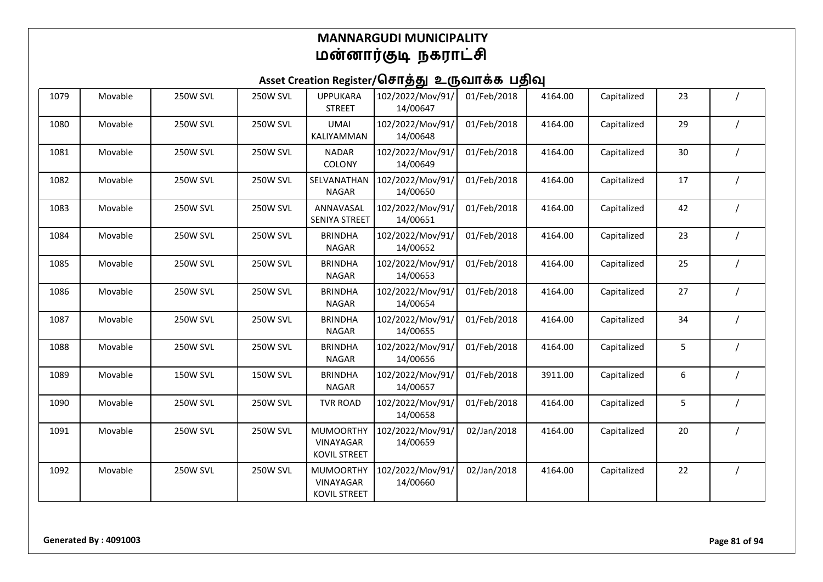| 1079 | Movable | <b>250W SVL</b> | <b>250W SVL</b> | <b>UPPUKARA</b><br><b>STREET</b>                            | 102/2022/Mov/91/<br>14/00647 | 01/Feb/2018 | 4164.00 | Capitalized | 23 |  |
|------|---------|-----------------|-----------------|-------------------------------------------------------------|------------------------------|-------------|---------|-------------|----|--|
| 1080 | Movable | <b>250W SVL</b> | <b>250W SVL</b> | <b>UMAI</b><br>KALIYAMMAN                                   | 102/2022/Mov/91/<br>14/00648 | 01/Feb/2018 | 4164.00 | Capitalized | 29 |  |
| 1081 | Movable | <b>250W SVL</b> | <b>250W SVL</b> | <b>NADAR</b><br>COLONY                                      | 102/2022/Mov/91/<br>14/00649 | 01/Feb/2018 | 4164.00 | Capitalized | 30 |  |
| 1082 | Movable | <b>250W SVL</b> | <b>250W SVL</b> | SELVANATHAN<br><b>NAGAR</b>                                 | 102/2022/Mov/91/<br>14/00650 | 01/Feb/2018 | 4164.00 | Capitalized | 17 |  |
| 1083 | Movable | <b>250W SVL</b> | <b>250W SVL</b> | ANNAVASAL<br><b>SENIYA STREET</b>                           | 102/2022/Mov/91/<br>14/00651 | 01/Feb/2018 | 4164.00 | Capitalized | 42 |  |
| 1084 | Movable | <b>250W SVL</b> | <b>250W SVL</b> | <b>BRINDHA</b><br><b>NAGAR</b>                              | 102/2022/Mov/91/<br>14/00652 | 01/Feb/2018 | 4164.00 | Capitalized | 23 |  |
| 1085 | Movable | <b>250W SVL</b> | <b>250W SVL</b> | <b>BRINDHA</b><br><b>NAGAR</b>                              | 102/2022/Mov/91/<br>14/00653 | 01/Feb/2018 | 4164.00 | Capitalized | 25 |  |
| 1086 | Movable | <b>250W SVL</b> | <b>250W SVL</b> | <b>BRINDHA</b><br><b>NAGAR</b>                              | 102/2022/Mov/91/<br>14/00654 | 01/Feb/2018 | 4164.00 | Capitalized | 27 |  |
| 1087 | Movable | <b>250W SVL</b> | <b>250W SVL</b> | <b>BRINDHA</b><br><b>NAGAR</b>                              | 102/2022/Mov/91/<br>14/00655 | 01/Feb/2018 | 4164.00 | Capitalized | 34 |  |
| 1088 | Movable | <b>250W SVL</b> | <b>250W SVL</b> | <b>BRINDHA</b><br><b>NAGAR</b>                              | 102/2022/Mov/91/<br>14/00656 | 01/Feb/2018 | 4164.00 | Capitalized | 5  |  |
| 1089 | Movable | <b>150W SVL</b> | <b>150W SVL</b> | <b>BRINDHA</b><br><b>NAGAR</b>                              | 102/2022/Mov/91/<br>14/00657 | 01/Feb/2018 | 3911.00 | Capitalized | 6  |  |
| 1090 | Movable | <b>250W SVL</b> | <b>250W SVL</b> | <b>TVR ROAD</b>                                             | 102/2022/Mov/91/<br>14/00658 | 01/Feb/2018 | 4164.00 | Capitalized | 5  |  |
| 1091 | Movable | <b>250W SVL</b> | <b>250W SVL</b> | <b>MUMOORTHY</b><br>VINAYAGAR<br><b>KOVIL STREET</b>        | 102/2022/Mov/91/<br>14/00659 | 02/Jan/2018 | 4164.00 | Capitalized | 20 |  |
| 1092 | Movable | <b>250W SVL</b> | <b>250W SVL</b> | <b>MUMOORTHY</b><br><b>VINAYAGAR</b><br><b>KOVIL STREET</b> | 102/2022/Mov/91/<br>14/00660 | 02/Jan/2018 | 4164.00 | Capitalized | 22 |  |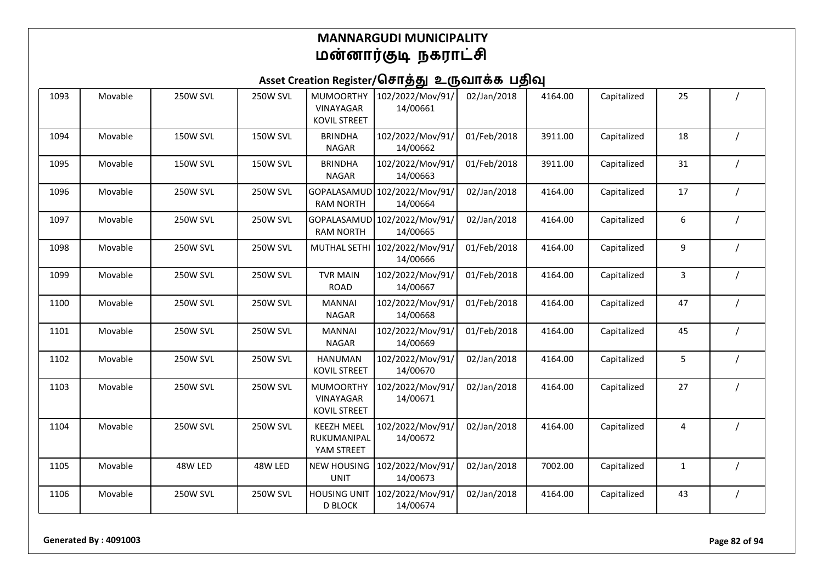| 1093 | Movable | <b>250W SVL</b> | <b>250W SVL</b> | <b>MUMOORTHY</b><br><b>VINAYAGAR</b><br><b>KOVIL STREET</b> | 102/2022/Mov/91/<br>14/00661             | 02/Jan/2018 | 4164.00 | Capitalized | 25 |  |
|------|---------|-----------------|-----------------|-------------------------------------------------------------|------------------------------------------|-------------|---------|-------------|----|--|
| 1094 | Movable | <b>150W SVL</b> | <b>150W SVL</b> | <b>BRINDHA</b><br><b>NAGAR</b>                              | 102/2022/Mov/91/<br>14/00662             | 01/Feb/2018 | 3911.00 | Capitalized | 18 |  |
| 1095 | Movable | <b>150W SVL</b> | <b>150W SVL</b> | <b>BRINDHA</b><br><b>NAGAR</b>                              | 102/2022/Mov/91/<br>14/00663             | 01/Feb/2018 | 3911.00 | Capitalized | 31 |  |
| 1096 | Movable | <b>250W SVL</b> | <b>250W SVL</b> | GOPALASAMUD<br><b>RAM NORTH</b>                             | 102/2022/Mov/91/<br>14/00664             | 02/Jan/2018 | 4164.00 | Capitalized | 17 |  |
| 1097 | Movable | <b>250W SVL</b> | <b>250W SVL</b> | <b>RAM NORTH</b>                                            | GOPALASAMUD 102/2022/Mov/91/<br>14/00665 | 02/Jan/2018 | 4164.00 | Capitalized | 6  |  |
| 1098 | Movable | <b>250W SVL</b> | <b>250W SVL</b> | <b>MUTHAL SETHI</b>                                         | 102/2022/Mov/91/<br>14/00666             | 01/Feb/2018 | 4164.00 | Capitalized | 9  |  |
| 1099 | Movable | <b>250W SVL</b> | <b>250W SVL</b> | <b>TVR MAIN</b><br><b>ROAD</b>                              | 102/2022/Mov/91/<br>14/00667             | 01/Feb/2018 | 4164.00 | Capitalized | 3  |  |
| 1100 | Movable | <b>250W SVL</b> | <b>250W SVL</b> | <b>MANNAI</b><br><b>NAGAR</b>                               | 102/2022/Mov/91/<br>14/00668             | 01/Feb/2018 | 4164.00 | Capitalized | 47 |  |
| 1101 | Movable | <b>250W SVL</b> | <b>250W SVL</b> | <b>MANNAI</b><br><b>NAGAR</b>                               | 102/2022/Mov/91/<br>14/00669             | 01/Feb/2018 | 4164.00 | Capitalized | 45 |  |
| 1102 | Movable | <b>250W SVL</b> | <b>250W SVL</b> | <b>HANUMAN</b><br><b>KOVIL STREET</b>                       | 102/2022/Mov/91/<br>14/00670             | 02/Jan/2018 | 4164.00 | Capitalized | 5  |  |
| 1103 | Movable | <b>250W SVL</b> | <b>250W SVL</b> | <b>MUMOORTHY</b><br>VINAYAGAR<br><b>KOVIL STREET</b>        | 102/2022/Mov/91/<br>14/00671             | 02/Jan/2018 | 4164.00 | Capitalized | 27 |  |
| 1104 | Movable | <b>250W SVL</b> | 250W SVL        | <b>KEEZH MEEL</b><br>RUKUMANIPAL<br>YAM STREET              | 102/2022/Mov/91/<br>14/00672             | 02/Jan/2018 | 4164.00 | Capitalized | 4  |  |
| 1105 | Movable | 48W LED         | 48W LED         | <b>NEW HOUSING</b><br><b>UNIT</b>                           | 102/2022/Mov/91/<br>14/00673             | 02/Jan/2018 | 7002.00 | Capitalized | 1  |  |
| 1106 | Movable | <b>250W SVL</b> | <b>250W SVL</b> | <b>HOUSING UNIT</b><br><b>D BLOCK</b>                       | 102/2022/Mov/91/<br>14/00674             | 02/Jan/2018 | 4164.00 | Capitalized | 43 |  |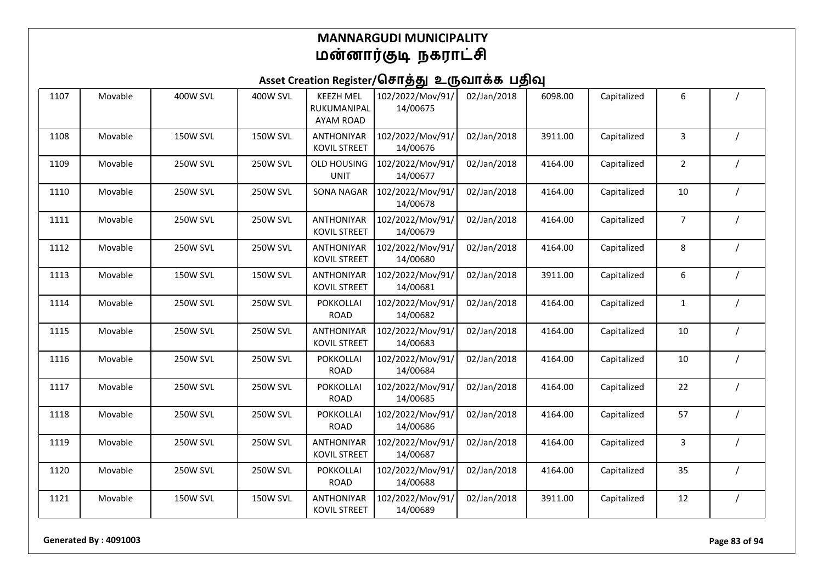| 1107 | Movable | <b>400W SVL</b> | <b>400W SVL</b> | <b>KEEZH MEL</b><br>RUKUMANIPAL<br><b>AYAM ROAD</b> | 102/2022/Mov/91/<br>14/00675 | 02/Jan/2018 | 6098.00 | Capitalized | 6              |  |
|------|---------|-----------------|-----------------|-----------------------------------------------------|------------------------------|-------------|---------|-------------|----------------|--|
| 1108 | Movable | <b>150W SVL</b> | <b>150W SVL</b> | <b>ANTHONIYAR</b><br><b>KOVIL STREET</b>            | 102/2022/Mov/91/<br>14/00676 | 02/Jan/2018 | 3911.00 | Capitalized | 3              |  |
| 1109 | Movable | <b>250W SVL</b> | <b>250W SVL</b> | <b>OLD HOUSING</b><br><b>UNIT</b>                   | 102/2022/Mov/91/<br>14/00677 | 02/Jan/2018 | 4164.00 | Capitalized | $\overline{2}$ |  |
| 1110 | Movable | <b>250W SVL</b> | <b>250W SVL</b> | <b>SONA NAGAR</b>                                   | 102/2022/Mov/91/<br>14/00678 | 02/Jan/2018 | 4164.00 | Capitalized | 10             |  |
| 1111 | Movable | <b>250W SVL</b> | 250W SVL        | ANTHONIYAR<br><b>KOVIL STREET</b>                   | 102/2022/Mov/91/<br>14/00679 | 02/Jan/2018 | 4164.00 | Capitalized | $\overline{7}$ |  |
| 1112 | Movable | <b>250W SVL</b> | <b>250W SVL</b> | <b>ANTHONIYAR</b><br><b>KOVIL STREET</b>            | 102/2022/Mov/91/<br>14/00680 | 02/Jan/2018 | 4164.00 | Capitalized | 8              |  |
| 1113 | Movable | <b>150W SVL</b> | <b>150W SVL</b> | <b>ANTHONIYAR</b><br><b>KOVIL STREET</b>            | 102/2022/Mov/91/<br>14/00681 | 02/Jan/2018 | 3911.00 | Capitalized | 6              |  |
| 1114 | Movable | <b>250W SVL</b> | <b>250W SVL</b> | <b>POKKOLLAI</b><br><b>ROAD</b>                     | 102/2022/Mov/91/<br>14/00682 | 02/Jan/2018 | 4164.00 | Capitalized | $\mathbf{1}$   |  |
| 1115 | Movable | <b>250W SVL</b> | <b>250W SVL</b> | <b>ANTHONIYAR</b><br><b>KOVIL STREET</b>            | 102/2022/Mov/91/<br>14/00683 | 02/Jan/2018 | 4164.00 | Capitalized | 10             |  |
| 1116 | Movable | <b>250W SVL</b> | <b>250W SVL</b> | <b>POKKOLLAI</b><br><b>ROAD</b>                     | 102/2022/Mov/91/<br>14/00684 | 02/Jan/2018 | 4164.00 | Capitalized | 10             |  |
| 1117 | Movable | <b>250W SVL</b> | <b>250W SVL</b> | <b>POKKOLLAI</b><br><b>ROAD</b>                     | 102/2022/Mov/91/<br>14/00685 | 02/Jan/2018 | 4164.00 | Capitalized | 22             |  |
| 1118 | Movable | <b>250W SVL</b> | 250W SVL        | <b>POKKOLLAI</b><br><b>ROAD</b>                     | 102/2022/Mov/91/<br>14/00686 | 02/Jan/2018 | 4164.00 | Capitalized | 57             |  |
| 1119 | Movable | <b>250W SVL</b> | <b>250W SVL</b> | <b>ANTHONIYAR</b><br><b>KOVIL STREET</b>            | 102/2022/Mov/91/<br>14/00687 | 02/Jan/2018 | 4164.00 | Capitalized | 3              |  |
| 1120 | Movable | <b>250W SVL</b> | <b>250W SVL</b> | <b>POKKOLLAI</b><br><b>ROAD</b>                     | 102/2022/Mov/91/<br>14/00688 | 02/Jan/2018 | 4164.00 | Capitalized | 35             |  |
| 1121 | Movable | <b>150W SVL</b> | <b>150W SVL</b> | <b>ANTHONIYAR</b><br><b>KOVIL STREET</b>            | 102/2022/Mov/91/<br>14/00689 | 02/Jan/2018 | 3911.00 | Capitalized | 12             |  |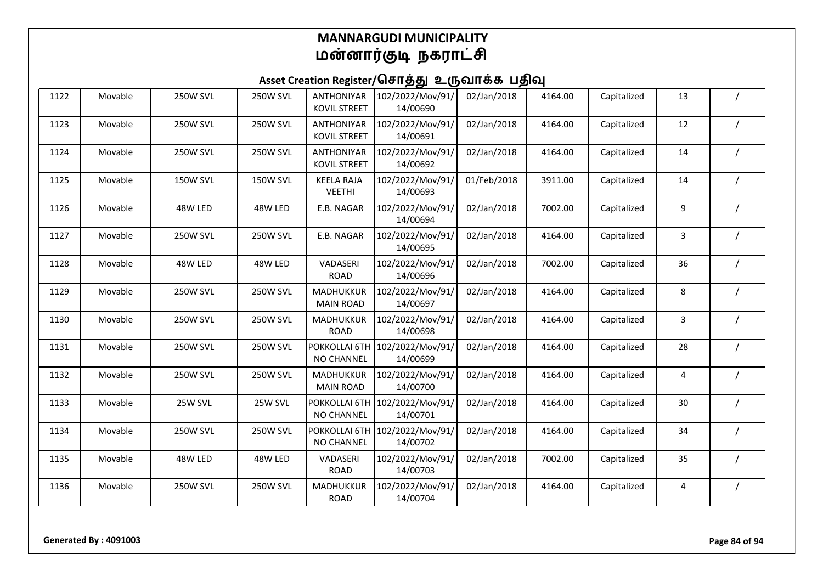| 1122 | Movable | <b>250W SVL</b> | <b>250W SVL</b> | <b>ANTHONIYAR</b><br><b>KOVIL STREET</b> | 102/2022/Mov/91/<br>14/00690 | 02/Jan/2018 | 4164.00 | Capitalized | 13 |  |
|------|---------|-----------------|-----------------|------------------------------------------|------------------------------|-------------|---------|-------------|----|--|
| 1123 | Movable | <b>250W SVL</b> | <b>250W SVL</b> | <b>ANTHONIYAR</b><br><b>KOVIL STREET</b> | 102/2022/Mov/91/<br>14/00691 | 02/Jan/2018 | 4164.00 | Capitalized | 12 |  |
| 1124 | Movable | <b>250W SVL</b> | <b>250W SVL</b> | <b>ANTHONIYAR</b><br><b>KOVIL STREET</b> | 102/2022/Mov/91/<br>14/00692 | 02/Jan/2018 | 4164.00 | Capitalized | 14 |  |
| 1125 | Movable | <b>150W SVL</b> | <b>150W SVL</b> | <b>KEELA RAJA</b><br><b>VEETHI</b>       | 102/2022/Mov/91/<br>14/00693 | 01/Feb/2018 | 3911.00 | Capitalized | 14 |  |
| 1126 | Movable | 48W LED         | 48W LED         | E.B. NAGAR                               | 102/2022/Mov/91/<br>14/00694 | 02/Jan/2018 | 7002.00 | Capitalized | 9  |  |
| 1127 | Movable | <b>250W SVL</b> | <b>250W SVL</b> | E.B. NAGAR                               | 102/2022/Mov/91/<br>14/00695 | 02/Jan/2018 | 4164.00 | Capitalized | 3  |  |
| 1128 | Movable | 48W LED         | 48W LED         | VADASERI<br><b>ROAD</b>                  | 102/2022/Mov/91/<br>14/00696 | 02/Jan/2018 | 7002.00 | Capitalized | 36 |  |
| 1129 | Movable | <b>250W SVL</b> | <b>250W SVL</b> | MADHUKKUR<br><b>MAIN ROAD</b>            | 102/2022/Mov/91/<br>14/00697 | 02/Jan/2018 | 4164.00 | Capitalized | 8  |  |
| 1130 | Movable | <b>250W SVL</b> | <b>250W SVL</b> | MADHUKKUR<br><b>ROAD</b>                 | 102/2022/Mov/91/<br>14/00698 | 02/Jan/2018 | 4164.00 | Capitalized | 3  |  |
| 1131 | Movable | <b>250W SVL</b> | <b>250W SVL</b> | POKKOLLAI 6TH<br>NO CHANNEL              | 102/2022/Mov/91/<br>14/00699 | 02/Jan/2018 | 4164.00 | Capitalized | 28 |  |
| 1132 | Movable | <b>250W SVL</b> | <b>250W SVL</b> | <b>MADHUKKUR</b><br><b>MAIN ROAD</b>     | 102/2022/Mov/91/<br>14/00700 | 02/Jan/2018 | 4164.00 | Capitalized | 4  |  |
| 1133 | Movable | 25W SVL         | 25W SVL         | POKKOLLAI 6TH<br><b>NO CHANNEL</b>       | 102/2022/Mov/91/<br>14/00701 | 02/Jan/2018 | 4164.00 | Capitalized | 30 |  |
| 1134 | Movable | <b>250W SVL</b> | <b>250W SVL</b> | POKKOLLAI 6TH<br>NO CHANNEL              | 102/2022/Mov/91/<br>14/00702 | 02/Jan/2018 | 4164.00 | Capitalized | 34 |  |
| 1135 | Movable | 48W LED         | 48W LED         | VADASERI<br><b>ROAD</b>                  | 102/2022/Mov/91/<br>14/00703 | 02/Jan/2018 | 7002.00 | Capitalized | 35 |  |
| 1136 | Movable | 250W SVL        | <b>250W SVL</b> | MADHUKKUR<br><b>ROAD</b>                 | 102/2022/Mov/91/<br>14/00704 | 02/Jan/2018 | 4164.00 | Capitalized | 4  |  |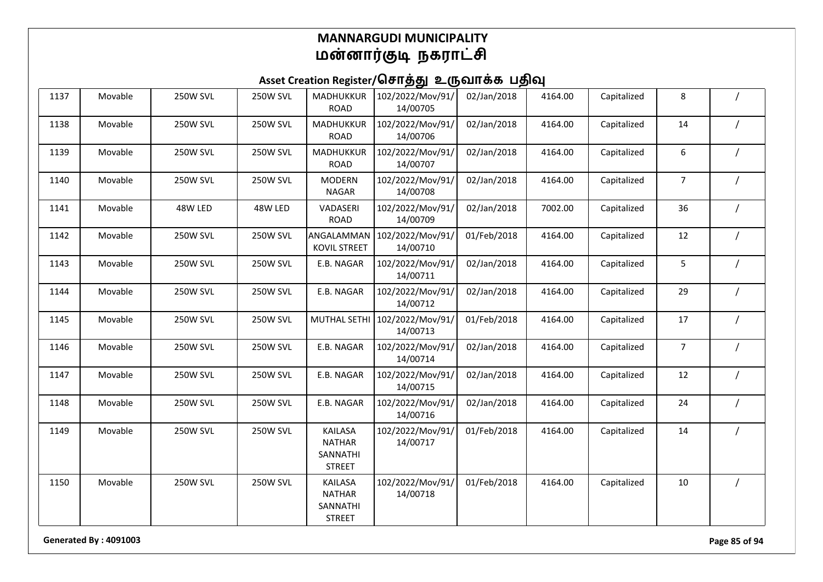| 1137 | Movable | <b>250W SVL</b> | 250W SVL        | MADHUKKUR<br><b>ROAD</b>                                     | 102/2022/Mov/91/<br>14/00705              | 02/Jan/2018 | 4164.00 | Capitalized | 8              |  |
|------|---------|-----------------|-----------------|--------------------------------------------------------------|-------------------------------------------|-------------|---------|-------------|----------------|--|
| 1138 | Movable | <b>250W SVL</b> | <b>250W SVL</b> | MADHUKKUR<br><b>ROAD</b>                                     | 102/2022/Mov/91/<br>14/00706              | 02/Jan/2018 | 4164.00 | Capitalized | 14             |  |
| 1139 | Movable | <b>250W SVL</b> | <b>250W SVL</b> | MADHUKKUR<br><b>ROAD</b>                                     | 102/2022/Mov/91/<br>14/00707              | 02/Jan/2018 | 4164.00 | Capitalized | 6              |  |
| 1140 | Movable | <b>250W SVL</b> | <b>250W SVL</b> | <b>MODERN</b><br><b>NAGAR</b>                                | 102/2022/Mov/91/<br>14/00708              | 02/Jan/2018 | 4164.00 | Capitalized | $\overline{7}$ |  |
| 1141 | Movable | 48W LED         | 48W LED         | VADASERI<br><b>ROAD</b>                                      | 102/2022/Mov/91/<br>14/00709              | 02/Jan/2018 | 7002.00 | Capitalized | 36             |  |
| 1142 | Movable | <b>250W SVL</b> | 250W SVL        | ANGALAMMAN<br><b>KOVIL STREET</b>                            | 102/2022/Mov/91/<br>14/00710              | 01/Feb/2018 | 4164.00 | Capitalized | 12             |  |
| 1143 | Movable | <b>250W SVL</b> | <b>250W SVL</b> | E.B. NAGAR                                                   | 102/2022/Mov/91/<br>14/00711              | 02/Jan/2018 | 4164.00 | Capitalized | 5              |  |
| 1144 | Movable | <b>250W SVL</b> | <b>250W SVL</b> | E.B. NAGAR                                                   | 102/2022/Mov/91/<br>14/00712              | 02/Jan/2018 | 4164.00 | Capitalized | 29             |  |
| 1145 | Movable | <b>250W SVL</b> | <b>250W SVL</b> |                                                              | MUTHAL SETHI 102/2022/Mov/91/<br>14/00713 | 01/Feb/2018 | 4164.00 | Capitalized | 17             |  |
| 1146 | Movable | <b>250W SVL</b> | 250W SVL        | E.B. NAGAR                                                   | 102/2022/Mov/91/<br>14/00714              | 02/Jan/2018 | 4164.00 | Capitalized | $\overline{7}$ |  |
| 1147 | Movable | <b>250W SVL</b> | <b>250W SVL</b> | E.B. NAGAR                                                   | 102/2022/Mov/91/<br>14/00715              | 02/Jan/2018 | 4164.00 | Capitalized | 12             |  |
| 1148 | Movable | <b>250W SVL</b> | <b>250W SVL</b> | E.B. NAGAR                                                   | 102/2022/Mov/91/<br>14/00716              | 02/Jan/2018 | 4164.00 | Capitalized | 24             |  |
| 1149 | Movable | <b>250W SVL</b> | <b>250W SVL</b> | <b>KAILASA</b><br><b>NATHAR</b><br>SANNATHI<br><b>STREET</b> | 102/2022/Mov/91/<br>14/00717              | 01/Feb/2018 | 4164.00 | Capitalized | 14             |  |
| 1150 | Movable | <b>250W SVL</b> | 250W SVL        | <b>KAILASA</b><br><b>NATHAR</b><br>SANNATHI<br><b>STREET</b> | 102/2022/Mov/91/<br>14/00718              | 01/Feb/2018 | 4164.00 | Capitalized | 10             |  |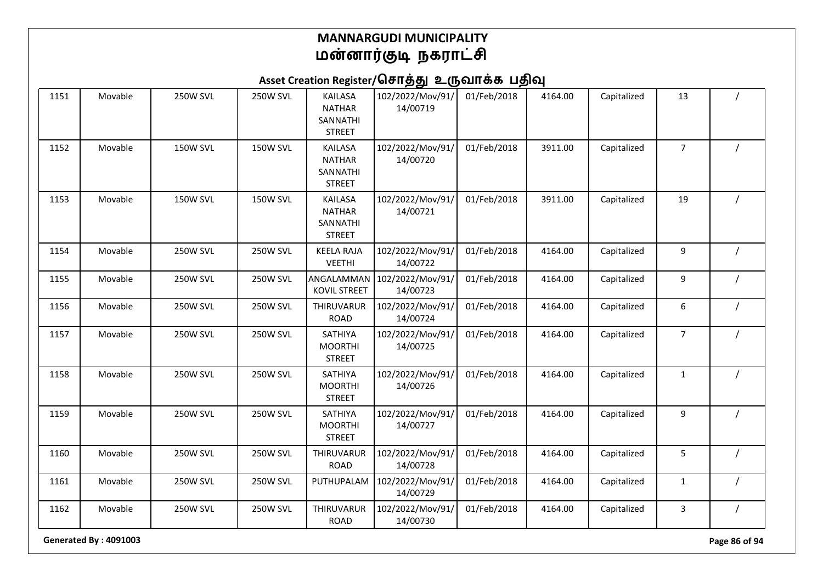Asset Creation Register/சொத்து உருவாக்க பதிவு

| 1151 | Movable | 250W SVL        | <b>250W SVL</b> | <b>KAILASA</b><br><b>NATHAR</b><br>SANNATHI<br><b>STREET</b> | 102/2022/Mov/91/<br>14/00719 | 01/Feb/2018 | 4164.00 | Capitalized | 13               |  |
|------|---------|-----------------|-----------------|--------------------------------------------------------------|------------------------------|-------------|---------|-------------|------------------|--|
| 1152 | Movable | <b>150W SVL</b> | <b>150W SVL</b> | KAILASA<br><b>NATHAR</b><br>SANNATHI<br><b>STREET</b>        | 102/2022/Mov/91/<br>14/00720 | 01/Feb/2018 | 3911.00 | Capitalized | $\boldsymbol{7}$ |  |
| 1153 | Movable | <b>150W SVL</b> | <b>150W SVL</b> | <b>KAILASA</b><br><b>NATHAR</b><br>SANNATHI<br><b>STREET</b> | 102/2022/Mov/91/<br>14/00721 | 01/Feb/2018 | 3911.00 | Capitalized | 19               |  |
| 1154 | Movable | 250W SVL        | <b>250W SVL</b> | <b>KEELA RAJA</b><br><b>VEETHI</b>                           | 102/2022/Mov/91/<br>14/00722 | 01/Feb/2018 | 4164.00 | Capitalized | 9                |  |
| 1155 | Movable | 250W SVL        | <b>250W SVL</b> | ANGALAMMAN<br><b>KOVIL STREET</b>                            | 102/2022/Mov/91/<br>14/00723 | 01/Feb/2018 | 4164.00 | Capitalized | 9                |  |
| 1156 | Movable | <b>250W SVL</b> | 250W SVL        | THIRUVARUR<br><b>ROAD</b>                                    | 102/2022/Mov/91/<br>14/00724 | 01/Feb/2018 | 4164.00 | Capitalized | 6                |  |
| 1157 | Movable | <b>250W SVL</b> | <b>250W SVL</b> | SATHIYA<br><b>MOORTHI</b><br><b>STREET</b>                   | 102/2022/Mov/91/<br>14/00725 | 01/Feb/2018 | 4164.00 | Capitalized | $\overline{7}$   |  |
| 1158 | Movable | <b>250W SVL</b> | <b>250W SVL</b> | SATHIYA<br><b>MOORTHI</b><br><b>STREET</b>                   | 102/2022/Mov/91/<br>14/00726 | 01/Feb/2018 | 4164.00 | Capitalized | $\mathbf{1}$     |  |
| 1159 | Movable | <b>250W SVL</b> | <b>250W SVL</b> | SATHIYA<br><b>MOORTHI</b><br><b>STREET</b>                   | 102/2022/Mov/91/<br>14/00727 | 01/Feb/2018 | 4164.00 | Capitalized | 9                |  |
| 1160 | Movable | <b>250W SVL</b> | <b>250W SVL</b> | THIRUVARUR<br><b>ROAD</b>                                    | 102/2022/Mov/91/<br>14/00728 | 01/Feb/2018 | 4164.00 | Capitalized | 5                |  |
| 1161 | Movable | <b>250W SVL</b> | <b>250W SVL</b> | PUTHUPALAM                                                   | 102/2022/Mov/91/<br>14/00729 | 01/Feb/2018 | 4164.00 | Capitalized | $\mathbf{1}$     |  |
| 1162 | Movable | <b>250W SVL</b> | <b>250W SVL</b> | THIRUVARUR<br><b>ROAD</b>                                    | 102/2022/Mov/91/<br>14/00730 | 01/Feb/2018 | 4164.00 | Capitalized | $\mathbf{3}$     |  |

**Generated By : 4091003 Page 86 of 94**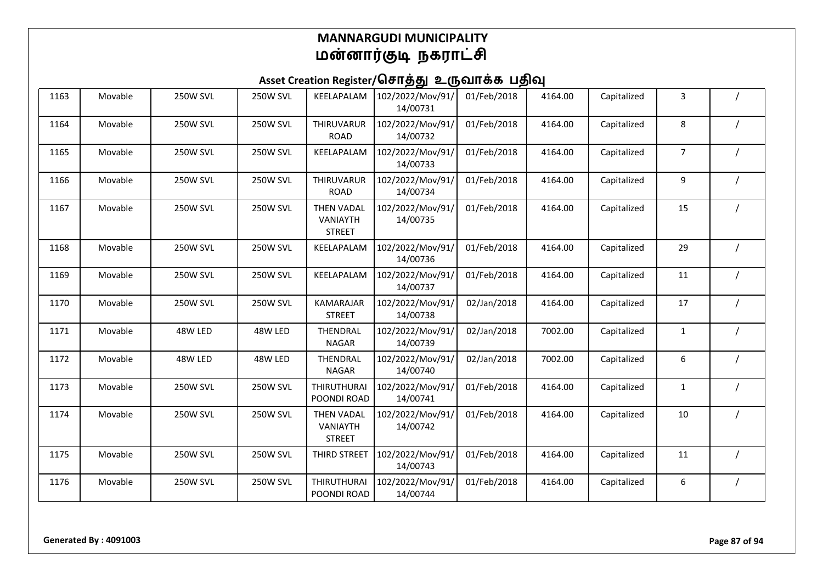| 1163 | Movable | <b>250W SVL</b> | <b>250W SVL</b> | KEELAPALAM                                     | 102/2022/Mov/91/<br>14/00731 | 01/Feb/2018 | 4164.00 | Capitalized | 3              |  |
|------|---------|-----------------|-----------------|------------------------------------------------|------------------------------|-------------|---------|-------------|----------------|--|
| 1164 | Movable | <b>250W SVL</b> | <b>250W SVL</b> | THIRUVARUR<br><b>ROAD</b>                      | 102/2022/Mov/91/<br>14/00732 | 01/Feb/2018 | 4164.00 | Capitalized | 8              |  |
| 1165 | Movable | <b>250W SVL</b> | <b>250W SVL</b> | KEELAPALAM                                     | 102/2022/Mov/91/<br>14/00733 | 01/Feb/2018 | 4164.00 | Capitalized | $\overline{7}$ |  |
| 1166 | Movable | <b>250W SVL</b> | <b>250W SVL</b> | THIRUVARUR<br><b>ROAD</b>                      | 102/2022/Mov/91/<br>14/00734 | 01/Feb/2018 | 4164.00 | Capitalized | 9              |  |
| 1167 | Movable | <b>250W SVL</b> | <b>250W SVL</b> | <b>THEN VADAL</b><br>VANIAYTH<br><b>STREET</b> | 102/2022/Mov/91/<br>14/00735 | 01/Feb/2018 | 4164.00 | Capitalized | 15             |  |
| 1168 | Movable | <b>250W SVL</b> | <b>250W SVL</b> | KEELAPALAM                                     | 102/2022/Mov/91/<br>14/00736 | 01/Feb/2018 | 4164.00 | Capitalized | 29             |  |
| 1169 | Movable | <b>250W SVL</b> | <b>250W SVL</b> | KEELAPALAM                                     | 102/2022/Mov/91/<br>14/00737 | 01/Feb/2018 | 4164.00 | Capitalized | 11             |  |
| 1170 | Movable | <b>250W SVL</b> | <b>250W SVL</b> | KAMARAJAR<br><b>STREET</b>                     | 102/2022/Mov/91/<br>14/00738 | 02/Jan/2018 | 4164.00 | Capitalized | 17             |  |
| 1171 | Movable | 48W LED         | 48W LED         | THENDRAL<br><b>NAGAR</b>                       | 102/2022/Mov/91/<br>14/00739 | 02/Jan/2018 | 7002.00 | Capitalized | $\mathbf{1}$   |  |
| 1172 | Movable | 48W LED         | 48W LED         | THENDRAL<br><b>NAGAR</b>                       | 102/2022/Mov/91/<br>14/00740 | 02/Jan/2018 | 7002.00 | Capitalized | 6              |  |
| 1173 | Movable | <b>250W SVL</b> | <b>250W SVL</b> | <b>THIRUTHURAI</b><br>POONDI ROAD              | 102/2022/Mov/91/<br>14/00741 | 01/Feb/2018 | 4164.00 | Capitalized | 1              |  |
| 1174 | Movable | <b>250W SVL</b> | <b>250W SVL</b> | THEN VADAL<br><b>VANIAYTH</b><br><b>STREET</b> | 102/2022/Mov/91/<br>14/00742 | 01/Feb/2018 | 4164.00 | Capitalized | 10             |  |
| 1175 | Movable | <b>250W SVL</b> | <b>250W SVL</b> | THIRD STREET                                   | 102/2022/Mov/91/<br>14/00743 | 01/Feb/2018 | 4164.00 | Capitalized | 11             |  |
| 1176 | Movable | <b>250W SVL</b> | <b>250W SVL</b> | <b>THIRUTHURAI</b><br>POONDI ROAD              | 102/2022/Mov/91/<br>14/00744 | 01/Feb/2018 | 4164.00 | Capitalized | 6              |  |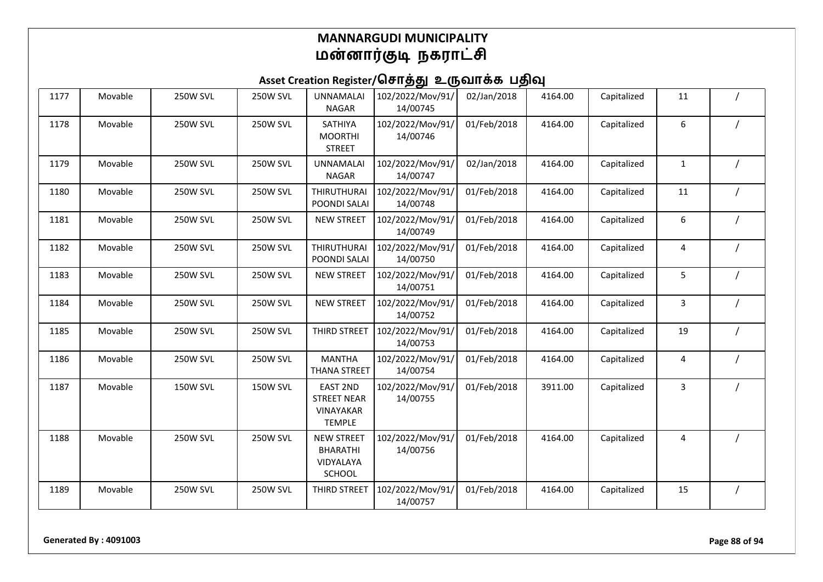### Asset Creation Register/சொத்து உருவாக்க பதிவு

| 1177 | Movable | <b>250W SVL</b> | <b>250W SVL</b> | <b>UNNAMALAI</b><br><b>NAGAR</b>                                    | 102/2022/Mov/91/<br>14/00745 | 02/Jan/2018 | 4164.00 | Capitalized | 11           |          |
|------|---------|-----------------|-----------------|---------------------------------------------------------------------|------------------------------|-------------|---------|-------------|--------------|----------|
| 1178 | Movable | <b>250W SVL</b> | <b>250W SVL</b> | SATHIYA<br><b>MOORTHI</b><br><b>STREET</b>                          | 102/2022/Mov/91/<br>14/00746 | 01/Feb/2018 | 4164.00 | Capitalized | 6            |          |
| 1179 | Movable | <b>250W SVL</b> | <b>250W SVL</b> | <b>UNNAMALAI</b><br><b>NAGAR</b>                                    | 102/2022/Mov/91/<br>14/00747 | 02/Jan/2018 | 4164.00 | Capitalized | $\mathbf{1}$ |          |
| 1180 | Movable | <b>250W SVL</b> | <b>250W SVL</b> | <b>THIRUTHURAI</b><br>POONDI SALAI                                  | 102/2022/Mov/91/<br>14/00748 | 01/Feb/2018 | 4164.00 | Capitalized | 11           |          |
| 1181 | Movable | 250W SVL        | <b>250W SVL</b> | <b>NEW STREET</b>                                                   | 102/2022/Mov/91/<br>14/00749 | 01/Feb/2018 | 4164.00 | Capitalized | 6            |          |
| 1182 | Movable | <b>250W SVL</b> | <b>250W SVL</b> | <b>THIRUTHURAI</b><br>POONDI SALAI                                  | 102/2022/Mov/91/<br>14/00750 | 01/Feb/2018 | 4164.00 | Capitalized | 4            |          |
| 1183 | Movable | 250W SVL        | <b>250W SVL</b> | <b>NEW STREET</b>                                                   | 102/2022/Mov/91/<br>14/00751 | 01/Feb/2018 | 4164.00 | Capitalized | 5            |          |
| 1184 | Movable | <b>250W SVL</b> | <b>250W SVL</b> | <b>NEW STREET</b>                                                   | 102/2022/Mov/91/<br>14/00752 | 01/Feb/2018 | 4164.00 | Capitalized | 3            |          |
| 1185 | Movable | <b>250W SVL</b> | <b>250W SVL</b> | THIRD STREET                                                        | 102/2022/Mov/91/<br>14/00753 | 01/Feb/2018 | 4164.00 | Capitalized | 19           |          |
| 1186 | Movable | <b>250W SVL</b> | <b>250W SVL</b> | <b>MANTHA</b><br><b>THANA STREET</b>                                | 102/2022/Mov/91/<br>14/00754 | 01/Feb/2018 | 4164.00 | Capitalized | 4            |          |
| 1187 | Movable | <b>150W SVL</b> | 150W SVL        | <b>EAST 2ND</b><br><b>STREET NEAR</b><br>VINAYAKAR<br><b>TEMPLE</b> | 102/2022/Mov/91/<br>14/00755 | 01/Feb/2018 | 3911.00 | Capitalized | 3            |          |
| 1188 | Movable | <b>250W SVL</b> | <b>250W SVL</b> | <b>NEW STREET</b><br><b>BHARATHI</b><br>VIDYALAYA<br>SCHOOL         | 102/2022/Mov/91/<br>14/00756 | 01/Feb/2018 | 4164.00 | Capitalized | 4            |          |
| 1189 | Movable | 250W SVL        | <b>250W SVL</b> | THIRD STREET                                                        | 102/2022/Mov/91/<br>14/00757 | 01/Feb/2018 | 4164.00 | Capitalized | 15           | $\prime$ |

**Generated By : 4091003 Page 88 of 94**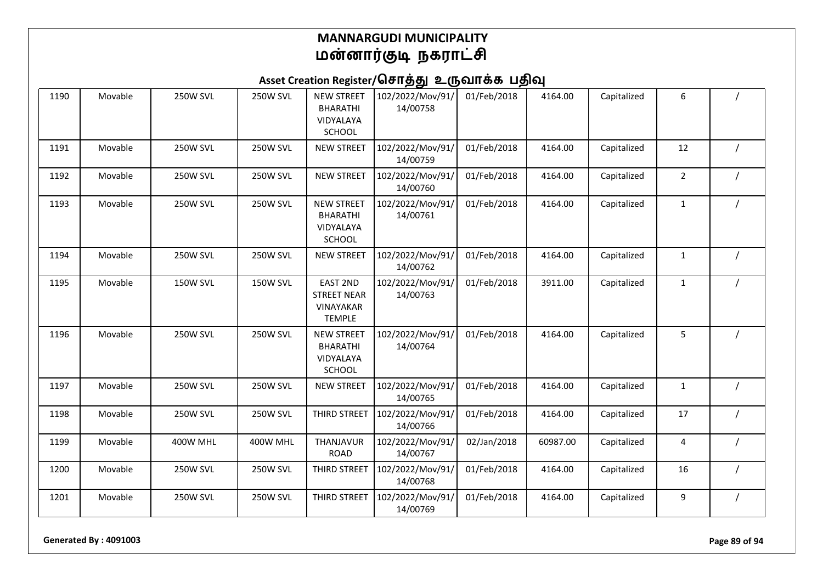## Asset Creation Register/சொத்து உருவாக்க பதிவு

| 1190 | Movable | <b>250W SVL</b> | 250W SVL        | <b>NEW STREET</b><br><b>BHARATHI</b><br>VIDYALAYA<br><b>SCHOOL</b>         | 102/2022/Mov/91/<br>14/00758 | 01/Feb/2018 | 4164.00  | Capitalized | 6              |  |
|------|---------|-----------------|-----------------|----------------------------------------------------------------------------|------------------------------|-------------|----------|-------------|----------------|--|
| 1191 | Movable | <b>250W SVL</b> | <b>250W SVL</b> | <b>NEW STREET</b>                                                          | 102/2022/Mov/91/<br>14/00759 | 01/Feb/2018 | 4164.00  | Capitalized | 12             |  |
| 1192 | Movable | <b>250W SVL</b> | <b>250W SVL</b> | <b>NEW STREET</b>                                                          | 102/2022/Mov/91/<br>14/00760 | 01/Feb/2018 | 4164.00  | Capitalized | $\overline{2}$ |  |
| 1193 | Movable | <b>250W SVL</b> | <b>250W SVL</b> | <b>NEW STREET</b><br><b>BHARATHI</b><br><b>VIDYALAYA</b><br>SCHOOL         | 102/2022/Mov/91/<br>14/00761 | 01/Feb/2018 | 4164.00  | Capitalized | $\mathbf{1}$   |  |
| 1194 | Movable | <b>250W SVL</b> | <b>250W SVL</b> | <b>NEW STREET</b>                                                          | 102/2022/Mov/91/<br>14/00762 | 01/Feb/2018 | 4164.00  | Capitalized | $\mathbf{1}$   |  |
| 1195 | Movable | <b>150W SVL</b> | <b>150W SVL</b> | <b>EAST 2ND</b><br><b>STREET NEAR</b><br><b>VINAYAKAR</b><br><b>TEMPLE</b> | 102/2022/Mov/91/<br>14/00763 | 01/Feb/2018 | 3911.00  | Capitalized | $\mathbf{1}$   |  |
| 1196 | Movable | <b>250W SVL</b> | <b>250W SVL</b> | <b>NEW STREET</b><br><b>BHARATHI</b><br>VIDYALAYA<br><b>SCHOOL</b>         | 102/2022/Mov/91/<br>14/00764 | 01/Feb/2018 | 4164.00  | Capitalized | 5              |  |
| 1197 | Movable | <b>250W SVL</b> | 250W SVL        | <b>NEW STREET</b>                                                          | 102/2022/Mov/91/<br>14/00765 | 01/Feb/2018 | 4164.00  | Capitalized | 1              |  |
| 1198 | Movable | <b>250W SVL</b> | 250W SVL        | THIRD STREET                                                               | 102/2022/Mov/91/<br>14/00766 | 01/Feb/2018 | 4164.00  | Capitalized | 17             |  |
| 1199 | Movable | 400W MHL        | 400W MHL        | THANJAVUR<br><b>ROAD</b>                                                   | 102/2022/Mov/91/<br>14/00767 | 02/Jan/2018 | 60987.00 | Capitalized | 4              |  |
| 1200 | Movable | <b>250W SVL</b> | 250W SVL        | THIRD STREET                                                               | 102/2022/Mov/91/<br>14/00768 | 01/Feb/2018 | 4164.00  | Capitalized | 16             |  |
| 1201 | Movable | <b>250W SVL</b> | <b>250W SVL</b> | THIRD STREET                                                               | 102/2022/Mov/91/<br>14/00769 | 01/Feb/2018 | 4164.00  | Capitalized | 9              |  |

**Generated By : 4091003 Page 89 of 94**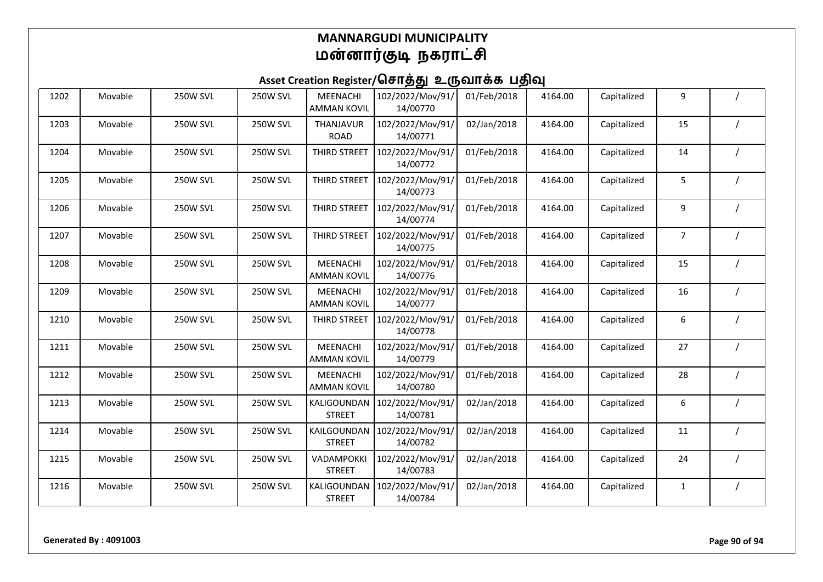| 1202 | Movable | <b>250W SVL</b> | <b>250W SVL</b> | MEENACHI<br><b>AMMAN KOVIL</b> | 102/2022/Mov/91/<br>14/00770 | 01/Feb/2018 | 4164.00 | Capitalized | 9              |  |
|------|---------|-----------------|-----------------|--------------------------------|------------------------------|-------------|---------|-------------|----------------|--|
| 1203 | Movable | <b>250W SVL</b> | <b>250W SVL</b> | THANJAVUR<br><b>ROAD</b>       | 102/2022/Mov/91/<br>14/00771 | 02/Jan/2018 | 4164.00 | Capitalized | 15             |  |
| 1204 | Movable | <b>250W SVL</b> | <b>250W SVL</b> | THIRD STREET                   | 102/2022/Mov/91/<br>14/00772 | 01/Feb/2018 | 4164.00 | Capitalized | 14             |  |
| 1205 | Movable | <b>250W SVL</b> | <b>250W SVL</b> | THIRD STREET                   | 102/2022/Mov/91/<br>14/00773 | 01/Feb/2018 | 4164.00 | Capitalized | 5              |  |
| 1206 | Movable | <b>250W SVL</b> | <b>250W SVL</b> | THIRD STREET                   | 102/2022/Mov/91/<br>14/00774 | 01/Feb/2018 | 4164.00 | Capitalized | 9              |  |
| 1207 | Movable | <b>250W SVL</b> | <b>250W SVL</b> | THIRD STREET                   | 102/2022/Mov/91/<br>14/00775 | 01/Feb/2018 | 4164.00 | Capitalized | $\overline{7}$ |  |
| 1208 | Movable | <b>250W SVL</b> | <b>250W SVL</b> | MEENACHI<br><b>AMMAN KOVIL</b> | 102/2022/Mov/91/<br>14/00776 | 01/Feb/2018 | 4164.00 | Capitalized | 15             |  |
| 1209 | Movable | <b>250W SVL</b> | <b>250W SVL</b> | MEENACHI<br><b>AMMAN KOVIL</b> | 102/2022/Mov/91/<br>14/00777 | 01/Feb/2018 | 4164.00 | Capitalized | 16             |  |
| 1210 | Movable | <b>250W SVL</b> | <b>250W SVL</b> | THIRD STREET                   | 102/2022/Mov/91/<br>14/00778 | 01/Feb/2018 | 4164.00 | Capitalized | 6              |  |
| 1211 | Movable | <b>250W SVL</b> | <b>250W SVL</b> | MEENACHI<br><b>AMMAN KOVIL</b> | 102/2022/Mov/91/<br>14/00779 | 01/Feb/2018 | 4164.00 | Capitalized | 27             |  |
| 1212 | Movable | <b>250W SVL</b> | <b>250W SVL</b> | MEENACHI<br><b>AMMAN KOVIL</b> | 102/2022/Mov/91/<br>14/00780 | 01/Feb/2018 | 4164.00 | Capitalized | 28             |  |
| 1213 | Movable | <b>250W SVL</b> | <b>250W SVL</b> | KALIGOUNDAN<br><b>STREET</b>   | 102/2022/Mov/91/<br>14/00781 | 02/Jan/2018 | 4164.00 | Capitalized | 6              |  |
| 1214 | Movable | <b>250W SVL</b> | <b>250W SVL</b> | KAILGOUNDAN<br><b>STREET</b>   | 102/2022/Mov/91/<br>14/00782 | 02/Jan/2018 | 4164.00 | Capitalized | 11             |  |
| 1215 | Movable | <b>250W SVL</b> | <b>250W SVL</b> | VADAMPOKKI<br><b>STREET</b>    | 102/2022/Mov/91/<br>14/00783 | 02/Jan/2018 | 4164.00 | Capitalized | 24             |  |
| 1216 | Movable | <b>250W SVL</b> | 250W SVL        | KALIGOUNDAN<br><b>STREET</b>   | 102/2022/Mov/91/<br>14/00784 | 02/Jan/2018 | 4164.00 | Capitalized | 1              |  |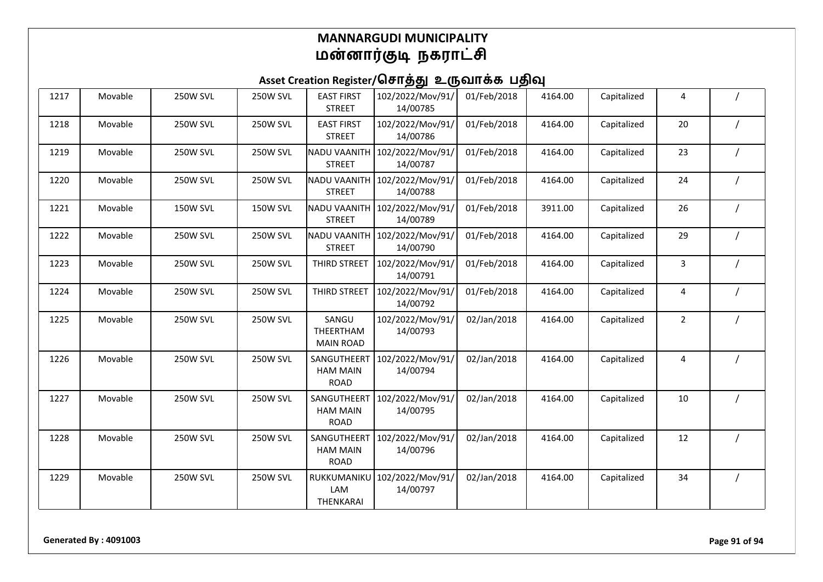| 1217 | Movable | <b>250W SVL</b> | <b>250W SVL</b> | <b>EAST FIRST</b><br><b>STREET</b>            | 102/2022/Mov/91/<br>14/00785 | 01/Feb/2018 | 4164.00 | Capitalized | 4              |  |
|------|---------|-----------------|-----------------|-----------------------------------------------|------------------------------|-------------|---------|-------------|----------------|--|
| 1218 | Movable | <b>250W SVL</b> | <b>250W SVL</b> | <b>EAST FIRST</b><br><b>STREET</b>            | 102/2022/Mov/91/<br>14/00786 | 01/Feb/2018 | 4164.00 | Capitalized | 20             |  |
| 1219 | Movable | <b>250W SVL</b> | 250W SVL        | <b>NADU VAANITH</b><br><b>STREET</b>          | 102/2022/Mov/91/<br>14/00787 | 01/Feb/2018 | 4164.00 | Capitalized | 23             |  |
| 1220 | Movable | <b>250W SVL</b> | <b>250W SVL</b> | <b>NADU VAANITH</b><br><b>STREET</b>          | 102/2022/Mov/91/<br>14/00788 | 01/Feb/2018 | 4164.00 | Capitalized | 24             |  |
| 1221 | Movable | <b>150W SVL</b> | 150W SVL        | <b>NADU VAANITH</b><br><b>STREET</b>          | 102/2022/Mov/91/<br>14/00789 | 01/Feb/2018 | 3911.00 | Capitalized | 26             |  |
| 1222 | Movable | <b>250W SVL</b> | <b>250W SVL</b> | <b>NADU VAANITH</b><br><b>STREET</b>          | 102/2022/Mov/91/<br>14/00790 | 01/Feb/2018 | 4164.00 | Capitalized | 29             |  |
| 1223 | Movable | <b>250W SVL</b> | 250W SVL        | THIRD STREET                                  | 102/2022/Mov/91/<br>14/00791 | 01/Feb/2018 | 4164.00 | Capitalized | 3              |  |
| 1224 | Movable | <b>250W SVL</b> | <b>250W SVL</b> | THIRD STREET                                  | 102/2022/Mov/91/<br>14/00792 | 01/Feb/2018 | 4164.00 | Capitalized | 4              |  |
| 1225 | Movable | <b>250W SVL</b> | <b>250W SVL</b> | SANGU<br>THEERTHAM<br><b>MAIN ROAD</b>        | 102/2022/Mov/91/<br>14/00793 | 02/Jan/2018 | 4164.00 | Capitalized | $\overline{2}$ |  |
| 1226 | Movable | <b>250W SVL</b> | <b>250W SVL</b> | SANGUTHEERT<br><b>HAM MAIN</b><br><b>ROAD</b> | 102/2022/Mov/91/<br>14/00794 | 02/Jan/2018 | 4164.00 | Capitalized | 4              |  |
| 1227 | Movable | <b>250W SVL</b> | <b>250W SVL</b> | SANGUTHEERT<br><b>HAM MAIN</b><br><b>ROAD</b> | 102/2022/Mov/91/<br>14/00795 | 02/Jan/2018 | 4164.00 | Capitalized | $10\,$         |  |
| 1228 | Movable | <b>250W SVL</b> | <b>250W SVL</b> | SANGUTHEERT<br><b>HAM MAIN</b><br><b>ROAD</b> | 102/2022/Mov/91/<br>14/00796 | 02/Jan/2018 | 4164.00 | Capitalized | 12             |  |
| 1229 | Movable | <b>250W SVL</b> | <b>250W SVL</b> | RUKKUMANIKU<br>LAM<br>THENKARAI               | 102/2022/Mov/91/<br>14/00797 | 02/Jan/2018 | 4164.00 | Capitalized | 34             |  |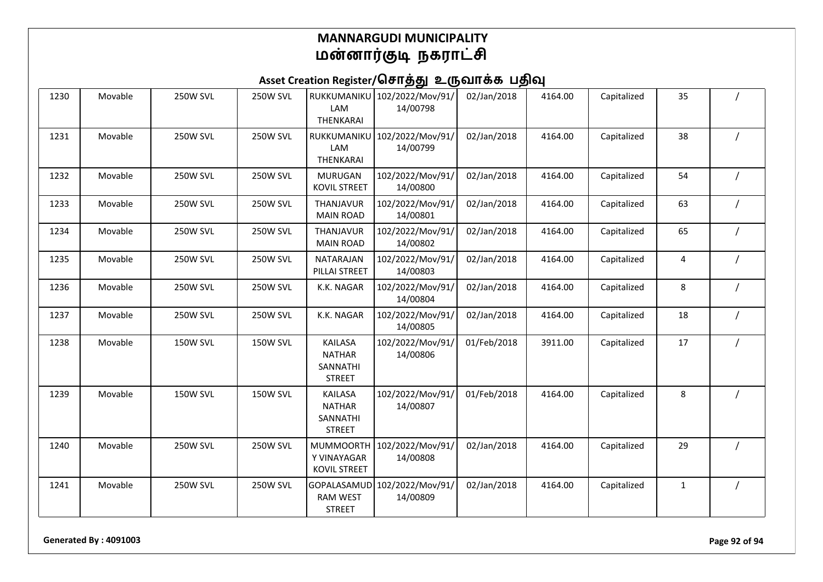## Asset Creation Register/சொத்து உருவாக்க பதிவு

| 1230 | Movable | <b>250W SVL</b> | <b>250W SVL</b> | RUKKUMANIKU<br>LAM<br>THENKARAI                              | 102/2022/Mov/91/<br>14/00798 | 02/Jan/2018 | 4164.00 | Capitalized | 35           |  |
|------|---------|-----------------|-----------------|--------------------------------------------------------------|------------------------------|-------------|---------|-------------|--------------|--|
| 1231 | Movable | <b>250W SVL</b> | <b>250W SVL</b> | RUKKUMANIKU<br>LAM<br><b>THENKARAI</b>                       | 102/2022/Mov/91/<br>14/00799 | 02/Jan/2018 | 4164.00 | Capitalized | 38           |  |
| 1232 | Movable | <b>250W SVL</b> | <b>250W SVL</b> | <b>MURUGAN</b><br><b>KOVIL STREET</b>                        | 102/2022/Mov/91/<br>14/00800 | 02/Jan/2018 | 4164.00 | Capitalized | 54           |  |
| 1233 | Movable | <b>250W SVL</b> | <b>250W SVL</b> | THANJAVUR<br><b>MAIN ROAD</b>                                | 102/2022/Mov/91/<br>14/00801 | 02/Jan/2018 | 4164.00 | Capitalized | 63           |  |
| 1234 | Movable | <b>250W SVL</b> | <b>250W SVL</b> | THANJAVUR<br><b>MAIN ROAD</b>                                | 102/2022/Mov/91/<br>14/00802 | 02/Jan/2018 | 4164.00 | Capitalized | 65           |  |
| 1235 | Movable | <b>250W SVL</b> | <b>250W SVL</b> | NATARAJAN<br>PILLAI STREET                                   | 102/2022/Mov/91/<br>14/00803 | 02/Jan/2018 | 4164.00 | Capitalized | 4            |  |
| 1236 | Movable | <b>250W SVL</b> | <b>250W SVL</b> | K.K. NAGAR                                                   | 102/2022/Mov/91/<br>14/00804 | 02/Jan/2018 | 4164.00 | Capitalized | 8            |  |
| 1237 | Movable | <b>250W SVL</b> | <b>250W SVL</b> | K.K. NAGAR                                                   | 102/2022/Mov/91/<br>14/00805 | 02/Jan/2018 | 4164.00 | Capitalized | 18           |  |
| 1238 | Movable | <b>150W SVL</b> | <b>150W SVL</b> | <b>KAILASA</b><br><b>NATHAR</b><br>SANNATHI<br><b>STREET</b> | 102/2022/Mov/91/<br>14/00806 | 01/Feb/2018 | 3911.00 | Capitalized | 17           |  |
| 1239 | Movable | <b>150W SVL</b> | <b>150W SVL</b> | <b>KAILASA</b><br><b>NATHAR</b><br>SANNATHI<br><b>STREET</b> | 102/2022/Mov/91/<br>14/00807 | 01/Feb/2018 | 4164.00 | Capitalized | 8            |  |
| 1240 | Movable | <b>250W SVL</b> | <b>250W SVL</b> | <b>MUMMOORTH</b><br>Y VINAYAGAR<br><b>KOVIL STREET</b>       | 102/2022/Mov/91/<br>14/00808 | 02/Jan/2018 | 4164.00 | Capitalized | 29           |  |
| 1241 | Movable | <b>250W SVL</b> | <b>250W SVL</b> | GOPALASAMUD<br><b>RAM WEST</b><br><b>STREET</b>              | 102/2022/Mov/91/<br>14/00809 | 02/Jan/2018 | 4164.00 | Capitalized | $\mathbf{1}$ |  |

**Generated By : 4091003 Page 92 of 94**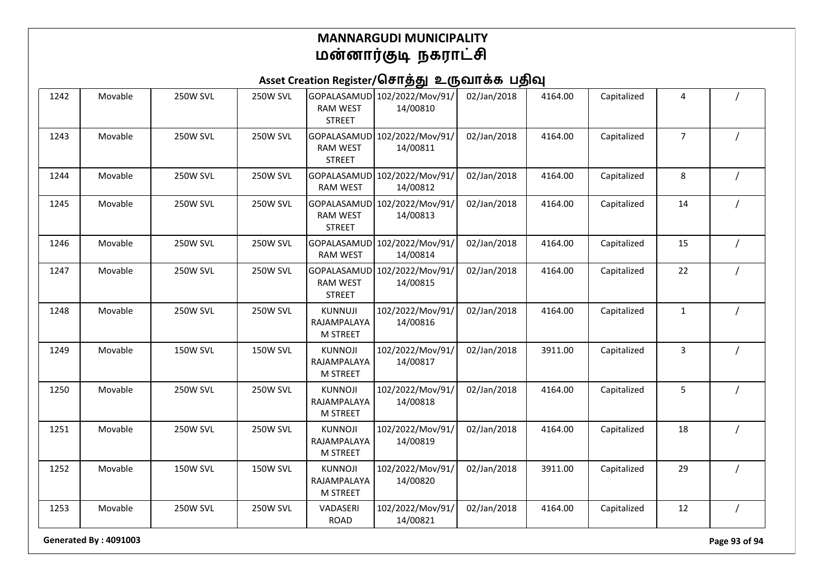## Asset Creation Register/சொத்து உருவாக்க பதிவு

| 1242 | Movable | <b>250W SVL</b> | <b>250W SVL</b> | GOPALASAMUD<br><b>RAM WEST</b><br><b>STREET</b>  | 102/2022/Mov/91/<br>14/00810 | 02/Jan/2018 | 4164.00 | Capitalized | 4              |  |
|------|---------|-----------------|-----------------|--------------------------------------------------|------------------------------|-------------|---------|-------------|----------------|--|
| 1243 | Movable | <b>250W SVL</b> | <b>250W SVL</b> | GOPALASAMUD<br><b>RAM WEST</b><br><b>STREET</b>  | 102/2022/Mov/91/<br>14/00811 | 02/Jan/2018 | 4164.00 | Capitalized | $\overline{7}$ |  |
| 1244 | Movable | <b>250W SVL</b> | <b>250W SVL</b> | GOPALASAMUD<br><b>RAM WEST</b>                   | 102/2022/Mov/91/<br>14/00812 | 02/Jan/2018 | 4164.00 | Capitalized | 8              |  |
| 1245 | Movable | <b>250W SVL</b> | <b>250W SVL</b> | GOPALASAMUD<br><b>RAM WEST</b><br><b>STREET</b>  | 102/2022/Mov/91/<br>14/00813 | 02/Jan/2018 | 4164.00 | Capitalized | 14             |  |
| 1246 | Movable | <b>250W SVL</b> | <b>250W SVL</b> | GOPALASAMUD<br><b>RAM WEST</b>                   | 102/2022/Mov/91/<br>14/00814 | 02/Jan/2018 | 4164.00 | Capitalized | 15             |  |
| 1247 | Movable | <b>250W SVL</b> | <b>250W SVL</b> | GOPALASAMUD<br><b>RAM WEST</b><br><b>STREET</b>  | 102/2022/Mov/91/<br>14/00815 | 02/Jan/2018 | 4164.00 | Capitalized | 22             |  |
| 1248 | Movable | <b>250W SVL</b> | <b>250W SVL</b> | KUNNUJI<br>RAJAMPALAYA<br><b>M STREET</b>        | 102/2022/Mov/91/<br>14/00816 | 02/Jan/2018 | 4164.00 | Capitalized | $\mathbf{1}$   |  |
| 1249 | Movable | <b>150W SVL</b> | <b>150W SVL</b> | <b>KUNNOJI</b><br>RAJAMPALAYA<br><b>M STREET</b> | 102/2022/Mov/91/<br>14/00817 | 02/Jan/2018 | 3911.00 | Capitalized | 3              |  |
| 1250 | Movable | <b>250W SVL</b> | 250W SVL        | <b>KUNNOJI</b><br>RAJAMPALAYA<br>M STREET        | 102/2022/Mov/91/<br>14/00818 | 02/Jan/2018 | 4164.00 | Capitalized | 5              |  |
| 1251 | Movable | <b>250W SVL</b> | 250W SVL        | <b>KUNNOJI</b><br>RAJAMPALAYA<br><b>M STREET</b> | 102/2022/Mov/91/<br>14/00819 | 02/Jan/2018 | 4164.00 | Capitalized | 18             |  |
| 1252 | Movable | <b>150W SVL</b> | <b>150W SVL</b> | <b>KUNNOJI</b><br>RAJAMPALAYA<br><b>M STREET</b> | 102/2022/Mov/91/<br>14/00820 | 02/Jan/2018 | 3911.00 | Capitalized | 29             |  |
| 1253 | Movable | <b>250W SVL</b> | 250W SVL        | VADASERI<br><b>ROAD</b>                          | 102/2022/Mov/91/<br>14/00821 | 02/Jan/2018 | 4164.00 | Capitalized | 12             |  |

**Generated By : 4091003 Page 93 of 94**